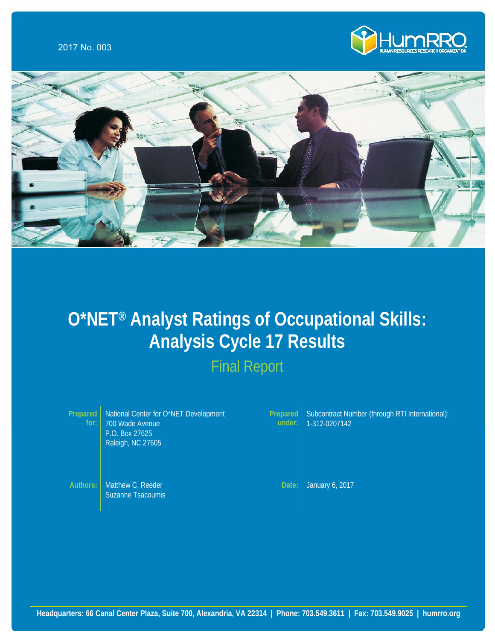



# **O\*NET® Analyst Ratings of Occupational Skills: Analysis Cycle 17 Results**

Final Report

| Prepared<br>for: | National Center for O*NET Development<br>700 Wade Avenue<br>P.O. Box 27625<br>Raleigh, NC 27605 | <b>Prepared</b><br>under: | Subcontract Number (through RTI International):<br>1-312-0207142 |
|------------------|-------------------------------------------------------------------------------------------------|---------------------------|------------------------------------------------------------------|
| Authors:         | Matthew C. Reeder<br>Suzanne Tsacoumis                                                          | Date:                     | January 6, 2017                                                  |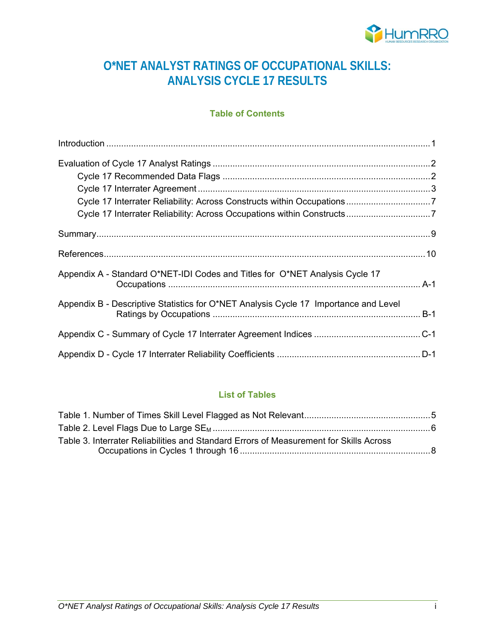

# **O\*NET ANALYST RATINGS OF OCCUPATIONAL SKILLS: ANALYSIS CYCLE 17 RESULTS**

#### **Table of Contents**

| Appendix A - Standard O*NET-IDI Codes and Titles for O*NET Analysis Cycle 17         |  |
|--------------------------------------------------------------------------------------|--|
| Appendix B - Descriptive Statistics for O*NET Analysis Cycle 17 Importance and Level |  |
|                                                                                      |  |
|                                                                                      |  |

# **List of Tables**

| Table 3. Interrater Reliabilities and Standard Errors of Measurement for Skills Across |  |
|----------------------------------------------------------------------------------------|--|
|                                                                                        |  |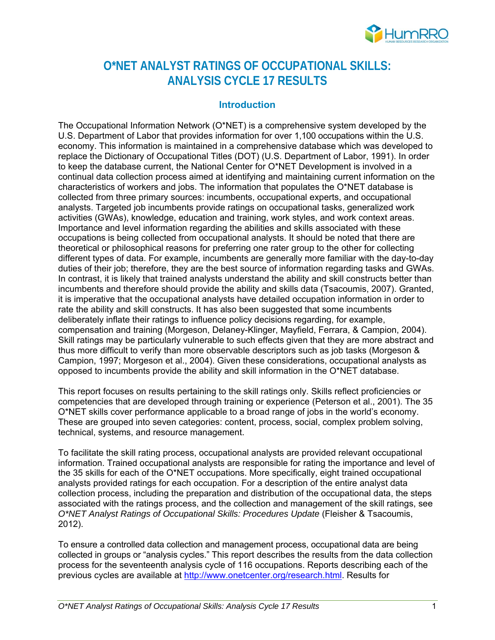

# **O\*NET ANALYST RATINGS OF OCCUPATIONAL SKILLS: ANALYSIS CYCLE 17 RESULTS**

#### **Introduction**

The Occupational Information Network (O\*NET) is a comprehensive system developed by the U.S. Department of Labor that provides information for over 1,100 occupations within the U.S. economy. This information is maintained in a comprehensive database which was developed to replace the Dictionary of Occupational Titles (DOT) (U.S. Department of Labor, 1991). In order to keep the database current, the National Center for O\*NET Development is involved in a continual data collection process aimed at identifying and maintaining current information on the characteristics of workers and jobs. The information that populates the O\*NET database is collected from three primary sources: incumbents, occupational experts, and occupational analysts. Targeted job incumbents provide ratings on occupational tasks, generalized work activities (GWAs), knowledge, education and training, work styles, and work context areas. Importance and level information regarding the abilities and skills associated with these occupations is being collected from occupational analysts. It should be noted that there are theoretical or philosophical reasons for preferring one rater group to the other for collecting different types of data. For example, incumbents are generally more familiar with the day-to-day duties of their job; therefore, they are the best source of information regarding tasks and GWAs. In contrast, it is likely that trained analysts understand the ability and skill constructs better than incumbents and therefore should provide the ability and skills data (Tsacoumis, 2007). Granted, it is imperative that the occupational analysts have detailed occupation information in order to rate the ability and skill constructs. It has also been suggested that some incumbents deliberately inflate their ratings to influence policy decisions regarding, for example, compensation and training (Morgeson, Delaney-Klinger, Mayfield, Ferrara, & Campion, 2004). Skill ratings may be particularly vulnerable to such effects given that they are more abstract and thus more difficult to verify than more observable descriptors such as job tasks (Morgeson & Campion, 1997; Morgeson et al., 2004). Given these considerations, occupational analysts as opposed to incumbents provide the ability and skill information in the O\*NET database.

This report focuses on results pertaining to the skill ratings only. Skills reflect proficiencies or competencies that are developed through training or experience (Peterson et al., 2001). The 35 O\*NET skills cover performance applicable to a broad range of jobs in the world's economy. These are grouped into seven categories: content, process, social, complex problem solving, technical, systems, and resource management.

To facilitate the skill rating process, occupational analysts are provided relevant occupational information. Trained occupational analysts are responsible for rating the importance and level of the 35 skills for each of the O\*NET occupations. More specifically, eight trained occupational analysts provided ratings for each occupation. For a description of the entire analyst data collection process, including the preparation and distribution of the occupational data, the steps associated with the ratings process, and the collection and management of the skill ratings, see *O\*NET Analyst Ratings of Occupational Skills: Procedures Update* (Fleisher & Tsacoumis, 2012).

To ensure a controlled data collection and management process, occupational data are being collected in groups or "analysis cycles." This report describes the results from the data collection process for the seventeenth analysis cycle of 116 occupations. Reports describing each of the previous cycles are available at http://www.onetcenter.org/research.html. Results for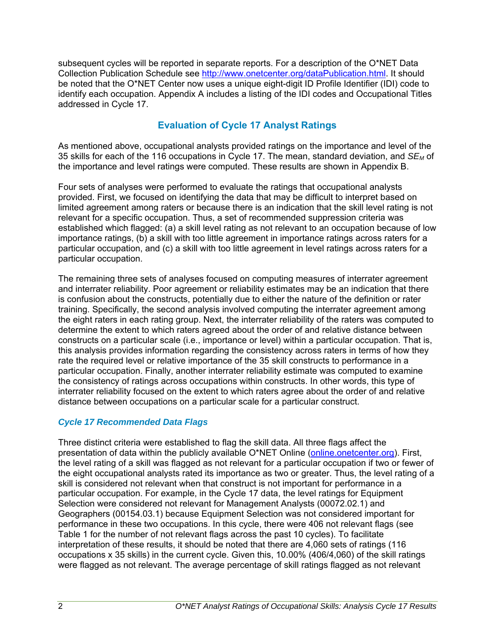subsequent cycles will be reported in separate reports. For a description of the O\*NET Data Collection Publication Schedule see http://www.onetcenter.org/dataPublication.html. It should be noted that the O\*NET Center now uses a unique eight-digit ID Profile Identifier (IDI) code to identify each occupation. Appendix A includes a listing of the IDI codes and Occupational Titles addressed in Cycle 17.

# **Evaluation of Cycle 17 Analyst Ratings**

As mentioned above, occupational analysts provided ratings on the importance and level of the 35 skills for each of the 116 occupations in Cycle 17. The mean, standard deviation, and *SEM* of the importance and level ratings were computed. These results are shown in Appendix B.

Four sets of analyses were performed to evaluate the ratings that occupational analysts provided. First, we focused on identifying the data that may be difficult to interpret based on limited agreement among raters or because there is an indication that the skill level rating is not relevant for a specific occupation. Thus, a set of recommended suppression criteria was established which flagged: (a) a skill level rating as not relevant to an occupation because of low importance ratings, (b) a skill with too little agreement in importance ratings across raters for a particular occupation, and (c) a skill with too little agreement in level ratings across raters for a particular occupation.

The remaining three sets of analyses focused on computing measures of interrater agreement and interrater reliability. Poor agreement or reliability estimates may be an indication that there is confusion about the constructs, potentially due to either the nature of the definition or rater training. Specifically, the second analysis involved computing the interrater agreement among the eight raters in each rating group. Next, the interrater reliability of the raters was computed to determine the extent to which raters agreed about the order of and relative distance between constructs on a particular scale (i.e., importance or level) within a particular occupation. That is, this analysis provides information regarding the consistency across raters in terms of how they rate the required level or relative importance of the 35 skill constructs to performance in a particular occupation. Finally, another interrater reliability estimate was computed to examine the consistency of ratings across occupations within constructs. In other words, this type of interrater reliability focused on the extent to which raters agree about the order of and relative distance between occupations on a particular scale for a particular construct.

### *Cycle 17 Recommended Data Flags*

Three distinct criteria were established to flag the skill data. All three flags affect the presentation of data within the publicly available O\*NET Online (online.onetcenter.org). First, the level rating of a skill was flagged as not relevant for a particular occupation if two or fewer of the eight occupational analysts rated its importance as two or greater. Thus, the level rating of a skill is considered not relevant when that construct is not important for performance in a particular occupation. For example, in the Cycle 17 data, the level ratings for Equipment Selection were considered not relevant for Management Analysts (00072.02.1) and Geographers (00154.03.1) because Equipment Selection was not considered important for performance in these two occupations. In this cycle, there were 406 not relevant flags (see Table 1 for the number of not relevant flags across the past 10 cycles). To facilitate interpretation of these results, it should be noted that there are 4,060 sets of ratings (116 occupations x 35 skills) in the current cycle. Given this, 10.00% (406/4,060) of the skill ratings were flagged as not relevant. The average percentage of skill ratings flagged as not relevant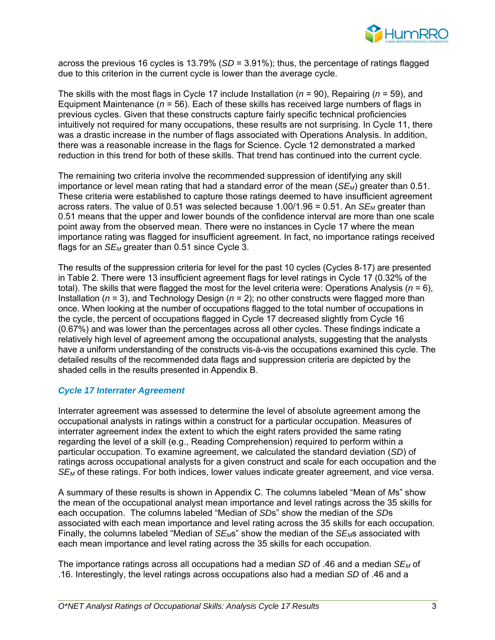

across the previous 16 cycles is 13.79% (*SD* = 3.91%); thus, the percentage of ratings flagged due to this criterion in the current cycle is lower than the average cycle.

The skills with the most flags in Cycle 17 include Installation (*n* = 90), Repairing (*n* = 59), and Equipment Maintenance (*n* = 56). Each of these skills has received large numbers of flags in previous cycles. Given that these constructs capture fairly specific technical proficiencies intuitively not required for many occupations, these results are not surprising. In Cycle 11, there was a drastic increase in the number of flags associated with Operations Analysis. In addition, there was a reasonable increase in the flags for Science. Cycle 12 demonstrated a marked reduction in this trend for both of these skills. That trend has continued into the current cycle.

The remaining two criteria involve the recommended suppression of identifying any skill importance or level mean rating that had a standard error of the mean (*SE<sub>M</sub>*) greater than 0.51. These criteria were established to capture those ratings deemed to have insufficient agreement across raters. The value of 0.51 was selected because  $1.00/1.96 = 0.51$ . An *SE<sub>M</sub>* greater than 0.51 means that the upper and lower bounds of the confidence interval are more than one scale point away from the observed mean. There were no instances in Cycle 17 where the mean importance rating was flagged for insufficient agreement. In fact, no importance ratings received flags for an  $SE_M$  greater than 0.51 since Cycle 3.

The results of the suppression criteria for level for the past 10 cycles (Cycles 8-17) are presented in Table 2. There were 13 insufficient agreement flags for level ratings in Cycle 17 (0.32% of the total). The skills that were flagged the most for the level criteria were: Operations Analysis ( $n = 6$ ), Installation (*n* = 3), and Technology Design (*n* = 2); no other constructs were flagged more than once. When looking at the number of occupations flagged to the total number of occupations in the cycle, the percent of occupations flagged in Cycle 17 decreased slightly from Cycle 16 (0.67%) and was lower than the percentages across all other cycles. These findings indicate a relatively high level of agreement among the occupational analysts, suggesting that the analysts have a uniform understanding of the constructs vis-à-vis the occupations examined this cycle. The detailed results of the recommended data flags and suppression criteria are depicted by the shaded cells in the results presented in Appendix B.

#### *Cycle 17 Interrater Agreement*

Interrater agreement was assessed to determine the level of absolute agreement among the occupational analysts in ratings within a construct for a particular occupation. Measures of interrater agreement index the extent to which the eight raters provided the same rating regarding the level of a skill (e.g., Reading Comprehension) required to perform within a particular occupation. To examine agreement, we calculated the standard deviation (*SD*) of ratings across occupational analysts for a given construct and scale for each occupation and the *SEM* of these ratings. For both indices, lower values indicate greater agreement, and vice versa.

A summary of these results is shown in Appendix C. The columns labeled "Mean of *M*s" show the mean of the occupational analyst mean importance and level ratings across the 35 skills for each occupation. The columns labeled "Median of *SD*s" show the median of the *SD*s associated with each mean importance and level rating across the 35 skills for each occupation. Finally, the columns labeled "Median of *SE<sub>M</sub>*s" show the median of the *SE<sub>M</sub>*s associated with each mean importance and level rating across the 35 skills for each occupation.

The importance ratings across all occupations had a median *SD* of .46 and a median *SEM* of .16. Interestingly, the level ratings across occupations also had a median *SD* of .46 and a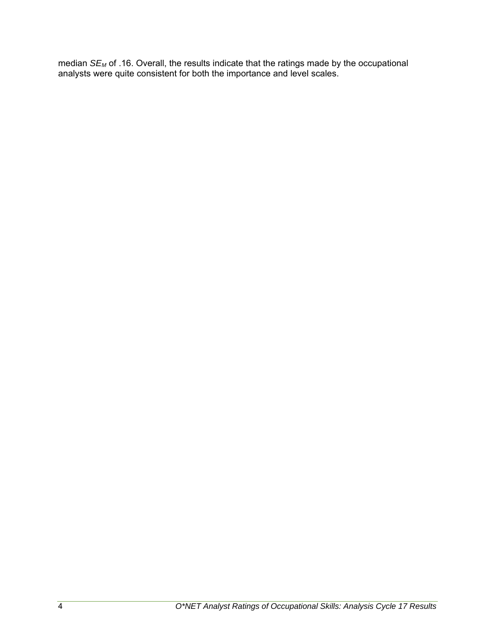median *SEM* of .16. Overall, the results indicate that the ratings made by the occupational analysts were quite consistent for both the importance and level scales.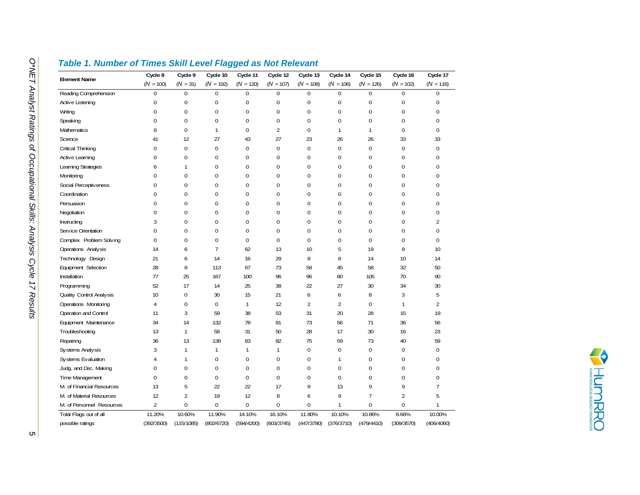| <b>Element Name</b>       | Cycle 8          | Cycle 9        | Cycle 10         | Cycle 11         | Cycle 12       | Cycle 13       | Cycle 14       | Cycle 15       | Cycle 16    | Cycle 17       |
|---------------------------|------------------|----------------|------------------|------------------|----------------|----------------|----------------|----------------|-------------|----------------|
|                           | $(N = 100)$      | $(N = 31)$     | $(N = 192)$      | $(N = 120)$      | $(N = 107)$    | $(N = 108)$    | $(N = 106)$    | $(N = 126)$    | $(N = 102)$ | $(N = 116)$    |
| Reading Comprehension     | $\overline{0}$   | $\Omega$       | $\theta$         | $\mathbf 0$      | $\theta$       | $\mathbf 0$    | $\overline{0}$ | $\overline{0}$ | $\Omega$    | $\Omega$       |
| Active Listening          | 0                | 0              | $\mathbf 0$      | $\boldsymbol{0}$ | $\mathbf{0}$   | $\mathbf{0}$   | 0              | 0              | 0           | $\Omega$       |
| Writing                   | 0                | 0              | $\boldsymbol{0}$ | 0                | $\mathbf 0$    | $\mathbf 0$    | 0              | 0              | 0           | $\mathbf 0$    |
| Speaking                  | 0                | 0              | $\boldsymbol{0}$ | 0                | 0              | $\mathbf 0$    | 0              | 0              | 0           | 0              |
| Mathematics               | 8                | 0              | $\mathbf{1}$     | 0                | $\overline{2}$ | $\pmb{0}$      | 1              | 1              | 0           | 0              |
| Science                   | 41               | 12             | 27               | 43               | 27             | 23             | 26             | 26             | 33          | 33             |
| Critical Thinking         | 0                | $\overline{0}$ | $\mathbf{0}$     | $\mathbf 0$      | $\mathbf 0$    | $\pmb{0}$      | $\mathbf 0$    | 0              | $\mathbf 0$ | $\mathbf 0$    |
| Active Learning           | 0                | 0              | $\mathbf 0$      | 0                | $\mathbf{0}$   | $\mathbf 0$    | 0              | 0              | 0           | 0              |
| Learning Strategies       | 6                | 1              | 0                | 0                | 0              | $\mathbf 0$    | 0              | 0              | 0           | 0              |
| Monitoring                | 0                | 0              | $\mathbf 0$      | $\mathbf 0$      | 0              | $\mathbf 0$    | 0              | 0              | 0           | $\mathbf{0}$   |
| Social Perceptiveness     | $\mathbf 0$      | $\mathbf 0$    | 0                | $\mathbf 0$      | 0              | $\mathbf{0}$   | 0              | 0              | 0           | $\mathbf{0}$   |
| Coordination              | 0                | 0              | $\mathbf 0$      | $\mathbf 0$      | 0              | $\mathbf{0}$   | 0              | 0              | 0           | $\mathbf 0$    |
| Persuasion                | $\boldsymbol{0}$ | $\mathbf 0$    | $\mathbf 0$      | $\mathbf{0}$     | $\mathbf{0}$   | $\mathbf 0$    | $\Omega$       | 0              | 0           | $\mathbf{0}$   |
| Negotiation               | 0                | $\mathbf 0$    | 0                | $\mathbf 0$      | 0              | $\mathbf 0$    | 0              | 0              | 0           | $\mathbf 0$    |
| Instructing               | 3                | 0              | $\mathbf 0$      | 0                | $\mathbf{0}$   | $\mathbf 0$    | 0              | 0              | 0           | $\overline{2}$ |
| Service Orientation       | $\boldsymbol{0}$ | $\overline{0}$ | $\mathbf 0$      | $\mathbf{0}$     | $\mathbf 0$    | $\mathbf 0$    | $\overline{0}$ | 0              | $\mathbf 0$ | $\mathbf 0$    |
| Complex Problem Solving   | 0                | $\mathbf 0$    | $\mathbf 0$      | 0                | $\mathbf 0$    | $\mathbf{0}$   | 0              | 0              | 0           | 0              |
| Operations Analysis       | 14               | 6              | $\overline{7}$   | 62               | 13             | 10             | 5              | 19             | 8           | 10             |
| Technology Design         | 21               | 6              | 14               | 16               | 29             | 8              | 8              | 14             | 10          | 14             |
| Equipment Selection       | 28               | 8              | 113              | 67               | 73             | 58             | 45             | 58             | 32          | 50             |
| Installation              | 77               | 25             | 167              | 100              | 96             | 96             | 80             | 105            | 70          | 90             |
| Programming               | 52               | 17             | 14               | 25               | 38             | 22             | 27             | 30             | 34          | 30             |
| Quality Control Analysis  | 10               | $\overline{0}$ | 30               | 15               | 21             | 6              | 6              | 8              | 3           | 5              |
| Operations Monitoring     | $\sqrt{4}$       | 0              | $\mathbf{0}$     | $\mathbf{1}$     | 12             | $\overline{2}$ | $\overline{2}$ | 0              | 1           | $\overline{2}$ |
| Operation and Control     | 11               | 3              | 59               | 38               | 53             | 31             | 20             | 28             | 15          | 19             |
| Equipment Maintenance     | 34               | 14             | 132              | 78               | 81             | 73             | 56             | 71             | 36          | 56             |
| Troubleshooting           | 13               | 1              | 58               | 31               | 50             | 28             | 17             | 30             | 16          | 23             |
| Repairing                 | 36               | 13             | 138              | 83               | 82             | 75             | 59             | 73             | 40          | 59             |
| Sy stems Analy sis        | 3                | 1              | $\mathbf{1}$     | 1                | $\mathbf{1}$   | $\mathbf 0$    | 0              | 0              | $\mathbf 0$ | 0              |
| Sy stems Evaluation       | 4                | 1              | $\mathbf 0$      | 0                | $\mathbf{0}$   | $\mathbf{0}$   | 1              | 0              | 0           | $\Omega$       |
| Judg. and Dec. Making     | 0                | 0              | $\mathbf 0$      | $\mathbf 0$      | $\mathbf{0}$   | $\mathbf{0}$   | $\mathbf 0$    | 0              | 0           | 0              |
| Time Management           | 0                | 0              | $\mathbf{0}$     | $\mathbf 0$      | $\mathbf{0}$   | $\mathbf 0$    | 0              | 0              | 0           | $\mathbf{0}$   |
| M. of Financial Resources | 13               | 5              | 22               | 22               | 17             | 9              | 13             | 9              | 9           | $\overline{7}$ |
| M. of Material Resources  | 12               | $\overline{2}$ | 19               | 12               | 8              | 6              | 9              | $\overline{7}$ | 2           | 5              |
| M. of Personnel Resources | $\overline{2}$   | $\mathbf 0$    | $\mathbf 0$      | 0                | 0              | $\mathbf 0$    | 1              | 0              | $\Omega$    | -1             |
| Total Flags out of all    | 11.20%           | 10.60%         | 11.90%           | 14.10%           | 16.10%         | 11.80%         | 10.10%         | 10.86%         | 8.66%       | 10.00%         |
| possible ratings          | (392/3500)       | (115/1085)     | (802/6720)       | (594/4200)       | (603/3745)     | (447/3780)     | (376/3710)     | (479/4410)     | (309/3570)  | (406/4060)     |

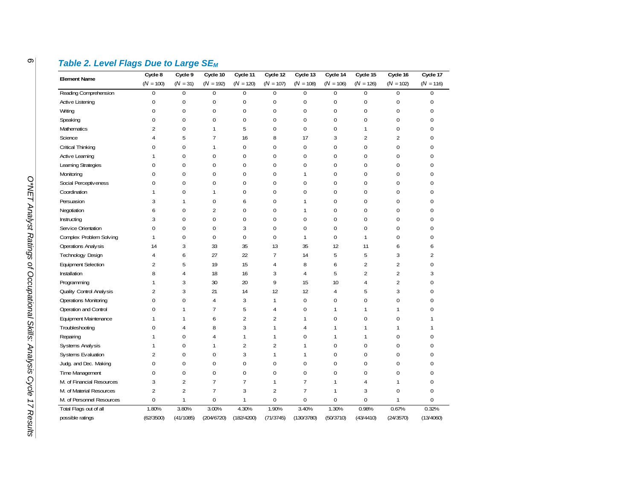| <b>Element Name</b>        | Cycle 8          | Cycle 9        | Cycle 10         | Cycle 11       | Cycle 12       | Cycle 13       | Cycle 14    | Cycle 15       | Cycle 16         | Cycle 17         |
|----------------------------|------------------|----------------|------------------|----------------|----------------|----------------|-------------|----------------|------------------|------------------|
|                            | $(N = 100)$      | $(N = 31)$     | $(N = 192)$      | $(N = 120)$    | $(N = 107)$    | $(N = 108)$    | $(N = 106)$ | $(N = 126)$    | $(N = 102)$      | $(N = 116)$      |
| Reading Comprehension      | $\boldsymbol{0}$ | $\mathbf{0}$   | 0                | $\pmb{0}$      | $\mathbf 0$    | $\pmb{0}$      | 0           | $\mathbf{0}$   | $\mathbf{0}$     | $\Omega$         |
| Active Listening           | 0                | $\mathbf 0$    | 0                | $\pmb{0}$      | $\mathbf{0}$   | $\pmb{0}$      | 0           | 0              | $\mathbf 0$      | $\boldsymbol{0}$ |
| Writing                    | $\mathbf 0$      | $\mathbf 0$    | $\mathbf{0}$     | $\mathbf 0$    | 0              | $\mathbf 0$    | 0           | $\pmb{0}$      | $\mathbf{0}$     | $\mathbf 0$      |
| Speaking                   | $\mathbf 0$      | $\mathbf 0$    | $\mathbf{0}$     | $\mathbf 0$    | 0              | $\pmb{0}$      | 0           | $\pmb{0}$      | $\mathbf 0$      | $\mathbf{0}$     |
| Mathematics                | $\overline{2}$   | $\mathbf{0}$   | 1                | 5              | $\mathbf 0$    | $\mathbf 0$    | 0           | $\mathbf{1}$   | $\boldsymbol{0}$ | $\mathbf{0}$     |
| Science                    | $\overline{4}$   | 5              | $\overline{7}$   | 16             | 8              | 17             | 3           | $\overline{2}$ | $\overline{2}$   | $\theta$         |
| Critical Thinking          | 0                | $\mathbf 0$    | 1                | $\mathbf 0$    | 0              | $\pmb{0}$      | 0           | $\pmb{0}$      | $\boldsymbol{0}$ | $\mathbf{0}$     |
| Active Learning            | -1               | $\mathbf 0$    | $\mathbf{0}$     | $\mathbf 0$    | $\mathbf 0$    | $\mathbf 0$    | 0           | $\pmb{0}$      | $\mathbf{0}$     | $\mathbf{0}$     |
| Learning Strategies        | $\mathbf 0$      | $\mathbf{0}$   | $\overline{0}$   | $\mathbf{0}$   | $\mathbf 0$    | $\mathbf{0}$   | 0           | $\pmb{0}$      | $\mathbf{0}$     | $\Omega$         |
| Monitoring                 | $\mathbf 0$      | $\mathbf{0}$   | $\mathbf 0$      | $\mathbf{0}$   | $\mathbf 0$    | $\mathbf{1}$   | 0           | $\pmb{0}$      | $\mathbf{0}$     | $\mathbf{0}$     |
| Social Perceptiveness      | $\mathbf 0$      | $\mathbf{0}$   | $\overline{0}$   | $\mathbf{0}$   | 0              | $\mathbf{0}$   | $\mathbf 0$ | $\mathbf{0}$   | $\mathbf{0}$     | $\theta$         |
| Coordination               | 1                | $\mathbf 0$    | 1                | $\bf{0}$       | 0              | $\mathbf 0$    | 0           | $\pmb{0}$      | $\mathbf 0$      | $\mathbf{0}$     |
| Persuasion                 | 3                | $\mathbf{1}$   | 0                | 6              | 0              | $\mathbf{1}$   | $\mathbf 0$ | $\mathbf{0}$   | $\mathbf 0$      | $\mathbf{0}$     |
| Negotiation                | 6                | $\mathbf{0}$   | $\overline{2}$   | $\mathbf{0}$   | 0              | $\mathbf{1}$   | 0           | 0              | $\mathbf{0}$     | $\mathbf{0}$     |
| Instructing                | 3                | $\mathbf{0}$   | $\mathbf 0$      | $\mathbf{0}$   | $\mathbf 0$    | $\mathbf{0}$   | 0           | $\mathbf{0}$   | $\mathbf{0}$     | $\theta$         |
| Service Orientation        | $\Omega$         | $\mathbf{0}$   | $\overline{0}$   | 3              | $\mathbf 0$    | $\mathbf{0}$   | $\Omega$    | $\mathbf{0}$   | $\mathbf{0}$     | $\theta$         |
| Complex Problem Solving    | $\mathbf{1}$     | $\mathbf{0}$   | $\boldsymbol{0}$ | $\pmb{0}$      | $\mathbf 0$    | $\mathbf{1}$   | 0           | $\mathbf{1}$   | $\mathbf{0}$     | $\mathbf{0}$     |
| Operations Analysis        | 14               | 3              | 33               | 35             | 13             | 35             | 12          | 11             | 6                | 6                |
| Technology Design          | 4                | 6              | 27               | 22             | $\overline{7}$ | 14             | 5           | 5              | 3                | $\overline{2}$   |
| <b>Equipment Selection</b> | $\overline{2}$   | 5              | 19               | 15             | 4              | 8              | 6           | $\overline{2}$ | $\overline{2}$   | $\mathbf{0}$     |
| Installation               | 8                | $\overline{4}$ | 18               | 16             | 3              | $\overline{4}$ | 5           | $\overline{2}$ | $\overline{2}$   | 3                |
| Programming                | $\mathbf{1}$     | 3              | 30               | 20             | 9              | 15             | 10          | 4              | $\overline{2}$   | $\mathbf 0$      |
| Quality Control Analysis   | $\overline{c}$   | 3              | 21               | 14             | 12             | 12             | 4           | 5              | 3                | $\mathbf{0}$     |
| Operations Monitoring      | $\mathbf 0$      | $\mathbf 0$    | 4                | 3              | $\mathbf{1}$   | $\pmb{0}$      | 0           | $\pmb{0}$      | $\mathbf 0$      | $\mathbf{0}$     |
| Operation and Control      | $\mathbf 0$      | $\mathbf{1}$   | $\overline{7}$   | 5              | 4              | $\bf{0}$       | 1           | 1              | 1                | $\mathbf{0}$     |
| Equipment Maintenance      | $\mathbf{1}$     | $\mathbf{1}$   | 6                | $\overline{2}$ | 2              | $\mathbf{1}$   | 0           | $\pmb{0}$      | $\mathbf{0}$     |                  |
| Troubleshooting            | $\mathbf{0}$     | $\overline{4}$ | 8                | 3              | 1              | $\overline{4}$ | 1           | $\mathbf{1}$   | $\mathbf{1}$     | $\mathbf{1}$     |
| Repairing                  | 1                | $\mathbf{0}$   | 4                | 1              |                | $\pmb{0}$      | 1           | 1              | $\mathbf{0}$     | $\mathbf{0}$     |
| Systems Analysis           | 1                | $\mathbf{0}$   | 1                | 2              | 2              | $\mathbf{1}$   | 0           | $\pmb{0}$      | $\mathbf{0}$     | $\Omega$         |
| Systems Evaluation         | $\overline{2}$   | $\mathbf{0}$   | $\mathbf 0$      | 3              | 1              | $\mathbf{1}$   | 0           | $\pmb{0}$      | $\mathbf{0}$     | $\mathbf{0}$     |
| Judg. and Dec. Making      | 0                | $\mathbf{0}$   | $\mathbf 0$      | $\mathbf{0}$   | $\mathbf 0$    | $\mathbf 0$    | 0           | $\pmb{0}$      | $\mathbf{0}$     | $\mathbf{0}$     |
| Time Management            | $\mathbf 0$      | $\mathbf{0}$   | 0                | $\bf{0}$       | $\mathbf 0$    | $\mathbf{0}$   | 0           | $\mathbf{0}$   | $\mathbf{0}$     | $\mathbf{0}$     |
| M. of Financial Resources  | 3                | $\overline{2}$ | $\overline{7}$   | $\overline{7}$ | 1              | $\overline{7}$ | 1           | 4              | $\mathbf{1}$     | $\mathbf{0}$     |
| M. of Material Resources   | $\overline{2}$   | $\overline{2}$ | $\overline{7}$   | 3              | 2              | $\overline{7}$ | 1           | 3              | $\overline{0}$   | $\mathbf{0}$     |
| M. of Personnel Resources  | $\mathbf 0$      | $\mathbf{1}$   | $\mathbf 0$      | 1              | $\Omega$       | $\mathbf{0}$   | 0           | $\Omega$       | -1               | $\Omega$         |
| Total Flags out of all     | 1.80%            | 3.80%          | 3.00%            | 4.30%          | 1.90%          | 3.40%          | 1.30%       | 0.98%          | 0.67%            | 0.32%            |
| possible ratings           | (62/3500)        | (41/1085)      | (204/6720)       | (182/4200)     | (71/3745)      | (130/3780)     | (50/3710)   | (43/4410)      | (24/3570)        | (13/4060)        |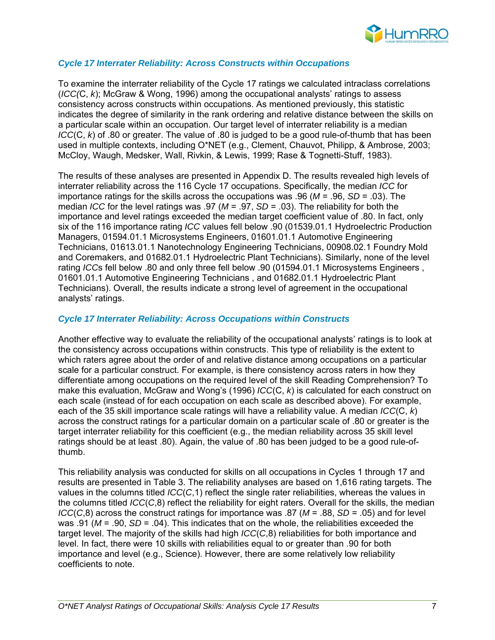

#### *Cycle 17 Interrater Reliability: Across Constructs within Occupations*

To examine the interrater reliability of the Cycle 17 ratings we calculated intraclass correlations (*ICC(*C, *k*); McGraw & Wong, 1996) among the occupational analysts' ratings to assess consistency across constructs within occupations. As mentioned previously, this statistic indicates the degree of similarity in the rank ordering and relative distance between the skills on a particular scale within an occupation. Our target level of interrater reliability is a median *ICC*(C, *k*) of .80 or greater. The value of .80 is judged to be a good rule-of-thumb that has been used in multiple contexts, including O\*NET (e.g., Clement, Chauvot, Philipp, & Ambrose, 2003; McCloy, Waugh, Medsker, Wall, Rivkin, & Lewis, 1999; Rase & Tognetti-Stuff, 1983).

The results of these analyses are presented in Appendix D. The results revealed high levels of interrater reliability across the 116 Cycle 17 occupations. Specifically, the median *ICC* for importance ratings for the skills across the occupations was .96 (*M* = .96, *SD* = .03). The median *ICC* for the level ratings was .97 (*M* = .97, *SD* = .03). The reliability for both the importance and level ratings exceeded the median target coefficient value of .80. In fact, only six of the 116 importance rating *ICC* values fell below .90 (01539.01.1 Hydroelectric Production Managers, 01594.01.1 Microsystems Engineers, 01601.01.1 Automotive Engineering Technicians, 01613.01.1 Nanotechnology Engineering Technicians, 00908.02.1 Foundry Mold and Coremakers, and 01682.01.1 Hydroelectric Plant Technicians). Similarly, none of the level rating *ICC*s fell below .80 and only three fell below .90 (01594.01.1 Microsystems Engineers , 01601.01.1 Automotive Engineering Technicians , and 01682.01.1 Hydroelectric Plant Technicians). Overall, the results indicate a strong level of agreement in the occupational analysts' ratings.

#### *Cycle 17 Interrater Reliability: Across Occupations within Constructs*

Another effective way to evaluate the reliability of the occupational analysts' ratings is to look at the consistency across occupations within constructs. This type of reliability is the extent to which raters agree about the order of and relative distance among occupations on a particular scale for a particular construct. For example, is there consistency across raters in how they differentiate among occupations on the required level of the skill Reading Comprehension? To make this evaluation, McGraw and Wong's (1996) *ICC*(C, *k*) is calculated for each construct on each scale (instead of for each occupation on each scale as described above). For example, each of the 35 skill importance scale ratings will have a reliability value. A median *ICC*(C, *k*) across the construct ratings for a particular domain on a particular scale of .80 or greater is the target interrater reliability for this coefficient (e.g., the median reliability across 35 skill level ratings should be at least .80). Again, the value of .80 has been judged to be a good rule-ofthumb.

This reliability analysis was conducted for skills on all occupations in Cycles 1 through 17 and results are presented in Table 3. The reliability analyses are based on 1,616 rating targets. The values in the columns titled *ICC*(*C*,1) reflect the single rater reliabilities, whereas the values in the columns titled *ICC*(*C*,8) reflect the reliability for eight raters. Overall for the skills, the median *ICC*(*C*,8) across the construct ratings for importance was .87 ( $M = .88$ , *SD* = .05) and for level was .91 ( $M = .90$ ,  $SD = .04$ ). This indicates that on the whole, the reliabilities exceeded the target level. The majority of the skills had high *ICC*(*C*,8) reliabilities for both importance and level. In fact, there were 10 skills with reliabilities equal to or greater than .90 for both importance and level (e.g., Science). However, there are some relatively low reliability coefficients to note.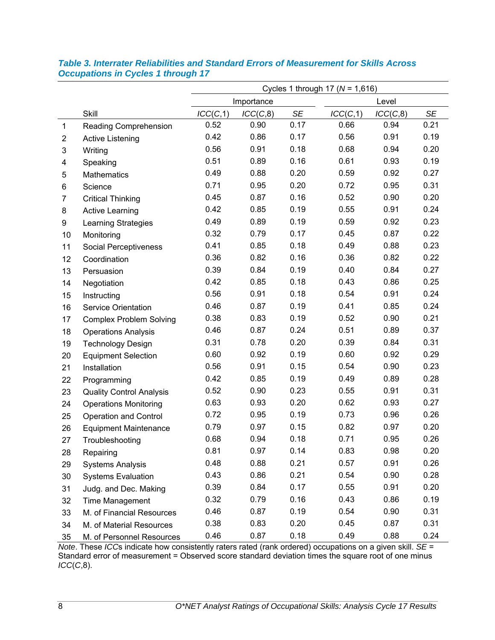|                |                                 | Cycles 1 through 17 ( $N = 1,616$ ) |            |           |          |          |           |  |  |
|----------------|---------------------------------|-------------------------------------|------------|-----------|----------|----------|-----------|--|--|
|                |                                 |                                     | Importance |           |          |          |           |  |  |
|                | <b>Skill</b>                    | ICC(C, 1)                           | ICC(C, 8)  | <b>SE</b> | ICC(C,1) | ICC(C,8) | <b>SE</b> |  |  |
| 1              | Reading Comprehension           | 0.52                                | 0.90       | 0.17      | 0.66     | 0.94     | 0.21      |  |  |
| $\overline{2}$ | <b>Active Listening</b>         | 0.42                                | 0.86       | 0.17      | 0.56     | 0.91     | 0.19      |  |  |
| 3              | Writing                         | 0.56                                | 0.91       | 0.18      | 0.68     | 0.94     | 0.20      |  |  |
| 4              | Speaking                        | 0.51                                | 0.89       | 0.16      | 0.61     | 0.93     | 0.19      |  |  |
| 5              | <b>Mathematics</b>              | 0.49                                | 0.88       | 0.20      | 0.59     | 0.92     | 0.27      |  |  |
| 6              | Science                         | 0.71                                | 0.95       | 0.20      | 0.72     | 0.95     | 0.31      |  |  |
| $\overline{7}$ | <b>Critical Thinking</b>        | 0.45                                | 0.87       | 0.16      | 0.52     | 0.90     | 0.20      |  |  |
| 8              | <b>Active Learning</b>          | 0.42                                | 0.85       | 0.19      | 0.55     | 0.91     | 0.24      |  |  |
| 9              | Learning Strategies             | 0.49                                | 0.89       | 0.19      | 0.59     | 0.92     | 0.23      |  |  |
| 10             | Monitoring                      | 0.32                                | 0.79       | 0.17      | 0.45     | 0.87     | 0.22      |  |  |
| 11             | <b>Social Perceptiveness</b>    | 0.41                                | 0.85       | 0.18      | 0.49     | 0.88     | 0.23      |  |  |
| 12             | Coordination                    | 0.36                                | 0.82       | 0.16      | 0.36     | 0.82     | 0.22      |  |  |
| 13             | Persuasion                      | 0.39                                | 0.84       | 0.19      | 0.40     | 0.84     | 0.27      |  |  |
| 14             | Negotiation                     | 0.42                                | 0.85       | 0.18      | 0.43     | 0.86     | 0.25      |  |  |
| 15             | Instructing                     | 0.56                                | 0.91       | 0.18      | 0.54     | 0.91     | 0.24      |  |  |
| 16             | <b>Service Orientation</b>      | 0.46                                | 0.87       | 0.19      | 0.41     | 0.85     | 0.24      |  |  |
| 17             | <b>Complex Problem Solving</b>  | 0.38                                | 0.83       | 0.19      | 0.52     | 0.90     | 0.21      |  |  |
| 18             | <b>Operations Analysis</b>      | 0.46                                | 0.87       | 0.24      | 0.51     | 0.89     | 0.37      |  |  |
| 19             | <b>Technology Design</b>        | 0.31                                | 0.78       | 0.20      | 0.39     | 0.84     | 0.31      |  |  |
| 20             | <b>Equipment Selection</b>      | 0.60                                | 0.92       | 0.19      | 0.60     | 0.92     | 0.29      |  |  |
| 21             | Installation                    | 0.56                                | 0.91       | 0.15      | 0.54     | 0.90     | 0.23      |  |  |
| 22             | Programming                     | 0.42                                | 0.85       | 0.19      | 0.49     | 0.89     | 0.28      |  |  |
| 23             | <b>Quality Control Analysis</b> | 0.52                                | 0.90       | 0.23      | 0.55     | 0.91     | 0.31      |  |  |
| 24             | <b>Operations Monitoring</b>    | 0.63                                | 0.93       | 0.20      | 0.62     | 0.93     | 0.27      |  |  |
| 25             | <b>Operation and Control</b>    | 0.72                                | 0.95       | 0.19      | 0.73     | 0.96     | 0.26      |  |  |
| 26             | <b>Equipment Maintenance</b>    | 0.79                                | 0.97       | 0.15      | 0.82     | 0.97     | 0.20      |  |  |
| 27             | Troubleshooting                 | 0.68                                | 0.94       | 0.18      | 0.71     | 0.95     | 0.26      |  |  |
| 28             | Repairing                       | 0.81                                | 0.97       | 0.14      | 0.83     | 0.98     | 0.20      |  |  |
| 29             | <b>Systems Analysis</b>         | 0.48                                | 0.88       | 0.21      | 0.57     | 0.91     | 0.26      |  |  |
| 30             | <b>Systems Evaluation</b>       | 0.43                                | 0.86       | 0.21      | 0.54     | 0.90     | 0.28      |  |  |
| 31             | Judg. and Dec. Making           | 0.39                                | 0.84       | 0.17      | 0.55     | 0.91     | 0.20      |  |  |
| 32             | Time Management                 | 0.32                                | 0.79       | 0.16      | 0.43     | 0.86     | 0.19      |  |  |
| 33             | M. of Financial Resources       | 0.46                                | 0.87       | 0.19      | 0.54     | 0.90     | 0.31      |  |  |
| 34             | M. of Material Resources        | 0.38                                | 0.83       | 0.20      | 0.45     | 0.87     | 0.31      |  |  |
| 35             | M. of Personnel Resources       | 0.46                                | 0.87       | 0.18      | 0.49     | 0.88     | 0.24      |  |  |

#### *Table 3. Interrater Reliabilities and Standard Errors of Measurement for Skills Across Occupations in Cycles 1 through 17*

*Note*. These *ICC*s indicate how consistently raters rated (rank ordered) occupations on a given skill. *SE* = Standard error of measurement = Observed score standard deviation times the square root of one minus *ICC*(*C*,8).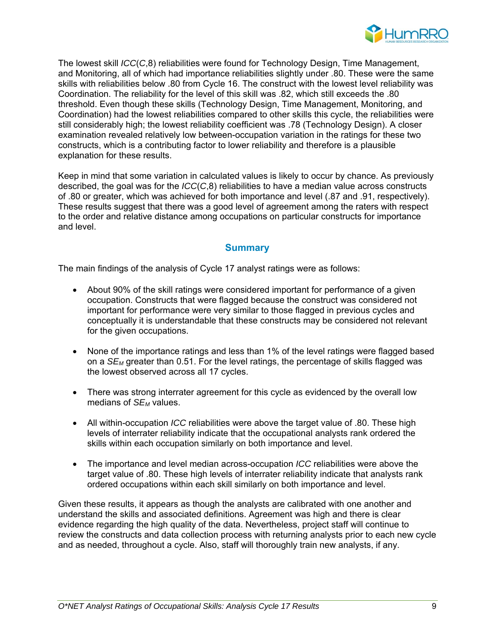

The lowest skill *ICC*(*C*,8) reliabilities were found for Technology Design, Time Management, and Monitoring, all of which had importance reliabilities slightly under .80. These were the same skills with reliabilities below .80 from Cycle 16. The construct with the lowest level reliability was Coordination. The reliability for the level of this skill was .82, which still exceeds the .80 threshold. Even though these skills (Technology Design, Time Management, Monitoring, and Coordination) had the lowest reliabilities compared to other skills this cycle, the reliabilities were still considerably high; the lowest reliability coefficient was .78 (Technology Design). A closer examination revealed relatively low between-occupation variation in the ratings for these two constructs, which is a contributing factor to lower reliability and therefore is a plausible explanation for these results.

Keep in mind that some variation in calculated values is likely to occur by chance. As previously described, the goal was for the *ICC*(*C*,8) reliabilities to have a median value across constructs of .80 or greater, which was achieved for both importance and level (.87 and .91, respectively). These results suggest that there was a good level of agreement among the raters with respect to the order and relative distance among occupations on particular constructs for importance and level.

### **Summary**

The main findings of the analysis of Cycle 17 analyst ratings were as follows:

- About 90% of the skill ratings were considered important for performance of a given occupation. Constructs that were flagged because the construct was considered not important for performance were very similar to those flagged in previous cycles and conceptually it is understandable that these constructs may be considered not relevant for the given occupations.
- None of the importance ratings and less than 1% of the level ratings were flagged based on a *SEM* greater than 0.51. For the level ratings, the percentage of skills flagged was the lowest observed across all 17 cycles.
- There was strong interrater agreement for this cycle as evidenced by the overall low medians of *SEM* values.
- All within-occupation *ICC* reliabilities were above the target value of .80. These high levels of interrater reliability indicate that the occupational analysts rank ordered the skills within each occupation similarly on both importance and level.
- The importance and level median across-occupation *ICC* reliabilities were above the target value of .80. These high levels of interrater reliability indicate that analysts rank ordered occupations within each skill similarly on both importance and level.

Given these results, it appears as though the analysts are calibrated with one another and understand the skills and associated definitions. Agreement was high and there is clear evidence regarding the high quality of the data. Nevertheless, project staff will continue to review the constructs and data collection process with returning analysts prior to each new cycle and as needed, throughout a cycle. Also, staff will thoroughly train new analysts, if any.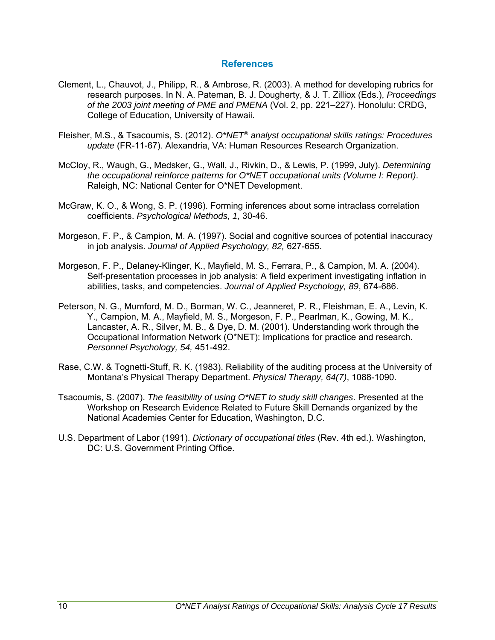#### **References**

- Clement, L., Chauvot, J., Philipp, R., & Ambrose, R. (2003). A method for developing rubrics for research purposes. In N. A. Pateman, B. J. Dougherty, & J. T. Zilliox (Eds.), *Proceedings of the 2003 joint meeting of PME and PMENA* (Vol. 2, pp. 221–227). Honolulu: CRDG, College of Education, University of Hawaii.
- Fleisher, M.S., & Tsacoumis, S. (2012). *O\*NET® analyst occupational skills ratings: Procedures update* (FR-11-67). Alexandria, VA: Human Resources Research Organization.
- McCloy, R., Waugh, G., Medsker, G., Wall, J., Rivkin, D., & Lewis, P. (1999, July). *Determining the occupational reinforce patterns for O\*NET occupational units (Volume I: Report)*. Raleigh, NC: National Center for O\*NET Development.
- McGraw, K. O., & Wong, S. P. (1996). Forming inferences about some intraclass correlation coefficients. *Psychological Methods, 1,* 30-46.
- Morgeson, F. P., & Campion, M. A. (1997). Social and cognitive sources of potential inaccuracy in job analysis. *Journal of Applied Psychology, 82,* 627-655.
- Morgeson, F. P., Delaney-Klinger, K., Mayfield, M. S., Ferrara, P., & Campion, M. A. (2004). Self-presentation processes in job analysis: A field experiment investigating inflation in abilities, tasks, and competencies. *Journal of Applied Psychology, 89*, 674-686.
- Peterson, N. G., Mumford, M. D., Borman, W. C., Jeanneret, P. R., Fleishman, E. A., Levin, K. Y., Campion, M. A., Mayfield, M. S., Morgeson, F. P., Pearlman, K., Gowing, M. K., Lancaster, A. R., Silver, M. B., & Dye, D. M. (2001). Understanding work through the Occupational Information Network (O\*NET): Implications for practice and research. *Personnel Psychology, 54,* 451-492.
- Rase, C.W. & Tognetti-Stuff, R. K. (1983). Reliability of the auditing process at the University of Montana's Physical Therapy Department. *Physical Therapy, 64(7)*, 1088-1090.
- Tsacoumis, S. (2007). *The feasibility of using O\*NET to study skill changes*. Presented at the Workshop on Research Evidence Related to Future Skill Demands organized by the National Academies Center for Education, Washington, D.C.
- U.S. Department of Labor (1991). *Dictionary of occupational titles* (Rev. 4th ed.). Washington, DC: U.S. Government Printing Office.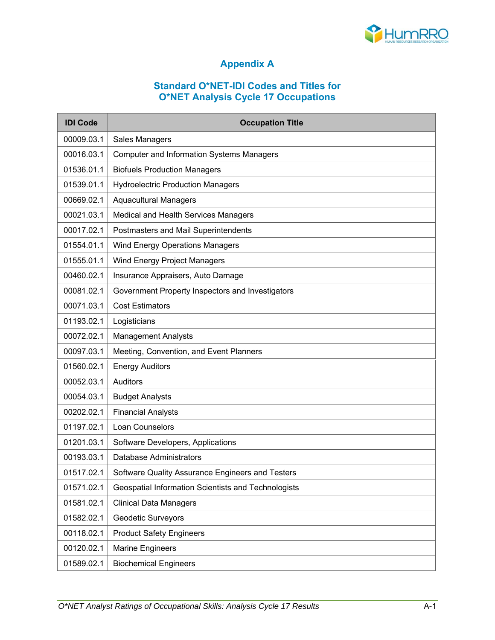

# **Appendix A**

#### **Standard O\*NET-IDI Codes and Titles for O\*NET Analysis Cycle 17 Occupations**

| <b>IDI Code</b> | <b>Occupation Title</b>                             |
|-----------------|-----------------------------------------------------|
| 00009.03.1      | <b>Sales Managers</b>                               |
| 00016.03.1      | <b>Computer and Information Systems Managers</b>    |
| 01536.01.1      | <b>Biofuels Production Managers</b>                 |
| 01539.01.1      | <b>Hydroelectric Production Managers</b>            |
| 00669.02.1      | <b>Aquacultural Managers</b>                        |
| 00021.03.1      | Medical and Health Services Managers                |
| 00017.02.1      | Postmasters and Mail Superintendents                |
| 01554.01.1      | <b>Wind Energy Operations Managers</b>              |
| 01555.01.1      | Wind Energy Project Managers                        |
| 00460.02.1      | Insurance Appraisers, Auto Damage                   |
| 00081.02.1      | Government Property Inspectors and Investigators    |
| 00071.03.1      | <b>Cost Estimators</b>                              |
| 01193.02.1      | Logisticians                                        |
| 00072.02.1      | <b>Management Analysts</b>                          |
| 00097.03.1      | Meeting, Convention, and Event Planners             |
| 01560.02.1      | <b>Energy Auditors</b>                              |
| 00052.03.1      | Auditors                                            |
| 00054.03.1      | <b>Budget Analysts</b>                              |
| 00202.02.1      | <b>Financial Analysts</b>                           |
| 01197.02.1      | Loan Counselors                                     |
| 01201.03.1      | Software Developers, Applications                   |
| 00193.03.1      | Database Administrators                             |
| 01517.02.1      | Software Quality Assurance Engineers and Testers    |
| 01571.02.1      | Geospatial Information Scientists and Technologists |
| 01581.02.1      | <b>Clinical Data Managers</b>                       |
| 01582.02.1      | <b>Geodetic Surveyors</b>                           |
| 00118.02.1      | <b>Product Safety Engineers</b>                     |
| 00120.02.1      | <b>Marine Engineers</b>                             |
| 01589.02.1      | <b>Biochemical Engineers</b>                        |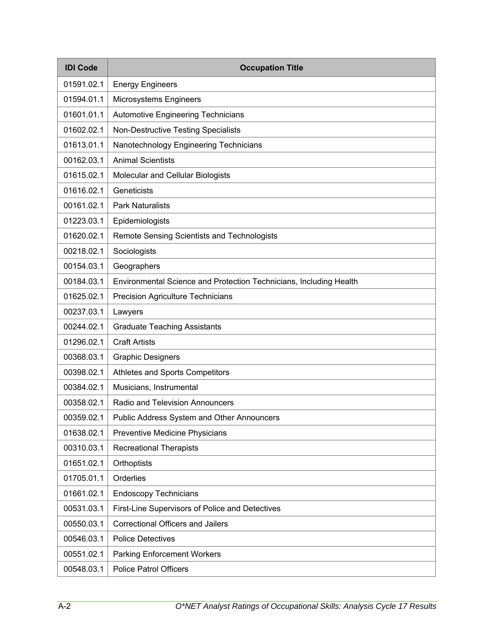| <b>IDI Code</b> | <b>Occupation Title</b>                                            |
|-----------------|--------------------------------------------------------------------|
| 01591.02.1      | <b>Energy Engineers</b>                                            |
| 01594.01.1      | Microsystems Engineers                                             |
| 01601.01.1      | <b>Automotive Engineering Technicians</b>                          |
| 01602.02.1      | <b>Non-Destructive Testing Specialists</b>                         |
| 01613.01.1      | Nanotechnology Engineering Technicians                             |
| 00162.03.1      | <b>Animal Scientists</b>                                           |
| 01615.02.1      | Molecular and Cellular Biologists                                  |
| 01616.02.1      | Geneticists                                                        |
| 00161.02.1      | <b>Park Naturalists</b>                                            |
| 01223.03.1      | Epidemiologists                                                    |
| 01620.02.1      | Remote Sensing Scientists and Technologists                        |
| 00218.02.1      | Sociologists                                                       |
| 00154.03.1      | Geographers                                                        |
| 00184.03.1      | Environmental Science and Protection Technicians, Including Health |
| 01625.02.1      | Precision Agriculture Technicians                                  |
| 00237.03.1      | Lawyers                                                            |
| 00244.02.1      | <b>Graduate Teaching Assistants</b>                                |
| 01296.02.1      | <b>Craft Artists</b>                                               |
| 00368.03.1      | <b>Graphic Designers</b>                                           |
| 00398.02.1      | Athletes and Sports Competitors                                    |
| 00384.02.1      | Musicians, Instrumental                                            |
| 00358.02.1      | Radio and Television Announcers                                    |
| 00359.02.1      | <b>Public Address System and Other Announcers</b>                  |
| 01638.02.1      | Preventive Medicine Physicians                                     |
| 00310.03.1      | <b>Recreational Therapists</b>                                     |
| 01651.02.1      | Orthoptists                                                        |
| 01705.01.1      | Orderlies                                                          |
| 01661.02.1      | <b>Endoscopy Technicians</b>                                       |
| 00531.03.1      | First-Line Supervisors of Police and Detectives                    |
| 00550.03.1      | <b>Correctional Officers and Jailers</b>                           |
| 00546.03.1      | <b>Police Detectives</b>                                           |
| 00551.02.1      | <b>Parking Enforcement Workers</b>                                 |
| 00548.03.1      | <b>Police Patrol Officers</b>                                      |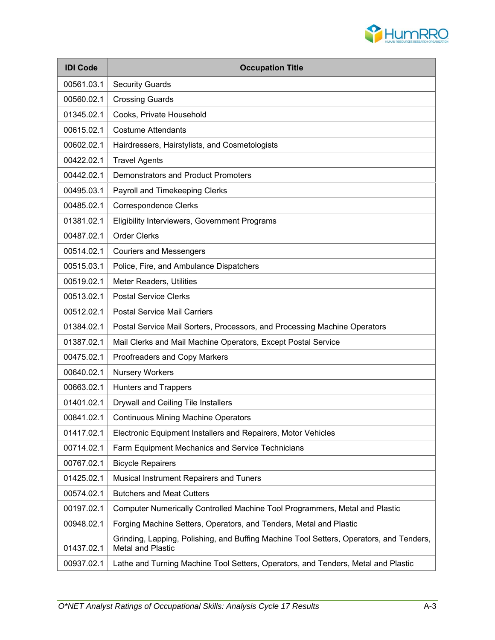

| <b>IDI Code</b> | <b>Occupation Title</b>                                                                                      |
|-----------------|--------------------------------------------------------------------------------------------------------------|
| 00561.03.1      | <b>Security Guards</b>                                                                                       |
| 00560.02.1      | <b>Crossing Guards</b>                                                                                       |
| 01345.02.1      | Cooks, Private Household                                                                                     |
| 00615.02.1      | <b>Costume Attendants</b>                                                                                    |
| 00602.02.1      | Hairdressers, Hairstylists, and Cosmetologists                                                               |
| 00422.02.1      | <b>Travel Agents</b>                                                                                         |
| 00442.02.1      | <b>Demonstrators and Product Promoters</b>                                                                   |
| 00495.03.1      | Payroll and Timekeeping Clerks                                                                               |
| 00485.02.1      | <b>Correspondence Clerks</b>                                                                                 |
| 01381.02.1      | Eligibility Interviewers, Government Programs                                                                |
| 00487.02.1      | <b>Order Clerks</b>                                                                                          |
| 00514.02.1      | <b>Couriers and Messengers</b>                                                                               |
| 00515.03.1      | Police, Fire, and Ambulance Dispatchers                                                                      |
| 00519.02.1      | Meter Readers, Utilities                                                                                     |
| 00513.02.1      | <b>Postal Service Clerks</b>                                                                                 |
| 00512.02.1      | <b>Postal Service Mail Carriers</b>                                                                          |
| 01384.02.1      | Postal Service Mail Sorters, Processors, and Processing Machine Operators                                    |
| 01387.02.1      | Mail Clerks and Mail Machine Operators, Except Postal Service                                                |
| 00475.02.1      | Proofreaders and Copy Markers                                                                                |
| 00640.02.1      | <b>Nursery Workers</b>                                                                                       |
| 00663.02.1      | <b>Hunters and Trappers</b>                                                                                  |
| 01401.02.1      | Drywall and Ceiling Tile Installers                                                                          |
| 00841.02.1      | <b>Continuous Mining Machine Operators</b>                                                                   |
| 01417.02.1      | Electronic Equipment Installers and Repairers, Motor Vehicles                                                |
| 00714.02.1      | Farm Equipment Mechanics and Service Technicians                                                             |
| 00767.02.1      | <b>Bicycle Repairers</b>                                                                                     |
| 01425.02.1      | Musical Instrument Repairers and Tuners                                                                      |
| 00574.02.1      | <b>Butchers and Meat Cutters</b>                                                                             |
| 00197.02.1      | Computer Numerically Controlled Machine Tool Programmers, Metal and Plastic                                  |
| 00948.02.1      | Forging Machine Setters, Operators, and Tenders, Metal and Plastic                                           |
| 01437.02.1      | Grinding, Lapping, Polishing, and Buffing Machine Tool Setters, Operators, and Tenders,<br>Metal and Plastic |
| 00937.02.1      | Lathe and Turning Machine Tool Setters, Operators, and Tenders, Metal and Plastic                            |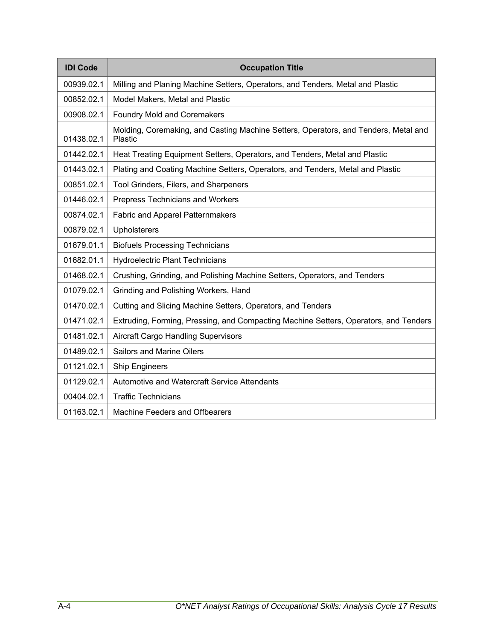| <b>IDI Code</b> | <b>Occupation Title</b>                                                                        |
|-----------------|------------------------------------------------------------------------------------------------|
| 00939.02.1      | Milling and Planing Machine Setters, Operators, and Tenders, Metal and Plastic                 |
| 00852.02.1      | Model Makers, Metal and Plastic                                                                |
| 00908.02.1      | <b>Foundry Mold and Coremakers</b>                                                             |
| 01438.02.1      | Molding, Coremaking, and Casting Machine Setters, Operators, and Tenders, Metal and<br>Plastic |
| 01442.02.1      | Heat Treating Equipment Setters, Operators, and Tenders, Metal and Plastic                     |
| 01443.02.1      | Plating and Coating Machine Setters, Operators, and Tenders, Metal and Plastic                 |
| 00851.02.1      | Tool Grinders, Filers, and Sharpeners                                                          |
| 01446.02.1      | Prepress Technicians and Workers                                                               |
| 00874.02.1      | <b>Fabric and Apparel Patternmakers</b>                                                        |
| 00879.02.1      | Upholsterers                                                                                   |
| 01679.01.1      | <b>Biofuels Processing Technicians</b>                                                         |
| 01682.01.1      | <b>Hydroelectric Plant Technicians</b>                                                         |
| 01468.02.1      | Crushing, Grinding, and Polishing Machine Setters, Operators, and Tenders                      |
| 01079.02.1      | Grinding and Polishing Workers, Hand                                                           |
| 01470.02.1      | Cutting and Slicing Machine Setters, Operators, and Tenders                                    |
| 01471.02.1      | Extruding, Forming, Pressing, and Compacting Machine Setters, Operators, and Tenders           |
| 01481.02.1      | Aircraft Cargo Handling Supervisors                                                            |
| 01489.02.1      | Sailors and Marine Oilers                                                                      |
| 01121.02.1      | <b>Ship Engineers</b>                                                                          |
| 01129.02.1      | Automotive and Watercraft Service Attendants                                                   |
| 00404.02.1      | <b>Traffic Technicians</b>                                                                     |
| 01163.02.1      | <b>Machine Feeders and Offbearers</b>                                                          |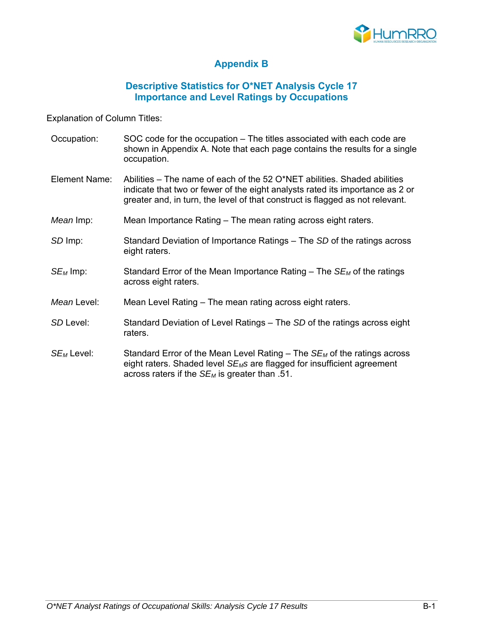

#### **Appendix B**

#### **Descriptive Statistics for O\*NET Analysis Cycle 17 Importance and Level Ratings by Occupations**

Explanation of Column Titles:

- Occupation: SOC code for the occupation The titles associated with each code are shown in Appendix A. Note that each page contains the results for a single occupation.
- Element Name: Abilities The name of each of the 52 O\*NET abilities. Shaded abilities indicate that two or fewer of the eight analysts rated its importance as 2 or greater and, in turn, the level of that construct is flagged as not relevant.
- *Mean* Imp: Mean Importance Rating The mean rating across eight raters.
- *SD* Imp: Standard Deviation of Importance Ratings The *SD* of the ratings across eight raters.
- *SE<sub>M</sub>* Imp: Standard Error of the Mean Importance Rating The *SE<sub>M</sub>* of the ratings across eight raters.
- *Mean* Level: Mean Level Rating The mean rating across eight raters.
- *SD* Level: Standard Deviation of Level Ratings The *SD* of the ratings across eight raters.
- *SE<sub>M</sub>* Level: Standard Error of the Mean Level Rating The *SE<sub>M</sub>* of the ratings across eight raters. Shaded level *SEMs* are flagged for insufficient agreement across raters if the *SEM* is greater than .51.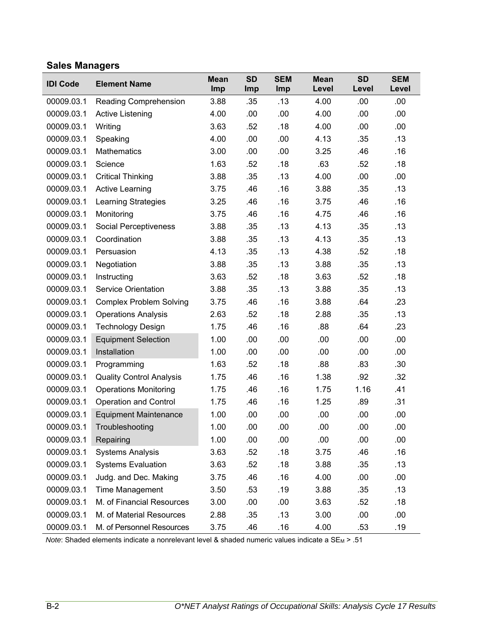#### **Sales Managers**

| <b>IDI Code</b> | <b>Element Name</b>             | <b>Mean</b><br>Imp | <b>SD</b><br>Imp | <b>SEM</b><br>Imp | <b>Mean</b><br>Level | <b>SD</b><br>Level | <b>SEM</b><br>Level |
|-----------------|---------------------------------|--------------------|------------------|-------------------|----------------------|--------------------|---------------------|
| 00009.03.1      | Reading Comprehension           | 3.88               | .35              | .13               | 4.00                 | .00                | .00.                |
| 00009.03.1      | Active Listening                | 4.00               | .00              | .00               | 4.00                 | .00                | .00                 |
| 00009.03.1      | Writing                         | 3.63               | .52              | .18               | 4.00                 | .00                | .00                 |
| 00009.03.1      | Speaking                        | 4.00               | .00              | .00               | 4.13                 | .35                | .13                 |
| 00009.03.1      | <b>Mathematics</b>              | 3.00               | .00              | .00               | 3.25                 | .46                | .16                 |
| 00009.03.1      | Science                         | 1.63               | .52              | .18               | .63                  | .52                | .18                 |
| 00009.03.1      | <b>Critical Thinking</b>        | 3.88               | .35              | .13               | 4.00                 | .00                | .00                 |
| 00009.03.1      | <b>Active Learning</b>          | 3.75               | .46              | .16               | 3.88                 | .35                | .13                 |
| 00009.03.1      | <b>Learning Strategies</b>      | 3.25               | .46              | .16               | 3.75                 | .46                | .16                 |
| 00009.03.1      | Monitoring                      | 3.75               | .46              | .16               | 4.75                 | .46                | .16                 |
| 00009.03.1      | Social Perceptiveness           | 3.88               | .35              | .13               | 4.13                 | .35                | .13                 |
| 00009.03.1      | Coordination                    | 3.88               | .35              | .13               | 4.13                 | .35                | .13                 |
| 00009.03.1      | Persuasion                      | 4.13               | .35              | .13               | 4.38                 | .52                | .18                 |
| 00009.03.1      | Negotiation                     | 3.88               | .35              | .13               | 3.88                 | .35                | .13                 |
| 00009.03.1      | Instructing                     | 3.63               | .52              | .18               | 3.63                 | .52                | .18                 |
| 00009.03.1      | <b>Service Orientation</b>      | 3.88               | .35              | .13               | 3.88                 | .35                | .13                 |
| 00009.03.1      | <b>Complex Problem Solving</b>  | 3.75               | .46              | .16               | 3.88                 | .64                | .23                 |
| 00009.03.1      | <b>Operations Analysis</b>      | 2.63               | .52              | .18               | 2.88                 | .35                | .13                 |
| 00009.03.1      | <b>Technology Design</b>        | 1.75               | .46              | .16               | .88                  | .64                | .23                 |
| 00009.03.1      | <b>Equipment Selection</b>      | 1.00               | .00              | .00               | .00                  | .00                | .00                 |
| 00009.03.1      | Installation                    | 1.00               | .00              | .00               | .00.                 | .00                | .00                 |
| 00009.03.1      | Programming                     | 1.63               | .52              | .18               | .88                  | .83                | .30                 |
| 00009.03.1      | <b>Quality Control Analysis</b> | 1.75               | .46              | .16               | 1.38                 | .92                | .32                 |
| 00009.03.1      | <b>Operations Monitoring</b>    | 1.75               | .46              | .16               | 1.75                 | 1.16               | .41                 |
| 00009.03.1      | <b>Operation and Control</b>    | 1.75               | .46              | .16               | 1.25                 | .89                | .31                 |
| 00009.03.1      | <b>Equipment Maintenance</b>    | 1.00               | .00              | .00               | .00                  | .00                | .00                 |
| 00009.03.1      | Troubleshooting                 | 1.00               | .00              | .00               | .00                  | .00                | .00                 |
| 00009.03.1      | Repairing                       | 1.00               | .00              | .00               | .00                  | .00                | .00                 |
| 00009.03.1      | <b>Systems Analysis</b>         | 3.63               | .52              | .18               | 3.75                 | .46                | .16                 |
| 00009.03.1      | <b>Systems Evaluation</b>       | 3.63               | .52              | .18               | 3.88                 | .35                | .13                 |
| 00009.03.1      | Judg. and Dec. Making           | 3.75               | .46              | .16               | 4.00                 | .00                | .00                 |
| 00009.03.1      | <b>Time Management</b>          | 3.50               | .53              | .19               | 3.88                 | .35                | .13                 |
| 00009.03.1      | M. of Financial Resources       | 3.00               | .00              | .00               | 3.63                 | .52                | .18                 |
| 00009.03.1      | M. of Material Resources        | 2.88               | .35              | .13               | 3.00                 | .00                | .00                 |
| 00009.03.1      | M. of Personnel Resources       | 3.75               | .46              | .16               | 4.00                 | .53                | .19                 |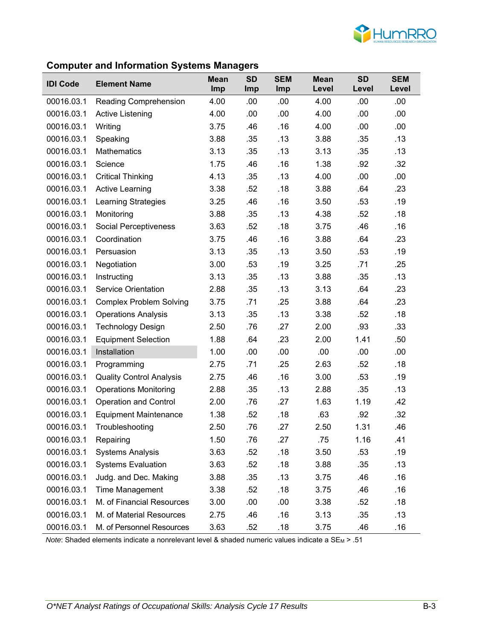

#### **Computer and Information Systems Managers**

| <b>IDI Code</b> | <b>Element Name</b>             | <b>Mean</b><br>Imp | <b>SD</b><br>Imp | <b>SEM</b><br>Imp | <b>Mean</b><br>Level | <b>SD</b><br>Level | <b>SEM</b><br>Level |
|-----------------|---------------------------------|--------------------|------------------|-------------------|----------------------|--------------------|---------------------|
| 00016.03.1      | Reading Comprehension           | 4.00               | .00              | .00               | 4.00                 | .00                | .00.                |
| 00016.03.1      | Active Listening                | 4.00               | .00              | .00               | 4.00                 | .00                | .00.                |
| 00016.03.1      | Writing                         | 3.75               | .46              | .16               | 4.00                 | .00                | .00                 |
| 00016.03.1      | Speaking                        | 3.88               | .35              | .13               | 3.88                 | .35                | .13                 |
| 00016.03.1      | <b>Mathematics</b>              | 3.13               | .35              | .13               | 3.13                 | .35                | .13                 |
| 00016.03.1      | Science                         | 1.75               | .46              | .16               | 1.38                 | .92                | .32                 |
| 00016.03.1      | <b>Critical Thinking</b>        | 4.13               | .35              | .13               | 4.00                 | .00                | .00.                |
| 00016.03.1      | <b>Active Learning</b>          | 3.38               | .52              | .18               | 3.88                 | .64                | .23                 |
| 00016.03.1      | <b>Learning Strategies</b>      | 3.25               | .46              | .16               | 3.50                 | .53                | .19                 |
| 00016.03.1      | Monitoring                      | 3.88               | .35              | .13               | 4.38                 | .52                | .18                 |
| 00016.03.1      | Social Perceptiveness           | 3.63               | .52              | .18               | 3.75                 | .46                | .16                 |
| 00016.03.1      | Coordination                    | 3.75               | .46              | .16               | 3.88                 | .64                | .23                 |
| 00016.03.1      | Persuasion                      | 3.13               | .35              | .13               | 3.50                 | .53                | .19                 |
| 00016.03.1      | Negotiation                     | 3.00               | .53              | .19               | 3.25                 | .71                | .25                 |
| 00016.03.1      | Instructing                     | 3.13               | .35              | .13               | 3.88                 | .35                | .13                 |
| 00016.03.1      | <b>Service Orientation</b>      | 2.88               | .35              | .13               | 3.13                 | .64                | .23                 |
| 00016.03.1      | <b>Complex Problem Solving</b>  | 3.75               | .71              | .25               | 3.88                 | .64                | .23                 |
| 00016.03.1      | <b>Operations Analysis</b>      | 3.13               | .35              | .13               | 3.38                 | .52                | .18                 |
| 00016.03.1      | <b>Technology Design</b>        | 2.50               | .76              | .27               | 2.00                 | .93                | .33                 |
| 00016.03.1      | <b>Equipment Selection</b>      | 1.88               | .64              | .23               | 2.00                 | 1.41               | .50                 |
| 00016.03.1      | Installation                    | 1.00               | .00              | .00               | .00                  | .00                | .00                 |
| 00016.03.1      | Programming                     | 2.75               | .71              | .25               | 2.63                 | .52                | .18                 |
| 00016.03.1      | <b>Quality Control Analysis</b> | 2.75               | .46              | .16               | 3.00                 | .53                | .19                 |
| 00016.03.1      | <b>Operations Monitoring</b>    | 2.88               | .35              | .13               | 2.88                 | .35                | .13                 |
| 00016.03.1      | <b>Operation and Control</b>    | 2.00               | .76              | .27               | 1.63                 | 1.19               | .42                 |
| 00016.03.1      | <b>Equipment Maintenance</b>    | 1.38               | .52              | .18               | .63                  | .92                | .32                 |
| 00016.03.1      | Troubleshooting                 | 2.50               | .76              | .27               | 2.50                 | 1.31               | .46                 |
| 00016.03.1      | Repairing                       | 1.50               | .76              | .27               | .75                  | 1.16               | .41                 |
| 00016.03.1      | <b>Systems Analysis</b>         | 3.63               | .52              | .18               | 3.50                 | .53                | .19                 |
| 00016.03.1      | <b>Systems Evaluation</b>       | 3.63               | .52              | .18               | 3.88                 | .35                | .13                 |
| 00016.03.1      | Judg. and Dec. Making           | 3.88               | .35              | .13               | 3.75                 | .46                | .16                 |
| 00016.03.1      | <b>Time Management</b>          | 3.38               | .52              | .18               | 3.75                 | .46                | .16                 |
| 00016.03.1      | M. of Financial Resources       | 3.00               | .00              | .00               | 3.38                 | .52                | .18                 |
| 00016.03.1      | M. of Material Resources        | 2.75               | .46              | .16               | 3.13                 | .35                | .13                 |
| 00016.03.1      | M. of Personnel Resources       | 3.63               | .52              | .18               | 3.75                 | .46                | .16                 |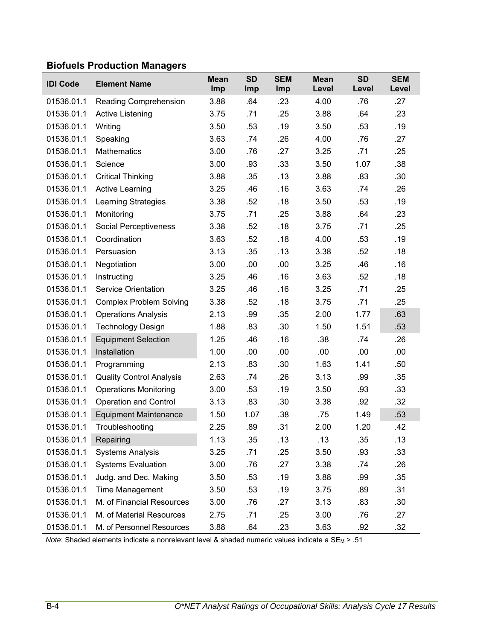### **Biofuels Production Managers**

| <b>IDI Code</b> | <b>Element Name</b>             | <b>Mean</b><br>Imp | <b>SD</b><br>Imp | <b>SEM</b><br><b>Imp</b> | <b>Mean</b><br>Level | <b>SD</b><br>Level | <b>SEM</b><br>Level |
|-----------------|---------------------------------|--------------------|------------------|--------------------------|----------------------|--------------------|---------------------|
| 01536.01.1      | Reading Comprehension           | 3.88               | .64              | .23                      | 4.00                 | .76                | .27                 |
| 01536.01.1      | <b>Active Listening</b>         | 3.75               | .71              | .25                      | 3.88                 | .64                | .23                 |
| 01536.01.1      | Writing                         | 3.50               | .53              | .19                      | 3.50                 | .53                | .19                 |
| 01536.01.1      | Speaking                        | 3.63               | .74              | .26                      | 4.00                 | .76                | .27                 |
| 01536.01.1      | <b>Mathematics</b>              | 3.00               | .76              | .27                      | 3.25                 | .71                | .25                 |
| 01536.01.1      | Science                         | 3.00               | .93              | .33                      | 3.50                 | 1.07               | .38                 |
| 01536.01.1      | <b>Critical Thinking</b>        | 3.88               | .35              | .13                      | 3.88                 | .83                | .30                 |
| 01536.01.1      | <b>Active Learning</b>          | 3.25               | .46              | .16                      | 3.63                 | .74                | .26                 |
| 01536.01.1      | Learning Strategies             | 3.38               | .52              | .18                      | 3.50                 | .53                | .19                 |
| 01536.01.1      | Monitoring                      | 3.75               | .71              | .25                      | 3.88                 | .64                | .23                 |
| 01536.01.1      | Social Perceptiveness           | 3.38               | .52              | .18                      | 3.75                 | .71                | .25                 |
| 01536.01.1      | Coordination                    | 3.63               | .52              | .18                      | 4.00                 | .53                | .19                 |
| 01536.01.1      | Persuasion                      | 3.13               | .35              | .13                      | 3.38                 | .52                | .18                 |
| 01536.01.1      | Negotiation                     | 3.00               | .00              | .00                      | 3.25                 | .46                | .16                 |
| 01536.01.1      | Instructing                     | 3.25               | .46              | .16                      | 3.63                 | .52                | .18                 |
| 01536.01.1      | <b>Service Orientation</b>      | 3.25               | .46              | .16                      | 3.25                 | .71                | .25                 |
| 01536.01.1      | <b>Complex Problem Solving</b>  | 3.38               | .52              | .18                      | 3.75                 | .71                | .25                 |
| 01536.01.1      | <b>Operations Analysis</b>      | 2.13               | .99              | .35                      | 2.00                 | 1.77               | .63                 |
| 01536.01.1      | <b>Technology Design</b>        | 1.88               | .83              | .30                      | 1.50                 | 1.51               | .53                 |
| 01536.01.1      | <b>Equipment Selection</b>      | 1.25               | .46              | .16                      | .38                  | .74                | .26                 |
| 01536.01.1      | Installation                    | 1.00               | .00              | .00                      | .00                  | .00                | .00                 |
| 01536.01.1      | Programming                     | 2.13               | .83              | .30                      | 1.63                 | 1.41               | .50                 |
| 01536.01.1      | <b>Quality Control Analysis</b> | 2.63               | .74              | .26                      | 3.13                 | .99                | .35                 |
| 01536.01.1      | <b>Operations Monitoring</b>    | 3.00               | .53              | .19                      | 3.50                 | .93                | .33                 |
| 01536.01.1      | <b>Operation and Control</b>    | 3.13               | .83              | .30                      | 3.38                 | .92                | .32                 |
| 01536.01.1      | <b>Equipment Maintenance</b>    | 1.50               | 1.07             | .38                      | .75                  | 1.49               | .53                 |
| 01536.01.1      | Troubleshooting                 | 2.25               | .89              | .31                      | 2.00                 | 1.20               | .42                 |
| 01536.01.1      | Repairing                       | 1.13               | .35              | .13                      | .13                  | .35                | .13                 |
| 01536.01.1      | <b>Systems Analysis</b>         | 3.25               | .71              | .25                      | 3.50                 | .93                | .33                 |
| 01536.01.1      | <b>Systems Evaluation</b>       | 3.00               | .76              | .27                      | 3.38                 | .74                | .26                 |
| 01536.01.1      | Judg. and Dec. Making           | 3.50               | .53              | .19                      | 3.88                 | .99                | .35                 |
| 01536.01.1      | <b>Time Management</b>          | 3.50               | .53              | .19                      | 3.75                 | .89                | .31                 |
| 01536.01.1      | M. of Financial Resources       | 3.00               | .76              | .27                      | 3.13                 | .83                | .30                 |
| 01536.01.1      | M. of Material Resources        | 2.75               | .71              | .25                      | 3.00                 | .76                | .27                 |
| 01536.01.1      | M. of Personnel Resources       | 3.88               | .64              | .23                      | 3.63                 | .92                | .32                 |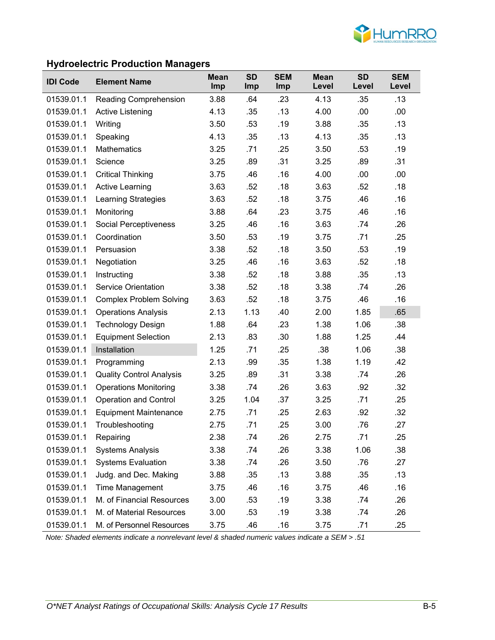

# **Hydroelectric Production Managers**

| <b>IDI Code</b> | <b>Element Name</b>             | <b>Mean</b><br>Imp | <b>SD</b><br>Imp | <b>SEM</b><br>Imp | <b>Mean</b><br>Level | <b>SD</b><br>Level | <b>SEM</b><br>Level |
|-----------------|---------------------------------|--------------------|------------------|-------------------|----------------------|--------------------|---------------------|
| 01539.01.1      | Reading Comprehension           | 3.88               | .64              | .23               | 4.13                 | .35                | .13                 |
| 01539.01.1      | Active Listening                | 4.13               | .35              | .13               | 4.00                 | .00                | .00                 |
| 01539.01.1      | Writing                         | 3.50               | .53              | .19               | 3.88                 | .35                | .13                 |
| 01539.01.1      | Speaking                        | 4.13               | .35              | .13               | 4.13                 | .35                | .13                 |
| 01539.01.1      | <b>Mathematics</b>              | 3.25               | .71              | .25               | 3.50                 | .53                | .19                 |
| 01539.01.1      | Science                         | 3.25               | .89              | .31               | 3.25                 | .89                | .31                 |
| 01539.01.1      | <b>Critical Thinking</b>        | 3.75               | .46              | .16               | 4.00                 | .00                | .00                 |
| 01539.01.1      | <b>Active Learning</b>          | 3.63               | .52              | .18               | 3.63                 | .52                | .18                 |
| 01539.01.1      | Learning Strategies             | 3.63               | .52              | .18               | 3.75                 | .46                | .16                 |
| 01539.01.1      | Monitoring                      | 3.88               | .64              | .23               | 3.75                 | .46                | .16                 |
| 01539.01.1      | <b>Social Perceptiveness</b>    | 3.25               | .46              | .16               | 3.63                 | .74                | .26                 |
| 01539.01.1      | Coordination                    | 3.50               | .53              | .19               | 3.75                 | .71                | .25                 |
| 01539.01.1      | Persuasion                      | 3.38               | .52              | .18               | 3.50                 | .53                | .19                 |
| 01539.01.1      | Negotiation                     | 3.25               | .46              | .16               | 3.63                 | .52                | .18                 |
| 01539.01.1      | Instructing                     | 3.38               | .52              | .18               | 3.88                 | .35                | .13                 |
| 01539.01.1      | <b>Service Orientation</b>      | 3.38               | .52              | .18               | 3.38                 | .74                | .26                 |
| 01539.01.1      | <b>Complex Problem Solving</b>  | 3.63               | .52              | .18               | 3.75                 | .46                | .16                 |
| 01539.01.1      | <b>Operations Analysis</b>      | 2.13               | 1.13             | .40               | 2.00                 | 1.85               | .65                 |
| 01539.01.1      | <b>Technology Design</b>        | 1.88               | .64              | .23               | 1.38                 | 1.06               | .38                 |
| 01539.01.1      | <b>Equipment Selection</b>      | 2.13               | .83              | .30               | 1.88                 | 1.25               | .44                 |
| 01539.01.1      | Installation                    | 1.25               | .71              | .25               | .38                  | 1.06               | .38                 |
| 01539.01.1      | Programming                     | 2.13               | .99              | .35               | 1.38                 | 1.19               | .42                 |
| 01539.01.1      | <b>Quality Control Analysis</b> | 3.25               | .89              | .31               | 3.38                 | .74                | .26                 |
| 01539.01.1      | <b>Operations Monitoring</b>    | 3.38               | .74              | .26               | 3.63                 | .92                | .32                 |
| 01539.01.1      | <b>Operation and Control</b>    | 3.25               | 1.04             | .37               | 3.25                 | .71                | .25                 |
| 01539.01.1      | <b>Equipment Maintenance</b>    | 2.75               | .71              | .25               | 2.63                 | .92                | .32                 |
| 01539.01.1      | Troubleshooting                 | 2.75               | .71              | .25               | 3.00                 | .76                | .27                 |
| 01539.01.1      | Repairing                       | 2.38               | .74              | .26               | 2.75                 | .71                | .25                 |
| 01539.01.1      | <b>Systems Analysis</b>         | 3.38               | .74              | .26               | 3.38                 | 1.06               | .38                 |
| 01539.01.1      | <b>Systems Evaluation</b>       | 3.38               | .74              | .26               | 3.50                 | .76                | .27                 |
| 01539.01.1      | Judg. and Dec. Making           | 3.88               | .35              | .13               | 3.88                 | .35                | .13                 |
| 01539.01.1      | Time Management                 | 3.75               | .46              | .16               | 3.75                 | .46                | .16                 |
| 01539.01.1      | M. of Financial Resources       | 3.00               | .53              | .19               | 3.38                 | .74                | .26                 |
| 01539.01.1      | M. of Material Resources        | 3.00               | .53              | .19               | 3.38                 | .74                | .26                 |
| 01539.01.1      | M. of Personnel Resources       | 3.75               | .46              | .16               | 3.75                 | .71                | .25                 |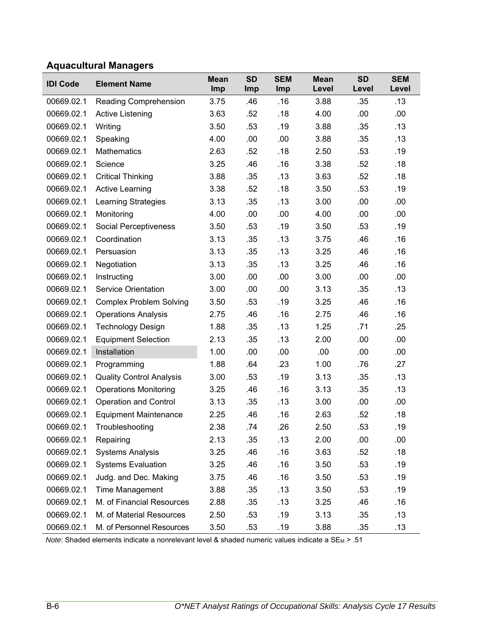# **Aquacultural Managers**

| <b>IDI Code</b> | <b>Element Name</b>             | <b>Mean</b><br>Imp | <b>SD</b><br>Imp | <b>SEM</b><br>Imp | <b>Mean</b><br>Level | <b>SD</b><br>Level | <b>SEM</b><br>Level |
|-----------------|---------------------------------|--------------------|------------------|-------------------|----------------------|--------------------|---------------------|
| 00669.02.1      | Reading Comprehension           | 3.75               | .46              | .16               | 3.88                 | .35                | .13                 |
| 00669.02.1      | <b>Active Listening</b>         | 3.63               | .52              | .18               | 4.00                 | .00                | .00                 |
| 00669.02.1      | Writing                         | 3.50               | .53              | .19               | 3.88                 | .35                | .13                 |
| 00669.02.1      | Speaking                        | 4.00               | .00              | .00               | 3.88                 | .35                | .13                 |
| 00669.02.1      | <b>Mathematics</b>              | 2.63               | .52              | .18               | 2.50                 | .53                | .19                 |
| 00669.02.1      | Science                         | 3.25               | .46              | .16               | 3.38                 | .52                | .18                 |
| 00669.02.1      | <b>Critical Thinking</b>        | 3.88               | .35              | .13               | 3.63                 | .52                | .18                 |
| 00669.02.1      | <b>Active Learning</b>          | 3.38               | .52              | .18               | 3.50                 | .53                | .19                 |
| 00669.02.1      | <b>Learning Strategies</b>      | 3.13               | .35              | .13               | 3.00                 | .00                | .00                 |
| 00669.02.1      | Monitoring                      | 4.00               | .00              | .00               | 4.00                 | .00                | .00                 |
| 00669.02.1      | Social Perceptiveness           | 3.50               | .53              | .19               | 3.50                 | .53                | .19                 |
| 00669.02.1      | Coordination                    | 3.13               | .35              | .13               | 3.75                 | .46                | .16                 |
| 00669.02.1      | Persuasion                      | 3.13               | .35              | .13               | 3.25                 | .46                | .16                 |
| 00669.02.1      | Negotiation                     | 3.13               | .35              | .13               | 3.25                 | .46                | .16                 |
| 00669.02.1      | Instructing                     | 3.00               | .00              | .00               | 3.00                 | .00                | .00                 |
| 00669.02.1      | <b>Service Orientation</b>      | 3.00               | .00              | .00               | 3.13                 | .35                | .13                 |
| 00669.02.1      | <b>Complex Problem Solving</b>  | 3.50               | .53              | .19               | 3.25                 | .46                | .16                 |
| 00669.02.1      | <b>Operations Analysis</b>      | 2.75               | .46              | .16               | 2.75                 | .46                | .16                 |
| 00669.02.1      | <b>Technology Design</b>        | 1.88               | .35              | .13               | 1.25                 | .71                | .25                 |
| 00669.02.1      | <b>Equipment Selection</b>      | 2.13               | .35              | .13               | 2.00                 | .00                | .00                 |
| 00669.02.1      | Installation                    | 1.00               | .00              | .00               | .00                  | .00                | .00                 |
| 00669.02.1      | Programming                     | 1.88               | .64              | .23               | 1.00                 | .76                | .27                 |
| 00669.02.1      | <b>Quality Control Analysis</b> | 3.00               | .53              | .19               | 3.13                 | .35                | .13                 |
| 00669.02.1      | <b>Operations Monitoring</b>    | 3.25               | .46              | .16               | 3.13                 | .35                | .13                 |
| 00669.02.1      | <b>Operation and Control</b>    | 3.13               | .35              | .13               | 3.00                 | .00                | .00                 |
| 00669.02.1      | <b>Equipment Maintenance</b>    | 2.25               | .46              | .16               | 2.63                 | .52                | .18                 |
| 00669.02.1      | Troubleshooting                 | 2.38               | .74              | .26               | 2.50                 | .53                | .19                 |
| 00669.02.1      | Repairing                       | 2.13               | .35              | .13               | 2.00                 | .00                | .00                 |
| 00669.02.1      | <b>Systems Analysis</b>         | 3.25               | .46              | .16               | 3.63                 | .52                | .18                 |
| 00669.02.1      | <b>Systems Evaluation</b>       | 3.25               | .46              | .16               | 3.50                 | .53                | .19                 |
| 00669.02.1      | Judg. and Dec. Making           | 3.75               | .46              | .16               | 3.50                 | .53                | .19                 |
| 00669.02.1      | Time Management                 | 3.88               | .35              | .13               | 3.50                 | .53                | .19                 |
| 00669.02.1      | M. of Financial Resources       | 2.88               | .35              | .13               | 3.25                 | .46                | .16                 |
| 00669.02.1      | M. of Material Resources        | 2.50               | .53              | .19               | 3.13                 | .35                | .13                 |
| 00669.02.1      | M. of Personnel Resources       | 3.50               | .53              | .19               | 3.88                 | .35                | .13                 |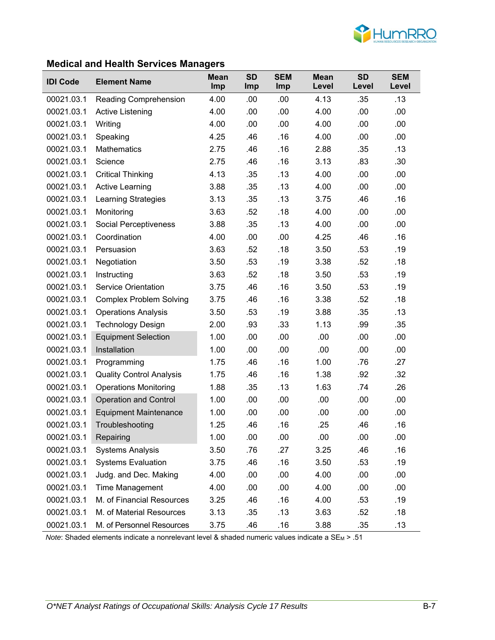

# **Medical and Health Services Managers**

| <b>IDI Code</b> | <b>Element Name</b>             | <b>Mean</b><br>Imp | <b>SD</b><br>Imp | <b>SEM</b><br>Imp | <b>Mean</b><br>Level | <b>SD</b><br>Level | <b>SEM</b><br>Level |
|-----------------|---------------------------------|--------------------|------------------|-------------------|----------------------|--------------------|---------------------|
| 00021.03.1      | Reading Comprehension           | 4.00               | .00              | .00               | 4.13                 | .35                | .13                 |
| 00021.03.1      | <b>Active Listening</b>         | 4.00               | .00              | .00               | 4.00                 | .00                | .00                 |
| 00021.03.1      | Writing                         | 4.00               | .00              | .00               | 4.00                 | .00                | .00                 |
| 00021.03.1      | Speaking                        | 4.25               | .46              | .16               | 4.00                 | .00                | .00                 |
| 00021.03.1      | <b>Mathematics</b>              | 2.75               | .46              | .16               | 2.88                 | .35                | .13                 |
| 00021.03.1      | Science                         | 2.75               | .46              | .16               | 3.13                 | .83                | .30                 |
| 00021.03.1      | <b>Critical Thinking</b>        | 4.13               | .35              | .13               | 4.00                 | .00                | .00                 |
| 00021.03.1      | <b>Active Learning</b>          | 3.88               | .35              | .13               | 4.00                 | .00                | .00                 |
| 00021.03.1      | <b>Learning Strategies</b>      | 3.13               | .35              | .13               | 3.75                 | .46                | .16                 |
| 00021.03.1      | Monitoring                      | 3.63               | .52              | .18               | 4.00                 | .00                | .00                 |
| 00021.03.1      | Social Perceptiveness           | 3.88               | .35              | .13               | 4.00                 | .00                | .00                 |
| 00021.03.1      | Coordination                    | 4.00               | .00              | .00               | 4.25                 | .46                | .16                 |
| 00021.03.1      | Persuasion                      | 3.63               | .52              | .18               | 3.50                 | .53                | .19                 |
| 00021.03.1      | Negotiation                     | 3.50               | .53              | .19               | 3.38                 | .52                | .18                 |
| 00021.03.1      | Instructing                     | 3.63               | .52              | .18               | 3.50                 | .53                | .19                 |
| 00021.03.1      | <b>Service Orientation</b>      | 3.75               | .46              | .16               | 3.50                 | .53                | .19                 |
| 00021.03.1      | <b>Complex Problem Solving</b>  | 3.75               | .46              | .16               | 3.38                 | .52                | .18                 |
| 00021.03.1      | <b>Operations Analysis</b>      | 3.50               | .53              | .19               | 3.88                 | .35                | .13                 |
| 00021.03.1      | <b>Technology Design</b>        | 2.00               | .93              | .33               | 1.13                 | .99                | .35                 |
| 00021.03.1      | <b>Equipment Selection</b>      | 1.00               | .00              | .00               | .00                  | .00                | .00                 |
| 00021.03.1      | Installation                    | 1.00               | .00              | .00               | .00                  | .00                | .00                 |
| 00021.03.1      | Programming                     | 1.75               | .46              | .16               | 1.00                 | .76                | .27                 |
| 00021.03.1      | <b>Quality Control Analysis</b> | 1.75               | .46              | .16               | 1.38                 | .92                | .32                 |
| 00021.03.1      | <b>Operations Monitoring</b>    | 1.88               | .35              | .13               | 1.63                 | .74                | .26                 |
| 00021.03.1      | <b>Operation and Control</b>    | 1.00               | .00              | .00               | .00                  | .00                | .00                 |
| 00021.03.1      | <b>Equipment Maintenance</b>    | 1.00               | .00              | .00               | .00                  | .00                | .00                 |
| 00021.03.1      | Troubleshooting                 | 1.25               | .46              | .16               | .25                  | .46                | .16                 |
| 00021.03.1      | Repairing                       | 1.00               | .00              | .00               | .00                  | .00                | .00                 |
| 00021.03.1      | <b>Systems Analysis</b>         | 3.50               | .76              | .27               | 3.25                 | .46                | .16                 |
| 00021.03.1      | <b>Systems Evaluation</b>       | 3.75               | .46              | .16               | 3.50                 | .53                | .19                 |
| 00021.03.1      | Judg. and Dec. Making           | 4.00               | .00              | .00               | 4.00                 | .00                | .00                 |
| 00021.03.1      | Time Management                 | 4.00               | .00              | .00               | 4.00                 | .00                | .00                 |
| 00021.03.1      | M. of Financial Resources       | 3.25               | .46              | .16               | 4.00                 | .53                | .19                 |
| 00021.03.1      | M. of Material Resources        | 3.13               | .35              | .13               | 3.63                 | .52                | .18                 |
| 00021.03.1      | M. of Personnel Resources       | 3.75               | .46              | .16               | 3.88                 | .35                | .13                 |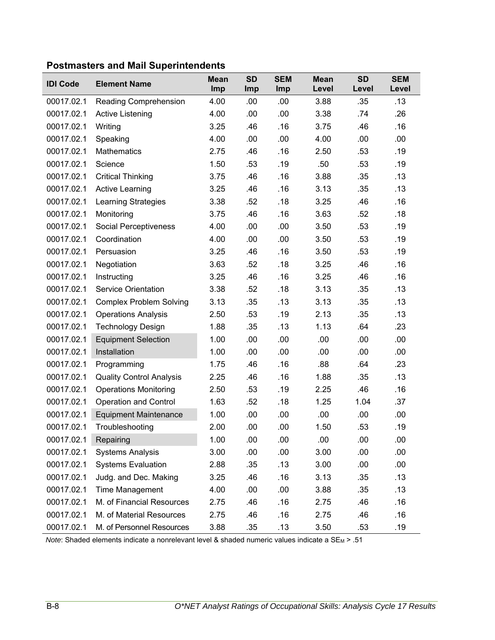|  |  | <b>Postmasters and Mail Superintendents</b> |
|--|--|---------------------------------------------|
|--|--|---------------------------------------------|

| <b>IDI Code</b> | <b>Element Name</b>             | <b>Mean</b><br>Imp | <b>SD</b><br>Imp | <b>SEM</b><br>Imp | <b>Mean</b><br>Level | <b>SD</b><br>Level | <b>SEM</b><br>Level |
|-----------------|---------------------------------|--------------------|------------------|-------------------|----------------------|--------------------|---------------------|
| 00017.02.1      | <b>Reading Comprehension</b>    | 4.00               | .00              | .00               | 3.88                 | .35                | .13                 |
| 00017.02.1      | <b>Active Listening</b>         | 4.00               | .00              | .00               | 3.38                 | .74                | .26                 |
| 00017.02.1      | Writing                         | 3.25               | .46              | .16               | 3.75                 | .46                | .16                 |
| 00017.02.1      | Speaking                        | 4.00               | .00              | .00               | 4.00                 | .00                | .00.                |
| 00017.02.1      | <b>Mathematics</b>              | 2.75               | .46              | .16               | 2.50                 | .53                | .19                 |
| 00017.02.1      | Science                         | 1.50               | .53              | .19               | .50                  | .53                | .19                 |
| 00017.02.1      | <b>Critical Thinking</b>        | 3.75               | .46              | .16               | 3.88                 | .35                | .13                 |
| 00017.02.1      | <b>Active Learning</b>          | 3.25               | .46              | .16               | 3.13                 | .35                | .13                 |
| 00017.02.1      | <b>Learning Strategies</b>      | 3.38               | .52              | .18               | 3.25                 | .46                | .16                 |
| 00017.02.1      | Monitoring                      | 3.75               | .46              | .16               | 3.63                 | .52                | .18                 |
| 00017.02.1      | Social Perceptiveness           | 4.00               | .00              | .00               | 3.50                 | .53                | .19                 |
| 00017.02.1      | Coordination                    | 4.00               | .00              | .00               | 3.50                 | .53                | .19                 |
| 00017.02.1      | Persuasion                      | 3.25               | .46              | .16               | 3.50                 | .53                | .19                 |
| 00017.02.1      | Negotiation                     | 3.63               | .52              | .18               | 3.25                 | .46                | .16                 |
| 00017.02.1      | Instructing                     | 3.25               | .46              | .16               | 3.25                 | .46                | .16                 |
| 00017.02.1      | <b>Service Orientation</b>      | 3.38               | .52              | .18               | 3.13                 | .35                | .13                 |
| 00017.02.1      | <b>Complex Problem Solving</b>  | 3.13               | .35              | .13               | 3.13                 | .35                | .13                 |
| 00017.02.1      | <b>Operations Analysis</b>      | 2.50               | .53              | .19               | 2.13                 | .35                | .13                 |
| 00017.02.1      | <b>Technology Design</b>        | 1.88               | .35              | .13               | 1.13                 | .64                | .23                 |
| 00017.02.1      | <b>Equipment Selection</b>      | 1.00               | .00              | .00               | .00                  | .00                | .00.                |
| 00017.02.1      | Installation                    | 1.00               | .00              | .00               | .00                  | .00                | .00                 |
| 00017.02.1      | Programming                     | 1.75               | .46              | .16               | .88                  | .64                | .23                 |
| 00017.02.1      | <b>Quality Control Analysis</b> | 2.25               | .46              | .16               | 1.88                 | .35                | .13                 |
| 00017.02.1      | <b>Operations Monitoring</b>    | 2.50               | .53              | .19               | 2.25                 | .46                | .16                 |
| 00017.02.1      | <b>Operation and Control</b>    | 1.63               | .52              | .18               | 1.25                 | 1.04               | .37                 |
| 00017.02.1      | <b>Equipment Maintenance</b>    | 1.00               | .00              | .00               | .00                  | .00                | .00.                |
| 00017.02.1      | Troubleshooting                 | 2.00               | .00              | .00               | 1.50                 | .53                | .19                 |
| 00017.02.1      | Repairing                       | 1.00               | .00              | .00               | .00                  | .00                | .00                 |
| 00017.02.1      | <b>Systems Analysis</b>         | 3.00               | .00              | .00               | 3.00                 | .00                | .00                 |
| 00017.02.1      | <b>Systems Evaluation</b>       | 2.88               | .35              | .13               | 3.00                 | .00                | .00                 |
| 00017.02.1      | Judg. and Dec. Making           | 3.25               | .46              | .16               | 3.13                 | .35                | .13                 |
| 00017.02.1      | Time Management                 | 4.00               | .00              | .00               | 3.88                 | .35                | .13                 |
| 00017.02.1      | M. of Financial Resources       | 2.75               | .46              | .16               | 2.75                 | .46                | .16                 |
| 00017.02.1      | M. of Material Resources        | 2.75               | .46              | .16               | 2.75                 | .46                | .16                 |
| 00017.02.1      | M. of Personnel Resources       | 3.88               | .35              | .13               | 3.50                 | .53                | .19                 |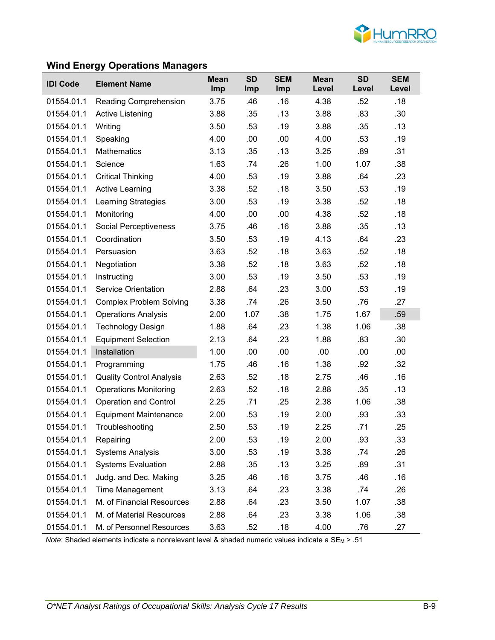

### **Wind Energy Operations Managers**

| <b>IDI Code</b> | <b>Element Name</b>             | <b>Mean</b><br>Imp | <b>SD</b><br>Imp | <b>SEM</b><br>Imp | <b>Mean</b><br>Level | <b>SD</b><br>Level | <b>SEM</b><br>Level |
|-----------------|---------------------------------|--------------------|------------------|-------------------|----------------------|--------------------|---------------------|
| 01554.01.1      | Reading Comprehension           | 3.75               | .46              | .16               | 4.38                 | .52                | .18                 |
| 01554.01.1      | Active Listening                | 3.88               | .35              | .13               | 3.88                 | .83                | .30 <sub>0</sub>    |
| 01554.01.1      | Writing                         | 3.50               | .53              | .19               | 3.88                 | .35                | .13                 |
| 01554.01.1      | Speaking                        | 4.00               | .00              | .00               | 4.00                 | .53                | .19                 |
| 01554.01.1      | <b>Mathematics</b>              | 3.13               | .35              | .13               | 3.25                 | .89                | .31                 |
| 01554.01.1      | Science                         | 1.63               | .74              | .26               | 1.00                 | 1.07               | .38                 |
| 01554.01.1      | <b>Critical Thinking</b>        | 4.00               | .53              | .19               | 3.88                 | .64                | .23                 |
| 01554.01.1      | <b>Active Learning</b>          | 3.38               | .52              | .18               | 3.50                 | .53                | .19                 |
| 01554.01.1      | Learning Strategies             | 3.00               | .53              | .19               | 3.38                 | .52                | .18                 |
| 01554.01.1      | Monitoring                      | 4.00               | .00              | .00               | 4.38                 | .52                | .18                 |
| 01554.01.1      | Social Perceptiveness           | 3.75               | .46              | .16               | 3.88                 | .35                | .13                 |
| 01554.01.1      | Coordination                    | 3.50               | .53              | .19               | 4.13                 | .64                | .23                 |
| 01554.01.1      | Persuasion                      | 3.63               | .52              | .18               | 3.63                 | .52                | .18                 |
| 01554.01.1      | Negotiation                     | 3.38               | .52              | .18               | 3.63                 | .52                | .18                 |
| 01554.01.1      | Instructing                     | 3.00               | .53              | .19               | 3.50                 | .53                | .19                 |
| 01554.01.1      | <b>Service Orientation</b>      | 2.88               | .64              | .23               | 3.00                 | .53                | .19                 |
| 01554.01.1      | <b>Complex Problem Solving</b>  | 3.38               | .74              | .26               | 3.50                 | .76                | .27                 |
| 01554.01.1      | <b>Operations Analysis</b>      | 2.00               | 1.07             | .38               | 1.75                 | 1.67               | .59                 |
| 01554.01.1      | <b>Technology Design</b>        | 1.88               | .64              | .23               | 1.38                 | 1.06               | .38                 |
| 01554.01.1      | <b>Equipment Selection</b>      | 2.13               | .64              | .23               | 1.88                 | .83                | .30 <sub>0</sub>    |
| 01554.01.1      | Installation                    | 1.00               | .00              | .00               | .00                  | .00                | .00.                |
| 01554.01.1      | Programming                     | 1.75               | .46              | .16               | 1.38                 | .92                | .32                 |
| 01554.01.1      | <b>Quality Control Analysis</b> | 2.63               | .52              | .18               | 2.75                 | .46                | .16                 |
| 01554.01.1      | <b>Operations Monitoring</b>    | 2.63               | .52              | .18               | 2.88                 | .35                | .13                 |
| 01554.01.1      | <b>Operation and Control</b>    | 2.25               | .71              | .25               | 2.38                 | 1.06               | .38                 |
| 01554.01.1      | <b>Equipment Maintenance</b>    | 2.00               | .53              | .19               | 2.00                 | .93                | .33                 |
| 01554.01.1      | Troubleshooting                 | 2.50               | .53              | .19               | 2.25                 | .71                | .25                 |
| 01554.01.1      | Repairing                       | 2.00               | .53              | .19               | 2.00                 | .93                | .33                 |
| 01554.01.1      | <b>Systems Analysis</b>         | 3.00               | .53              | .19               | 3.38                 | .74                | .26                 |
| 01554.01.1      | <b>Systems Evaluation</b>       | 2.88               | .35              | .13               | 3.25                 | .89                | .31                 |
| 01554.01.1      | Judg. and Dec. Making           | 3.25               | .46              | .16               | 3.75                 | .46                | .16                 |
| 01554.01.1      | Time Management                 | 3.13               | .64              | .23               | 3.38                 | .74                | .26                 |
| 01554.01.1      | M. of Financial Resources       | 2.88               | .64              | .23               | 3.50                 | 1.07               | .38                 |
| 01554.01.1      | M. of Material Resources        | 2.88               | .64              | .23               | 3.38                 | 1.06               | .38                 |
| 01554.01.1      | M. of Personnel Resources       | 3.63               | .52              | .18               | 4.00                 | .76                | .27                 |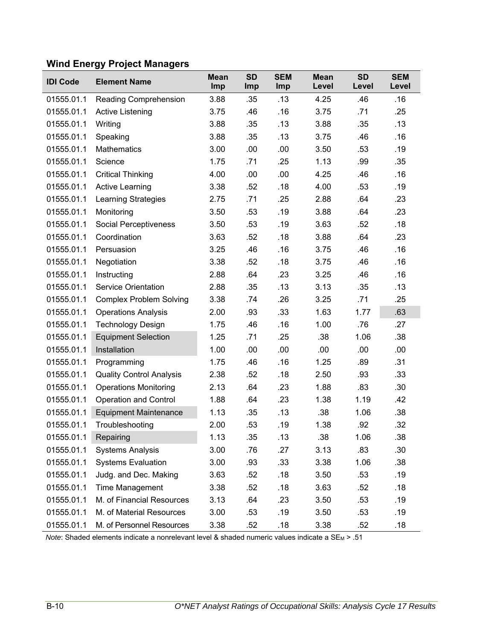# **Wind Energy Project Managers**

| <b>IDI Code</b> | <b>Element Name</b>             | <b>Mean</b><br>Imp | <b>SD</b><br>Imp | <b>SEM</b><br>Imp | <b>Mean</b><br>Level | <b>SD</b><br>Level | <b>SEM</b><br>Level |
|-----------------|---------------------------------|--------------------|------------------|-------------------|----------------------|--------------------|---------------------|
| 01555.01.1      | Reading Comprehension           | 3.88               | .35              | .13               | 4.25                 | .46                | .16                 |
| 01555.01.1      | Active Listening                | 3.75               | .46              | .16               | 3.75                 | .71                | .25                 |
| 01555.01.1      | Writing                         | 3.88               | .35              | .13               | 3.88                 | .35                | .13                 |
| 01555.01.1      | Speaking                        | 3.88               | .35              | .13               | 3.75                 | .46                | .16                 |
| 01555.01.1      | Mathematics                     | 3.00               | .00              | .00               | 3.50                 | .53                | .19                 |
| 01555.01.1      | Science                         | 1.75               | .71              | .25               | 1.13                 | .99                | .35                 |
| 01555.01.1      | <b>Critical Thinking</b>        | 4.00               | .00              | .00               | 4.25                 | .46                | .16                 |
| 01555.01.1      | <b>Active Learning</b>          | 3.38               | .52              | .18               | 4.00                 | .53                | .19                 |
| 01555.01.1      | <b>Learning Strategies</b>      | 2.75               | .71              | .25               | 2.88                 | .64                | .23                 |
| 01555.01.1      | Monitoring                      | 3.50               | .53              | .19               | 3.88                 | .64                | .23                 |
| 01555.01.1      | Social Perceptiveness           | 3.50               | .53              | .19               | 3.63                 | .52                | .18                 |
| 01555.01.1      | Coordination                    | 3.63               | .52              | .18               | 3.88                 | .64                | .23                 |
| 01555.01.1      | Persuasion                      | 3.25               | .46              | .16               | 3.75                 | .46                | .16                 |
| 01555.01.1      | Negotiation                     | 3.38               | .52              | .18               | 3.75                 | .46                | .16                 |
| 01555.01.1      | Instructing                     | 2.88               | .64              | .23               | 3.25                 | .46                | .16                 |
| 01555.01.1      | <b>Service Orientation</b>      | 2.88               | .35              | .13               | 3.13                 | .35                | .13                 |
| 01555.01.1      | <b>Complex Problem Solving</b>  | 3.38               | .74              | .26               | 3.25                 | .71                | .25                 |
| 01555.01.1      | <b>Operations Analysis</b>      | 2.00               | .93              | .33               | 1.63                 | 1.77               | .63                 |
| 01555.01.1      | <b>Technology Design</b>        | 1.75               | .46              | .16               | 1.00                 | .76                | .27                 |
| 01555.01.1      | <b>Equipment Selection</b>      | 1.25               | .71              | .25               | .38                  | 1.06               | .38                 |
| 01555.01.1      | Installation                    | 1.00               | .00              | .00               | .00                  | .00                | .00                 |
| 01555.01.1      | Programming                     | 1.75               | .46              | .16               | 1.25                 | .89                | .31                 |
| 01555.01.1      | <b>Quality Control Analysis</b> | 2.38               | .52              | .18               | 2.50                 | .93                | .33                 |
| 01555.01.1      | <b>Operations Monitoring</b>    | 2.13               | .64              | .23               | 1.88                 | .83                | .30                 |
| 01555.01.1      | <b>Operation and Control</b>    | 1.88               | .64              | .23               | 1.38                 | 1.19               | .42                 |
| 01555.01.1      | <b>Equipment Maintenance</b>    | 1.13               | .35              | .13               | .38                  | 1.06               | .38                 |
| 01555.01.1      | Troubleshooting                 | 2.00               | .53              | .19               | 1.38                 | .92                | .32                 |
| 01555.01.1      | Repairing                       | 1.13               | .35              | .13               | .38                  | 1.06               | .38                 |
| 01555.01.1      | <b>Systems Analysis</b>         | 3.00               | .76              | .27               | 3.13                 | .83                | .30                 |
| 01555.01.1      | <b>Systems Evaluation</b>       | 3.00               | .93              | .33               | 3.38                 | 1.06               | .38                 |
| 01555.01.1      | Judg. and Dec. Making           | 3.63               | .52              | .18               | 3.50                 | .53                | .19                 |
| 01555.01.1      | <b>Time Management</b>          | 3.38               | .52              | .18               | 3.63                 | .52                | .18                 |
| 01555.01.1      | M. of Financial Resources       | 3.13               | .64              | .23               | 3.50                 | .53                | .19                 |
| 01555.01.1      | M. of Material Resources        | 3.00               | .53              | .19               | 3.50                 | .53                | .19                 |
| 01555.01.1      | M. of Personnel Resources       | 3.38               | .52              | .18               | 3.38                 | .52                | .18                 |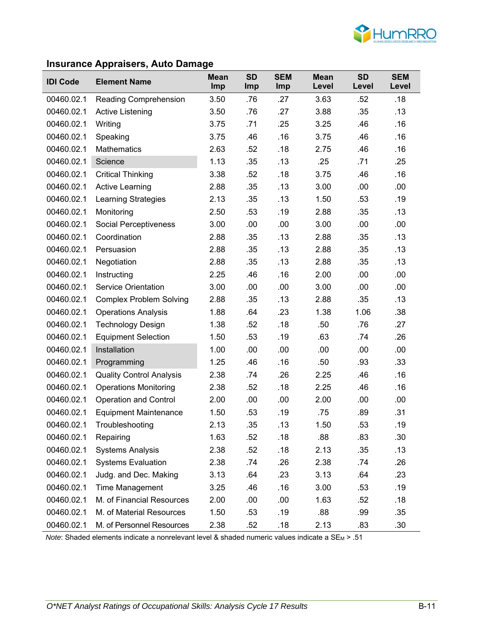

# **Insurance Appraisers, Auto Damage**

| <b>IDI Code</b> | <b>Element Name</b>             | <b>Mean</b> | <b>SD</b>  | <b>SEM</b> | <b>Mean</b> | <b>SD</b> | <b>SEM</b> |
|-----------------|---------------------------------|-------------|------------|------------|-------------|-----------|------------|
|                 |                                 | Imp         | <b>Imp</b> | Imp        | Level       | Level     | Level      |
| 00460.02.1      | Reading Comprehension           | 3.50        | .76        | .27        | 3.63        | .52       | .18        |
| 00460.02.1      | <b>Active Listening</b>         | 3.50        | .76        | .27        | 3.88        | .35       | .13        |
| 00460.02.1      | Writing                         | 3.75        | .71        | .25        | 3.25        | .46       | .16        |
| 00460.02.1      | Speaking                        | 3.75        | .46        | .16        | 3.75        | .46       | .16        |
| 00460.02.1      | <b>Mathematics</b>              | 2.63        | .52        | .18        | 2.75        | .46       | .16        |
| 00460.02.1      | Science                         | 1.13        | .35        | .13        | .25         | .71       | .25        |
| 00460.02.1      | <b>Critical Thinking</b>        | 3.38        | .52        | .18        | 3.75        | .46       | .16        |
| 00460.02.1      | <b>Active Learning</b>          | 2.88        | .35        | .13        | 3.00        | .00       | .00        |
| 00460.02.1      | Learning Strategies             | 2.13        | .35        | .13        | 1.50        | .53       | .19        |
| 00460.02.1      | Monitoring                      | 2.50        | .53        | .19        | 2.88        | .35       | .13        |
| 00460.02.1      | <b>Social Perceptiveness</b>    | 3.00        | .00        | .00        | 3.00        | .00       | .00        |
| 00460.02.1      | Coordination                    | 2.88        | .35        | .13        | 2.88        | .35       | .13        |
| 00460.02.1      | Persuasion                      | 2.88        | .35        | .13        | 2.88        | .35       | .13        |
| 00460.02.1      | Negotiation                     | 2.88        | .35        | .13        | 2.88        | .35       | .13        |
| 00460.02.1      | Instructing                     | 2.25        | .46        | .16        | 2.00        | .00       | .00        |
| 00460.02.1      | <b>Service Orientation</b>      | 3.00        | .00        | .00        | 3.00        | .00       | .00        |
| 00460.02.1      | <b>Complex Problem Solving</b>  | 2.88        | .35        | .13        | 2.88        | .35       | .13        |
| 00460.02.1      | <b>Operations Analysis</b>      | 1.88        | .64        | .23        | 1.38        | 1.06      | .38        |
| 00460.02.1      | <b>Technology Design</b>        | 1.38        | .52        | .18        | .50         | .76       | .27        |
| 00460.02.1      | <b>Equipment Selection</b>      | 1.50        | .53        | .19        | .63         | .74       | .26        |
| 00460.02.1      | Installation                    | 1.00        | .00        | .00        | .00         | .00       | .00        |
| 00460.02.1      | Programming                     | 1.25        | .46        | .16        | .50         | .93       | .33        |
| 00460.02.1      | <b>Quality Control Analysis</b> | 2.38        | .74        | .26        | 2.25        | .46       | .16        |
| 00460.02.1      | <b>Operations Monitoring</b>    | 2.38        | .52        | .18        | 2.25        | .46       | .16        |
| 00460.02.1      | <b>Operation and Control</b>    | 2.00        | .00        | .00        | 2.00        | .00       | .00        |
| 00460.02.1      | <b>Equipment Maintenance</b>    | 1.50        | .53        | .19        | .75         | .89       | .31        |
| 00460.02.1      | Troubleshooting                 | 2.13        | .35        | .13        | 1.50        | .53       | .19        |
| 00460.02.1      | Repairing                       | 1.63        | .52        | .18        | .88         | .83       | .30        |
| 00460.02.1      | <b>Systems Analysis</b>         | 2.38        | .52        | .18        | 2.13        | .35       | .13        |
| 00460.02.1      | <b>Systems Evaluation</b>       | 2.38        | .74        | .26        | 2.38        | .74       | .26        |
| 00460.02.1      | Judg. and Dec. Making           | 3.13        | .64        | .23        | 3.13        | .64       | .23        |
| 00460.02.1      | Time Management                 | 3.25        | .46        | .16        | 3.00        | .53       | .19        |
| 00460.02.1      | M. of Financial Resources       | 2.00        | .00        | .00        | 1.63        | .52       | .18        |
| 00460.02.1      | M. of Material Resources        | 1.50        | .53        | .19        | .88         | .99       | .35        |
| 00460.02.1      | M. of Personnel Resources       | 2.38        | .52        | .18        | 2.13        | .83       | .30        |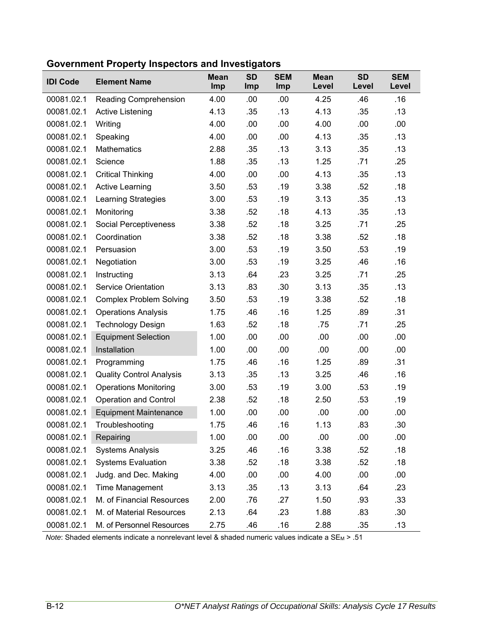| <b>IDI Code</b> | <b>Element Name</b>             | <b>Mean</b><br>Imp | <b>SD</b><br>Imp | <b>SEM</b><br>Imp | <b>Mean</b><br>Level | <b>SD</b><br>Level | <b>SEM</b><br>Level |
|-----------------|---------------------------------|--------------------|------------------|-------------------|----------------------|--------------------|---------------------|
| 00081.02.1      | <b>Reading Comprehension</b>    | 4.00               | .00              | .00               | 4.25                 | .46                | .16                 |
| 00081.02.1      | <b>Active Listening</b>         | 4.13               | .35              | .13               | 4.13                 | .35                | .13                 |
| 00081.02.1      | Writing                         | 4.00               | .00              | .00               | 4.00                 | .00                | .00                 |
| 00081.02.1      | Speaking                        | 4.00               | .00              | .00               | 4.13                 | .35                | .13                 |
| 00081.02.1      | <b>Mathematics</b>              | 2.88               | .35              | .13               | 3.13                 | .35                | .13                 |
| 00081.02.1      | Science                         | 1.88               | .35              | .13               | 1.25                 | .71                | .25                 |
| 00081.02.1      | <b>Critical Thinking</b>        | 4.00               | .00              | .00               | 4.13                 | .35                | .13                 |
| 00081.02.1      | <b>Active Learning</b>          | 3.50               | .53              | .19               | 3.38                 | .52                | .18                 |
| 00081.02.1      | <b>Learning Strategies</b>      | 3.00               | .53              | .19               | 3.13                 | .35                | .13                 |
| 00081.02.1      | Monitoring                      | 3.38               | .52              | .18               | 4.13                 | .35                | .13                 |
| 00081.02.1      | Social Perceptiveness           | 3.38               | .52              | .18               | 3.25                 | .71                | .25                 |
| 00081.02.1      | Coordination                    | 3.38               | .52              | .18               | 3.38                 | .52                | .18                 |
| 00081.02.1      | Persuasion                      | 3.00               | .53              | .19               | 3.50                 | .53                | .19                 |
| 00081.02.1      | Negotiation                     | 3.00               | .53              | .19               | 3.25                 | .46                | .16                 |
| 00081.02.1      | Instructing                     | 3.13               | .64              | .23               | 3.25                 | .71                | .25                 |
| 00081.02.1      | <b>Service Orientation</b>      | 3.13               | .83              | .30               | 3.13                 | .35                | .13                 |
| 00081.02.1      | <b>Complex Problem Solving</b>  | 3.50               | .53              | .19               | 3.38                 | .52                | .18                 |
| 00081.02.1      | <b>Operations Analysis</b>      | 1.75               | .46              | .16               | 1.25                 | .89                | .31                 |
| 00081.02.1      | <b>Technology Design</b>        | 1.63               | .52              | .18               | .75                  | .71                | .25                 |
| 00081.02.1      | <b>Equipment Selection</b>      | 1.00               | .00              | .00               | .00                  | .00                | .00                 |
| 00081.02.1      | Installation                    | 1.00               | .00              | .00               | .00                  | .00                | .00                 |
| 00081.02.1      | Programming                     | 1.75               | .46              | .16               | 1.25                 | .89                | .31                 |
| 00081.02.1      | <b>Quality Control Analysis</b> | 3.13               | .35              | .13               | 3.25                 | .46                | .16                 |
| 00081.02.1      | <b>Operations Monitoring</b>    | 3.00               | .53              | .19               | 3.00                 | .53                | .19                 |
| 00081.02.1      | <b>Operation and Control</b>    | 2.38               | .52              | .18               | 2.50                 | .53                | .19                 |
| 00081.02.1      | <b>Equipment Maintenance</b>    | 1.00               | .00              | .00               | .00                  | .00                | .00                 |
| 00081.02.1      | Troubleshooting                 | 1.75               | .46              | .16               | 1.13                 | .83                | .30                 |
| 00081.02.1      | Repairing                       | 1.00               | .00              | .00               | .00                  | .00                | .00                 |
| 00081.02.1      | <b>Systems Analysis</b>         | 3.25               | .46              | .16               | 3.38                 | .52                | .18                 |
| 00081.02.1      | <b>Systems Evaluation</b>       | 3.38               | .52              | .18               | 3.38                 | .52                | .18                 |
| 00081.02.1      | Judg. and Dec. Making           | 4.00               | .00              | .00               | 4.00                 | .00                | .00                 |
| 00081.02.1      | <b>Time Management</b>          | 3.13               | .35              | .13               | 3.13                 | .64                | .23                 |
| 00081.02.1      | M. of Financial Resources       | 2.00               | .76              | .27               | 1.50                 | .93                | .33                 |
| 00081.02.1      | M. of Material Resources        | 2.13               | .64              | .23               | 1.88                 | .83                | .30                 |
| 00081.02.1      | M. of Personnel Resources       | 2.75               | .46              | .16               | 2.88                 | .35                | .13                 |

**Government Property Inspectors and Investigators**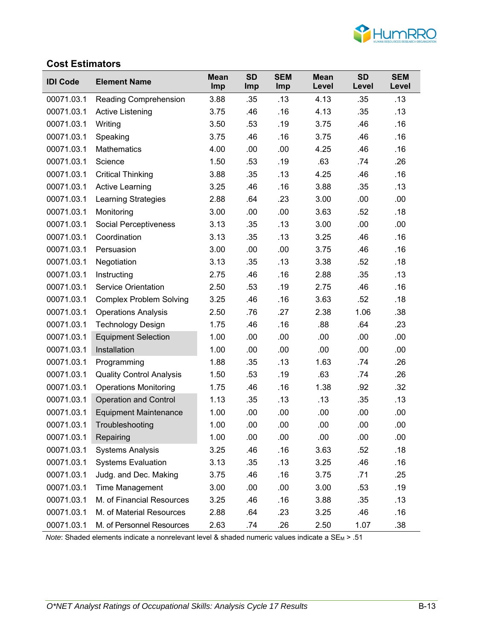

# **Cost Estimators**

| <b>IDI Code</b> | <b>Element Name</b>             | <b>Mean</b><br>Imp | <b>SD</b><br><b>Imp</b> | <b>SEM</b><br>Imp | <b>Mean</b><br>Level | <b>SD</b><br>Level | <b>SEM</b><br>Level |
|-----------------|---------------------------------|--------------------|-------------------------|-------------------|----------------------|--------------------|---------------------|
| 00071.03.1      | Reading Comprehension           | 3.88               | .35                     | .13               | 4.13                 | .35                | .13                 |
| 00071.03.1      | <b>Active Listening</b>         | 3.75               | .46                     | .16               | 4.13                 | .35                | .13                 |
| 00071.03.1      | Writing                         | 3.50               | .53                     | .19               | 3.75                 | .46                | .16                 |
| 00071.03.1      | Speaking                        | 3.75               | .46                     | .16               | 3.75                 | .46                | .16                 |
| 00071.03.1      | <b>Mathematics</b>              | 4.00               | .00                     | .00               | 4.25                 | .46                | .16                 |
| 00071.03.1      | Science                         | 1.50               | .53                     | .19               | .63                  | .74                | .26                 |
| 00071.03.1      | <b>Critical Thinking</b>        | 3.88               | .35                     | .13               | 4.25                 | .46                | .16                 |
| 00071.03.1      | <b>Active Learning</b>          | 3.25               | .46                     | .16               | 3.88                 | .35                | .13                 |
| 00071.03.1      | <b>Learning Strategies</b>      | 2.88               | .64                     | .23               | 3.00                 | .00                | .00                 |
| 00071.03.1      | Monitoring                      | 3.00               | .00                     | .00               | 3.63                 | .52                | .18                 |
| 00071.03.1      | Social Perceptiveness           | 3.13               | .35                     | .13               | 3.00                 | .00                | .00                 |
| 00071.03.1      | Coordination                    | 3.13               | .35                     | .13               | 3.25                 | .46                | .16                 |
| 00071.03.1      | Persuasion                      | 3.00               | .00                     | .00               | 3.75                 | .46                | .16                 |
| 00071.03.1      | Negotiation                     | 3.13               | .35                     | .13               | 3.38                 | .52                | .18                 |
| 00071.03.1      | Instructing                     | 2.75               | .46                     | .16               | 2.88                 | .35                | .13                 |
| 00071.03.1      | <b>Service Orientation</b>      | 2.50               | .53                     | .19               | 2.75                 | .46                | .16                 |
| 00071.03.1      | <b>Complex Problem Solving</b>  | 3.25               | .46                     | .16               | 3.63                 | .52                | .18                 |
| 00071.03.1      | <b>Operations Analysis</b>      | 2.50               | .76                     | .27               | 2.38                 | 1.06               | .38                 |
| 00071.03.1      | <b>Technology Design</b>        | 1.75               | .46                     | .16               | .88                  | .64                | .23                 |
| 00071.03.1      | <b>Equipment Selection</b>      | 1.00               | .00                     | .00               | .00                  | .00                | .00                 |
| 00071.03.1      | Installation                    | 1.00               | .00                     | .00               | .00                  | .00                | .00                 |
| 00071.03.1      | Programming                     | 1.88               | .35                     | .13               | 1.63                 | .74                | .26                 |
| 00071.03.1      | <b>Quality Control Analysis</b> | 1.50               | .53                     | .19               | .63                  | .74                | .26                 |
| 00071.03.1      | <b>Operations Monitoring</b>    | 1.75               | .46                     | .16               | 1.38                 | .92                | .32                 |
| 00071.03.1      | <b>Operation and Control</b>    | 1.13               | .35                     | .13               | .13                  | .35                | .13                 |
| 00071.03.1      | <b>Equipment Maintenance</b>    | 1.00               | .00                     | .00               | .00                  | .00                | .00                 |
| 00071.03.1      | Troubleshooting                 | 1.00               | .00                     | .00               | .00                  | .00                | .00                 |
| 00071.03.1      | Repairing                       | 1.00               | .00                     | .00               | .00                  | .00                | .00                 |
| 00071.03.1      | <b>Systems Analysis</b>         | 3.25               | .46                     | .16               | 3.63                 | .52                | .18                 |
| 00071.03.1      | <b>Systems Evaluation</b>       | 3.13               | .35                     | .13               | 3.25                 | .46                | .16                 |
| 00071.03.1      | Judg. and Dec. Making           | 3.75               | .46                     | .16               | 3.75                 | .71                | .25                 |
| 00071.03.1      | <b>Time Management</b>          | 3.00               | .00                     | .00               | 3.00                 | .53                | .19                 |
| 00071.03.1      | M. of Financial Resources       | 3.25               | .46                     | .16               | 3.88                 | .35                | .13                 |
| 00071.03.1      | M. of Material Resources        | 2.88               | .64                     | .23               | 3.25                 | .46                | .16                 |
| 00071.03.1      | M. of Personnel Resources       | 2.63               | .74                     | .26               | 2.50                 | 1.07               | .38                 |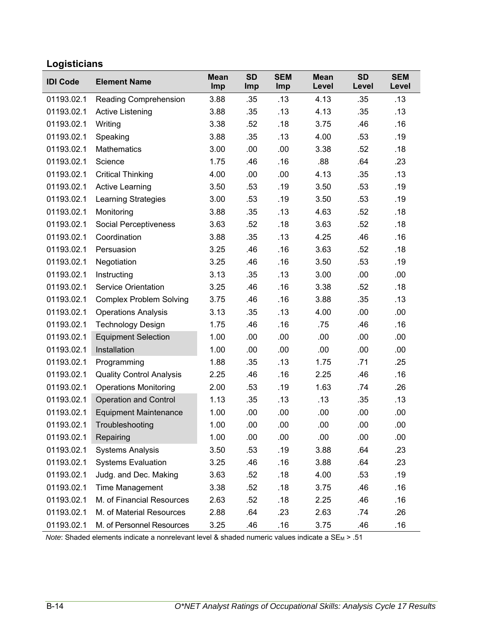# **Logisticians**

| <b>IDI Code</b> | <b>Element Name</b>             | <b>Mean</b><br>Imp | <b>SD</b><br>Imp | <b>SEM</b><br>Imp | <b>Mean</b><br>Level | <b>SD</b><br>Level | <b>SEM</b><br>Level |
|-----------------|---------------------------------|--------------------|------------------|-------------------|----------------------|--------------------|---------------------|
| 01193.02.1      | Reading Comprehension           | 3.88               | .35              | .13               | 4.13                 | .35                | .13                 |
| 01193.02.1      | Active Listening                | 3.88               | .35              | .13               | 4.13                 | .35                | .13                 |
| 01193.02.1      | Writing                         | 3.38               | .52              | .18               | 3.75                 | .46                | .16                 |
| 01193.02.1      | Speaking                        | 3.88               | .35              | .13               | 4.00                 | .53                | .19                 |
| 01193.02.1      | <b>Mathematics</b>              | 3.00               | .00              | .00               | 3.38                 | .52                | .18                 |
| 01193.02.1      | Science                         | 1.75               | .46              | .16               | .88                  | .64                | .23                 |
| 01193.02.1      | <b>Critical Thinking</b>        | 4.00               | .00              | .00               | 4.13                 | .35                | .13                 |
| 01193.02.1      | <b>Active Learning</b>          | 3.50               | .53              | .19               | 3.50                 | .53                | .19                 |
| 01193.02.1      | <b>Learning Strategies</b>      | 3.00               | .53              | .19               | 3.50                 | .53                | .19                 |
| 01193.02.1      | Monitoring                      | 3.88               | .35              | .13               | 4.63                 | .52                | .18                 |
| 01193.02.1      | Social Perceptiveness           | 3.63               | .52              | .18               | 3.63                 | .52                | .18                 |
| 01193.02.1      | Coordination                    | 3.88               | .35              | .13               | 4.25                 | .46                | .16                 |
| 01193.02.1      | Persuasion                      | 3.25               | .46              | .16               | 3.63                 | .52                | .18                 |
| 01193.02.1      | Negotiation                     | 3.25               | .46              | .16               | 3.50                 | .53                | .19                 |
| 01193.02.1      | Instructing                     | 3.13               | .35              | .13               | 3.00                 | .00                | .00                 |
| 01193.02.1      | <b>Service Orientation</b>      | 3.25               | .46              | .16               | 3.38                 | .52                | .18                 |
| 01193.02.1      | <b>Complex Problem Solving</b>  | 3.75               | .46              | .16               | 3.88                 | .35                | .13                 |
| 01193.02.1      | <b>Operations Analysis</b>      | 3.13               | .35              | .13               | 4.00                 | .00                | .00                 |
| 01193.02.1      | <b>Technology Design</b>        | 1.75               | .46              | .16               | .75                  | .46                | .16                 |
| 01193.02.1      | <b>Equipment Selection</b>      | 1.00               | .00              | .00               | .00.                 | .00                | .00                 |
| 01193.02.1      | Installation                    | 1.00               | .00              | .00               | .00                  | .00                | .00                 |
| 01193.02.1      | Programming                     | 1.88               | .35              | .13               | 1.75                 | .71                | .25                 |
| 01193.02.1      | <b>Quality Control Analysis</b> | 2.25               | .46              | .16               | 2.25                 | .46                | .16                 |
| 01193.02.1      | <b>Operations Monitoring</b>    | 2.00               | .53              | .19               | 1.63                 | .74                | .26                 |
| 01193.02.1      | <b>Operation and Control</b>    | 1.13               | .35              | .13               | .13                  | .35                | .13                 |
| 01193.02.1      | <b>Equipment Maintenance</b>    | 1.00               | .00              | .00               | .00                  | .00                | .00                 |
| 01193.02.1      | Troubleshooting                 | 1.00               | .00              | .00               | .00                  | .00                | .00                 |
| 01193.02.1      | Repairing                       | 1.00               | .00              | .00               | .00                  | .00                | .00                 |
| 01193.02.1      | <b>Systems Analysis</b>         | 3.50               | .53              | .19               | 3.88                 | .64                | .23                 |
| 01193.02.1      | <b>Systems Evaluation</b>       | 3.25               | .46              | .16               | 3.88                 | .64                | .23                 |
| 01193.02.1      | Judg. and Dec. Making           | 3.63               | .52              | .18               | 4.00                 | .53                | .19                 |
| 01193.02.1      | Time Management                 | 3.38               | .52              | .18               | 3.75                 | .46                | .16                 |
| 01193.02.1      | M. of Financial Resources       | 2.63               | .52              | .18               | 2.25                 | .46                | .16                 |
| 01193.02.1      | M. of Material Resources        | 2.88               | .64              | .23               | 2.63                 | .74                | .26                 |
| 01193.02.1      | M. of Personnel Resources       | 3.25               | .46              | .16               | 3.75                 | .46                | .16                 |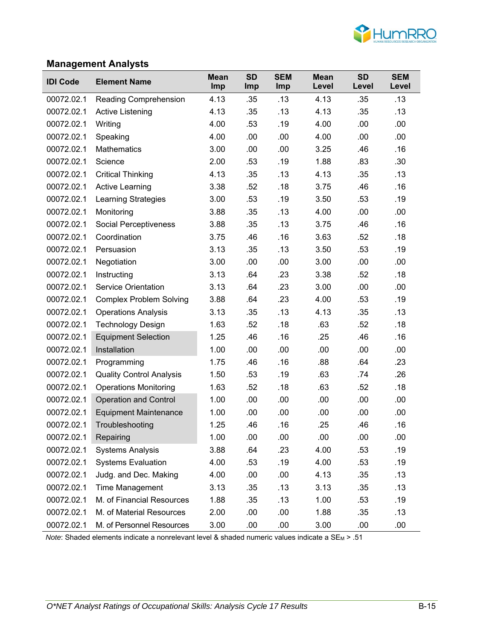

# **Management Analysts**

| <b>IDI Code</b> | <b>Element Name</b>             | <b>Mean</b><br>Imp | <b>SD</b><br><b>Imp</b> | <b>SEM</b><br>Imp | <b>Mean</b><br>Level | <b>SD</b><br>Level | <b>SEM</b><br>Level |
|-----------------|---------------------------------|--------------------|-------------------------|-------------------|----------------------|--------------------|---------------------|
| 00072.02.1      | Reading Comprehension           | 4.13               | .35                     | .13               | 4.13                 | .35                | .13                 |
| 00072.02.1      | Active Listening                | 4.13               | .35                     | .13               | 4.13                 | .35                | .13                 |
| 00072.02.1      | Writing                         | 4.00               | .53                     | .19               | 4.00                 | .00                | .00                 |
| 00072.02.1      | Speaking                        | 4.00               | .00                     | .00               | 4.00                 | .00                | .00                 |
| 00072.02.1      | <b>Mathematics</b>              | 3.00               | .00                     | .00               | 3.25                 | .46                | .16                 |
| 00072.02.1      | Science                         | 2.00               | .53                     | .19               | 1.88                 | .83                | .30                 |
| 00072.02.1      | <b>Critical Thinking</b>        | 4.13               | .35                     | .13               | 4.13                 | .35                | .13                 |
| 00072.02.1      | <b>Active Learning</b>          | 3.38               | .52                     | .18               | 3.75                 | .46                | .16                 |
| 00072.02.1      | <b>Learning Strategies</b>      | 3.00               | .53                     | .19               | 3.50                 | .53                | .19                 |
| 00072.02.1      | Monitoring                      | 3.88               | .35                     | .13               | 4.00                 | .00                | .00                 |
| 00072.02.1      | Social Perceptiveness           | 3.88               | .35                     | .13               | 3.75                 | .46                | .16                 |
| 00072.02.1      | Coordination                    | 3.75               | .46                     | .16               | 3.63                 | .52                | .18                 |
| 00072.02.1      | Persuasion                      | 3.13               | .35                     | .13               | 3.50                 | .53                | .19                 |
| 00072.02.1      | Negotiation                     | 3.00               | .00                     | .00               | 3.00                 | .00                | .00                 |
| 00072.02.1      | Instructing                     | 3.13               | .64                     | .23               | 3.38                 | .52                | .18                 |
| 00072.02.1      | <b>Service Orientation</b>      | 3.13               | .64                     | .23               | 3.00                 | .00                | .00                 |
| 00072.02.1      | <b>Complex Problem Solving</b>  | 3.88               | .64                     | .23               | 4.00                 | .53                | .19                 |
| 00072.02.1      | <b>Operations Analysis</b>      | 3.13               | .35                     | .13               | 4.13                 | .35                | .13                 |
| 00072.02.1      | <b>Technology Design</b>        | 1.63               | .52                     | .18               | .63                  | .52                | .18                 |
| 00072.02.1      | <b>Equipment Selection</b>      | 1.25               | .46                     | .16               | .25                  | .46                | .16                 |
| 00072.02.1      | Installation                    | 1.00               | .00                     | .00               | .00                  | .00                | .00                 |
| 00072.02.1      | Programming                     | 1.75               | .46                     | .16               | .88                  | .64                | .23                 |
| 00072.02.1      | <b>Quality Control Analysis</b> | 1.50               | .53                     | .19               | .63                  | .74                | .26                 |
| 00072.02.1      | <b>Operations Monitoring</b>    | 1.63               | .52                     | .18               | .63                  | .52                | .18                 |
| 00072.02.1      | <b>Operation and Control</b>    | 1.00               | .00                     | .00               | .00                  | .00                | .00                 |
| 00072.02.1      | <b>Equipment Maintenance</b>    | 1.00               | .00                     | .00               | .00                  | .00                | .00                 |
| 00072.02.1      | Troubleshooting                 | 1.25               | .46                     | .16               | .25                  | .46                | .16                 |
| 00072.02.1      | Repairing                       | 1.00               | .00                     | .00               | .00                  | .00                | .00                 |
| 00072.02.1      | <b>Systems Analysis</b>         | 3.88               | .64                     | .23               | 4.00                 | .53                | .19                 |
| 00072.02.1      | <b>Systems Evaluation</b>       | 4.00               | .53                     | .19               | 4.00                 | .53                | .19                 |
| 00072.02.1      | Judg. and Dec. Making           | 4.00               | .00                     | .00               | 4.13                 | .35                | .13                 |
| 00072.02.1      | Time Management                 | 3.13               | .35                     | .13               | 3.13                 | .35                | .13                 |
| 00072.02.1      | M. of Financial Resources       | 1.88               | .35                     | .13               | 1.00                 | .53                | .19                 |
| 00072.02.1      | M. of Material Resources        | 2.00               | .00                     | .00               | 1.88                 | .35                | .13                 |
| 00072.02.1      | M. of Personnel Resources       | 3.00               | .00                     | .00               | 3.00                 | .00                | .00                 |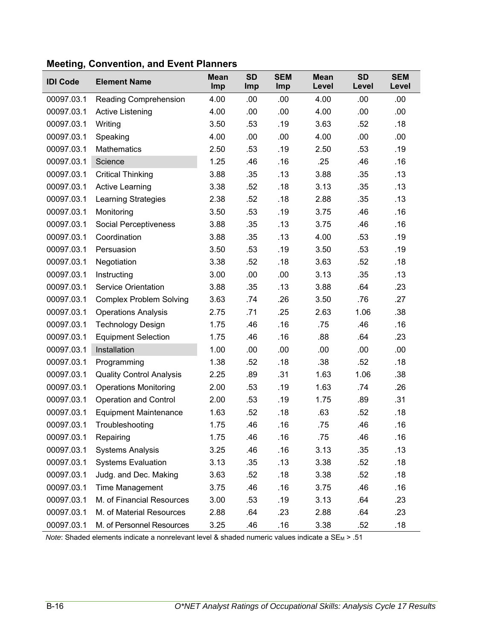| <b>IDI Code</b> | <b>Element Name</b>             | <b>Mean</b><br>Imp | <b>SD</b><br>Imp | <b>SEM</b><br>Imp | <b>Mean</b><br>Level | <b>SD</b><br>Level | <b>SEM</b><br>Level |
|-----------------|---------------------------------|--------------------|------------------|-------------------|----------------------|--------------------|---------------------|
| 00097.03.1      | Reading Comprehension           | 4.00               | .00              | .00               | 4.00                 | .00                | .00                 |
| 00097.03.1      | <b>Active Listening</b>         | 4.00               | .00              | .00               | 4.00                 | .00                | .00                 |
| 00097.03.1      | Writing                         | 3.50               | .53              | .19               | 3.63                 | .52                | .18                 |
| 00097.03.1      | Speaking                        | 4.00               | .00              | .00               | 4.00                 | .00                | .00                 |
| 00097.03.1      | Mathematics                     | 2.50               | .53              | .19               | 2.50                 | .53                | .19                 |
| 00097.03.1      | Science                         | 1.25               | .46              | .16               | .25                  | .46                | .16                 |
| 00097.03.1      | <b>Critical Thinking</b>        | 3.88               | .35              | .13               | 3.88                 | .35                | .13                 |
| 00097.03.1      | <b>Active Learning</b>          | 3.38               | .52              | .18               | 3.13                 | .35                | .13                 |
| 00097.03.1      | <b>Learning Strategies</b>      | 2.38               | .52              | .18               | 2.88                 | .35                | .13                 |
| 00097.03.1      | Monitoring                      | 3.50               | .53              | .19               | 3.75                 | .46                | .16                 |
| 00097.03.1      | <b>Social Perceptiveness</b>    | 3.88               | .35              | .13               | 3.75                 | .46                | .16                 |
| 00097.03.1      | Coordination                    | 3.88               | .35              | .13               | 4.00                 | .53                | .19                 |
| 00097.03.1      | Persuasion                      | 3.50               | .53              | .19               | 3.50                 | .53                | .19                 |
| 00097.03.1      | Negotiation                     | 3.38               | .52              | .18               | 3.63                 | .52                | .18                 |
| 00097.03.1      | Instructing                     | 3.00               | .00              | .00               | 3.13                 | .35                | .13                 |
| 00097.03.1      | <b>Service Orientation</b>      | 3.88               | .35              | .13               | 3.88                 | .64                | .23                 |
| 00097.03.1      | <b>Complex Problem Solving</b>  | 3.63               | .74              | .26               | 3.50                 | .76                | .27                 |
| 00097.03.1      | <b>Operations Analysis</b>      | 2.75               | .71              | .25               | 2.63                 | 1.06               | .38                 |
| 00097.03.1      | <b>Technology Design</b>        | 1.75               | .46              | .16               | .75                  | .46                | .16                 |
| 00097.03.1      | <b>Equipment Selection</b>      | 1.75               | .46              | .16               | .88                  | .64                | .23                 |
| 00097.03.1      | Installation                    | 1.00               | .00              | .00               | .00                  | .00                | .00                 |
| 00097.03.1      | Programming                     | 1.38               | .52              | .18               | .38                  | .52                | .18                 |
| 00097.03.1      | <b>Quality Control Analysis</b> | 2.25               | .89              | .31               | 1.63                 | 1.06               | .38                 |
| 00097.03.1      | <b>Operations Monitoring</b>    | 2.00               | .53              | .19               | 1.63                 | .74                | .26                 |
| 00097.03.1      | <b>Operation and Control</b>    | 2.00               | .53              | .19               | 1.75                 | .89                | .31                 |
| 00097.03.1      | <b>Equipment Maintenance</b>    | 1.63               | .52              | .18               | .63                  | .52                | .18                 |
| 00097.03.1      | Troubleshooting                 | 1.75               | .46              | .16               | .75                  | .46                | .16                 |
| 00097.03.1      | Repairing                       | 1.75               | .46              | .16               | .75                  | .46                | .16                 |
| 00097.03.1      | <b>Systems Analysis</b>         | 3.25               | .46              | .16               | 3.13                 | .35                | .13                 |
| 00097.03.1      | <b>Systems Evaluation</b>       | 3.13               | .35              | .13               | 3.38                 | .52                | .18                 |
| 00097.03.1      | Judg. and Dec. Making           | 3.63               | .52              | .18               | 3.38                 | .52                | .18                 |
| 00097.03.1      | Time Management                 | 3.75               | .46              | .16               | 3.75                 | .46                | .16                 |
| 00097.03.1      | M. of Financial Resources       | 3.00               | .53              | .19               | 3.13                 | .64                | .23                 |
| 00097.03.1      | M. of Material Resources        | 2.88               | .64              | .23               | 2.88                 | .64                | .23                 |
| 00097.03.1      | M. of Personnel Resources       | 3.25               | .46              | .16               | 3.38                 | .52                | .18                 |

# **Meeting, Convention, and Event Planners**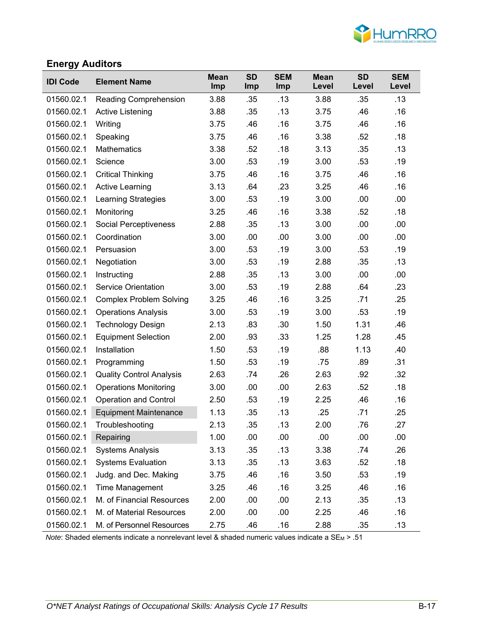

# **Energy Auditors**

| <b>IDI Code</b> | <b>Element Name</b>             | <b>Mean</b><br>Imp | <b>SD</b><br><b>Imp</b> | <b>SEM</b><br>Imp | <b>Mean</b><br>Level | <b>SD</b><br>Level | <b>SEM</b><br>Level |
|-----------------|---------------------------------|--------------------|-------------------------|-------------------|----------------------|--------------------|---------------------|
| 01560.02.1      | Reading Comprehension           | 3.88               | .35                     | .13               | 3.88                 | .35                | .13                 |
| 01560.02.1      | Active Listening                | 3.88               | .35                     | .13               | 3.75                 | .46                | .16                 |
| 01560.02.1      | Writing                         | 3.75               | .46                     | .16               | 3.75                 | .46                | .16                 |
| 01560.02.1      | Speaking                        | 3.75               | .46                     | .16               | 3.38                 | .52                | .18                 |
| 01560.02.1      | Mathematics                     | 3.38               | .52                     | .18               | 3.13                 | .35                | .13                 |
| 01560.02.1      | Science                         | 3.00               | .53                     | .19               | 3.00                 | .53                | .19                 |
| 01560.02.1      | <b>Critical Thinking</b>        | 3.75               | .46                     | .16               | 3.75                 | .46                | .16                 |
| 01560.02.1      | <b>Active Learning</b>          | 3.13               | .64                     | .23               | 3.25                 | .46                | .16                 |
| 01560.02.1      | <b>Learning Strategies</b>      | 3.00               | .53                     | .19               | 3.00                 | .00                | .00                 |
| 01560.02.1      | Monitoring                      | 3.25               | .46                     | .16               | 3.38                 | .52                | .18                 |
| 01560.02.1      | Social Perceptiveness           | 2.88               | .35                     | .13               | 3.00                 | .00                | .00                 |
| 01560.02.1      | Coordination                    | 3.00               | .00                     | .00               | 3.00                 | .00                | .00                 |
| 01560.02.1      | Persuasion                      | 3.00               | .53                     | .19               | 3.00                 | .53                | .19                 |
| 01560.02.1      | Negotiation                     | 3.00               | .53                     | .19               | 2.88                 | .35                | .13                 |
| 01560.02.1      | Instructing                     | 2.88               | .35                     | .13               | 3.00                 | .00                | .00                 |
| 01560.02.1      | <b>Service Orientation</b>      | 3.00               | .53                     | .19               | 2.88                 | .64                | .23                 |
| 01560.02.1      | <b>Complex Problem Solving</b>  | 3.25               | .46                     | .16               | 3.25                 | .71                | .25                 |
| 01560.02.1      | <b>Operations Analysis</b>      | 3.00               | .53                     | .19               | 3.00                 | .53                | .19                 |
| 01560.02.1      | <b>Technology Design</b>        | 2.13               | .83                     | .30               | 1.50                 | 1.31               | .46                 |
| 01560.02.1      | <b>Equipment Selection</b>      | 2.00               | .93                     | .33               | 1.25                 | 1.28               | .45                 |
| 01560.02.1      | Installation                    | 1.50               | .53                     | .19               | .88                  | 1.13               | .40                 |
| 01560.02.1      | Programming                     | 1.50               | .53                     | .19               | .75                  | .89                | .31                 |
| 01560.02.1      | <b>Quality Control Analysis</b> | 2.63               | .74                     | .26               | 2.63                 | .92                | .32                 |
| 01560.02.1      | <b>Operations Monitoring</b>    | 3.00               | .00                     | .00               | 2.63                 | .52                | .18                 |
| 01560.02.1      | <b>Operation and Control</b>    | 2.50               | .53                     | .19               | 2.25                 | .46                | .16                 |
| 01560.02.1      | <b>Equipment Maintenance</b>    | 1.13               | .35                     | .13               | .25                  | .71                | .25                 |
| 01560.02.1      | Troubleshooting                 | 2.13               | .35                     | .13               | 2.00                 | .76                | .27                 |
| 01560.02.1      | Repairing                       | 1.00               | .00                     | .00               | .00                  | .00                | .00                 |
| 01560.02.1      | <b>Systems Analysis</b>         | 3.13               | .35                     | .13               | 3.38                 | .74                | .26                 |
| 01560.02.1      | <b>Systems Evaluation</b>       | 3.13               | .35                     | .13               | 3.63                 | .52                | .18                 |
| 01560.02.1      | Judg. and Dec. Making           | 3.75               | .46                     | .16               | 3.50                 | .53                | .19                 |
| 01560.02.1      | Time Management                 | 3.25               | .46                     | .16               | 3.25                 | .46                | .16                 |
| 01560.02.1      | M. of Financial Resources       | 2.00               | .00                     | .00               | 2.13                 | .35                | .13                 |
| 01560.02.1      | M. of Material Resources        | 2.00               | .00                     | .00               | 2.25                 | .46                | .16                 |
| 01560.02.1      | M. of Personnel Resources       | 2.75               | .46                     | .16               | 2.88                 | .35                | .13                 |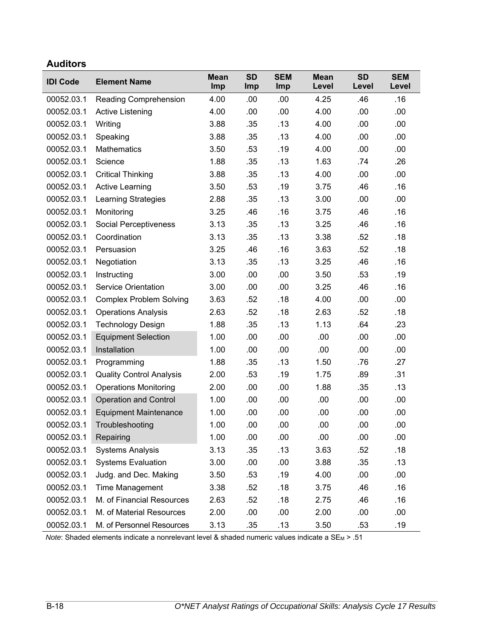# **Auditors**

| <b>IDI Code</b> | <b>Element Name</b>             | <b>Mean</b><br>Imp | <b>SD</b><br>Imp | <b>SEM</b><br>Imp | <b>Mean</b><br>Level | <b>SD</b><br>Level | <b>SEM</b><br>Level |
|-----------------|---------------------------------|--------------------|------------------|-------------------|----------------------|--------------------|---------------------|
| 00052.03.1      | Reading Comprehension           | 4.00               | .00              | .00               | 4.25                 | .46                | .16                 |
| 00052.03.1      | Active Listening                | 4.00               | .00              | .00               | 4.00                 | .00                | .00                 |
| 00052.03.1      | Writing                         | 3.88               | .35              | .13               | 4.00                 | .00                | .00                 |
| 00052.03.1      | Speaking                        | 3.88               | .35              | .13               | 4.00                 | .00                | .00                 |
| 00052.03.1      | <b>Mathematics</b>              | 3.50               | .53              | .19               | 4.00                 | .00                | .00                 |
| 00052.03.1      | Science                         | 1.88               | .35              | .13               | 1.63                 | .74                | .26                 |
| 00052.03.1      | <b>Critical Thinking</b>        | 3.88               | .35              | .13               | 4.00                 | .00                | .00                 |
| 00052.03.1      | <b>Active Learning</b>          | 3.50               | .53              | .19               | 3.75                 | .46                | .16                 |
| 00052.03.1      | <b>Learning Strategies</b>      | 2.88               | .35              | .13               | 3.00                 | .00                | .00                 |
| 00052.03.1      | Monitoring                      | 3.25               | .46              | .16               | 3.75                 | .46                | .16                 |
| 00052.03.1      | <b>Social Perceptiveness</b>    | 3.13               | .35              | .13               | 3.25                 | .46                | .16                 |
| 00052.03.1      | Coordination                    | 3.13               | .35              | .13               | 3.38                 | .52                | .18                 |
| 00052.03.1      | Persuasion                      | 3.25               | .46              | .16               | 3.63                 | .52                | .18                 |
| 00052.03.1      | Negotiation                     | 3.13               | .35              | .13               | 3.25                 | .46                | .16                 |
| 00052.03.1      | Instructing                     | 3.00               | .00              | .00               | 3.50                 | .53                | .19                 |
| 00052.03.1      | <b>Service Orientation</b>      | 3.00               | .00              | .00               | 3.25                 | .46                | .16                 |
| 00052.03.1      | <b>Complex Problem Solving</b>  | 3.63               | .52              | .18               | 4.00                 | .00                | .00                 |
| 00052.03.1      | <b>Operations Analysis</b>      | 2.63               | .52              | .18               | 2.63                 | .52                | .18                 |
| 00052.03.1      | <b>Technology Design</b>        | 1.88               | .35              | .13               | 1.13                 | .64                | .23                 |
| 00052.03.1      | <b>Equipment Selection</b>      | 1.00               | .00              | .00               | .00                  | .00                | .00                 |
| 00052.03.1      | Installation                    | 1.00               | .00              | .00               | .00                  | .00                | .00                 |
| 00052.03.1      | Programming                     | 1.88               | .35              | .13               | 1.50                 | .76                | .27                 |
| 00052.03.1      | <b>Quality Control Analysis</b> | 2.00               | .53              | .19               | 1.75                 | .89                | .31                 |
| 00052.03.1      | <b>Operations Monitoring</b>    | 2.00               | .00              | .00               | 1.88                 | .35                | .13                 |
| 00052.03.1      | <b>Operation and Control</b>    | 1.00               | .00              | .00               | .00                  | .00                | .00                 |
| 00052.03.1      | <b>Equipment Maintenance</b>    | 1.00               | .00              | .00               | .00                  | .00                | .00                 |
| 00052.03.1      | Troubleshooting                 | 1.00               | .00              | .00               | .00                  | .00                | .00                 |
| 00052.03.1      | Repairing                       | 1.00               | .00              | .00               | .00                  | .00                | .00                 |
| 00052.03.1      | <b>Systems Analysis</b>         | 3.13               | .35              | .13               | 3.63                 | .52                | .18                 |
| 00052.03.1      | <b>Systems Evaluation</b>       | 3.00               | .00              | .00               | 3.88                 | .35                | .13                 |
| 00052.03.1      | Judg. and Dec. Making           | 3.50               | .53              | .19               | 4.00                 | .00                | .00                 |
| 00052.03.1      | Time Management                 | 3.38               | .52              | .18               | 3.75                 | .46                | .16                 |
| 00052.03.1      | M. of Financial Resources       | 2.63               | .52              | .18               | 2.75                 | .46                | .16                 |
| 00052.03.1      | M. of Material Resources        | 2.00               | .00              | .00               | 2.00                 | .00                | .00                 |
| 00052.03.1      | M. of Personnel Resources       | 3.13               | .35              | .13               | 3.50                 | .53                | .19                 |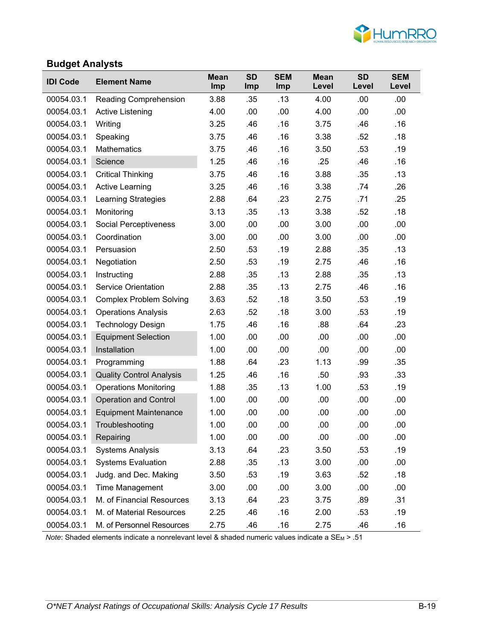

#### **Budget Analysts**

| <b>IDI Code</b> | <b>Element Name</b>             | <b>Mean</b><br>Imp | <b>SD</b><br><b>Imp</b> | <b>SEM</b><br><b>Imp</b> | <b>Mean</b><br>Level | <b>SD</b><br>Level | <b>SEM</b><br>Level |
|-----------------|---------------------------------|--------------------|-------------------------|--------------------------|----------------------|--------------------|---------------------|
| 00054.03.1      | <b>Reading Comprehension</b>    | 3.88               | .35                     | .13                      | 4.00                 | .00                | .00                 |
| 00054.03.1      | <b>Active Listening</b>         | 4.00               | .00                     | .00                      | 4.00                 | .00                | .00                 |
| 00054.03.1      | Writing                         | 3.25               | .46                     | .16                      | 3.75                 | .46                | .16                 |
| 00054.03.1      | Speaking                        | 3.75               | .46                     | .16                      | 3.38                 | .52                | .18                 |
| 00054.03.1      | <b>Mathematics</b>              | 3.75               | .46                     | .16                      | 3.50                 | .53                | .19                 |
| 00054.03.1      | Science                         | 1.25               | .46                     | .16                      | .25                  | .46                | .16                 |
| 00054.03.1      | <b>Critical Thinking</b>        | 3.75               | .46                     | .16                      | 3.88                 | .35                | .13                 |
| 00054.03.1      | <b>Active Learning</b>          | 3.25               | .46                     | .16                      | 3.38                 | .74                | .26                 |
| 00054.03.1      | Learning Strategies             | 2.88               | .64                     | .23                      | 2.75                 | .71                | .25                 |
| 00054.03.1      | Monitoring                      | 3.13               | .35                     | .13                      | 3.38                 | .52                | .18                 |
| 00054.03.1      | <b>Social Perceptiveness</b>    | 3.00               | .00                     | .00                      | 3.00                 | .00                | .00                 |
| 00054.03.1      | Coordination                    | 3.00               | .00                     | .00                      | 3.00                 | .00                | .00                 |
| 00054.03.1      | Persuasion                      | 2.50               | .53                     | .19                      | 2.88                 | .35                | .13                 |
| 00054.03.1      | Negotiation                     | 2.50               | .53                     | .19                      | 2.75                 | .46                | .16                 |
| 00054.03.1      | Instructing                     | 2.88               | .35                     | .13                      | 2.88                 | .35                | .13                 |
| 00054.03.1      | <b>Service Orientation</b>      | 2.88               | .35                     | .13                      | 2.75                 | .46                | .16                 |
| 00054.03.1      | <b>Complex Problem Solving</b>  | 3.63               | .52                     | .18                      | 3.50                 | .53                | .19                 |
| 00054.03.1      | <b>Operations Analysis</b>      | 2.63               | .52                     | .18                      | 3.00                 | .53                | .19                 |
| 00054.03.1      | <b>Technology Design</b>        | 1.75               | .46                     | .16                      | .88                  | .64                | .23                 |
| 00054.03.1      | <b>Equipment Selection</b>      | 1.00               | .00                     | .00                      | .00                  | .00                | .00                 |
| 00054.03.1      | Installation                    | 1.00               | .00                     | .00                      | .00                  | .00                | .00                 |
| 00054.03.1      | Programming                     | 1.88               | .64                     | .23                      | 1.13                 | .99                | .35                 |
| 00054.03.1      | <b>Quality Control Analysis</b> | 1.25               | .46                     | .16                      | .50                  | .93                | .33                 |
| 00054.03.1      | <b>Operations Monitoring</b>    | 1.88               | .35                     | .13                      | 1.00                 | .53                | .19                 |
| 00054.03.1      | <b>Operation and Control</b>    | 1.00               | .00                     | .00                      | .00                  | .00                | .00                 |
| 00054.03.1      | <b>Equipment Maintenance</b>    | 1.00               | .00                     | .00                      | .00                  | .00                | .00                 |
| 00054.03.1      | Troubleshooting                 | 1.00               | .00                     | .00                      | .00                  | .00                | .00                 |
| 00054.03.1      | Repairing                       | 1.00               | .00                     | .00                      | .00                  | .00                | .00                 |
| 00054.03.1      | <b>Systems Analysis</b>         | 3.13               | .64                     | .23                      | 3.50                 | .53                | .19                 |
| 00054.03.1      | <b>Systems Evaluation</b>       | 2.88               | .35                     | .13                      | 3.00                 | .00                | .00                 |
| 00054.03.1      | Judg. and Dec. Making           | 3.50               | .53                     | .19                      | 3.63                 | .52                | .18                 |
| 00054.03.1      | <b>Time Management</b>          | 3.00               | .00                     | .00                      | 3.00                 | .00                | .00                 |
| 00054.03.1      | M. of Financial Resources       | 3.13               | .64                     | .23                      | 3.75                 | .89                | .31                 |
| 00054.03.1      | M. of Material Resources        | 2.25               | .46                     | .16                      | 2.00                 | .53                | .19                 |
| 00054.03.1      | M. of Personnel Resources       | 2.75               | .46                     | .16                      | 2.75                 | .46                | .16                 |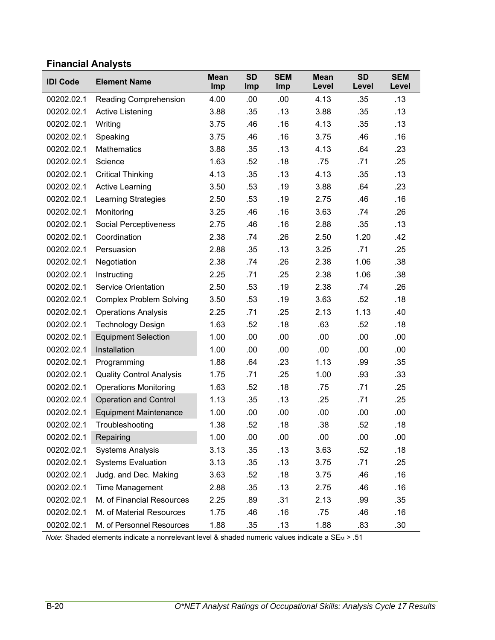# **Financial Analysts**

| <b>IDI Code</b> | <b>Element Name</b>             | <b>Mean</b><br>Imp | <b>SD</b><br>Imp | <b>SEM</b><br>Imp | <b>Mean</b><br>Level | <b>SD</b><br>Level | <b>SEM</b><br>Level |
|-----------------|---------------------------------|--------------------|------------------|-------------------|----------------------|--------------------|---------------------|
| 00202.02.1      | Reading Comprehension           | 4.00               | .00              | .00               | 4.13                 | .35                | .13                 |
| 00202.02.1      | <b>Active Listening</b>         | 3.88               | .35              | .13               | 3.88                 | .35                | .13                 |
| 00202.02.1      | Writing                         | 3.75               | .46              | .16               | 4.13                 | .35                | .13                 |
| 00202.02.1      | Speaking                        | 3.75               | .46              | .16               | 3.75                 | .46                | .16                 |
| 00202.02.1      | <b>Mathematics</b>              | 3.88               | .35              | .13               | 4.13                 | .64                | .23                 |
| 00202.02.1      | Science                         | 1.63               | .52              | .18               | .75                  | .71                | .25                 |
| 00202.02.1      | <b>Critical Thinking</b>        | 4.13               | .35              | .13               | 4.13                 | .35                | .13                 |
| 00202.02.1      | <b>Active Learning</b>          | 3.50               | .53              | .19               | 3.88                 | .64                | .23                 |
| 00202.02.1      | <b>Learning Strategies</b>      | 2.50               | .53              | .19               | 2.75                 | .46                | .16                 |
| 00202.02.1      | Monitoring                      | 3.25               | .46              | .16               | 3.63                 | .74                | .26                 |
| 00202.02.1      | Social Perceptiveness           | 2.75               | .46              | .16               | 2.88                 | .35                | .13                 |
| 00202.02.1      | Coordination                    | 2.38               | .74              | .26               | 2.50                 | 1.20               | .42                 |
| 00202.02.1      | Persuasion                      | 2.88               | .35              | .13               | 3.25                 | .71                | .25                 |
| 00202.02.1      | Negotiation                     | 2.38               | .74              | .26               | 2.38                 | 1.06               | .38                 |
| 00202.02.1      | Instructing                     | 2.25               | .71              | .25               | 2.38                 | 1.06               | .38                 |
| 00202.02.1      | <b>Service Orientation</b>      | 2.50               | .53              | .19               | 2.38                 | .74                | .26                 |
| 00202.02.1      | <b>Complex Problem Solving</b>  | 3.50               | .53              | .19               | 3.63                 | .52                | .18                 |
| 00202.02.1      | <b>Operations Analysis</b>      | 2.25               | .71              | .25               | 2.13                 | 1.13               | .40                 |
| 00202.02.1      | <b>Technology Design</b>        | 1.63               | .52              | .18               | .63                  | .52                | .18                 |
| 00202.02.1      | <b>Equipment Selection</b>      | 1.00               | .00              | .00               | .00                  | .00                | .00                 |
| 00202.02.1      | Installation                    | 1.00               | .00              | .00               | .00                  | .00                | .00                 |
| 00202.02.1      | Programming                     | 1.88               | .64              | .23               | 1.13                 | .99                | .35                 |
| 00202.02.1      | <b>Quality Control Analysis</b> | 1.75               | .71              | .25               | 1.00                 | .93                | .33                 |
| 00202.02.1      | <b>Operations Monitoring</b>    | 1.63               | .52              | .18               | .75                  | .71                | .25                 |
| 00202.02.1      | <b>Operation and Control</b>    | 1.13               | .35              | .13               | .25                  | .71                | .25                 |
| 00202.02.1      | <b>Equipment Maintenance</b>    | 1.00               | .00              | .00               | .00                  | .00                | .00                 |
| 00202.02.1      | Troubleshooting                 | 1.38               | .52              | .18               | .38                  | .52                | .18                 |
| 00202.02.1      | Repairing                       | 1.00               | .00              | .00               | .00                  | .00                | .00                 |
| 00202.02.1      | <b>Systems Analysis</b>         | 3.13               | .35              | .13               | 3.63                 | .52                | .18                 |
| 00202.02.1      | <b>Systems Evaluation</b>       | 3.13               | .35              | .13               | 3.75                 | .71                | .25                 |
| 00202.02.1      | Judg. and Dec. Making           | 3.63               | .52              | .18               | 3.75                 | .46                | .16                 |
| 00202.02.1      | <b>Time Management</b>          | 2.88               | .35              | .13               | 2.75                 | .46                | .16                 |
| 00202.02.1      | M. of Financial Resources       | 2.25               | .89              | .31               | 2.13                 | .99                | .35                 |
| 00202.02.1      | M. of Material Resources        | 1.75               | .46              | .16               | .75                  | .46                | .16                 |
| 00202.02.1      | M. of Personnel Resources       | 1.88               | .35              | .13               | 1.88                 | .83                | .30                 |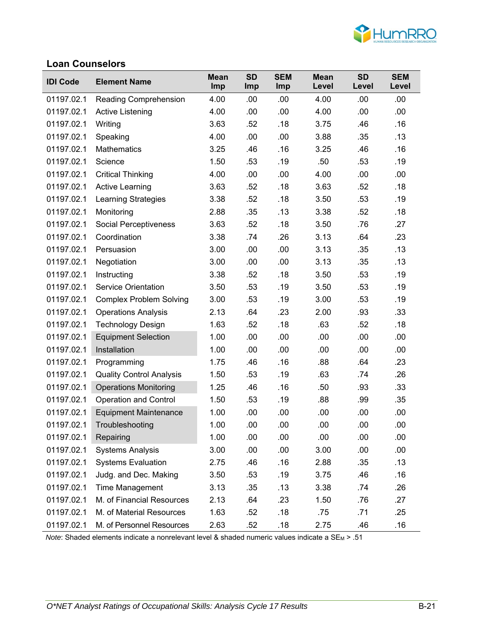

### **Loan Counselors**

| <b>IDI Code</b> | <b>Element Name</b>             | <b>Mean</b><br>Imp | <b>SD</b><br>Imp | <b>SEM</b><br>Imp | <b>Mean</b><br>Level | <b>SD</b><br>Level | <b>SEM</b><br>Level |
|-----------------|---------------------------------|--------------------|------------------|-------------------|----------------------|--------------------|---------------------|
| 01197.02.1      | <b>Reading Comprehension</b>    | 4.00               | .00              | .00               | 4.00                 | .00                | .00                 |
| 01197.02.1      | <b>Active Listening</b>         | 4.00               | .00              | .00               | 4.00                 | .00                | .00                 |
| 01197.02.1      | Writing                         | 3.63               | .52              | .18               | 3.75                 | .46                | .16                 |
| 01197.02.1      | Speaking                        | 4.00               | .00              | .00               | 3.88                 | .35                | .13                 |
| 01197.02.1      | <b>Mathematics</b>              | 3.25               | .46              | .16               | 3.25                 | .46                | .16                 |
| 01197.02.1      | Science                         | 1.50               | .53              | .19               | .50                  | .53                | .19                 |
| 01197.02.1      | <b>Critical Thinking</b>        | 4.00               | .00              | .00               | 4.00                 | .00                | .00                 |
| 01197.02.1      | <b>Active Learning</b>          | 3.63               | .52              | .18               | 3.63                 | .52                | .18                 |
| 01197.02.1      | <b>Learning Strategies</b>      | 3.38               | .52              | .18               | 3.50                 | .53                | .19                 |
| 01197.02.1      | Monitoring                      | 2.88               | .35              | .13               | 3.38                 | .52                | .18                 |
| 01197.02.1      | <b>Social Perceptiveness</b>    | 3.63               | .52              | .18               | 3.50                 | .76                | .27                 |
| 01197.02.1      | Coordination                    | 3.38               | .74              | .26               | 3.13                 | .64                | .23                 |
| 01197.02.1      | Persuasion                      | 3.00               | .00              | .00               | 3.13                 | .35                | .13                 |
| 01197.02.1      | Negotiation                     | 3.00               | .00              | .00               | 3.13                 | .35                | .13                 |
| 01197.02.1      | Instructing                     | 3.38               | .52              | .18               | 3.50                 | .53                | .19                 |
| 01197.02.1      | <b>Service Orientation</b>      | 3.50               | .53              | .19               | 3.50                 | .53                | .19                 |
| 01197.02.1      | <b>Complex Problem Solving</b>  | 3.00               | .53              | .19               | 3.00                 | .53                | .19                 |
| 01197.02.1      | <b>Operations Analysis</b>      | 2.13               | .64              | .23               | 2.00                 | .93                | .33                 |
| 01197.02.1      | <b>Technology Design</b>        | 1.63               | .52              | .18               | .63                  | .52                | .18                 |
| 01197.02.1      | <b>Equipment Selection</b>      | 1.00               | .00              | .00               | .00                  | .00                | .00                 |
| 01197.02.1      | Installation                    | 1.00               | .00              | .00               | .00                  | .00                | .00                 |
| 01197.02.1      | Programming                     | 1.75               | .46              | .16               | .88                  | .64                | .23                 |
| 01197.02.1      | <b>Quality Control Analysis</b> | 1.50               | .53              | .19               | .63                  | .74                | .26                 |
| 01197.02.1      | <b>Operations Monitoring</b>    | 1.25               | .46              | .16               | .50                  | .93                | .33                 |
| 01197.02.1      | <b>Operation and Control</b>    | 1.50               | .53              | .19               | .88                  | .99                | .35                 |
| 01197.02.1      | <b>Equipment Maintenance</b>    | 1.00               | .00              | .00               | .00                  | .00                | .00                 |
| 01197.02.1      | Troubleshooting                 | 1.00               | .00              | .00               | .00                  | .00                | .00                 |
| 01197.02.1      | Repairing                       | 1.00               | .00              | .00               | .00                  | .00                | .00                 |
| 01197.02.1      | <b>Systems Analysis</b>         | 3.00               | .00              | .00               | 3.00                 | .00                | .00                 |
| 01197.02.1      | <b>Systems Evaluation</b>       | 2.75               | .46              | .16               | 2.88                 | .35                | .13                 |
| 01197.02.1      | Judg. and Dec. Making           | 3.50               | .53              | .19               | 3.75                 | .46                | .16                 |
| 01197.02.1      | Time Management                 | 3.13               | .35              | .13               | 3.38                 | .74                | .26                 |
| 01197.02.1      | M. of Financial Resources       | 2.13               | .64              | .23               | 1.50                 | .76                | .27                 |
| 01197.02.1      | M. of Material Resources        | 1.63               | .52              | .18               | .75                  | .71                | .25                 |
| 01197.02.1      | M. of Personnel Resources       | 2.63               | .52              | .18               | 2.75                 | .46                | .16                 |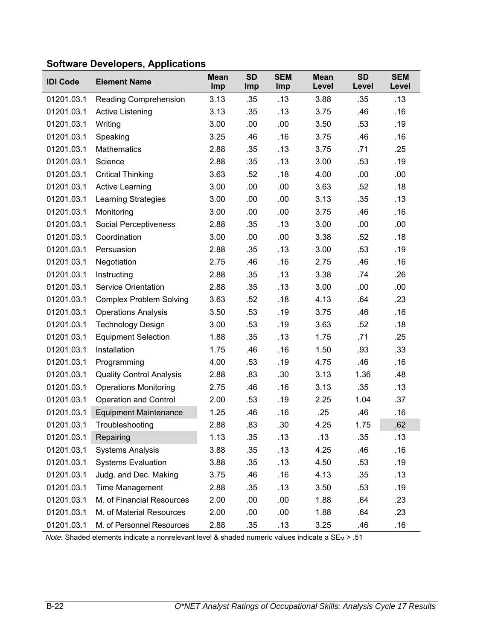| <b>IDI Code</b> | <b>Element Name</b>             | <b>Mean</b><br>Imp | <b>SD</b><br>Imp | <b>SEM</b><br>Imp | <b>Mean</b><br>Level | <b>SD</b><br>Level | <b>SEM</b><br>Level |
|-----------------|---------------------------------|--------------------|------------------|-------------------|----------------------|--------------------|---------------------|
| 01201.03.1      | <b>Reading Comprehension</b>    | 3.13               | .35              | .13               | 3.88                 | .35                | .13                 |
| 01201.03.1      | Active Listening                | 3.13               | .35              | .13               | 3.75                 | .46                | .16                 |
| 01201.03.1      | Writing                         | 3.00               | .00              | .00               | 3.50                 | .53                | .19                 |
| 01201.03.1      | Speaking                        | 3.25               | .46              | .16               | 3.75                 | .46                | .16                 |
| 01201.03.1      | Mathematics                     | 2.88               | .35              | .13               | 3.75                 | .71                | .25                 |
| 01201.03.1      | Science                         | 2.88               | .35              | .13               | 3.00                 | .53                | .19                 |
| 01201.03.1      | <b>Critical Thinking</b>        | 3.63               | .52              | .18               | 4.00                 | .00                | .00                 |
| 01201.03.1      | <b>Active Learning</b>          | 3.00               | .00              | .00               | 3.63                 | .52                | .18                 |
| 01201.03.1      | Learning Strategies             | 3.00               | .00              | .00               | 3.13                 | .35                | .13                 |
| 01201.03.1      | Monitoring                      | 3.00               | .00.             | .00               | 3.75                 | .46                | .16                 |
| 01201.03.1      | Social Perceptiveness           | 2.88               | .35              | .13               | 3.00                 | .00                | .00                 |
| 01201.03.1      | Coordination                    | 3.00               | .00              | .00               | 3.38                 | .52                | .18                 |
| 01201.03.1      | Persuasion                      | 2.88               | .35              | .13               | 3.00                 | .53                | .19                 |
| 01201.03.1      | Negotiation                     | 2.75               | .46              | .16               | 2.75                 | .46                | .16                 |
| 01201.03.1      | Instructing                     | 2.88               | .35              | .13               | 3.38                 | .74                | .26                 |
| 01201.03.1      | <b>Service Orientation</b>      | 2.88               | .35              | .13               | 3.00                 | .00                | .00                 |
| 01201.03.1      | <b>Complex Problem Solving</b>  | 3.63               | .52              | .18               | 4.13                 | .64                | .23                 |
| 01201.03.1      | <b>Operations Analysis</b>      | 3.50               | .53              | .19               | 3.75                 | .46                | .16                 |
| 01201.03.1      | <b>Technology Design</b>        | 3.00               | .53              | .19               | 3.63                 | .52                | .18                 |
| 01201.03.1      | <b>Equipment Selection</b>      | 1.88               | .35              | .13               | 1.75                 | .71                | .25                 |
| 01201.03.1      | Installation                    | 1.75               | .46              | .16               | 1.50                 | .93                | .33                 |
| 01201.03.1      | Programming                     | 4.00               | .53              | .19               | 4.75                 | .46                | .16                 |
| 01201.03.1      | <b>Quality Control Analysis</b> | 2.88               | .83              | .30               | 3.13                 | 1.36               | .48                 |
| 01201.03.1      | <b>Operations Monitoring</b>    | 2.75               | .46              | .16               | 3.13                 | .35                | .13                 |
| 01201.03.1      | <b>Operation and Control</b>    | 2.00               | .53              | .19               | 2.25                 | 1.04               | .37                 |
| 01201.03.1      | <b>Equipment Maintenance</b>    | 1.25               | .46              | .16               | .25                  | .46                | .16                 |
| 01201.03.1      | Troubleshooting                 | 2.88               | .83              | .30               | 4.25                 | 1.75               | .62                 |
| 01201.03.1      | Repairing                       | 1.13               | .35              | .13               | .13                  | .35                | .13                 |
| 01201.03.1      | <b>Systems Analysis</b>         | 3.88               | .35              | .13               | 4.25                 | .46                | .16                 |
| 01201.03.1      | <b>Systems Evaluation</b>       | 3.88               | .35              | .13               | 4.50                 | .53                | .19                 |
| 01201.03.1      | Judg. and Dec. Making           | 3.75               | .46              | .16               | 4.13                 | .35                | .13                 |
| 01201.03.1      | Time Management                 | 2.88               | .35              | .13               | 3.50                 | .53                | .19                 |
| 01201.03.1      | M. of Financial Resources       | 2.00               | .00              | .00               | 1.88                 | .64                | .23                 |
| 01201.03.1      | M. of Material Resources        | 2.00               | .00              | .00               | 1.88                 | .64                | .23                 |
| 01201.03.1      | M. of Personnel Resources       | 2.88               | .35              | .13               | 3.25                 | .46                | .16                 |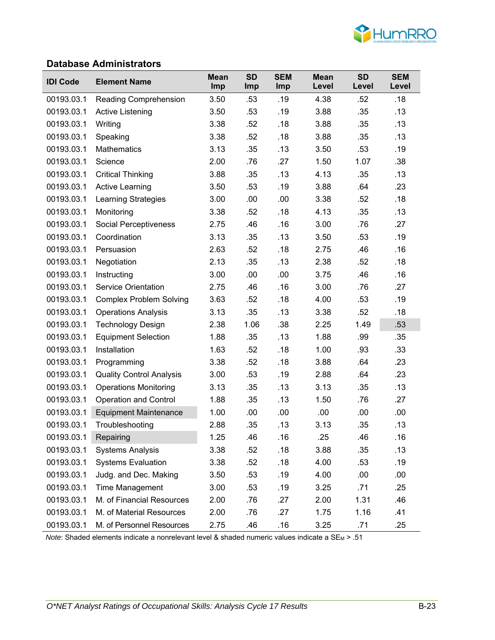

#### **Database Administrators**

| <b>IDI Code</b> | <b>Element Name</b>             | <b>Mean</b><br>Imp | <b>SD</b><br><b>Imp</b> | <b>SEM</b><br>Imp | <b>Mean</b><br>Level | <b>SD</b><br>Level | <b>SEM</b><br>Level |
|-----------------|---------------------------------|--------------------|-------------------------|-------------------|----------------------|--------------------|---------------------|
| 00193.03.1      | Reading Comprehension           | 3.50               | .53                     | .19               | 4.38                 | .52                | .18                 |
| 00193.03.1      | Active Listening                | 3.50               | .53                     | .19               | 3.88                 | .35                | .13                 |
| 00193.03.1      | Writing                         | 3.38               | .52                     | .18               | 3.88                 | .35                | .13                 |
| 00193.03.1      | Speaking                        | 3.38               | .52                     | .18               | 3.88                 | .35                | .13                 |
| 00193.03.1      | Mathematics                     | 3.13               | .35                     | .13               | 3.50                 | .53                | .19                 |
| 00193.03.1      | Science                         | 2.00               | .76                     | .27               | 1.50                 | 1.07               | .38                 |
| 00193.03.1      | <b>Critical Thinking</b>        | 3.88               | .35                     | .13               | 4.13                 | .35                | .13                 |
| 00193.03.1      | <b>Active Learning</b>          | 3.50               | .53                     | .19               | 3.88                 | .64                | .23                 |
| 00193.03.1      | Learning Strategies             | 3.00               | .00                     | .00               | 3.38                 | .52                | .18                 |
| 00193.03.1      | Monitoring                      | 3.38               | .52                     | .18               | 4.13                 | .35                | .13                 |
| 00193.03.1      | <b>Social Perceptiveness</b>    | 2.75               | .46                     | .16               | 3.00                 | .76                | .27                 |
| 00193.03.1      | Coordination                    | 3.13               | .35                     | .13               | 3.50                 | .53                | .19                 |
| 00193.03.1      | Persuasion                      | 2.63               | .52                     | .18               | 2.75                 | .46                | .16                 |
| 00193.03.1      | Negotiation                     | 2.13               | .35                     | .13               | 2.38                 | .52                | .18                 |
| 00193.03.1      | Instructing                     | 3.00               | .00                     | .00               | 3.75                 | .46                | .16                 |
| 00193.03.1      | <b>Service Orientation</b>      | 2.75               | .46                     | .16               | 3.00                 | .76                | .27                 |
| 00193.03.1      | <b>Complex Problem Solving</b>  | 3.63               | .52                     | .18               | 4.00                 | .53                | .19                 |
| 00193.03.1      | <b>Operations Analysis</b>      | 3.13               | .35                     | .13               | 3.38                 | .52                | .18                 |
| 00193.03.1      | <b>Technology Design</b>        | 2.38               | 1.06                    | .38               | 2.25                 | 1.49               | .53                 |
| 00193.03.1      | <b>Equipment Selection</b>      | 1.88               | .35                     | .13               | 1.88                 | .99                | .35                 |
| 00193.03.1      | Installation                    | 1.63               | .52                     | .18               | 1.00                 | .93                | .33                 |
| 00193.03.1      | Programming                     | 3.38               | .52                     | .18               | 3.88                 | .64                | .23                 |
| 00193.03.1      | <b>Quality Control Analysis</b> | 3.00               | .53                     | .19               | 2.88                 | .64                | .23                 |
| 00193.03.1      | <b>Operations Monitoring</b>    | 3.13               | .35                     | .13               | 3.13                 | .35                | .13                 |
| 00193.03.1      | <b>Operation and Control</b>    | 1.88               | .35                     | .13               | 1.50                 | .76                | .27                 |
| 00193.03.1      | <b>Equipment Maintenance</b>    | 1.00               | .00                     | .00               | .00                  | .00                | .00                 |
| 00193.03.1      | Troubleshooting                 | 2.88               | .35                     | .13               | 3.13                 | .35                | .13                 |
| 00193.03.1      | Repairing                       | 1.25               | .46                     | .16               | .25                  | .46                | .16                 |
| 00193.03.1      | <b>Systems Analysis</b>         | 3.38               | .52                     | .18               | 3.88                 | .35                | .13                 |
| 00193.03.1      | <b>Systems Evaluation</b>       | 3.38               | .52                     | .18               | 4.00                 | .53                | .19                 |
| 00193.03.1      | Judg. and Dec. Making           | 3.50               | .53                     | .19               | 4.00                 | .00                | .00.                |
| 00193.03.1      | Time Management                 | 3.00               | .53                     | .19               | 3.25                 | .71                | .25                 |
| 00193.03.1      | M. of Financial Resources       | 2.00               | .76                     | .27               | 2.00                 | 1.31               | .46                 |
| 00193.03.1      | M. of Material Resources        | 2.00               | .76                     | .27               | 1.75                 | 1.16               | .41                 |
| 00193.03.1      | M. of Personnel Resources       | 2.75               | .46                     | .16               | 3.25                 | .71                | .25                 |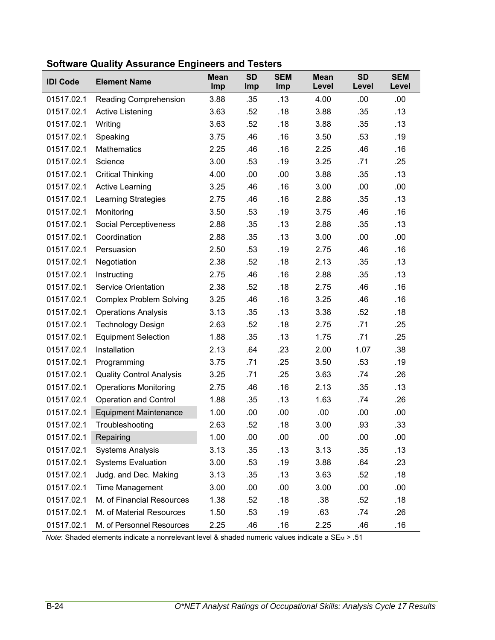| <b>IDI Code</b> | <b>Element Name</b>             | <b>Mean</b><br>Imp | <b>SD</b><br>Imp | <b>SEM</b><br>Imp | <b>Mean</b><br>Level | <b>SD</b><br>Level | <b>SEM</b><br>Level |
|-----------------|---------------------------------|--------------------|------------------|-------------------|----------------------|--------------------|---------------------|
| 01517.02.1      | <b>Reading Comprehension</b>    | 3.88               | .35              | .13               | 4.00                 | .00                | .00                 |
| 01517.02.1      | Active Listening                | 3.63               | .52              | .18               | 3.88                 | .35                | .13                 |
| 01517.02.1      | Writing                         | 3.63               | .52              | .18               | 3.88                 | .35                | .13                 |
| 01517.02.1      | Speaking                        | 3.75               | .46              | .16               | 3.50                 | .53                | .19                 |
| 01517.02.1      | <b>Mathematics</b>              | 2.25               | .46              | .16               | 2.25                 | .46                | .16                 |
| 01517.02.1      | Science                         | 3.00               | .53              | .19               | 3.25                 | .71                | .25                 |
| 01517.02.1      | <b>Critical Thinking</b>        | 4.00               | .00              | .00               | 3.88                 | .35                | .13                 |
| 01517.02.1      | <b>Active Learning</b>          | 3.25               | .46              | .16               | 3.00                 | .00                | .00                 |
| 01517.02.1      | Learning Strategies             | 2.75               | .46              | .16               | 2.88                 | .35                | .13                 |
| 01517.02.1      | Monitoring                      | 3.50               | .53              | .19               | 3.75                 | .46                | .16                 |
| 01517.02.1      | Social Perceptiveness           | 2.88               | .35              | .13               | 2.88                 | .35                | .13                 |
| 01517.02.1      | Coordination                    | 2.88               | .35              | .13               | 3.00                 | .00                | .00                 |
| 01517.02.1      | Persuasion                      | 2.50               | .53              | .19               | 2.75                 | .46                | .16                 |
| 01517.02.1      | Negotiation                     | 2.38               | .52              | .18               | 2.13                 | .35                | .13                 |
| 01517.02.1      | Instructing                     | 2.75               | .46              | .16               | 2.88                 | .35                | .13                 |
| 01517.02.1      | <b>Service Orientation</b>      | 2.38               | .52              | .18               | 2.75                 | .46                | .16                 |
| 01517.02.1      | <b>Complex Problem Solving</b>  | 3.25               | .46              | .16               | 3.25                 | .46                | .16                 |
| 01517.02.1      | <b>Operations Analysis</b>      | 3.13               | .35              | .13               | 3.38                 | .52                | .18                 |
| 01517.02.1      | <b>Technology Design</b>        | 2.63               | .52              | .18               | 2.75                 | .71                | .25                 |
| 01517.02.1      | <b>Equipment Selection</b>      | 1.88               | .35              | .13               | 1.75                 | .71                | .25                 |
| 01517.02.1      | Installation                    | 2.13               | .64              | .23               | 2.00                 | 1.07               | .38                 |
| 01517.02.1      | Programming                     | 3.75               | .71              | .25               | 3.50                 | .53                | .19                 |
| 01517.02.1      | <b>Quality Control Analysis</b> | 3.25               | .71              | .25               | 3.63                 | .74                | .26                 |
| 01517.02.1      | <b>Operations Monitoring</b>    | 2.75               | .46              | .16               | 2.13                 | .35                | .13                 |
| 01517.02.1      | <b>Operation and Control</b>    | 1.88               | .35              | .13               | 1.63                 | .74                | .26                 |
| 01517.02.1      | <b>Equipment Maintenance</b>    | 1.00               | .00              | .00               | .00                  | .00                | .00                 |
| 01517.02.1      | Troubleshooting                 | 2.63               | .52              | .18               | 3.00                 | .93                | .33                 |
| 01517.02.1      | Repairing                       | 1.00               | .00              | .00               | .00                  | .00                | .00                 |
| 01517.02.1      | <b>Systems Analysis</b>         | 3.13               | .35              | .13               | 3.13                 | .35                | .13                 |
| 01517.02.1      | <b>Systems Evaluation</b>       | 3.00               | .53              | .19               | 3.88                 | .64                | .23                 |
| 01517.02.1      | Judg. and Dec. Making           | 3.13               | .35              | .13               | 3.63                 | .52                | .18                 |
| 01517.02.1      | Time Management                 | 3.00               | .00              | .00               | 3.00                 | .00                | .00                 |
| 01517.02.1      | M. of Financial Resources       | 1.38               | .52              | .18               | .38                  | .52                | .18                 |
| 01517.02.1      | M. of Material Resources        | 1.50               | .53              | .19               | .63                  | .74                | .26                 |
| 01517.02.1      | M. of Personnel Resources       | 2.25               | .46              | .16               | 2.25                 | .46                | .16                 |

### **Software Quality Assurance Engineers and Testers**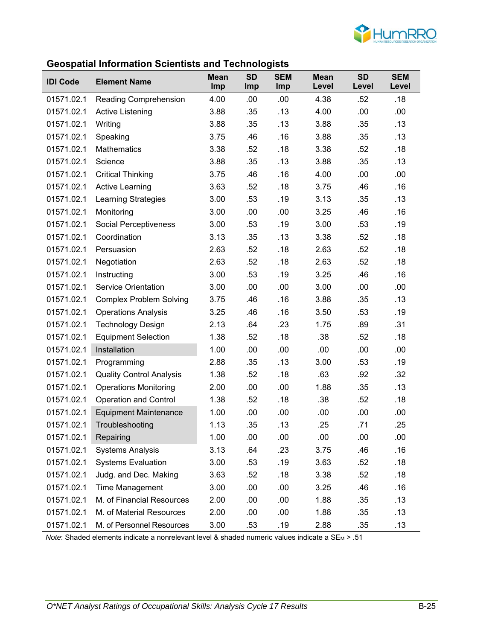

#### **Geospatial Information Scientists and Technologists**

| <b>IDI Code</b> | <b>Element Name</b>             | <b>Mean</b><br>Imp | <b>SD</b><br>Imp | <b>SEM</b><br>Imp | <b>Mean</b><br>Level | <b>SD</b><br>Level | <b>SEM</b><br>Level |
|-----------------|---------------------------------|--------------------|------------------|-------------------|----------------------|--------------------|---------------------|
| 01571.02.1      | Reading Comprehension           | 4.00               | .00              | .00               | 4.38                 | .52                | .18                 |
| 01571.02.1      | <b>Active Listening</b>         | 3.88               | .35              | .13               | 4.00                 | .00                | .00.                |
| 01571.02.1      | Writing                         | 3.88               | .35              | .13               | 3.88                 | .35                | .13                 |
| 01571.02.1      | Speaking                        | 3.75               | .46              | .16               | 3.88                 | .35                | .13                 |
| 01571.02.1      | Mathematics                     | 3.38               | .52              | .18               | 3.38                 | .52                | .18                 |
| 01571.02.1      | Science                         | 3.88               | .35              | .13               | 3.88                 | .35                | .13                 |
| 01571.02.1      | <b>Critical Thinking</b>        | 3.75               | .46              | .16               | 4.00                 | .00                | .00                 |
| 01571.02.1      | <b>Active Learning</b>          | 3.63               | .52              | .18               | 3.75                 | .46                | .16                 |
| 01571.02.1      | Learning Strategies             | 3.00               | .53              | .19               | 3.13                 | .35                | .13                 |
| 01571.02.1      | Monitoring                      | 3.00               | .00              | .00               | 3.25                 | .46                | .16                 |
| 01571.02.1      | <b>Social Perceptiveness</b>    | 3.00               | .53              | .19               | 3.00                 | .53                | .19                 |
| 01571.02.1      | Coordination                    | 3.13               | .35              | .13               | 3.38                 | .52                | .18                 |
| 01571.02.1      | Persuasion                      | 2.63               | .52              | .18               | 2.63                 | .52                | .18                 |
| 01571.02.1      | Negotiation                     | 2.63               | .52              | .18               | 2.63                 | .52                | .18                 |
| 01571.02.1      | Instructing                     | 3.00               | .53              | .19               | 3.25                 | .46                | .16                 |
| 01571.02.1      | <b>Service Orientation</b>      | 3.00               | .00              | .00               | 3.00                 | .00                | .00.                |
| 01571.02.1      | <b>Complex Problem Solving</b>  | 3.75               | .46              | .16               | 3.88                 | .35                | .13                 |
| 01571.02.1      | <b>Operations Analysis</b>      | 3.25               | .46              | .16               | 3.50                 | .53                | .19                 |
| 01571.02.1      | <b>Technology Design</b>        | 2.13               | .64              | .23               | 1.75                 | .89                | .31                 |
| 01571.02.1      | <b>Equipment Selection</b>      | 1.38               | .52              | .18               | .38                  | .52                | .18                 |
| 01571.02.1      | Installation                    | 1.00               | .00              | .00               | .00                  | .00                | .00                 |
| 01571.02.1      | Programming                     | 2.88               | .35              | .13               | 3.00                 | .53                | .19                 |
| 01571.02.1      | <b>Quality Control Analysis</b> | 1.38               | .52              | .18               | .63                  | .92                | .32                 |
| 01571.02.1      | <b>Operations Monitoring</b>    | 2.00               | .00              | .00               | 1.88                 | .35                | .13                 |
| 01571.02.1      | <b>Operation and Control</b>    | 1.38               | .52              | .18               | .38                  | .52                | .18                 |
| 01571.02.1      | <b>Equipment Maintenance</b>    | 1.00               | .00              | .00               | .00                  | .00                | .00                 |
| 01571.02.1      | Troubleshooting                 | 1.13               | .35              | .13               | .25                  | .71                | .25                 |
| 01571.02.1      | Repairing                       | 1.00               | .00              | .00               | .00                  | .00                | .00                 |
| 01571.02.1      | <b>Systems Analysis</b>         | 3.13               | .64              | .23               | 3.75                 | .46                | .16                 |
| 01571.02.1      | <b>Systems Evaluation</b>       | 3.00               | .53              | .19               | 3.63                 | .52                | .18                 |
| 01571.02.1      | Judg. and Dec. Making           | 3.63               | .52              | .18               | 3.38                 | .52                | .18                 |
| 01571.02.1      | Time Management                 | 3.00               | .00              | .00               | 3.25                 | .46                | .16                 |
| 01571.02.1      | M. of Financial Resources       | 2.00               | .00              | .00               | 1.88                 | .35                | .13                 |
| 01571.02.1      | M. of Material Resources        | 2.00               | .00              | .00               | 1.88                 | .35                | .13                 |
| 01571.02.1      | M. of Personnel Resources       | 3.00               | .53              | .19               | 2.88                 | .35                | .13                 |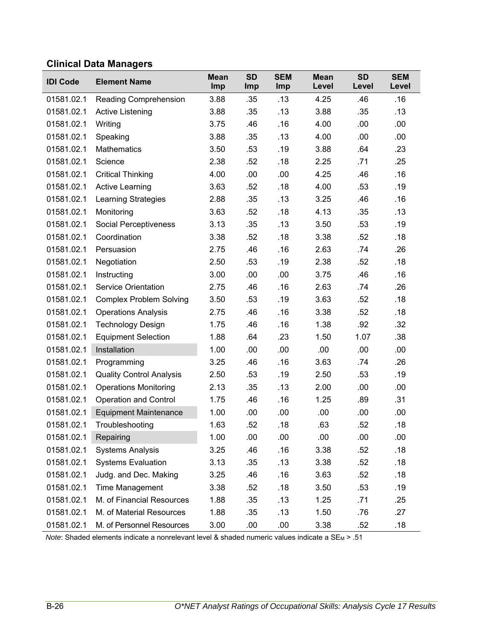# **Clinical Data Managers**

| <b>IDI Code</b> | <b>Element Name</b>             | <b>Mean</b><br>Imp | <b>SD</b><br><b>Imp</b> | <b>SEM</b><br>Imp | <b>Mean</b><br>Level | <b>SD</b><br>Level | <b>SEM</b><br>Level |
|-----------------|---------------------------------|--------------------|-------------------------|-------------------|----------------------|--------------------|---------------------|
| 01581.02.1      | <b>Reading Comprehension</b>    | 3.88               | .35                     | .13               | 4.25                 | .46                | .16                 |
| 01581.02.1      | <b>Active Listening</b>         | 3.88               | .35                     | .13               | 3.88                 | .35                | .13                 |
| 01581.02.1      | Writing                         | 3.75               | .46                     | .16               | 4.00                 | .00                | .00                 |
| 01581.02.1      | Speaking                        | 3.88               | .35                     | .13               | 4.00                 | .00                | .00                 |
| 01581.02.1      | <b>Mathematics</b>              | 3.50               | .53                     | .19               | 3.88                 | .64                | .23                 |
| 01581.02.1      | Science                         | 2.38               | .52                     | .18               | 2.25                 | .71                | .25                 |
| 01581.02.1      | <b>Critical Thinking</b>        | 4.00               | .00                     | .00               | 4.25                 | .46                | .16                 |
| 01581.02.1      | <b>Active Learning</b>          | 3.63               | .52                     | .18               | 4.00                 | .53                | .19                 |
| 01581.02.1      | <b>Learning Strategies</b>      | 2.88               | .35                     | .13               | 3.25                 | .46                | .16                 |
| 01581.02.1      | Monitoring                      | 3.63               | .52                     | .18               | 4.13                 | .35                | .13                 |
| 01581.02.1      | Social Perceptiveness           | 3.13               | .35                     | .13               | 3.50                 | .53                | .19                 |
| 01581.02.1      | Coordination                    | 3.38               | .52                     | .18               | 3.38                 | .52                | .18                 |
| 01581.02.1      | Persuasion                      | 2.75               | .46                     | .16               | 2.63                 | .74                | .26                 |
| 01581.02.1      | Negotiation                     | 2.50               | .53                     | .19               | 2.38                 | .52                | .18                 |
| 01581.02.1      | Instructing                     | 3.00               | .00                     | .00               | 3.75                 | .46                | .16                 |
| 01581.02.1      | <b>Service Orientation</b>      | 2.75               | .46                     | .16               | 2.63                 | .74                | .26                 |
| 01581.02.1      | <b>Complex Problem Solving</b>  | 3.50               | .53                     | .19               | 3.63                 | .52                | .18                 |
| 01581.02.1      | <b>Operations Analysis</b>      | 2.75               | .46                     | .16               | 3.38                 | .52                | .18                 |
| 01581.02.1      | <b>Technology Design</b>        | 1.75               | .46                     | .16               | 1.38                 | .92                | .32                 |
| 01581.02.1      | <b>Equipment Selection</b>      | 1.88               | .64                     | .23               | 1.50                 | 1.07               | .38                 |
| 01581.02.1      | Installation                    | 1.00               | .00                     | .00               | .00                  | .00                | .00                 |
| 01581.02.1      | Programming                     | 3.25               | .46                     | .16               | 3.63                 | .74                | .26                 |
| 01581.02.1      | <b>Quality Control Analysis</b> | 2.50               | .53                     | .19               | 2.50                 | .53                | .19                 |
| 01581.02.1      | <b>Operations Monitoring</b>    | 2.13               | .35                     | .13               | 2.00                 | .00                | .00                 |
| 01581.02.1      | <b>Operation and Control</b>    | 1.75               | .46                     | .16               | 1.25                 | .89                | .31                 |
| 01581.02.1      | <b>Equipment Maintenance</b>    | 1.00               | .00                     | .00               | .00                  | .00                | .00                 |
| 01581.02.1      | Troubleshooting                 | 1.63               | .52                     | .18               | .63                  | .52                | .18                 |
| 01581.02.1      | Repairing                       | 1.00               | .00                     | .00               | .00                  | .00                | .00                 |
| 01581.02.1      | <b>Systems Analysis</b>         | 3.25               | .46                     | .16               | 3.38                 | .52                | .18                 |
| 01581.02.1      | <b>Systems Evaluation</b>       | 3.13               | .35                     | .13               | 3.38                 | .52                | .18                 |
| 01581.02.1      | Judg. and Dec. Making           | 3.25               | .46                     | .16               | 3.63                 | .52                | .18                 |
| 01581.02.1      | Time Management                 | 3.38               | .52                     | .18               | 3.50                 | .53                | .19                 |
| 01581.02.1      | M. of Financial Resources       | 1.88               | .35                     | .13               | 1.25                 | .71                | .25                 |
| 01581.02.1      | M. of Material Resources        | 1.88               | .35                     | .13               | 1.50                 | .76                | .27                 |
| 01581.02.1      | M. of Personnel Resources       | 3.00               | .00                     | .00               | 3.38                 | .52                | .18                 |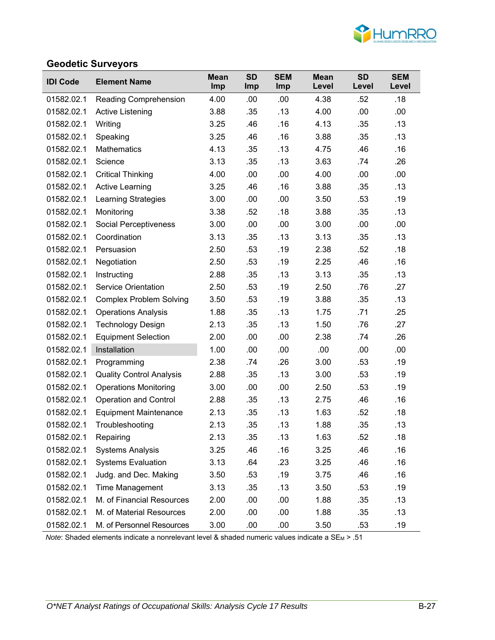

#### **Geodetic Surveyors**

| <b>IDI Code</b> | <b>Element Name</b>             | <b>Mean</b><br>Imp | <b>SD</b><br>Imp | <b>SEM</b><br>Imp | <b>Mean</b><br>Level | <b>SD</b><br>Level | <b>SEM</b><br>Level |
|-----------------|---------------------------------|--------------------|------------------|-------------------|----------------------|--------------------|---------------------|
| 01582.02.1      | <b>Reading Comprehension</b>    | 4.00               | .00              | .00               | 4.38                 | .52                | .18                 |
| 01582.02.1      | <b>Active Listening</b>         | 3.88               | .35              | .13               | 4.00                 | .00                | .00                 |
| 01582.02.1      | Writing                         | 3.25               | .46              | .16               | 4.13                 | .35                | .13                 |
| 01582.02.1      | Speaking                        | 3.25               | .46              | .16               | 3.88                 | .35                | .13                 |
| 01582.02.1      | <b>Mathematics</b>              | 4.13               | .35              | .13               | 4.75                 | .46                | .16                 |
| 01582.02.1      | Science                         | 3.13               | .35              | .13               | 3.63                 | .74                | .26                 |
| 01582.02.1      | <b>Critical Thinking</b>        | 4.00               | .00              | .00               | 4.00                 | .00                | .00                 |
| 01582.02.1      | <b>Active Learning</b>          | 3.25               | .46              | .16               | 3.88                 | .35                | .13                 |
| 01582.02.1      | <b>Learning Strategies</b>      | 3.00               | .00              | .00               | 3.50                 | .53                | .19                 |
| 01582.02.1      | Monitoring                      | 3.38               | .52              | .18               | 3.88                 | .35                | .13                 |
| 01582.02.1      | Social Perceptiveness           | 3.00               | .00              | .00               | 3.00                 | .00                | .00                 |
| 01582.02.1      | Coordination                    | 3.13               | .35              | .13               | 3.13                 | .35                | .13                 |
| 01582.02.1      | Persuasion                      | 2.50               | .53              | .19               | 2.38                 | .52                | .18                 |
| 01582.02.1      | Negotiation                     | 2.50               | .53              | .19               | 2.25                 | .46                | .16                 |
| 01582.02.1      | Instructing                     | 2.88               | .35              | .13               | 3.13                 | .35                | .13                 |
| 01582.02.1      | <b>Service Orientation</b>      | 2.50               | .53              | .19               | 2.50                 | .76                | .27                 |
| 01582.02.1      | <b>Complex Problem Solving</b>  | 3.50               | .53              | .19               | 3.88                 | .35                | .13                 |
| 01582.02.1      | <b>Operations Analysis</b>      | 1.88               | .35              | .13               | 1.75                 | .71                | .25                 |
| 01582.02.1      | <b>Technology Design</b>        | 2.13               | .35              | .13               | 1.50                 | .76                | .27                 |
| 01582.02.1      | <b>Equipment Selection</b>      | 2.00               | .00              | .00               | 2.38                 | .74                | .26                 |
| 01582.02.1      | Installation                    | 1.00               | .00              | .00               | .00                  | .00                | .00                 |
| 01582.02.1      | Programming                     | 2.38               | .74              | .26               | 3.00                 | .53                | .19                 |
| 01582.02.1      | <b>Quality Control Analysis</b> | 2.88               | .35              | .13               | 3.00                 | .53                | .19                 |
| 01582.02.1      | <b>Operations Monitoring</b>    | 3.00               | .00              | .00               | 2.50                 | .53                | .19                 |
| 01582.02.1      | <b>Operation and Control</b>    | 2.88               | .35              | .13               | 2.75                 | .46                | .16                 |
| 01582.02.1      | <b>Equipment Maintenance</b>    | 2.13               | .35              | .13               | 1.63                 | .52                | .18                 |
| 01582.02.1      | Troubleshooting                 | 2.13               | .35              | .13               | 1.88                 | .35                | .13                 |
| 01582.02.1      | Repairing                       | 2.13               | .35              | .13               | 1.63                 | .52                | .18                 |
| 01582.02.1      | <b>Systems Analysis</b>         | 3.25               | .46              | .16               | 3.25                 | .46                | .16                 |
| 01582.02.1      | <b>Systems Evaluation</b>       | 3.13               | .64              | .23               | 3.25                 | .46                | .16                 |
| 01582.02.1      | Judg. and Dec. Making           | 3.50               | .53              | .19               | 3.75                 | .46                | .16                 |
| 01582.02.1      | Time Management                 | 3.13               | .35              | .13               | 3.50                 | .53                | .19                 |
| 01582.02.1      | M. of Financial Resources       | 2.00               | .00              | .00               | 1.88                 | .35                | .13                 |
| 01582.02.1      | M. of Material Resources        | 2.00               | .00              | .00               | 1.88                 | .35                | .13                 |
| 01582.02.1      | M. of Personnel Resources       | 3.00               | .00              | .00               | 3.50                 | .53                | .19                 |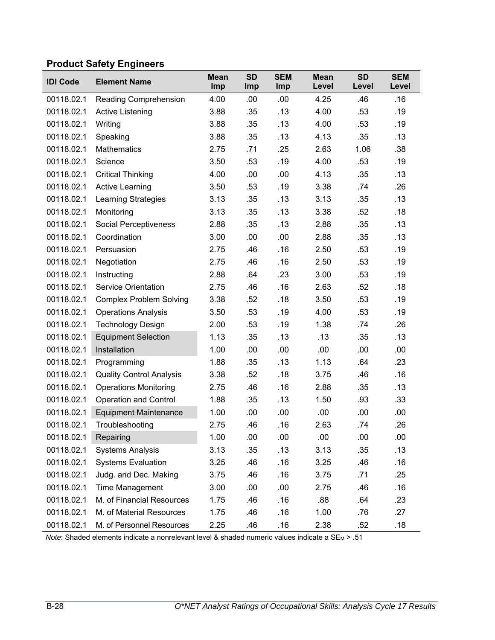# **Product Safety Engineers**

| <b>IDI Code</b> | <b>Element Name</b>             | <b>Mean</b><br>Imp | <b>SD</b><br>Imp | <b>SEM</b><br>Imp | <b>Mean</b><br>Level | <b>SD</b><br>Level | <b>SEM</b><br>Level |
|-----------------|---------------------------------|--------------------|------------------|-------------------|----------------------|--------------------|---------------------|
| 00118.02.1      | <b>Reading Comprehension</b>    | 4.00               | .00              | .00               | 4.25                 | .46                | .16                 |
| 00118.02.1      | <b>Active Listening</b>         | 3.88               | .35              | .13               | 4.00                 | .53                | .19                 |
| 00118.02.1      | Writing                         | 3.88               | .35              | .13               | 4.00                 | .53                | .19                 |
| 00118.02.1      | Speaking                        | 3.88               | .35              | .13               | 4.13                 | .35                | .13                 |
| 00118.02.1      | <b>Mathematics</b>              | 2.75               | .71              | .25               | 2.63                 | 1.06               | .38                 |
| 00118.02.1      | Science                         | 3.50               | .53              | .19               | 4.00                 | .53                | .19                 |
| 00118.02.1      | <b>Critical Thinking</b>        | 4.00               | .00              | .00               | 4.13                 | .35                | .13                 |
| 00118.02.1      | <b>Active Learning</b>          | 3.50               | .53              | .19               | 3.38                 | .74                | .26                 |
| 00118.02.1      | <b>Learning Strategies</b>      | 3.13               | .35              | .13               | 3.13                 | .35                | .13                 |
| 00118.02.1      | Monitoring                      | 3.13               | .35              | .13               | 3.38                 | .52                | .18                 |
| 00118.02.1      | <b>Social Perceptiveness</b>    | 2.88               | .35              | .13               | 2.88                 | .35                | .13                 |
| 00118.02.1      | Coordination                    | 3.00               | .00              | .00               | 2.88                 | .35                | .13                 |
| 00118.02.1      | Persuasion                      | 2.75               | .46              | .16               | 2.50                 | .53                | .19                 |
| 00118.02.1      | Negotiation                     | 2.75               | .46              | .16               | 2.50                 | .53                | .19                 |
| 00118.02.1      | Instructing                     | 2.88               | .64              | .23               | 3.00                 | .53                | .19                 |
| 00118.02.1      | <b>Service Orientation</b>      | 2.75               | .46              | .16               | 2.63                 | .52                | .18                 |
| 00118.02.1      | <b>Complex Problem Solving</b>  | 3.38               | .52              | .18               | 3.50                 | .53                | .19                 |
| 00118.02.1      | <b>Operations Analysis</b>      | 3.50               | .53              | .19               | 4.00                 | .53                | .19                 |
| 00118.02.1      | <b>Technology Design</b>        | 2.00               | .53              | .19               | 1.38                 | .74                | .26                 |
| 00118.02.1      | <b>Equipment Selection</b>      | 1.13               | .35              | .13               | .13                  | .35                | .13                 |
| 00118.02.1      | Installation                    | 1.00               | .00              | .00               | .00                  | .00                | .00                 |
| 00118.02.1      | Programming                     | 1.88               | .35              | .13               | 1.13                 | .64                | .23                 |
| 00118.02.1      | <b>Quality Control Analysis</b> | 3.38               | .52              | .18               | 3.75                 | .46                | .16                 |
| 00118.02.1      | <b>Operations Monitoring</b>    | 2.75               | .46              | .16               | 2.88                 | .35                | .13                 |
| 00118.02.1      | <b>Operation and Control</b>    | 1.88               | .35              | .13               | 1.50                 | .93                | .33                 |
| 00118.02.1      | <b>Equipment Maintenance</b>    | 1.00               | .00              | .00               | .00                  | .00                | .00                 |
| 00118.02.1      | Troubleshooting                 | 2.75               | .46              | .16               | 2.63                 | .74                | .26                 |
| 00118.02.1      | Repairing                       | 1.00               | .00              | .00               | .00                  | .00                | .00                 |
| 00118.02.1      | <b>Systems Analysis</b>         | 3.13               | .35              | .13               | 3.13                 | .35                | .13                 |
| 00118.02.1      | <b>Systems Evaluation</b>       | 3.25               | .46              | .16               | 3.25                 | .46                | .16                 |
| 00118.02.1      | Judg. and Dec. Making           | 3.75               | .46              | .16               | 3.75                 | .71                | .25                 |
| 00118.02.1      | Time Management                 | 3.00               | .00              | .00               | 2.75                 | .46                | .16                 |
| 00118.02.1      | M. of Financial Resources       | 1.75               | .46              | .16               | .88                  | .64                | .23                 |
| 00118.02.1      | M. of Material Resources        | 1.75               | .46              | .16               | 1.00                 | .76                | .27                 |
| 00118.02.1      | M. of Personnel Resources       | 2.25               | .46              | .16               | 2.38                 | .52                | .18                 |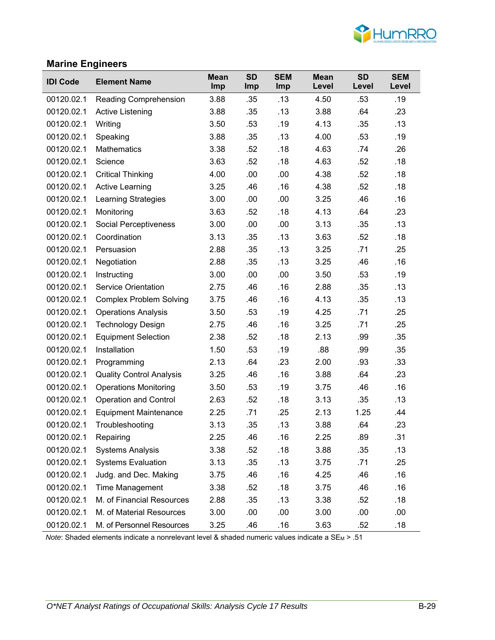

### **Marine Engineers**

| <b>IDI Code</b> | <b>Element Name</b>             | <b>Mean</b><br>Imp | <b>SD</b><br><b>Imp</b> | <b>SEM</b><br>Imp | <b>Mean</b><br>Level | <b>SD</b><br>Level | <b>SEM</b><br>Level |
|-----------------|---------------------------------|--------------------|-------------------------|-------------------|----------------------|--------------------|---------------------|
| 00120.02.1      | Reading Comprehension           | 3.88               | .35                     | .13               | 4.50                 | .53                | .19                 |
| 00120.02.1      | <b>Active Listening</b>         | 3.88               | .35                     | .13               | 3.88                 | .64                | .23                 |
| 00120.02.1      | Writing                         | 3.50               | .53                     | .19               | 4.13                 | .35                | .13                 |
| 00120.02.1      | Speaking                        | 3.88               | .35                     | .13               | 4.00                 | .53                | .19                 |
| 00120.02.1      | <b>Mathematics</b>              | 3.38               | .52                     | .18               | 4.63                 | .74                | .26                 |
| 00120.02.1      | Science                         | 3.63               | .52                     | .18               | 4.63                 | .52                | .18                 |
| 00120.02.1      | <b>Critical Thinking</b>        | 4.00               | .00                     | .00               | 4.38                 | .52                | .18                 |
| 00120.02.1      | <b>Active Learning</b>          | 3.25               | .46                     | .16               | 4.38                 | .52                | .18                 |
| 00120.02.1      | <b>Learning Strategies</b>      | 3.00               | .00                     | .00               | 3.25                 | .46                | .16                 |
| 00120.02.1      | Monitoring                      | 3.63               | .52                     | .18               | 4.13                 | .64                | .23                 |
| 00120.02.1      | Social Perceptiveness           | 3.00               | .00                     | .00               | 3.13                 | .35                | .13                 |
| 00120.02.1      | Coordination                    | 3.13               | .35                     | .13               | 3.63                 | .52                | .18                 |
| 00120.02.1      | Persuasion                      | 2.88               | .35                     | .13               | 3.25                 | .71                | .25                 |
| 00120.02.1      | Negotiation                     | 2.88               | .35                     | .13               | 3.25                 | .46                | .16                 |
| 00120.02.1      | Instructing                     | 3.00               | .00                     | .00               | 3.50                 | .53                | .19                 |
| 00120.02.1      | <b>Service Orientation</b>      | 2.75               | .46                     | .16               | 2.88                 | .35                | .13                 |
| 00120.02.1      | <b>Complex Problem Solving</b>  | 3.75               | .46                     | .16               | 4.13                 | .35                | .13                 |
| 00120.02.1      | <b>Operations Analysis</b>      | 3.50               | .53                     | .19               | 4.25                 | .71                | .25                 |
| 00120.02.1      | <b>Technology Design</b>        | 2.75               | .46                     | .16               | 3.25                 | .71                | .25                 |
| 00120.02.1      | <b>Equipment Selection</b>      | 2.38               | .52                     | .18               | 2.13                 | .99                | .35                 |
| 00120.02.1      | Installation                    | 1.50               | .53                     | .19               | .88                  | .99                | .35                 |
| 00120.02.1      | Programming                     | 2.13               | .64                     | .23               | 2.00                 | .93                | .33                 |
| 00120.02.1      | <b>Quality Control Analysis</b> | 3.25               | .46                     | .16               | 3.88                 | .64                | .23                 |
| 00120.02.1      | <b>Operations Monitoring</b>    | 3.50               | .53                     | .19               | 3.75                 | .46                | .16                 |
| 00120.02.1      | <b>Operation and Control</b>    | 2.63               | .52                     | .18               | 3.13                 | .35                | .13                 |
| 00120.02.1      | <b>Equipment Maintenance</b>    | 2.25               | .71                     | .25               | 2.13                 | 1.25               | .44                 |
| 00120.02.1      | Troubleshooting                 | 3.13               | .35                     | .13               | 3.88                 | .64                | .23                 |
| 00120.02.1      | Repairing                       | 2.25               | .46                     | .16               | 2.25                 | .89                | .31                 |
| 00120.02.1      | <b>Systems Analysis</b>         | 3.38               | .52                     | .18               | 3.88                 | .35                | .13                 |
| 00120.02.1      | <b>Systems Evaluation</b>       | 3.13               | .35                     | .13               | 3.75                 | .71                | .25                 |
| 00120.02.1      | Judg. and Dec. Making           | 3.75               | .46                     | .16               | 4.25                 | .46                | .16                 |
| 00120.02.1      | Time Management                 | 3.38               | .52                     | .18               | 3.75                 | .46                | .16                 |
| 00120.02.1      | M. of Financial Resources       | 2.88               | .35                     | .13               | 3.38                 | .52                | .18                 |
| 00120.02.1      | M. of Material Resources        | 3.00               | .00                     | .00               | 3.00                 | .00                | .00                 |
| 00120.02.1      | M. of Personnel Resources       | 3.25               | .46                     | .16               | 3.63                 | .52                | .18                 |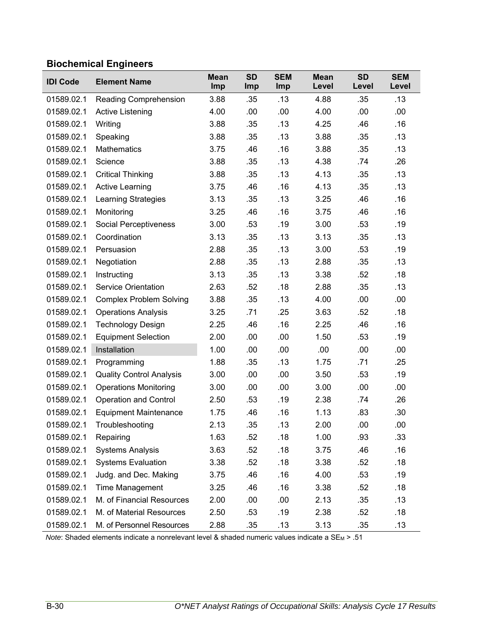# **Biochemical Engineers**

| <b>IDI Code</b> | <b>Element Name</b>             | <b>Mean</b><br>Imp | <b>SD</b><br><b>Imp</b> | <b>SEM</b><br>Imp | <b>Mean</b><br>Level | <b>SD</b><br>Level | <b>SEM</b><br>Level |
|-----------------|---------------------------------|--------------------|-------------------------|-------------------|----------------------|--------------------|---------------------|
| 01589.02.1      | <b>Reading Comprehension</b>    | 3.88               | .35                     | .13               | 4.88                 | .35                | .13                 |
| 01589.02.1      | Active Listening                | 4.00               | .00                     | .00               | 4.00                 | .00                | .00                 |
| 01589.02.1      | Writing                         | 3.88               | .35                     | .13               | 4.25                 | .46                | .16                 |
| 01589.02.1      | Speaking                        | 3.88               | .35                     | .13               | 3.88                 | .35                | .13                 |
| 01589.02.1      | <b>Mathematics</b>              | 3.75               | .46                     | .16               | 3.88                 | .35                | .13                 |
| 01589.02.1      | Science                         | 3.88               | .35                     | .13               | 4.38                 | .74                | .26                 |
| 01589.02.1      | <b>Critical Thinking</b>        | 3.88               | .35                     | .13               | 4.13                 | .35                | .13                 |
| 01589.02.1      | <b>Active Learning</b>          | 3.75               | .46                     | .16               | 4.13                 | .35                | .13                 |
| 01589.02.1      | <b>Learning Strategies</b>      | 3.13               | .35                     | .13               | 3.25                 | .46                | .16                 |
| 01589.02.1      | Monitoring                      | 3.25               | .46                     | .16               | 3.75                 | .46                | .16                 |
| 01589.02.1      | <b>Social Perceptiveness</b>    | 3.00               | .53                     | .19               | 3.00                 | .53                | .19                 |
| 01589.02.1      | Coordination                    | 3.13               | .35                     | .13               | 3.13                 | .35                | .13                 |
| 01589.02.1      | Persuasion                      | 2.88               | .35                     | .13               | 3.00                 | .53                | .19                 |
| 01589.02.1      | Negotiation                     | 2.88               | .35                     | .13               | 2.88                 | .35                | .13                 |
| 01589.02.1      | Instructing                     | 3.13               | .35                     | .13               | 3.38                 | .52                | .18                 |
| 01589.02.1      | <b>Service Orientation</b>      | 2.63               | .52                     | .18               | 2.88                 | .35                | .13                 |
| 01589.02.1      | <b>Complex Problem Solving</b>  | 3.88               | .35                     | .13               | 4.00                 | .00                | .00                 |
| 01589.02.1      | <b>Operations Analysis</b>      | 3.25               | .71                     | .25               | 3.63                 | .52                | .18                 |
| 01589.02.1      | <b>Technology Design</b>        | 2.25               | .46                     | .16               | 2.25                 | .46                | .16                 |
| 01589.02.1      | <b>Equipment Selection</b>      | 2.00               | .00                     | .00               | 1.50                 | .53                | .19                 |
| 01589.02.1      | Installation                    | 1.00               | .00                     | .00               | .00                  | .00                | .00                 |
| 01589.02.1      | Programming                     | 1.88               | .35                     | .13               | 1.75                 | .71                | .25                 |
| 01589.02.1      | <b>Quality Control Analysis</b> | 3.00               | .00                     | .00               | 3.50                 | .53                | .19                 |
| 01589.02.1      | <b>Operations Monitoring</b>    | 3.00               | .00                     | .00               | 3.00                 | .00                | .00                 |
| 01589.02.1      | <b>Operation and Control</b>    | 2.50               | .53                     | .19               | 2.38                 | .74                | .26                 |
| 01589.02.1      | <b>Equipment Maintenance</b>    | 1.75               | .46                     | .16               | 1.13                 | .83                | .30                 |
| 01589.02.1      | Troubleshooting                 | 2.13               | .35                     | .13               | 2.00                 | .00                | .00                 |
| 01589.02.1      | Repairing                       | 1.63               | .52                     | .18               | 1.00                 | .93                | .33                 |
| 01589.02.1      | <b>Systems Analysis</b>         | 3.63               | .52                     | .18               | 3.75                 | .46                | .16                 |
| 01589.02.1      | <b>Systems Evaluation</b>       | 3.38               | .52                     | .18               | 3.38                 | .52                | .18                 |
| 01589.02.1      | Judg. and Dec. Making           | 3.75               | .46                     | .16               | 4.00                 | .53                | .19                 |
| 01589.02.1      | <b>Time Management</b>          | 3.25               | .46                     | .16               | 3.38                 | .52                | .18                 |
| 01589.02.1      | M. of Financial Resources       | 2.00               | .00                     | .00               | 2.13                 | .35                | .13                 |
| 01589.02.1      | M. of Material Resources        | 2.50               | .53                     | .19               | 2.38                 | .52                | .18                 |
| 01589.02.1      | M. of Personnel Resources       | 2.88               | .35                     | .13               | 3.13                 | .35                | .13                 |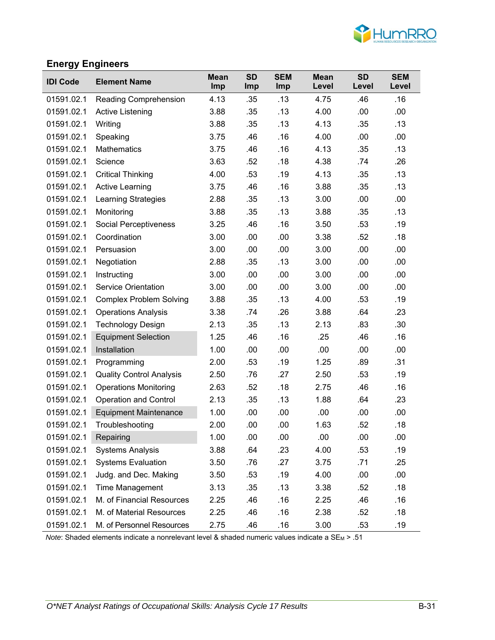

# **Energy Engineers**

| <b>IDI Code</b> | <b>Element Name</b>             | <b>Mean</b><br>Imp | <b>SD</b><br>Imp | <b>SEM</b><br>Imp | <b>Mean</b><br>Level | <b>SD</b><br>Level | <b>SEM</b><br>Level |
|-----------------|---------------------------------|--------------------|------------------|-------------------|----------------------|--------------------|---------------------|
| 01591.02.1      | <b>Reading Comprehension</b>    | 4.13               | .35              | .13               | 4.75                 | .46                | .16                 |
| 01591.02.1      | <b>Active Listening</b>         | 3.88               | .35              | .13               | 4.00                 | .00                | .00                 |
| 01591.02.1      | Writing                         | 3.88               | .35              | .13               | 4.13                 | .35                | .13                 |
| 01591.02.1      | Speaking                        | 3.75               | .46              | .16               | 4.00                 | .00                | .00                 |
| 01591.02.1      | <b>Mathematics</b>              | 3.75               | .46              | .16               | 4.13                 | .35                | .13                 |
| 01591.02.1      | Science                         | 3.63               | .52              | .18               | 4.38                 | .74                | .26                 |
| 01591.02.1      | <b>Critical Thinking</b>        | 4.00               | .53              | .19               | 4.13                 | .35                | .13                 |
| 01591.02.1      | <b>Active Learning</b>          | 3.75               | .46              | .16               | 3.88                 | .35                | .13                 |
| 01591.02.1      | <b>Learning Strategies</b>      | 2.88               | .35              | .13               | 3.00                 | .00                | .00                 |
| 01591.02.1      | Monitoring                      | 3.88               | .35              | .13               | 3.88                 | .35                | .13                 |
| 01591.02.1      | Social Perceptiveness           | 3.25               | .46              | .16               | 3.50                 | .53                | .19                 |
| 01591.02.1      | Coordination                    | 3.00               | .00              | .00               | 3.38                 | .52                | .18                 |
| 01591.02.1      | Persuasion                      | 3.00               | .00              | .00               | 3.00                 | .00                | .00                 |
| 01591.02.1      | Negotiation                     | 2.88               | .35              | .13               | 3.00                 | .00                | .00                 |
| 01591.02.1      | Instructing                     | 3.00               | .00              | .00               | 3.00                 | .00                | .00                 |
| 01591.02.1      | <b>Service Orientation</b>      | 3.00               | .00              | .00               | 3.00                 | .00                | .00                 |
| 01591.02.1      | <b>Complex Problem Solving</b>  | 3.88               | .35              | .13               | 4.00                 | .53                | .19                 |
| 01591.02.1      | <b>Operations Analysis</b>      | 3.38               | .74              | .26               | 3.88                 | .64                | .23                 |
| 01591.02.1      | <b>Technology Design</b>        | 2.13               | .35              | .13               | 2.13                 | .83                | .30                 |
| 01591.02.1      | <b>Equipment Selection</b>      | 1.25               | .46              | .16               | .25                  | .46                | .16                 |
| 01591.02.1      | Installation                    | 1.00               | .00              | .00               | .00                  | .00                | .00                 |
| 01591.02.1      | Programming                     | 2.00               | .53              | .19               | 1.25                 | .89                | .31                 |
| 01591.02.1      | <b>Quality Control Analysis</b> | 2.50               | .76              | .27               | 2.50                 | .53                | .19                 |
| 01591.02.1      | <b>Operations Monitoring</b>    | 2.63               | .52              | .18               | 2.75                 | .46                | .16                 |
| 01591.02.1      | <b>Operation and Control</b>    | 2.13               | .35              | .13               | 1.88                 | .64                | .23                 |
| 01591.02.1      | <b>Equipment Maintenance</b>    | 1.00               | .00              | .00               | .00                  | .00                | .00                 |
| 01591.02.1      | Troubleshooting                 | 2.00               | .00              | .00               | 1.63                 | .52                | .18                 |
| 01591.02.1      | Repairing                       | 1.00               | .00              | .00               | .00                  | .00                | .00                 |
| 01591.02.1      | <b>Systems Analysis</b>         | 3.88               | .64              | .23               | 4.00                 | .53                | .19                 |
| 01591.02.1      | <b>Systems Evaluation</b>       | 3.50               | .76              | .27               | 3.75                 | .71                | .25                 |
| 01591.02.1      | Judg. and Dec. Making           | 3.50               | .53              | .19               | 4.00                 | .00                | .00                 |
| 01591.02.1      | <b>Time Management</b>          | 3.13               | .35              | .13               | 3.38                 | .52                | .18                 |
| 01591.02.1      | M. of Financial Resources       | 2.25               | .46              | .16               | 2.25                 | .46                | .16                 |
| 01591.02.1      | M. of Material Resources        | 2.25               | .46              | .16               | 2.38                 | .52                | .18                 |
| 01591.02.1      | M. of Personnel Resources       | 2.75               | .46              | .16               | 3.00                 | .53                | .19                 |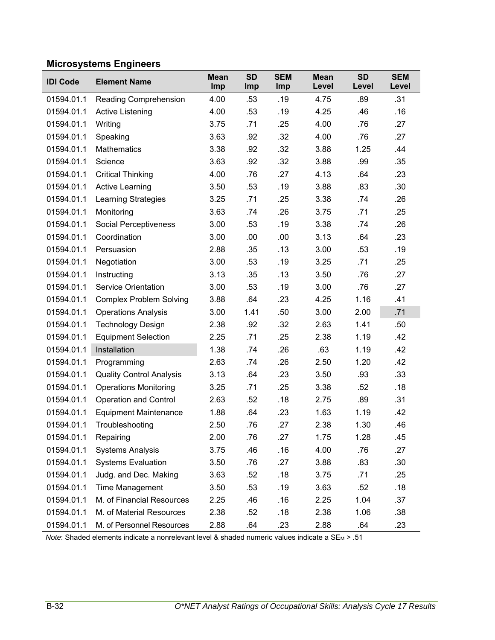# **Microsystems Engineers**

| <b>IDI Code</b> | <b>Element Name</b>             | <b>Mean</b><br>Imp | <b>SD</b><br>Imp | <b>SEM</b><br>Imp | <b>Mean</b><br>Level | <b>SD</b><br>Level | <b>SEM</b><br>Level |
|-----------------|---------------------------------|--------------------|------------------|-------------------|----------------------|--------------------|---------------------|
| 01594.01.1      | Reading Comprehension           | 4.00               | .53              | .19               | 4.75                 | .89                | .31                 |
| 01594.01.1      | <b>Active Listening</b>         | 4.00               | .53              | .19               | 4.25                 | .46                | .16                 |
| 01594.01.1      | Writing                         | 3.75               | .71              | .25               | 4.00                 | .76                | .27                 |
| 01594.01.1      | Speaking                        | 3.63               | .92              | .32               | 4.00                 | .76                | .27                 |
| 01594.01.1      | Mathematics                     | 3.38               | .92              | .32               | 3.88                 | 1.25               | .44                 |
| 01594.01.1      | Science                         | 3.63               | .92              | .32               | 3.88                 | .99                | .35                 |
| 01594.01.1      | <b>Critical Thinking</b>        | 4.00               | .76              | .27               | 4.13                 | .64                | .23                 |
| 01594.01.1      | <b>Active Learning</b>          | 3.50               | .53              | .19               | 3.88                 | .83                | .30                 |
| 01594.01.1      | <b>Learning Strategies</b>      | 3.25               | .71              | .25               | 3.38                 | .74                | .26                 |
| 01594.01.1      | Monitoring                      | 3.63               | .74              | .26               | 3.75                 | .71                | .25                 |
| 01594.01.1      | Social Perceptiveness           | 3.00               | .53              | .19               | 3.38                 | .74                | .26                 |
| 01594.01.1      | Coordination                    | 3.00               | .00              | .00               | 3.13                 | .64                | .23                 |
| 01594.01.1      | Persuasion                      | 2.88               | .35              | .13               | 3.00                 | .53                | .19                 |
| 01594.01.1      | Negotiation                     | 3.00               | .53              | .19               | 3.25                 | .71                | .25                 |
| 01594.01.1      | Instructing                     | 3.13               | .35              | .13               | 3.50                 | .76                | .27                 |
| 01594.01.1      | <b>Service Orientation</b>      | 3.00               | .53              | .19               | 3.00                 | .76                | .27                 |
| 01594.01.1      | <b>Complex Problem Solving</b>  | 3.88               | .64              | .23               | 4.25                 | 1.16               | .41                 |
| 01594.01.1      | <b>Operations Analysis</b>      | 3.00               | 1.41             | .50               | 3.00                 | 2.00               | .71                 |
| 01594.01.1      | <b>Technology Design</b>        | 2.38               | .92              | .32               | 2.63                 | 1.41               | .50                 |
| 01594.01.1      | <b>Equipment Selection</b>      | 2.25               | .71              | .25               | 2.38                 | 1.19               | .42                 |
| 01594.01.1      | Installation                    | 1.38               | .74              | .26               | .63                  | 1.19               | .42                 |
| 01594.01.1      | Programming                     | 2.63               | .74              | .26               | 2.50                 | 1.20               | .42                 |
| 01594.01.1      | <b>Quality Control Analysis</b> | 3.13               | .64              | .23               | 3.50                 | .93                | .33                 |
| 01594.01.1      | <b>Operations Monitoring</b>    | 3.25               | .71              | .25               | 3.38                 | .52                | .18                 |
| 01594.01.1      | <b>Operation and Control</b>    | 2.63               | .52              | .18               | 2.75                 | .89                | .31                 |
| 01594.01.1      | <b>Equipment Maintenance</b>    | 1.88               | .64              | .23               | 1.63                 | 1.19               | .42                 |
| 01594.01.1      | Troubleshooting                 | 2.50               | .76              | .27               | 2.38                 | 1.30               | .46                 |
| 01594.01.1      | Repairing                       | 2.00               | .76              | .27               | 1.75                 | 1.28               | .45                 |
| 01594.01.1      | <b>Systems Analysis</b>         | 3.75               | .46              | .16               | 4.00                 | .76                | .27                 |
| 01594.01.1      | <b>Systems Evaluation</b>       | 3.50               | .76              | .27               | 3.88                 | .83                | .30                 |
| 01594.01.1      | Judg. and Dec. Making           | 3.63               | .52              | .18               | 3.75                 | .71                | .25                 |
| 01594.01.1      | <b>Time Management</b>          | 3.50               | .53              | .19               | 3.63                 | .52                | .18                 |
| 01594.01.1      | M. of Financial Resources       | 2.25               | .46              | .16               | 2.25                 | 1.04               | .37                 |
| 01594.01.1      | M. of Material Resources        | 2.38               | .52              | .18               | 2.38                 | 1.06               | .38                 |
| 01594.01.1      | M. of Personnel Resources       | 2.88               | .64              | .23               | 2.88                 | .64                | .23                 |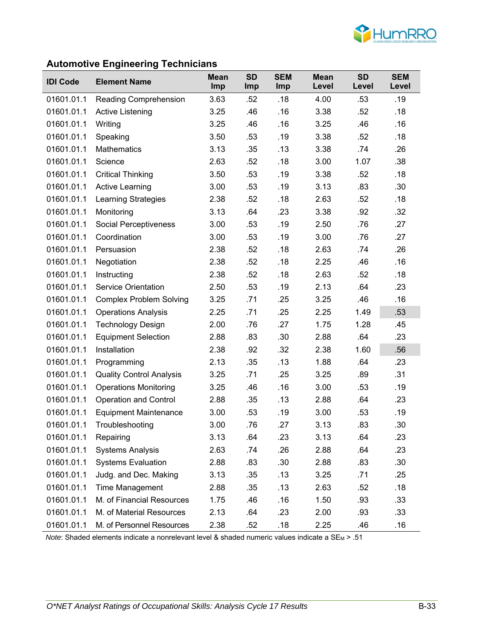

# **Automotive Engineering Technicians**

| <b>IDI Code</b> | <b>Element Name</b>             | <b>Mean</b><br>Imp | <b>SD</b><br>Imp | <b>SEM</b><br>Imp | <b>Mean</b><br>Level | <b>SD</b><br>Level | <b>SEM</b><br>Level |
|-----------------|---------------------------------|--------------------|------------------|-------------------|----------------------|--------------------|---------------------|
| 01601.01.1      | <b>Reading Comprehension</b>    | 3.63               | .52              | .18               | 4.00                 | .53                | .19                 |
| 01601.01.1      | Active Listening                | 3.25               | .46              | .16               | 3.38                 | .52                | .18                 |
| 01601.01.1      | Writing                         | 3.25               | .46              | .16               | 3.25                 | .46                | .16                 |
| 01601.01.1      | Speaking                        | 3.50               | .53              | .19               | 3.38                 | .52                | .18                 |
| 01601.01.1      | Mathematics                     | 3.13               | .35              | .13               | 3.38                 | .74                | .26                 |
| 01601.01.1      | Science                         | 2.63               | .52              | .18               | 3.00                 | 1.07               | .38                 |
| 01601.01.1      | <b>Critical Thinking</b>        | 3.50               | .53              | .19               | 3.38                 | .52                | .18                 |
| 01601.01.1      | <b>Active Learning</b>          | 3.00               | .53              | .19               | 3.13                 | .83                | .30 <sub>1</sub>    |
| 01601.01.1      | Learning Strategies             | 2.38               | .52              | .18               | 2.63                 | .52                | .18                 |
| 01601.01.1      | Monitoring                      | 3.13               | .64              | .23               | 3.38                 | .92                | .32                 |
| 01601.01.1      | <b>Social Perceptiveness</b>    | 3.00               | .53              | .19               | 2.50                 | .76                | .27                 |
| 01601.01.1      | Coordination                    | 3.00               | .53              | .19               | 3.00                 | .76                | .27                 |
| 01601.01.1      | Persuasion                      | 2.38               | .52              | .18               | 2.63                 | .74                | .26                 |
| 01601.01.1      | Negotiation                     | 2.38               | .52              | .18               | 2.25                 | .46                | .16                 |
| 01601.01.1      | Instructing                     | 2.38               | .52              | .18               | 2.63                 | .52                | .18                 |
| 01601.01.1      | <b>Service Orientation</b>      | 2.50               | .53              | .19               | 2.13                 | .64                | .23                 |
| 01601.01.1      | <b>Complex Problem Solving</b>  | 3.25               | .71              | .25               | 3.25                 | .46                | .16                 |
| 01601.01.1      | <b>Operations Analysis</b>      | 2.25               | .71              | .25               | 2.25                 | 1.49               | .53                 |
| 01601.01.1      | <b>Technology Design</b>        | 2.00               | .76              | .27               | 1.75                 | 1.28               | .45                 |
| 01601.01.1      | <b>Equipment Selection</b>      | 2.88               | .83              | .30               | 2.88                 | .64                | .23                 |
| 01601.01.1      | Installation                    | 2.38               | .92              | .32               | 2.38                 | 1.60               | .56                 |
| 01601.01.1      | Programming                     | 2.13               | .35              | .13               | 1.88                 | .64                | .23                 |
| 01601.01.1      | <b>Quality Control Analysis</b> | 3.25               | .71              | .25               | 3.25                 | .89                | .31                 |
| 01601.01.1      | <b>Operations Monitoring</b>    | 3.25               | .46              | .16               | 3.00                 | .53                | .19                 |
| 01601.01.1      | <b>Operation and Control</b>    | 2.88               | .35              | .13               | 2.88                 | .64                | .23                 |
| 01601.01.1      | <b>Equipment Maintenance</b>    | 3.00               | .53              | .19               | 3.00                 | .53                | .19                 |
| 01601.01.1      | Troubleshooting                 | 3.00               | .76              | .27               | 3.13                 | .83                | .30                 |
| 01601.01.1      | Repairing                       | 3.13               | .64              | .23               | 3.13                 | .64                | .23                 |
| 01601.01.1      | <b>Systems Analysis</b>         | 2.63               | .74              | .26               | 2.88                 | .64                | .23                 |
| 01601.01.1      | <b>Systems Evaluation</b>       | 2.88               | .83              | .30               | 2.88                 | .83                | .30 <sub>1</sub>    |
| 01601.01.1      | Judg. and Dec. Making           | 3.13               | .35              | .13               | 3.25                 | .71                | .25                 |
| 01601.01.1      | Time Management                 | 2.88               | .35              | .13               | 2.63                 | .52                | .18                 |
| 01601.01.1      | M. of Financial Resources       | 1.75               | .46              | .16               | 1.50                 | .93                | .33                 |
| 01601.01.1      | M. of Material Resources        | 2.13               | .64              | .23               | 2.00                 | .93                | .33                 |
| 01601.01.1      | M. of Personnel Resources       | 2.38               | .52              | .18               | 2.25                 | .46                | .16                 |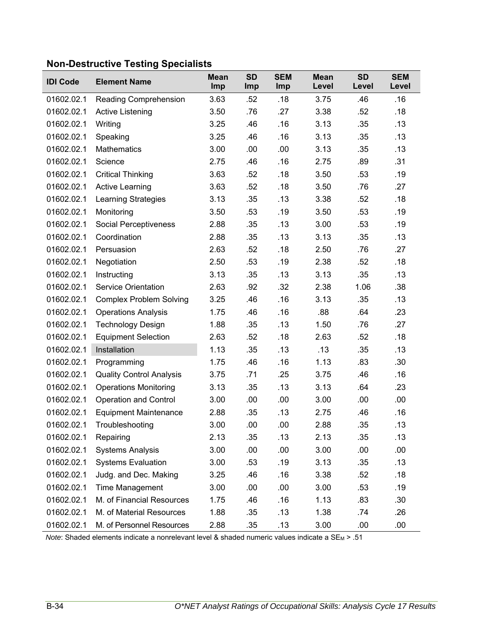| <b>IDI Code</b> | <b>Element Name</b>             | <b>Mean</b><br>Imp | <b>SD</b><br>Imp | <b>SEM</b><br>Imp | <b>Mean</b><br>Level | <b>SD</b><br>Level | <b>SEM</b><br>Level |
|-----------------|---------------------------------|--------------------|------------------|-------------------|----------------------|--------------------|---------------------|
| 01602.02.1      | Reading Comprehension           | 3.63               | .52              | .18               | 3.75                 | .46                | .16                 |
| 01602.02.1      | Active Listening                | 3.50               | .76              | .27               | 3.38                 | .52                | .18                 |
| 01602.02.1      | Writing                         | 3.25               | .46              | .16               | 3.13                 | .35                | .13                 |
| 01602.02.1      | Speaking                        | 3.25               | .46              | .16               | 3.13                 | .35                | .13                 |
| 01602.02.1      | <b>Mathematics</b>              | 3.00               | .00              | .00               | 3.13                 | .35                | .13                 |
| 01602.02.1      | Science                         | 2.75               | .46              | .16               | 2.75                 | .89                | .31                 |
| 01602.02.1      | <b>Critical Thinking</b>        | 3.63               | .52              | .18               | 3.50                 | .53                | .19                 |
| 01602.02.1      | <b>Active Learning</b>          | 3.63               | .52              | .18               | 3.50                 | .76                | .27                 |
| 01602.02.1      | <b>Learning Strategies</b>      | 3.13               | .35              | .13               | 3.38                 | .52                | .18                 |
| 01602.02.1      | Monitoring                      | 3.50               | .53              | .19               | 3.50                 | .53                | .19                 |
| 01602.02.1      | Social Perceptiveness           | 2.88               | .35              | .13               | 3.00                 | .53                | .19                 |
| 01602.02.1      | Coordination                    | 2.88               | .35              | .13               | 3.13                 | .35                | .13                 |
| 01602.02.1      | Persuasion                      | 2.63               | .52              | .18               | 2.50                 | .76                | .27                 |
| 01602.02.1      | Negotiation                     | 2.50               | .53              | .19               | 2.38                 | .52                | .18                 |
| 01602.02.1      | Instructing                     | 3.13               | .35              | .13               | 3.13                 | .35                | .13                 |
| 01602.02.1      | <b>Service Orientation</b>      | 2.63               | .92              | .32               | 2.38                 | 1.06               | .38                 |
| 01602.02.1      | <b>Complex Problem Solving</b>  | 3.25               | .46              | .16               | 3.13                 | .35                | .13                 |
| 01602.02.1      | <b>Operations Analysis</b>      | 1.75               | .46              | .16               | .88                  | .64                | .23                 |
| 01602.02.1      | <b>Technology Design</b>        | 1.88               | .35              | .13               | 1.50                 | .76                | .27                 |
| 01602.02.1      | <b>Equipment Selection</b>      | 2.63               | .52              | .18               | 2.63                 | .52                | .18                 |
| 01602.02.1      | Installation                    | 1.13               | .35              | .13               | .13                  | .35                | .13                 |
| 01602.02.1      | Programming                     | 1.75               | .46              | .16               | 1.13                 | .83                | .30                 |
| 01602.02.1      | <b>Quality Control Analysis</b> | 3.75               | .71              | .25               | 3.75                 | .46                | .16                 |
| 01602.02.1      | <b>Operations Monitoring</b>    | 3.13               | .35              | .13               | 3.13                 | .64                | .23                 |
| 01602.02.1      | <b>Operation and Control</b>    | 3.00               | .00              | .00               | 3.00                 | .00                | .00                 |
| 01602.02.1      | <b>Equipment Maintenance</b>    | 2.88               | .35              | .13               | 2.75                 | .46                | .16                 |
| 01602.02.1      | Troubleshooting                 | 3.00               | .00              | .00               | 2.88                 | .35                | .13                 |
| 01602.02.1      | Repairing                       | 2.13               | .35              | .13               | 2.13                 | .35                | .13                 |
| 01602.02.1      | <b>Systems Analysis</b>         | 3.00               | .00              | .00               | 3.00                 | .00                | .00                 |
| 01602.02.1      | <b>Systems Evaluation</b>       | 3.00               | .53              | .19               | 3.13                 | .35                | .13                 |
| 01602.02.1      | Judg. and Dec. Making           | 3.25               | .46              | .16               | 3.38                 | .52                | .18                 |
| 01602.02.1      | Time Management                 | 3.00               | .00              | .00               | 3.00                 | .53                | .19                 |
| 01602.02.1      | M. of Financial Resources       | 1.75               | .46              | .16               | 1.13                 | .83                | .30                 |
| 01602.02.1      | M. of Material Resources        | 1.88               | .35              | .13               | 1.38                 | .74                | .26                 |
| 01602.02.1      | M. of Personnel Resources       | 2.88               | .35              | .13               | 3.00                 | .00                | .00                 |

# **Non-Destructive Testing Specialists**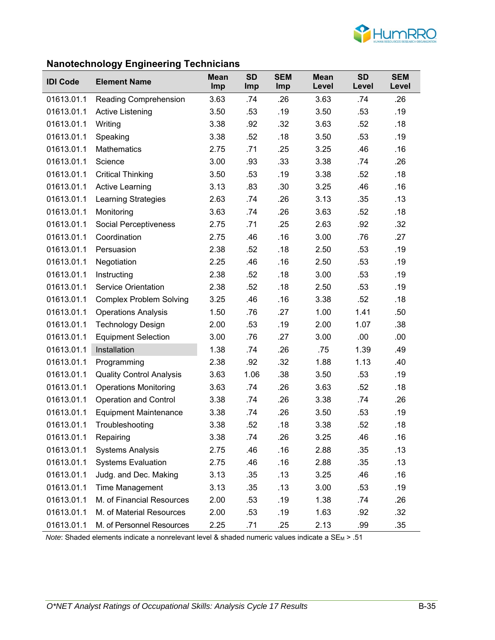

# **Nanotechnology Engineering Technicians**

|                 | <u>ວງ</u>                       |                    |                  |                   |                      |                    |                     |
|-----------------|---------------------------------|--------------------|------------------|-------------------|----------------------|--------------------|---------------------|
| <b>IDI Code</b> | <b>Element Name</b>             | <b>Mean</b><br>Imp | <b>SD</b><br>Imp | <b>SEM</b><br>Imp | <b>Mean</b><br>Level | <b>SD</b><br>Level | <b>SEM</b><br>Level |
| 01613.01.1      | <b>Reading Comprehension</b>    | 3.63               | .74              | .26               | 3.63                 | .74                | .26                 |
| 01613.01.1      | <b>Active Listening</b>         | 3.50               | .53              | .19               | 3.50                 | .53                | .19                 |
| 01613.01.1      | Writing                         | 3.38               | .92              | .32               | 3.63                 | .52                | .18                 |
| 01613.01.1      | Speaking                        | 3.38               | .52              | .18               | 3.50                 | .53                | .19                 |
| 01613.01.1      | <b>Mathematics</b>              | 2.75               | .71              | .25               | 3.25                 | .46                | .16                 |
| 01613.01.1      | Science                         | 3.00               | .93              | .33               | 3.38                 | .74                | .26                 |
| 01613.01.1      | <b>Critical Thinking</b>        | 3.50               | .53              | .19               | 3.38                 | .52                | .18                 |
| 01613.01.1      | <b>Active Learning</b>          | 3.13               | .83              | .30               | 3.25                 | .46                | .16                 |
| 01613.01.1      | Learning Strategies             | 2.63               | .74              | .26               | 3.13                 | .35                | .13                 |
| 01613.01.1      | Monitoring                      | 3.63               | .74              | .26               | 3.63                 | .52                | .18                 |
| 01613.01.1      | <b>Social Perceptiveness</b>    | 2.75               | .71              | .25               | 2.63                 | .92                | .32                 |
| 01613.01.1      | Coordination                    | 2.75               | .46              | .16               | 3.00                 | .76                | .27                 |
| 01613.01.1      | Persuasion                      | 2.38               | .52              | .18               | 2.50                 | .53                | .19                 |
| 01613.01.1      | Negotiation                     | 2.25               | .46              | .16               | 2.50                 | .53                | .19                 |
| 01613.01.1      | Instructing                     | 2.38               | .52              | .18               | 3.00                 | .53                | .19                 |
| 01613.01.1      | <b>Service Orientation</b>      | 2.38               | .52              | .18               | 2.50                 | .53                | .19                 |
| 01613.01.1      | <b>Complex Problem Solving</b>  | 3.25               | .46              | .16               | 3.38                 | .52                | .18                 |
| 01613.01.1      | <b>Operations Analysis</b>      | 1.50               | .76              | .27               | 1.00                 | 1.41               | .50                 |
| 01613.01.1      | <b>Technology Design</b>        | 2.00               | .53              | .19               | 2.00                 | 1.07               | .38                 |
| 01613.01.1      | <b>Equipment Selection</b>      | 3.00               | .76              | .27               | 3.00                 | .00                | .00                 |
| 01613.01.1      | Installation                    | 1.38               | .74              | .26               | .75                  | 1.39               | .49                 |
| 01613.01.1      | Programming                     | 2.38               | .92              | .32               | 1.88                 | 1.13               | .40                 |
| 01613.01.1      | <b>Quality Control Analysis</b> | 3.63               | 1.06             | .38               | 3.50                 | .53                | .19                 |
| 01613.01.1      | <b>Operations Monitoring</b>    | 3.63               | .74              | .26               | 3.63                 | .52                | .18                 |
| 01613.01.1      | <b>Operation and Control</b>    | 3.38               | .74              | .26               | 3.38                 | .74                | .26                 |
| 01613.01.1      | <b>Equipment Maintenance</b>    | 3.38               | .74              | .26               | 3.50                 | .53                | .19                 |
| 01613.01.1      | Troubleshooting                 | 3.38               | .52              | .18               | 3.38                 | .52                | .18                 |
| 01613.01.1      | Repairing                       | 3.38               | .74              | .26               | 3.25                 | .46                | .16                 |
| 01613.01.1      | <b>Systems Analysis</b>         | 2.75               | .46              | .16               | 2.88                 | .35                | .13                 |
| 01613.01.1      | <b>Systems Evaluation</b>       | 2.75               | .46              | .16               | 2.88                 | .35                | .13                 |
| 01613.01.1      | Judg. and Dec. Making           | 3.13               | .35              | .13               | 3.25                 | .46                | .16                 |
| 01613.01.1      | Time Management                 | 3.13               | .35              | .13               | 3.00                 | .53                | .19                 |
| 01613.01.1      | M. of Financial Resources       | 2.00               | .53              | .19               | 1.38                 | .74                | .26                 |
| 01613.01.1      | M. of Material Resources        | 2.00               | .53              | .19               | 1.63                 | .92                | .32                 |
| 01613.01.1      | M. of Personnel Resources       | 2.25               | .71              | .25               | 2.13                 | .99                | .35                 |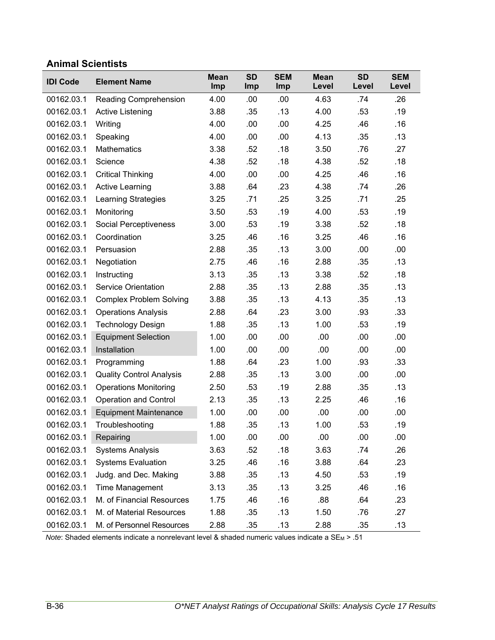### **Animal Scientists**

| <b>IDI Code</b> | <b>Element Name</b>             | <b>Mean</b><br>Imp | <b>SD</b><br>Imp | <b>SEM</b><br>Imp | <b>Mean</b><br>Level | <b>SD</b><br>Level | <b>SEM</b><br>Level |
|-----------------|---------------------------------|--------------------|------------------|-------------------|----------------------|--------------------|---------------------|
| 00162.03.1      | Reading Comprehension           | 4.00               | .00              | .00               | 4.63                 | .74                | .26                 |
| 00162.03.1      | <b>Active Listening</b>         | 3.88               | .35              | .13               | 4.00                 | .53                | .19                 |
| 00162.03.1      | Writing                         | 4.00               | .00              | .00               | 4.25                 | .46                | .16                 |
| 00162.03.1      | Speaking                        | 4.00               | .00              | .00               | 4.13                 | .35                | .13                 |
| 00162.03.1      | <b>Mathematics</b>              | 3.38               | .52              | .18               | 3.50                 | .76                | .27                 |
| 00162.03.1      | Science                         | 4.38               | .52              | .18               | 4.38                 | .52                | .18                 |
| 00162.03.1      | <b>Critical Thinking</b>        | 4.00               | .00              | .00               | 4.25                 | .46                | .16                 |
| 00162.03.1      | <b>Active Learning</b>          | 3.88               | .64              | .23               | 4.38                 | .74                | .26                 |
| 00162.03.1      | Learning Strategies             | 3.25               | .71              | .25               | 3.25                 | .71                | .25                 |
| 00162.03.1      | Monitoring                      | 3.50               | .53              | .19               | 4.00                 | .53                | .19                 |
| 00162.03.1      | Social Perceptiveness           | 3.00               | .53              | .19               | 3.38                 | .52                | .18                 |
| 00162.03.1      | Coordination                    | 3.25               | .46              | .16               | 3.25                 | .46                | .16                 |
| 00162.03.1      | Persuasion                      | 2.88               | .35              | .13               | 3.00                 | .00                | .00                 |
| 00162.03.1      | Negotiation                     | 2.75               | .46              | .16               | 2.88                 | .35                | .13                 |
| 00162.03.1      | Instructing                     | 3.13               | .35              | .13               | 3.38                 | .52                | .18                 |
| 00162.03.1      | <b>Service Orientation</b>      | 2.88               | .35              | .13               | 2.88                 | .35                | .13                 |
| 00162.03.1      | <b>Complex Problem Solving</b>  | 3.88               | .35              | .13               | 4.13                 | .35                | .13                 |
| 00162.03.1      | <b>Operations Analysis</b>      | 2.88               | .64              | .23               | 3.00                 | .93                | .33                 |
| 00162.03.1      | <b>Technology Design</b>        | 1.88               | .35              | .13               | 1.00                 | .53                | .19                 |
| 00162.03.1      | <b>Equipment Selection</b>      | 1.00               | .00              | .00               | .00                  | .00                | .00                 |
| 00162.03.1      | Installation                    | 1.00               | .00              | .00               | .00                  | .00                | .00                 |
| 00162.03.1      | Programming                     | 1.88               | .64              | .23               | 1.00                 | .93                | .33                 |
| 00162.03.1      | <b>Quality Control Analysis</b> | 2.88               | .35              | .13               | 3.00                 | .00                | .00                 |
| 00162.03.1      | <b>Operations Monitoring</b>    | 2.50               | .53              | .19               | 2.88                 | .35                | .13                 |
| 00162.03.1      | <b>Operation and Control</b>    | 2.13               | .35              | .13               | 2.25                 | .46                | .16                 |
| 00162.03.1      | <b>Equipment Maintenance</b>    | 1.00               | .00              | .00               | .00                  | .00                | .00                 |
| 00162.03.1      | Troubleshooting                 | 1.88               | .35              | .13               | 1.00                 | .53                | .19                 |
| 00162.03.1      | Repairing                       | 1.00               | .00              | .00               | .00                  | .00                | .00                 |
| 00162.03.1      | <b>Systems Analysis</b>         | 3.63               | .52              | .18               | 3.63                 | .74                | .26                 |
| 00162.03.1      | <b>Systems Evaluation</b>       | 3.25               | .46              | .16               | 3.88                 | .64                | .23                 |
| 00162.03.1      | Judg. and Dec. Making           | 3.88               | .35              | .13               | 4.50                 | .53                | .19                 |
| 00162.03.1      | <b>Time Management</b>          | 3.13               | .35              | .13               | 3.25                 | .46                | .16                 |
| 00162.03.1      | M. of Financial Resources       | 1.75               | .46              | .16               | .88                  | .64                | .23                 |
| 00162.03.1      | M. of Material Resources        | 1.88               | .35              | .13               | 1.50                 | .76                | .27                 |
| 00162.03.1      | M. of Personnel Resources       | 2.88               | .35              | .13               | 2.88                 | .35                | .13                 |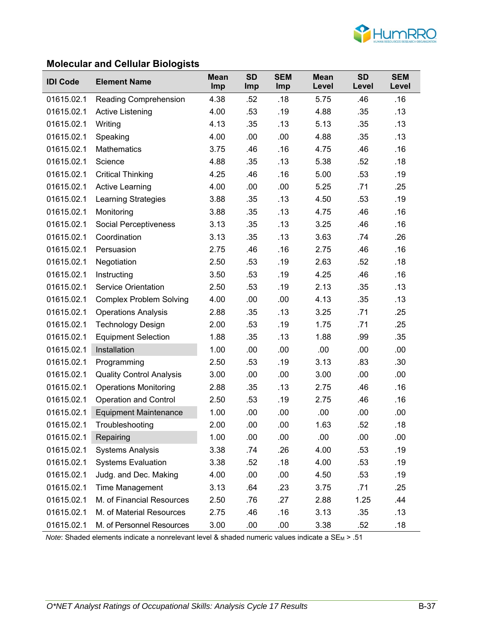

### **Molecular and Cellular Biologists**

| <b>IDI Code</b> | <b>Element Name</b>             | <b>Mean</b><br>Imp | <b>SD</b><br><b>Imp</b> | <b>SEM</b><br>Imp | <b>Mean</b><br>Level | <b>SD</b><br>Level | <b>SEM</b><br>Level |
|-----------------|---------------------------------|--------------------|-------------------------|-------------------|----------------------|--------------------|---------------------|
| 01615.02.1      | Reading Comprehension           | 4.38               | .52                     | .18               | 5.75                 | .46                | .16                 |
| 01615.02.1      | Active Listening                | 4.00               | .53                     | .19               | 4.88                 | .35                | .13                 |
| 01615.02.1      | Writing                         | 4.13               | .35                     | .13               | 5.13                 | .35                | .13                 |
| 01615.02.1      | Speaking                        | 4.00               | .00                     | .00               | 4.88                 | .35                | .13                 |
| 01615.02.1      | Mathematics                     | 3.75               | .46                     | .16               | 4.75                 | .46                | .16                 |
| 01615.02.1      | Science                         | 4.88               | .35                     | .13               | 5.38                 | .52                | .18                 |
| 01615.02.1      | <b>Critical Thinking</b>        | 4.25               | .46                     | .16               | 5.00                 | .53                | .19                 |
| 01615.02.1      | <b>Active Learning</b>          | 4.00               | .00                     | .00               | 5.25                 | .71                | .25                 |
| 01615.02.1      | Learning Strategies             | 3.88               | .35                     | .13               | 4.50                 | .53                | .19                 |
| 01615.02.1      | Monitoring                      | 3.88               | .35                     | .13               | 4.75                 | .46                | .16                 |
| 01615.02.1      | Social Perceptiveness           | 3.13               | .35                     | .13               | 3.25                 | .46                | .16                 |
| 01615.02.1      | Coordination                    | 3.13               | .35                     | .13               | 3.63                 | .74                | .26                 |
| 01615.02.1      | Persuasion                      | 2.75               | .46                     | .16               | 2.75                 | .46                | .16                 |
| 01615.02.1      | Negotiation                     | 2.50               | .53                     | .19               | 2.63                 | .52                | .18                 |
| 01615.02.1      | Instructing                     | 3.50               | .53                     | .19               | 4.25                 | .46                | .16                 |
| 01615.02.1      | <b>Service Orientation</b>      | 2.50               | .53                     | .19               | 2.13                 | .35                | .13                 |
| 01615.02.1      | <b>Complex Problem Solving</b>  | 4.00               | .00                     | .00               | 4.13                 | .35                | .13                 |
| 01615.02.1      | <b>Operations Analysis</b>      | 2.88               | .35                     | .13               | 3.25                 | .71                | .25                 |
| 01615.02.1      | <b>Technology Design</b>        | 2.00               | .53                     | .19               | 1.75                 | .71                | .25                 |
| 01615.02.1      | <b>Equipment Selection</b>      | 1.88               | .35                     | .13               | 1.88                 | .99                | .35                 |
| 01615.02.1      | Installation                    | 1.00               | .00                     | .00               | .00                  | .00                | .00                 |
| 01615.02.1      | Programming                     | 2.50               | .53                     | .19               | 3.13                 | .83                | .30                 |
| 01615.02.1      | <b>Quality Control Analysis</b> | 3.00               | .00                     | .00               | 3.00                 | .00                | .00                 |
| 01615.02.1      | <b>Operations Monitoring</b>    | 2.88               | .35                     | .13               | 2.75                 | .46                | .16                 |
| 01615.02.1      | <b>Operation and Control</b>    | 2.50               | .53                     | .19               | 2.75                 | .46                | .16                 |
| 01615.02.1      | <b>Equipment Maintenance</b>    | 1.00               | .00                     | .00               | .00                  | .00                | .00                 |
| 01615.02.1      | Troubleshooting                 | 2.00               | .00                     | .00               | 1.63                 | .52                | .18                 |
| 01615.02.1      | Repairing                       | 1.00               | .00                     | .00               | .00                  | .00                | .00                 |
| 01615.02.1      | <b>Systems Analysis</b>         | 3.38               | .74                     | .26               | 4.00                 | .53                | .19                 |
| 01615.02.1      | <b>Systems Evaluation</b>       | 3.38               | .52                     | .18               | 4.00                 | .53                | .19                 |
| 01615.02.1      | Judg. and Dec. Making           | 4.00               | .00                     | .00               | 4.50                 | .53                | .19                 |
| 01615.02.1      | Time Management                 | 3.13               | .64                     | .23               | 3.75                 | .71                | .25                 |
| 01615.02.1      | M. of Financial Resources       | 2.50               | .76                     | .27               | 2.88                 | 1.25               | .44                 |
| 01615.02.1      | M. of Material Resources        | 2.75               | .46                     | .16               | 3.13                 | .35                | .13                 |
| 01615.02.1      | M. of Personnel Resources       | 3.00               | .00                     | .00               | 3.38                 | .52                | .18                 |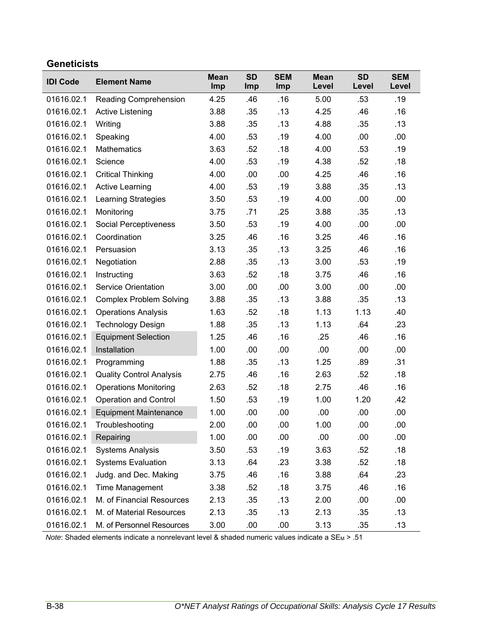### **Geneticists**

| <b>IDI Code</b> | <b>Element Name</b>             | <b>Mean</b><br>Imp | <b>SD</b><br>Imp | <b>SEM</b><br>Imp | <b>Mean</b><br>Level | <b>SD</b><br>Level | <b>SEM</b><br>Level |
|-----------------|---------------------------------|--------------------|------------------|-------------------|----------------------|--------------------|---------------------|
| 01616.02.1      | Reading Comprehension           | 4.25               | .46              | .16               | 5.00                 | .53                | .19                 |
| 01616.02.1      | Active Listening                | 3.88               | .35              | .13               | 4.25                 | .46                | .16                 |
| 01616.02.1      | Writing                         | 3.88               | .35              | .13               | 4.88                 | .35                | .13                 |
| 01616.02.1      | Speaking                        | 4.00               | .53              | .19               | 4.00                 | .00                | .00                 |
| 01616.02.1      | <b>Mathematics</b>              | 3.63               | .52              | .18               | 4.00                 | .53                | .19                 |
| 01616.02.1      | Science                         | 4.00               | .53              | .19               | 4.38                 | .52                | .18                 |
| 01616.02.1      | <b>Critical Thinking</b>        | 4.00               | .00              | .00               | 4.25                 | .46                | .16                 |
| 01616.02.1      | <b>Active Learning</b>          | 4.00               | .53              | .19               | 3.88                 | .35                | .13                 |
| 01616.02.1      | <b>Learning Strategies</b>      | 3.50               | .53              | .19               | 4.00                 | .00                | .00                 |
| 01616.02.1      | Monitoring                      | 3.75               | .71              | .25               | 3.88                 | .35                | .13                 |
| 01616.02.1      | Social Perceptiveness           | 3.50               | .53              | .19               | 4.00                 | .00                | .00                 |
| 01616.02.1      | Coordination                    | 3.25               | .46              | .16               | 3.25                 | .46                | .16                 |
| 01616.02.1      | Persuasion                      | 3.13               | .35              | .13               | 3.25                 | .46                | .16                 |
| 01616.02.1      | Negotiation                     | 2.88               | .35              | .13               | 3.00                 | .53                | .19                 |
| 01616.02.1      | Instructing                     | 3.63               | .52              | .18               | 3.75                 | .46                | .16                 |
| 01616.02.1      | <b>Service Orientation</b>      | 3.00               | .00              | .00               | 3.00                 | .00                | .00                 |
| 01616.02.1      | <b>Complex Problem Solving</b>  | 3.88               | .35              | .13               | 3.88                 | .35                | .13                 |
| 01616.02.1      | <b>Operations Analysis</b>      | 1.63               | .52              | .18               | 1.13                 | 1.13               | .40                 |
| 01616.02.1      | <b>Technology Design</b>        | 1.88               | .35              | .13               | 1.13                 | .64                | .23                 |
| 01616.02.1      | <b>Equipment Selection</b>      | 1.25               | .46              | .16               | .25                  | .46                | .16                 |
| 01616.02.1      | Installation                    | 1.00               | .00              | .00               | .00                  | .00                | .00.                |
| 01616.02.1      | Programming                     | 1.88               | .35              | .13               | 1.25                 | .89                | .31                 |
| 01616.02.1      | <b>Quality Control Analysis</b> | 2.75               | .46              | .16               | 2.63                 | .52                | .18                 |
| 01616.02.1      | <b>Operations Monitoring</b>    | 2.63               | .52              | .18               | 2.75                 | .46                | .16                 |
| 01616.02.1      | <b>Operation and Control</b>    | 1.50               | .53              | .19               | 1.00                 | 1.20               | .42                 |
| 01616.02.1      | <b>Equipment Maintenance</b>    | 1.00               | .00              | .00               | .00                  | .00                | .00                 |
| 01616.02.1      | Troubleshooting                 | 2.00               | .00              | .00               | 1.00                 | .00                | .00                 |
| 01616.02.1      | Repairing                       | 1.00               | .00              | .00               | .00                  | .00                | .00                 |
| 01616.02.1      | <b>Systems Analysis</b>         | 3.50               | .53              | .19               | 3.63                 | .52                | .18                 |
| 01616.02.1      | <b>Systems Evaluation</b>       | 3.13               | .64              | .23               | 3.38                 | .52                | .18                 |
| 01616.02.1      | Judg. and Dec. Making           | 3.75               | .46              | .16               | 3.88                 | .64                | .23                 |
| 01616.02.1      | Time Management                 | 3.38               | .52              | .18               | 3.75                 | .46                | .16                 |
| 01616.02.1      | M. of Financial Resources       | 2.13               | .35              | .13               | 2.00                 | .00                | .00                 |
| 01616.02.1      | M. of Material Resources        | 2.13               | .35              | .13               | 2.13                 | .35                | .13                 |
| 01616.02.1      | M. of Personnel Resources       | 3.00               | .00              | .00               | 3.13                 | .35                | .13                 |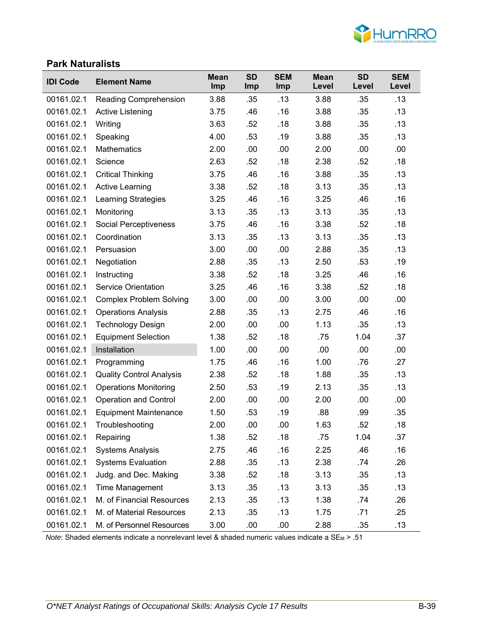

### **Park Naturalists**

| <b>IDI Code</b> | <b>Element Name</b>             | <b>Mean</b><br>Imp | <b>SD</b><br>Imp | <b>SEM</b><br>Imp | <b>Mean</b><br>Level | <b>SD</b><br>Level | <b>SEM</b><br>Level |
|-----------------|---------------------------------|--------------------|------------------|-------------------|----------------------|--------------------|---------------------|
| 00161.02.1      | <b>Reading Comprehension</b>    | 3.88               | .35              | .13               | 3.88                 | .35                | .13                 |
| 00161.02.1      | <b>Active Listening</b>         | 3.75               | .46              | .16               | 3.88                 | .35                | .13                 |
| 00161.02.1      | Writing                         | 3.63               | .52              | .18               | 3.88                 | .35                | .13                 |
| 00161.02.1      | Speaking                        | 4.00               | .53              | .19               | 3.88                 | .35                | .13                 |
| 00161.02.1      | <b>Mathematics</b>              | 2.00               | .00              | .00               | 2.00                 | .00                | .00                 |
| 00161.02.1      | Science                         | 2.63               | .52              | .18               | 2.38                 | .52                | .18                 |
| 00161.02.1      | <b>Critical Thinking</b>        | 3.75               | .46              | .16               | 3.88                 | .35                | .13                 |
| 00161.02.1      | <b>Active Learning</b>          | 3.38               | .52              | .18               | 3.13                 | .35                | .13                 |
| 00161.02.1      | <b>Learning Strategies</b>      | 3.25               | .46              | .16               | 3.25                 | .46                | .16                 |
| 00161.02.1      | Monitoring                      | 3.13               | .35              | .13               | 3.13                 | .35                | .13                 |
| 00161.02.1      | Social Perceptiveness           | 3.75               | .46              | .16               | 3.38                 | .52                | .18                 |
| 00161.02.1      | Coordination                    | 3.13               | .35              | .13               | 3.13                 | .35                | .13                 |
| 00161.02.1      | Persuasion                      | 3.00               | .00              | .00               | 2.88                 | .35                | .13                 |
| 00161.02.1      | Negotiation                     | 2.88               | .35              | .13               | 2.50                 | .53                | .19                 |
| 00161.02.1      | Instructing                     | 3.38               | .52              | .18               | 3.25                 | .46                | .16                 |
| 00161.02.1      | <b>Service Orientation</b>      | 3.25               | .46              | .16               | 3.38                 | .52                | .18                 |
| 00161.02.1      | <b>Complex Problem Solving</b>  | 3.00               | .00              | .00               | 3.00                 | .00                | .00                 |
| 00161.02.1      | <b>Operations Analysis</b>      | 2.88               | .35              | .13               | 2.75                 | .46                | .16                 |
| 00161.02.1      | <b>Technology Design</b>        | 2.00               | .00              | .00               | 1.13                 | .35                | .13                 |
| 00161.02.1      | <b>Equipment Selection</b>      | 1.38               | .52              | .18               | .75                  | 1.04               | .37                 |
| 00161.02.1      | Installation                    | 1.00               | .00              | .00               | .00                  | .00                | .00                 |
| 00161.02.1      | Programming                     | 1.75               | .46              | .16               | 1.00                 | .76                | .27                 |
| 00161.02.1      | <b>Quality Control Analysis</b> | 2.38               | .52              | .18               | 1.88                 | .35                | .13                 |
| 00161.02.1      | <b>Operations Monitoring</b>    | 2.50               | .53              | .19               | 2.13                 | .35                | .13                 |
| 00161.02.1      | <b>Operation and Control</b>    | 2.00               | .00              | .00               | 2.00                 | .00                | .00                 |
| 00161.02.1      | <b>Equipment Maintenance</b>    | 1.50               | .53              | .19               | .88                  | .99                | .35                 |
| 00161.02.1      | Troubleshooting                 | 2.00               | .00              | .00               | 1.63                 | .52                | .18                 |
| 00161.02.1      | Repairing                       | 1.38               | .52              | .18               | .75                  | 1.04               | .37                 |
| 00161.02.1      | <b>Systems Analysis</b>         | 2.75               | .46              | .16               | 2.25                 | .46                | .16                 |
| 00161.02.1      | <b>Systems Evaluation</b>       | 2.88               | .35              | .13               | 2.38                 | .74                | .26                 |
| 00161.02.1      | Judg. and Dec. Making           | 3.38               | .52              | .18               | 3.13                 | .35                | .13                 |
| 00161.02.1      | Time Management                 | 3.13               | .35              | .13               | 3.13                 | .35                | .13                 |
| 00161.02.1      | M. of Financial Resources       | 2.13               | .35              | .13               | 1.38                 | .74                | .26                 |
| 00161.02.1      | M. of Material Resources        | 2.13               | .35              | .13               | 1.75                 | .71                | .25                 |
| 00161.02.1      | M. of Personnel Resources       | 3.00               | .00              | .00               | 2.88                 | .35                | .13                 |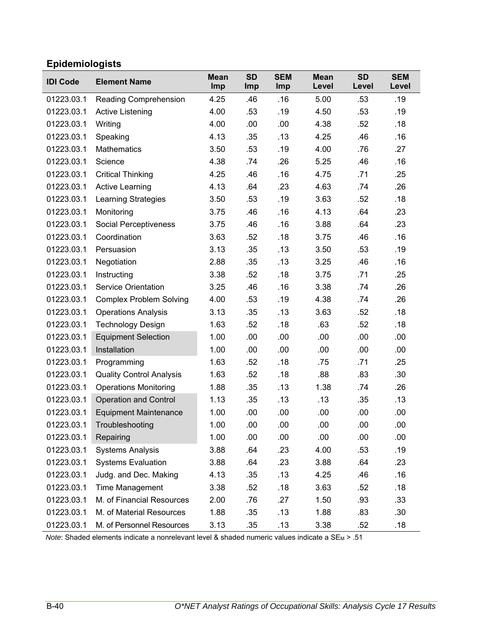# **Epidemiologists**

| <b>IDI Code</b> | <b>Element Name</b>             | <b>Mean</b><br>Imp | <b>SD</b><br>Imp | <b>SEM</b><br>Imp | <b>Mean</b><br>Level | <b>SD</b><br>Level | <b>SEM</b><br>Level |
|-----------------|---------------------------------|--------------------|------------------|-------------------|----------------------|--------------------|---------------------|
| 01223.03.1      | <b>Reading Comprehension</b>    | 4.25               | .46              | .16               | 5.00                 | .53                | .19                 |
| 01223.03.1      | <b>Active Listening</b>         | 4.00               | .53              | .19               | 4.50                 | .53                | .19                 |
| 01223.03.1      | Writing                         | 4.00               | .00              | .00               | 4.38                 | .52                | .18                 |
| 01223.03.1      | Speaking                        | 4.13               | .35              | .13               | 4.25                 | .46                | .16                 |
| 01223.03.1      | <b>Mathematics</b>              | 3.50               | .53              | .19               | 4.00                 | .76                | .27                 |
| 01223.03.1      | Science                         | 4.38               | .74              | .26               | 5.25                 | .46                | .16                 |
| 01223.03.1      | <b>Critical Thinking</b>        | 4.25               | .46              | .16               | 4.75                 | .71                | .25                 |
| 01223.03.1      | <b>Active Learning</b>          | 4.13               | .64              | .23               | 4.63                 | .74                | .26                 |
| 01223.03.1      | <b>Learning Strategies</b>      | 3.50               | .53              | .19               | 3.63                 | .52                | .18                 |
| 01223.03.1      | Monitoring                      | 3.75               | .46              | .16               | 4.13                 | .64                | .23                 |
| 01223.03.1      | Social Perceptiveness           | 3.75               | .46              | .16               | 3.88                 | .64                | .23                 |
| 01223.03.1      | Coordination                    | 3.63               | .52              | .18               | 3.75                 | .46                | .16                 |
| 01223.03.1      | Persuasion                      | 3.13               | .35              | .13               | 3.50                 | .53                | .19                 |
| 01223.03.1      | Negotiation                     | 2.88               | .35              | .13               | 3.25                 | .46                | .16                 |
| 01223.03.1      | Instructing                     | 3.38               | .52              | .18               | 3.75                 | .71                | .25                 |
| 01223.03.1      | <b>Service Orientation</b>      | 3.25               | .46              | .16               | 3.38                 | .74                | .26                 |
| 01223.03.1      | <b>Complex Problem Solving</b>  | 4.00               | .53              | .19               | 4.38                 | .74                | .26                 |
| 01223.03.1      | <b>Operations Analysis</b>      | 3.13               | .35              | .13               | 3.63                 | .52                | .18                 |
| 01223.03.1      | <b>Technology Design</b>        | 1.63               | .52              | .18               | .63                  | .52                | .18                 |
| 01223.03.1      | <b>Equipment Selection</b>      | 1.00               | .00              | .00               | .00                  | .00                | .00                 |
| 01223.03.1      | Installation                    | 1.00               | .00              | .00               | .00                  | .00                | .00                 |
| 01223.03.1      | Programming                     | 1.63               | .52              | .18               | .75                  | .71                | .25                 |
| 01223.03.1      | <b>Quality Control Analysis</b> | 1.63               | .52              | .18               | .88                  | .83                | .30                 |
| 01223.03.1      | <b>Operations Monitoring</b>    | 1.88               | .35              | .13               | 1.38                 | .74                | .26                 |
| 01223.03.1      | <b>Operation and Control</b>    | 1.13               | .35              | .13               | .13                  | .35                | .13                 |
| 01223.03.1      | <b>Equipment Maintenance</b>    | 1.00               | .00              | .00               | .00                  | .00                | .00                 |
| 01223.03.1      | Troubleshooting                 | 1.00               | .00              | .00               | .00                  | .00                | .00                 |
| 01223.03.1      | Repairing                       | 1.00               | .00              | .00               | .00                  | .00                | .00                 |
| 01223.03.1      | <b>Systems Analysis</b>         | 3.88               | .64              | .23               | 4.00                 | .53                | .19                 |
| 01223.03.1      | <b>Systems Evaluation</b>       | 3.88               | .64              | .23               | 3.88                 | .64                | .23                 |
| 01223.03.1      | Judg. and Dec. Making           | 4.13               | .35              | .13               | 4.25                 | .46                | .16                 |
| 01223.03.1      | <b>Time Management</b>          | 3.38               | .52              | .18               | 3.63                 | .52                | .18                 |
| 01223.03.1      | M. of Financial Resources       | 2.00               | .76              | .27               | 1.50                 | .93                | .33                 |
| 01223.03.1      | M. of Material Resources        | 1.88               | .35              | .13               | 1.88                 | .83                | .30                 |
| 01223.03.1      | M. of Personnel Resources       | 3.13               | .35              | .13               | 3.38                 | .52                | .18                 |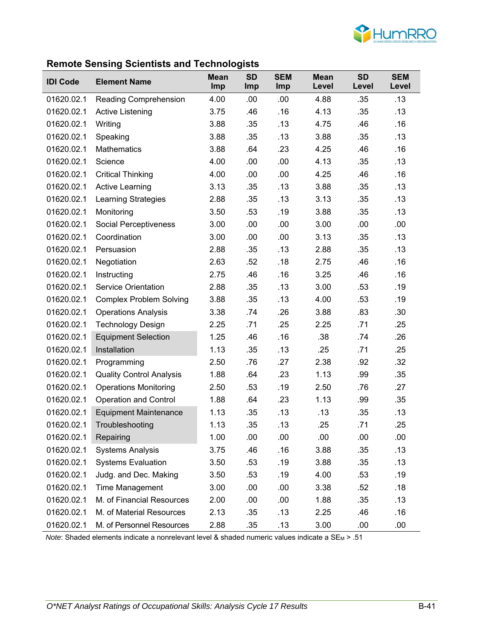

### **Remote Sensing Scientists and Technologists**

| <b>IDI Code</b> | <b>Element Name</b>             | <b>Mean</b><br><b>Imp</b> | ັ<br><b>SD</b><br>Imp | <b>SEM</b><br>Imp | <b>Mean</b><br>Level | <b>SD</b><br>Level | <b>SEM</b><br>Level |
|-----------------|---------------------------------|---------------------------|-----------------------|-------------------|----------------------|--------------------|---------------------|
| 01620.02.1      | Reading Comprehension           | 4.00                      | .00                   | .00               | 4.88                 | .35                | .13                 |
| 01620.02.1      | <b>Active Listening</b>         | 3.75                      | .46                   | .16               | 4.13                 | .35                | .13                 |
| 01620.02.1      | Writing                         | 3.88                      | .35                   | .13               | 4.75                 | .46                | .16                 |
| 01620.02.1      | Speaking                        | 3.88                      | .35                   | .13               | 3.88                 | .35                | .13                 |
| 01620.02.1      | <b>Mathematics</b>              | 3.88                      | .64                   | .23               | 4.25                 | .46                | .16                 |
| 01620.02.1      | Science                         | 4.00                      | .00                   | .00               | 4.13                 | .35                | .13                 |
| 01620.02.1      | <b>Critical Thinking</b>        | 4.00                      | .00                   | .00               | 4.25                 | .46                | .16                 |
| 01620.02.1      | <b>Active Learning</b>          | 3.13                      | .35                   | .13               | 3.88                 | .35                | .13                 |
| 01620.02.1      | Learning Strategies             | 2.88                      | .35                   | .13               | 3.13                 | .35                | .13                 |
| 01620.02.1      | Monitoring                      | 3.50                      | .53                   | .19               | 3.88                 | .35                | .13                 |
| 01620.02.1      | Social Perceptiveness           | 3.00                      | .00                   | .00               | 3.00                 | .00                | .00                 |
| 01620.02.1      | Coordination                    | 3.00                      | .00                   | .00               | 3.13                 | .35                | .13                 |
| 01620.02.1      | Persuasion                      | 2.88                      | .35                   | .13               | 2.88                 | .35                | .13                 |
| 01620.02.1      | Negotiation                     | 2.63                      | .52                   | .18               | 2.75                 | .46                | .16                 |
| 01620.02.1      | Instructing                     | 2.75                      | .46                   | .16               | 3.25                 | .46                | .16                 |
| 01620.02.1      | <b>Service Orientation</b>      | 2.88                      | .35                   | .13               | 3.00                 | .53                | .19                 |
| 01620.02.1      | <b>Complex Problem Solving</b>  | 3.88                      | .35                   | .13               | 4.00                 | .53                | .19                 |
| 01620.02.1      | <b>Operations Analysis</b>      | 3.38                      | .74                   | .26               | 3.88                 | .83                | .30                 |
| 01620.02.1      | <b>Technology Design</b>        | 2.25                      | .71                   | .25               | 2.25                 | .71                | .25                 |
| 01620.02.1      | <b>Equipment Selection</b>      | 1.25                      | .46                   | .16               | .38                  | .74                | .26                 |
| 01620.02.1      | Installation                    | 1.13                      | .35                   | .13               | .25                  | .71                | .25                 |
| 01620.02.1      | Programming                     | 2.50                      | .76                   | .27               | 2.38                 | .92                | .32                 |
| 01620.02.1      | <b>Quality Control Analysis</b> | 1.88                      | .64                   | .23               | 1.13                 | .99                | .35                 |
| 01620.02.1      | <b>Operations Monitoring</b>    | 2.50                      | .53                   | .19               | 2.50                 | .76                | .27                 |
| 01620.02.1      | <b>Operation and Control</b>    | 1.88                      | .64                   | .23               | 1.13                 | .99                | .35                 |
| 01620.02.1      | <b>Equipment Maintenance</b>    | 1.13                      | .35                   | .13               | .13                  | .35                | .13                 |
| 01620.02.1      | Troubleshooting                 | 1.13                      | .35                   | .13               | .25                  | .71                | .25                 |
| 01620.02.1      | Repairing                       | 1.00                      | .00                   | .00               | .00                  | .00                | .00                 |
| 01620.02.1      | <b>Systems Analysis</b>         | 3.75                      | .46                   | .16               | 3.88                 | .35                | .13                 |
| 01620.02.1      | <b>Systems Evaluation</b>       | 3.50                      | .53                   | .19               | 3.88                 | .35                | .13                 |
| 01620.02.1      | Judg. and Dec. Making           | 3.50                      | .53                   | .19               | 4.00                 | .53                | .19                 |
| 01620.02.1      | <b>Time Management</b>          | 3.00                      | .00                   | .00               | 3.38                 | .52                | .18                 |
| 01620.02.1      | M. of Financial Resources       | 2.00                      | .00                   | .00               | 1.88                 | .35                | .13                 |
| 01620.02.1      | M. of Material Resources        | 2.13                      | .35                   | .13               | 2.25                 | .46                | .16                 |
| 01620.02.1      | M. of Personnel Resources       | 2.88                      | .35                   | .13               | 3.00                 | .00                | .00                 |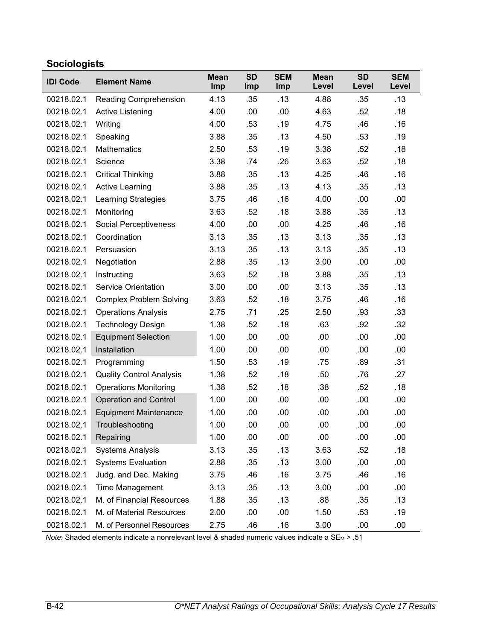# **Sociologists**

| <b>IDI Code</b> | <b>Element Name</b>             | <b>Mean</b><br>Imp | <b>SD</b><br>Imp | <b>SEM</b><br>Imp | <b>Mean</b><br>Level | <b>SD</b><br>Level | <b>SEM</b><br>Level |
|-----------------|---------------------------------|--------------------|------------------|-------------------|----------------------|--------------------|---------------------|
| 00218.02.1      | Reading Comprehension           | 4.13               | .35              | .13               | 4.88                 | .35                | .13                 |
| 00218.02.1      | Active Listening                | 4.00               | .00              | .00               | 4.63                 | .52                | .18                 |
| 00218.02.1      | Writing                         | 4.00               | .53              | .19               | 4.75                 | .46                | .16                 |
| 00218.02.1      | Speaking                        | 3.88               | .35              | .13               | 4.50                 | .53                | .19                 |
| 00218.02.1      | <b>Mathematics</b>              | 2.50               | .53              | .19               | 3.38                 | .52                | .18                 |
| 00218.02.1      | Science                         | 3.38               | .74              | .26               | 3.63                 | .52                | .18                 |
| 00218.02.1      | <b>Critical Thinking</b>        | 3.88               | .35              | .13               | 4.25                 | .46                | .16                 |
| 00218.02.1      | <b>Active Learning</b>          | 3.88               | .35              | .13               | 4.13                 | .35                | .13                 |
| 00218.02.1      | Learning Strategies             | 3.75               | .46              | .16               | 4.00                 | .00                | .00                 |
| 00218.02.1      | Monitoring                      | 3.63               | .52              | .18               | 3.88                 | .35                | .13                 |
| 00218.02.1      | Social Perceptiveness           | 4.00               | .00              | .00               | 4.25                 | .46                | .16                 |
| 00218.02.1      | Coordination                    | 3.13               | .35              | .13               | 3.13                 | .35                | .13                 |
| 00218.02.1      | Persuasion                      | 3.13               | .35              | .13               | 3.13                 | .35                | .13                 |
| 00218.02.1      | Negotiation                     | 2.88               | .35              | .13               | 3.00                 | .00                | .00                 |
| 00218.02.1      | Instructing                     | 3.63               | .52              | .18               | 3.88                 | .35                | .13                 |
| 00218.02.1      | <b>Service Orientation</b>      | 3.00               | .00              | .00               | 3.13                 | .35                | .13                 |
| 00218.02.1      | <b>Complex Problem Solving</b>  | 3.63               | .52              | .18               | 3.75                 | .46                | .16                 |
| 00218.02.1      | <b>Operations Analysis</b>      | 2.75               | .71              | .25               | 2.50                 | .93                | .33                 |
| 00218.02.1      | <b>Technology Design</b>        | 1.38               | .52              | .18               | .63                  | .92                | .32                 |
| 00218.02.1      | <b>Equipment Selection</b>      | 1.00               | .00              | .00               | .00.                 | .00                | .00                 |
| 00218.02.1      | Installation                    | 1.00               | .00              | .00               | .00                  | .00                | .00                 |
| 00218.02.1      | Programming                     | 1.50               | .53              | .19               | .75                  | .89                | .31                 |
| 00218.02.1      | <b>Quality Control Analysis</b> | 1.38               | .52              | .18               | .50                  | .76                | .27                 |
| 00218.02.1      | <b>Operations Monitoring</b>    | 1.38               | .52              | .18               | .38                  | .52                | .18                 |
| 00218.02.1      | <b>Operation and Control</b>    | 1.00               | .00              | .00               | .00                  | .00                | .00                 |
| 00218.02.1      | <b>Equipment Maintenance</b>    | 1.00               | .00              | .00               | .00                  | .00                | .00                 |
| 00218.02.1      | Troubleshooting                 | 1.00               | .00              | .00               | .00                  | .00                | .00                 |
| 00218.02.1      | Repairing                       | 1.00               | .00              | .00               | .00                  | .00                | .00                 |
| 00218.02.1      | <b>Systems Analysis</b>         | 3.13               | .35              | .13               | 3.63                 | .52                | .18                 |
| 00218.02.1      | <b>Systems Evaluation</b>       | 2.88               | .35              | .13               | 3.00                 | .00                | .00                 |
| 00218.02.1      | Judg. and Dec. Making           | 3.75               | .46              | .16               | 3.75                 | .46                | .16                 |
| 00218.02.1      | Time Management                 | 3.13               | .35              | .13               | 3.00                 | .00                | .00                 |
| 00218.02.1      | M. of Financial Resources       | 1.88               | .35              | .13               | .88                  | .35                | .13                 |
| 00218.02.1      | M. of Material Resources        | 2.00               | .00              | .00               | 1.50                 | .53                | .19                 |
| 00218.02.1      | M. of Personnel Resources       | 2.75               | .46              | .16               | 3.00                 | .00                | .00                 |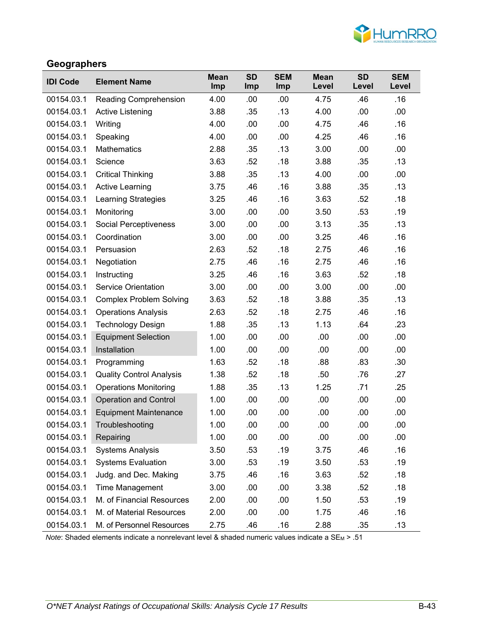

### **Geographers**

| <b>IDI Code</b> | <b>Element Name</b>             | <b>Mean</b><br>Imp | <b>SD</b><br><b>Imp</b> | <b>SEM</b><br>Imp | <b>Mean</b><br>Level | <b>SD</b><br>Level | <b>SEM</b><br>Level |
|-----------------|---------------------------------|--------------------|-------------------------|-------------------|----------------------|--------------------|---------------------|
| 00154.03.1      | Reading Comprehension           | 4.00               | .00                     | .00               | 4.75                 | .46                | .16                 |
| 00154.03.1      | <b>Active Listening</b>         | 3.88               | .35                     | .13               | 4.00                 | .00                | .00                 |
| 00154.03.1      | Writing                         | 4.00               | .00                     | .00               | 4.75                 | .46                | .16                 |
| 00154.03.1      | Speaking                        | 4.00               | .00                     | .00               | 4.25                 | .46                | .16                 |
| 00154.03.1      | <b>Mathematics</b>              | 2.88               | .35                     | .13               | 3.00                 | .00                | .00                 |
| 00154.03.1      | Science                         | 3.63               | .52                     | .18               | 3.88                 | .35                | .13                 |
| 00154.03.1      | <b>Critical Thinking</b>        | 3.88               | .35                     | .13               | 4.00                 | .00                | .00                 |
| 00154.03.1      | <b>Active Learning</b>          | 3.75               | .46                     | .16               | 3.88                 | .35                | .13                 |
| 00154.03.1      | <b>Learning Strategies</b>      | 3.25               | .46                     | .16               | 3.63                 | .52                | .18                 |
| 00154.03.1      | Monitoring                      | 3.00               | .00                     | .00               | 3.50                 | .53                | .19                 |
| 00154.03.1      | Social Perceptiveness           | 3.00               | .00                     | .00               | 3.13                 | .35                | .13                 |
| 00154.03.1      | Coordination                    | 3.00               | .00                     | .00               | 3.25                 | .46                | .16                 |
| 00154.03.1      | Persuasion                      | 2.63               | .52                     | .18               | 2.75                 | .46                | .16                 |
| 00154.03.1      | Negotiation                     | 2.75               | .46                     | .16               | 2.75                 | .46                | .16                 |
| 00154.03.1      | Instructing                     | 3.25               | .46                     | .16               | 3.63                 | .52                | .18                 |
| 00154.03.1      | <b>Service Orientation</b>      | 3.00               | .00                     | .00               | 3.00                 | .00                | .00                 |
| 00154.03.1      | <b>Complex Problem Solving</b>  | 3.63               | .52                     | .18               | 3.88                 | .35                | .13                 |
| 00154.03.1      | <b>Operations Analysis</b>      | 2.63               | .52                     | .18               | 2.75                 | .46                | .16                 |
| 00154.03.1      | <b>Technology Design</b>        | 1.88               | .35                     | .13               | 1.13                 | .64                | .23                 |
| 00154.03.1      | <b>Equipment Selection</b>      | 1.00               | .00                     | .00               | .00                  | .00                | .00                 |
| 00154.03.1      | Installation                    | 1.00               | .00                     | .00               | .00                  | .00                | .00                 |
| 00154.03.1      | Programming                     | 1.63               | .52                     | .18               | .88                  | .83                | .30                 |
| 00154.03.1      | <b>Quality Control Analysis</b> | 1.38               | .52                     | .18               | .50                  | .76                | .27                 |
| 00154.03.1      | <b>Operations Monitoring</b>    | 1.88               | .35                     | .13               | 1.25                 | .71                | .25                 |
| 00154.03.1      | <b>Operation and Control</b>    | 1.00               | .00                     | .00               | .00                  | .00                | .00                 |
| 00154.03.1      | <b>Equipment Maintenance</b>    | 1.00               | .00                     | .00               | .00                  | .00                | .00                 |
| 00154.03.1      | Troubleshooting                 | 1.00               | .00                     | .00               | .00                  | .00                | .00                 |
| 00154.03.1      | Repairing                       | 1.00               | .00                     | .00               | .00                  | .00                | .00                 |
| 00154.03.1      | <b>Systems Analysis</b>         | 3.50               | .53                     | .19               | 3.75                 | .46                | .16                 |
| 00154.03.1      | <b>Systems Evaluation</b>       | 3.00               | .53                     | .19               | 3.50                 | .53                | .19                 |
| 00154.03.1      | Judg. and Dec. Making           | 3.75               | .46                     | .16               | 3.63                 | .52                | .18                 |
| 00154.03.1      | <b>Time Management</b>          | 3.00               | .00                     | .00               | 3.38                 | .52                | .18                 |
| 00154.03.1      | M. of Financial Resources       | 2.00               | .00                     | .00               | 1.50                 | .53                | .19                 |
| 00154.03.1      | M. of Material Resources        | 2.00               | .00                     | .00               | 1.75                 | .46                | .16                 |
| 00154.03.1      | M. of Personnel Resources       | 2.75               | .46                     | .16               | 2.88                 | .35                | .13                 |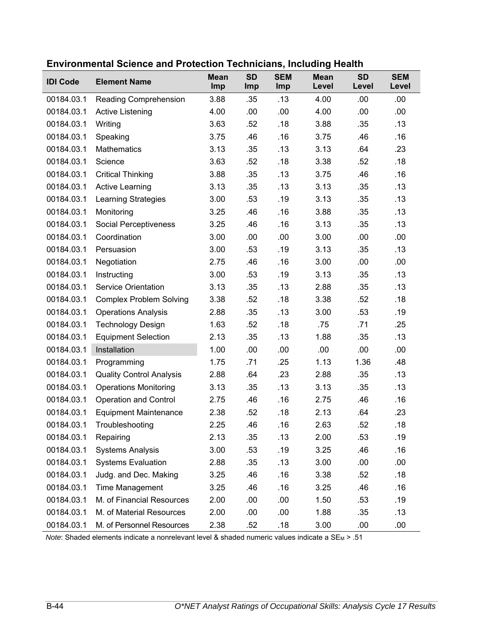| <b>IDI Code</b> | <b>Element Name</b>             | <b>Mean</b><br>Imp | <b>SD</b><br>Imp | <b>SEM</b><br>Imp | <b>Mean</b><br>Level | <b>SD</b><br>Level | <b>SEM</b><br>Level |
|-----------------|---------------------------------|--------------------|------------------|-------------------|----------------------|--------------------|---------------------|
| 00184.03.1      | <b>Reading Comprehension</b>    | 3.88               | .35              | .13               | 4.00                 | .00                | .00                 |
| 00184.03.1      | <b>Active Listening</b>         | 4.00               | .00              | .00               | 4.00                 | .00                | .00                 |
| 00184.03.1      | Writing                         | 3.63               | .52              | .18               | 3.88                 | .35                | .13                 |
| 00184.03.1      | Speaking                        | 3.75               | .46              | .16               | 3.75                 | .46                | .16                 |
| 00184.03.1      | <b>Mathematics</b>              | 3.13               | .35              | .13               | 3.13                 | .64                | .23                 |
| 00184.03.1      | Science                         | 3.63               | .52              | .18               | 3.38                 | .52                | .18                 |
| 00184.03.1      | <b>Critical Thinking</b>        | 3.88               | .35              | .13               | 3.75                 | .46                | .16                 |
| 00184.03.1      | <b>Active Learning</b>          | 3.13               | .35              | .13               | 3.13                 | .35                | .13                 |
| 00184.03.1      | Learning Strategies             | 3.00               | .53              | .19               | 3.13                 | .35                | .13                 |
| 00184.03.1      | Monitoring                      | 3.25               | .46              | .16               | 3.88                 | .35                | .13                 |
| 00184.03.1      | Social Perceptiveness           | 3.25               | .46              | .16               | 3.13                 | .35                | .13                 |
| 00184.03.1      | Coordination                    | 3.00               | .00              | .00               | 3.00                 | .00                | .00                 |
| 00184.03.1      | Persuasion                      | 3.00               | .53              | .19               | 3.13                 | .35                | .13                 |
| 00184.03.1      | Negotiation                     | 2.75               | .46              | .16               | 3.00                 | .00                | .00                 |
| 00184.03.1      | Instructing                     | 3.00               | .53              | .19               | 3.13                 | .35                | .13                 |
| 00184.03.1      | <b>Service Orientation</b>      | 3.13               | .35              | .13               | 2.88                 | .35                | .13                 |
| 00184.03.1      | <b>Complex Problem Solving</b>  | 3.38               | .52              | .18               | 3.38                 | .52                | .18                 |
| 00184.03.1      | <b>Operations Analysis</b>      | 2.88               | .35              | .13               | 3.00                 | .53                | .19                 |
| 00184.03.1      | <b>Technology Design</b>        | 1.63               | .52              | .18               | .75                  | .71                | .25                 |
| 00184.03.1      | <b>Equipment Selection</b>      | 2.13               | .35              | .13               | 1.88                 | .35                | .13                 |
| 00184.03.1      | Installation                    | 1.00               | .00              | .00               | .00                  | .00                | .00                 |
| 00184.03.1      | Programming                     | 1.75               | .71              | .25               | 1.13                 | 1.36               | .48                 |
| 00184.03.1      | <b>Quality Control Analysis</b> | 2.88               | .64              | .23               | 2.88                 | .35                | .13                 |
| 00184.03.1      | <b>Operations Monitoring</b>    | 3.13               | .35              | .13               | 3.13                 | .35                | .13                 |
| 00184.03.1      | <b>Operation and Control</b>    | 2.75               | .46              | .16               | 2.75                 | .46                | .16                 |
| 00184.03.1      | <b>Equipment Maintenance</b>    | 2.38               | .52              | .18               | 2.13                 | .64                | .23                 |
| 00184.03.1      | Troubleshooting                 | 2.25               | .46              | .16               | 2.63                 | .52                | .18                 |
| 00184.03.1      | Repairing                       | 2.13               | .35              | .13               | 2.00                 | .53                | .19                 |
| 00184.03.1      | <b>Systems Analysis</b>         | 3.00               | .53              | .19               | 3.25                 | .46                | .16                 |
| 00184.03.1      | <b>Systems Evaluation</b>       | 2.88               | .35              | .13               | 3.00                 | .00                | .00                 |
| 00184.03.1      | Judg. and Dec. Making           | 3.25               | .46              | .16               | 3.38                 | .52                | .18                 |
| 00184.03.1      | <b>Time Management</b>          | 3.25               | .46              | .16               | 3.25                 | .46                | .16                 |
| 00184.03.1      | M. of Financial Resources       | 2.00               | .00              | .00               | 1.50                 | .53                | .19                 |
| 00184.03.1      | M. of Material Resources        | 2.00               | .00              | .00               | 1.88                 | .35                | .13                 |
| 00184.03.1      | M. of Personnel Resources       | 2.38               | .52              | .18               | 3.00                 | .00                | .00                 |

#### **Environmental Science and Protection Technicians, Including Health**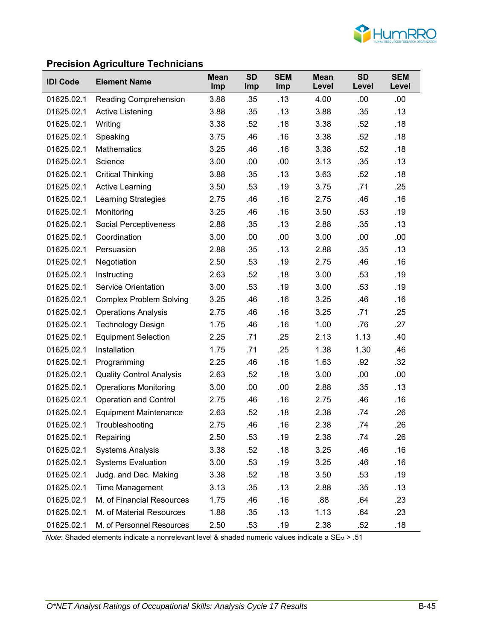

### **Precision Agriculture Technicians**

| <b>IDI Code</b> | <b>Element Name</b>             | <b>Mean</b><br>Imp | <b>SD</b><br><b>Imp</b> | <b>SEM</b><br>Imp | <b>Mean</b><br>Level | <b>SD</b><br>Level | <b>SEM</b><br>Level |
|-----------------|---------------------------------|--------------------|-------------------------|-------------------|----------------------|--------------------|---------------------|
| 01625.02.1      | <b>Reading Comprehension</b>    | 3.88               | .35                     | .13               | 4.00                 | .00                | .00                 |
| 01625.02.1      | <b>Active Listening</b>         | 3.88               | .35                     | .13               | 3.88                 | .35                | .13                 |
| 01625.02.1      | Writing                         | 3.38               | .52                     | .18               | 3.38                 | .52                | .18                 |
| 01625.02.1      | Speaking                        | 3.75               | .46                     | .16               | 3.38                 | .52                | .18                 |
| 01625.02.1      | <b>Mathematics</b>              | 3.25               | .46                     | .16               | 3.38                 | .52                | .18                 |
| 01625.02.1      | Science                         | 3.00               | .00                     | .00               | 3.13                 | .35                | .13                 |
| 01625.02.1      | <b>Critical Thinking</b>        | 3.88               | .35                     | .13               | 3.63                 | .52                | .18                 |
| 01625.02.1      | <b>Active Learning</b>          | 3.50               | .53                     | .19               | 3.75                 | .71                | .25                 |
| 01625.02.1      | Learning Strategies             | 2.75               | .46                     | .16               | 2.75                 | .46                | .16                 |
| 01625.02.1      | Monitoring                      | 3.25               | .46                     | .16               | 3.50                 | .53                | .19                 |
| 01625.02.1      | <b>Social Perceptiveness</b>    | 2.88               | .35                     | .13               | 2.88                 | .35                | .13                 |
| 01625.02.1      | Coordination                    | 3.00               | .00                     | .00               | 3.00                 | .00                | .00                 |
| 01625.02.1      | Persuasion                      | 2.88               | .35                     | .13               | 2.88                 | .35                | .13                 |
| 01625.02.1      | Negotiation                     | 2.50               | .53                     | .19               | 2.75                 | .46                | .16                 |
| 01625.02.1      | Instructing                     | 2.63               | .52                     | .18               | 3.00                 | .53                | .19                 |
| 01625.02.1      | <b>Service Orientation</b>      | 3.00               | .53                     | .19               | 3.00                 | .53                | .19                 |
| 01625.02.1      | <b>Complex Problem Solving</b>  | 3.25               | .46                     | .16               | 3.25                 | .46                | .16                 |
| 01625.02.1      | <b>Operations Analysis</b>      | 2.75               | .46                     | .16               | 3.25                 | .71                | .25                 |
| 01625.02.1      | <b>Technology Design</b>        | 1.75               | .46                     | .16               | 1.00                 | .76                | .27                 |
| 01625.02.1      | <b>Equipment Selection</b>      | 2.25               | .71                     | .25               | 2.13                 | 1.13               | .40                 |
| 01625.02.1      | Installation                    | 1.75               | .71                     | .25               | 1.38                 | 1.30               | .46                 |
| 01625.02.1      | Programming                     | 2.25               | .46                     | .16               | 1.63                 | .92                | .32                 |
| 01625.02.1      | <b>Quality Control Analysis</b> | 2.63               | .52                     | .18               | 3.00                 | .00                | .00                 |
| 01625.02.1      | <b>Operations Monitoring</b>    | 3.00               | .00                     | .00               | 2.88                 | .35                | .13                 |
| 01625.02.1      | <b>Operation and Control</b>    | 2.75               | .46                     | .16               | 2.75                 | .46                | .16                 |
| 01625.02.1      | <b>Equipment Maintenance</b>    | 2.63               | .52                     | .18               | 2.38                 | .74                | .26                 |
| 01625.02.1      | Troubleshooting                 | 2.75               | .46                     | .16               | 2.38                 | .74                | .26                 |
| 01625.02.1      | Repairing                       | 2.50               | .53                     | .19               | 2.38                 | .74                | .26                 |
| 01625.02.1      | <b>Systems Analysis</b>         | 3.38               | .52                     | .18               | 3.25                 | .46                | .16                 |
| 01625.02.1      | <b>Systems Evaluation</b>       | 3.00               | .53                     | .19               | 3.25                 | .46                | .16                 |
| 01625.02.1      | Judg. and Dec. Making           | 3.38               | .52                     | .18               | 3.50                 | .53                | .19                 |
| 01625.02.1      | <b>Time Management</b>          | 3.13               | .35                     | .13               | 2.88                 | .35                | .13                 |
| 01625.02.1      | M. of Financial Resources       | 1.75               | .46                     | .16               | .88                  | .64                | .23                 |
| 01625.02.1      | M. of Material Resources        | 1.88               | .35                     | .13               | 1.13                 | .64                | .23                 |
| 01625.02.1      | M. of Personnel Resources       | 2.50               | .53                     | .19               | 2.38                 | .52                | .18                 |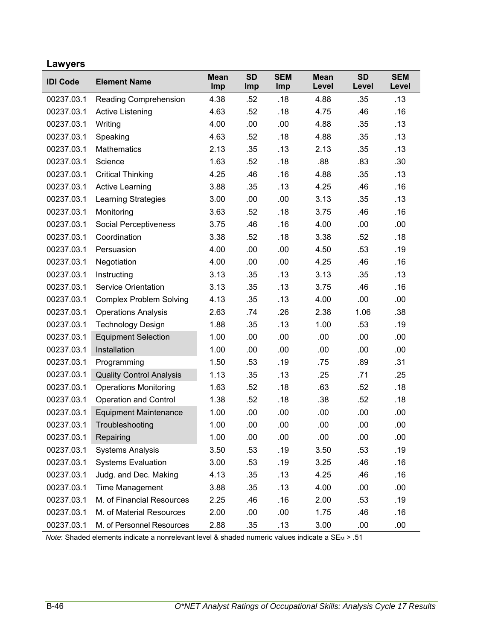# **Lawyers**

| <b>IDI Code</b> | <b>Element Name</b>             | <b>Mean</b><br>Imp | <b>SD</b><br>Imp | <b>SEM</b><br>Imp | <b>Mean</b><br>Level | <b>SD</b><br>Level | <b>SEM</b><br>Level |
|-----------------|---------------------------------|--------------------|------------------|-------------------|----------------------|--------------------|---------------------|
| 00237.03.1      | Reading Comprehension           | 4.38               | .52              | .18               | 4.88                 | .35                | .13                 |
| 00237.03.1      | Active Listening                | 4.63               | .52              | .18               | 4.75                 | .46                | .16                 |
| 00237.03.1      | Writing                         | 4.00               | .00              | .00               | 4.88                 | .35                | .13                 |
| 00237.03.1      | Speaking                        | 4.63               | .52              | .18               | 4.88                 | .35                | .13                 |
| 00237.03.1      | <b>Mathematics</b>              | 2.13               | .35              | .13               | 2.13                 | .35                | .13                 |
| 00237.03.1      | Science                         | 1.63               | .52              | .18               | .88                  | .83                | .30                 |
| 00237.03.1      | <b>Critical Thinking</b>        | 4.25               | .46              | .16               | 4.88                 | .35                | .13                 |
| 00237.03.1      | <b>Active Learning</b>          | 3.88               | .35              | .13               | 4.25                 | .46                | .16                 |
| 00237.03.1      | <b>Learning Strategies</b>      | 3.00               | .00              | .00               | 3.13                 | .35                | .13                 |
| 00237.03.1      | Monitoring                      | 3.63               | .52              | .18               | 3.75                 | .46                | .16                 |
| 00237.03.1      | Social Perceptiveness           | 3.75               | .46              | .16               | 4.00                 | .00                | .00                 |
| 00237.03.1      | Coordination                    | 3.38               | .52              | .18               | 3.38                 | .52                | .18                 |
| 00237.03.1      | Persuasion                      | 4.00               | .00              | .00               | 4.50                 | .53                | .19                 |
| 00237.03.1      | Negotiation                     | 4.00               | .00              | .00               | 4.25                 | .46                | .16                 |
| 00237.03.1      | Instructing                     | 3.13               | .35              | .13               | 3.13                 | .35                | .13                 |
| 00237.03.1      | <b>Service Orientation</b>      | 3.13               | .35              | .13               | 3.75                 | .46                | .16                 |
| 00237.03.1      | <b>Complex Problem Solving</b>  | 4.13               | .35              | .13               | 4.00                 | .00                | .00                 |
| 00237.03.1      | <b>Operations Analysis</b>      | 2.63               | .74              | .26               | 2.38                 | 1.06               | .38                 |
| 00237.03.1      | <b>Technology Design</b>        | 1.88               | .35              | .13               | 1.00                 | .53                | .19                 |
| 00237.03.1      | <b>Equipment Selection</b>      | 1.00               | .00              | .00               | .00.                 | .00                | .00                 |
| 00237.03.1      | Installation                    | 1.00               | .00              | .00               | .00                  | .00                | .00                 |
| 00237.03.1      | Programming                     | 1.50               | .53              | .19               | .75                  | .89                | .31                 |
| 00237.03.1      | <b>Quality Control Analysis</b> | 1.13               | .35              | .13               | .25                  | .71                | .25                 |
| 00237.03.1      | <b>Operations Monitoring</b>    | 1.63               | .52              | .18               | .63                  | .52                | .18                 |
| 00237.03.1      | <b>Operation and Control</b>    | 1.38               | .52              | .18               | .38                  | .52                | .18                 |
| 00237.03.1      | <b>Equipment Maintenance</b>    | 1.00               | .00              | .00               | .00                  | .00                | .00                 |
| 00237.03.1      | Troubleshooting                 | 1.00               | .00              | .00               | .00                  | .00                | .00                 |
| 00237.03.1      | Repairing                       | 1.00               | .00              | .00               | .00                  | .00                | .00                 |
| 00237.03.1      | <b>Systems Analysis</b>         | 3.50               | .53              | .19               | 3.50                 | .53                | .19                 |
| 00237.03.1      | <b>Systems Evaluation</b>       | 3.00               | .53              | .19               | 3.25                 | .46                | .16                 |
| 00237.03.1      | Judg. and Dec. Making           | 4.13               | .35              | .13               | 4.25                 | .46                | .16                 |
| 00237.03.1      | Time Management                 | 3.88               | .35              | .13               | 4.00                 | .00                | .00                 |
| 00237.03.1      | M. of Financial Resources       | 2.25               | .46              | .16               | 2.00                 | .53                | .19                 |
| 00237.03.1      | M. of Material Resources        | 2.00               | .00              | .00               | 1.75                 | .46                | .16                 |
| 00237.03.1      | M. of Personnel Resources       | 2.88               | .35              | .13               | 3.00                 | .00                | .00                 |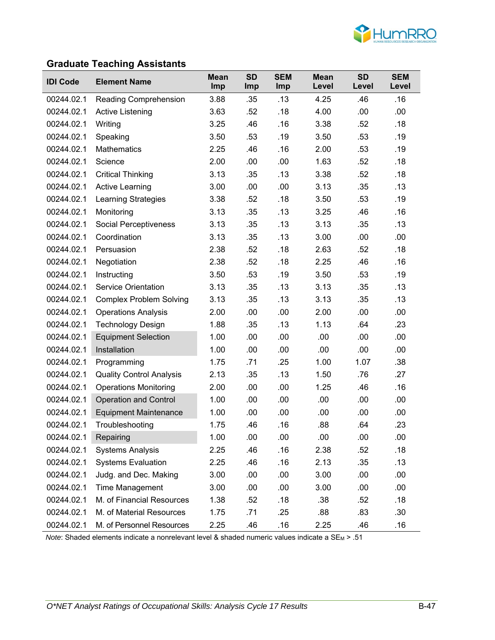

### **Graduate Teaching Assistants**

| <b>IDI Code</b> | <b>Element Name</b>             | <b>Mean</b><br>Imp | <b>SD</b><br><b>Imp</b> | <b>SEM</b><br><b>Imp</b> | <b>Mean</b><br>Level | <b>SD</b><br>Level | <b>SEM</b><br>Level |
|-----------------|---------------------------------|--------------------|-------------------------|--------------------------|----------------------|--------------------|---------------------|
| 00244.02.1      | <b>Reading Comprehension</b>    | 3.88               | .35                     | .13                      | 4.25                 | .46                | .16                 |
| 00244.02.1      | <b>Active Listening</b>         | 3.63               | .52                     | .18                      | 4.00                 | .00                | .00                 |
| 00244.02.1      | Writing                         | 3.25               | .46                     | .16                      | 3.38                 | .52                | .18                 |
| 00244.02.1      | Speaking                        | 3.50               | .53                     | .19                      | 3.50                 | .53                | .19                 |
| 00244.02.1      | <b>Mathematics</b>              | 2.25               | .46                     | .16                      | 2.00                 | .53                | .19                 |
| 00244.02.1      | Science                         | 2.00               | .00                     | .00                      | 1.63                 | .52                | .18                 |
| 00244.02.1      | <b>Critical Thinking</b>        | 3.13               | .35                     | .13                      | 3.38                 | .52                | .18                 |
| 00244.02.1      | <b>Active Learning</b>          | 3.00               | .00                     | .00                      | 3.13                 | .35                | .13                 |
| 00244.02.1      | Learning Strategies             | 3.38               | .52                     | .18                      | 3.50                 | .53                | .19                 |
| 00244.02.1      | Monitoring                      | 3.13               | .35                     | .13                      | 3.25                 | .46                | .16                 |
| 00244.02.1      | Social Perceptiveness           | 3.13               | .35                     | .13                      | 3.13                 | .35                | .13                 |
| 00244.02.1      | Coordination                    | 3.13               | .35                     | .13                      | 3.00                 | .00                | .00                 |
| 00244.02.1      | Persuasion                      | 2.38               | .52                     | .18                      | 2.63                 | .52                | .18                 |
| 00244.02.1      | Negotiation                     | 2.38               | .52                     | .18                      | 2.25                 | .46                | .16                 |
| 00244.02.1      | Instructing                     | 3.50               | .53                     | .19                      | 3.50                 | .53                | .19                 |
| 00244.02.1      | <b>Service Orientation</b>      | 3.13               | .35                     | .13                      | 3.13                 | .35                | .13                 |
| 00244.02.1      | <b>Complex Problem Solving</b>  | 3.13               | .35                     | .13                      | 3.13                 | .35                | .13                 |
| 00244.02.1      | <b>Operations Analysis</b>      | 2.00               | .00                     | .00                      | 2.00                 | .00                | .00                 |
| 00244.02.1      | <b>Technology Design</b>        | 1.88               | .35                     | .13                      | 1.13                 | .64                | .23                 |
| 00244.02.1      | <b>Equipment Selection</b>      | 1.00               | .00                     | .00                      | .00                  | .00                | .00                 |
| 00244.02.1      | Installation                    | 1.00               | .00                     | .00                      | .00                  | .00                | .00                 |
| 00244.02.1      | Programming                     | 1.75               | .71                     | .25                      | 1.00                 | 1.07               | .38                 |
| 00244.02.1      | <b>Quality Control Analysis</b> | 2.13               | .35                     | .13                      | 1.50                 | .76                | .27                 |
| 00244.02.1      | <b>Operations Monitoring</b>    | 2.00               | .00                     | .00                      | 1.25                 | .46                | .16                 |
| 00244.02.1      | <b>Operation and Control</b>    | 1.00               | .00                     | .00                      | .00                  | .00                | .00                 |
| 00244.02.1      | <b>Equipment Maintenance</b>    | 1.00               | .00                     | .00                      | .00                  | .00                | .00                 |
| 00244.02.1      | Troubleshooting                 | 1.75               | .46                     | .16                      | .88                  | .64                | .23                 |
| 00244.02.1      | Repairing                       | 1.00               | .00                     | .00                      | .00                  | .00                | .00                 |
| 00244.02.1      | <b>Systems Analysis</b>         | 2.25               | .46                     | .16                      | 2.38                 | .52                | .18                 |
| 00244.02.1      | <b>Systems Evaluation</b>       | 2.25               | .46                     | .16                      | 2.13                 | .35                | .13                 |
| 00244.02.1      | Judg. and Dec. Making           | 3.00               | .00                     | .00                      | 3.00                 | .00                | .00                 |
| 00244.02.1      | Time Management                 | 3.00               | .00                     | .00                      | 3.00                 | .00                | .00                 |
| 00244.02.1      | M. of Financial Resources       | 1.38               | .52                     | .18                      | .38                  | .52                | .18                 |
| 00244.02.1      | M. of Material Resources        | 1.75               | .71                     | .25                      | .88                  | .83                | .30                 |
| 00244.02.1      | M. of Personnel Resources       | 2.25               | .46                     | .16                      | 2.25                 | .46                | .16                 |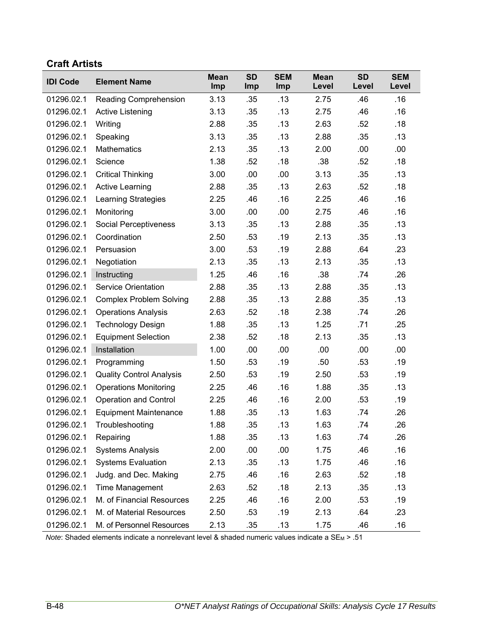#### **Craft Artists**

| <b>IDI Code</b> | <b>Element Name</b>             | <b>Mean</b><br>Imp | <b>SD</b><br>Imp | <b>SEM</b><br>Imp | <b>Mean</b><br>Level | <b>SD</b><br>Level | <b>SEM</b><br>Level |
|-----------------|---------------------------------|--------------------|------------------|-------------------|----------------------|--------------------|---------------------|
| 01296.02.1      | <b>Reading Comprehension</b>    | 3.13               | .35              | .13               | 2.75                 | .46                | .16                 |
| 01296.02.1      | Active Listening                | 3.13               | .35              | .13               | 2.75                 | .46                | .16                 |
| 01296.02.1      | Writing                         | 2.88               | .35              | .13               | 2.63                 | .52                | .18                 |
| 01296.02.1      | Speaking                        | 3.13               | .35              | .13               | 2.88                 | .35                | .13                 |
| 01296.02.1      | Mathematics                     | 2.13               | .35              | .13               | 2.00                 | .00                | .00                 |
| 01296.02.1      | Science                         | 1.38               | .52              | .18               | .38                  | .52                | .18                 |
| 01296.02.1      | <b>Critical Thinking</b>        | 3.00               | .00              | .00               | 3.13                 | .35                | .13                 |
| 01296.02.1      | <b>Active Learning</b>          | 2.88               | .35              | .13               | 2.63                 | .52                | .18                 |
| 01296.02.1      | <b>Learning Strategies</b>      | 2.25               | .46              | .16               | 2.25                 | .46                | .16                 |
| 01296.02.1      | Monitoring                      | 3.00               | .00              | .00               | 2.75                 | .46                | .16                 |
| 01296.02.1      | Social Perceptiveness           | 3.13               | .35              | .13               | 2.88                 | .35                | .13                 |
| 01296.02.1      | Coordination                    | 2.50               | .53              | .19               | 2.13                 | .35                | .13                 |
| 01296.02.1      | Persuasion                      | 3.00               | .53              | .19               | 2.88                 | .64                | .23                 |
| 01296.02.1      | Negotiation                     | 2.13               | .35              | .13               | 2.13                 | .35                | .13                 |
| 01296.02.1      | Instructing                     | 1.25               | .46              | .16               | .38                  | .74                | .26                 |
| 01296.02.1      | <b>Service Orientation</b>      | 2.88               | .35              | .13               | 2.88                 | .35                | .13                 |
| 01296.02.1      | <b>Complex Problem Solving</b>  | 2.88               | .35              | .13               | 2.88                 | .35                | .13                 |
| 01296.02.1      | <b>Operations Analysis</b>      | 2.63               | .52              | .18               | 2.38                 | .74                | .26                 |
| 01296.02.1      | <b>Technology Design</b>        | 1.88               | .35              | .13               | 1.25                 | .71                | .25                 |
| 01296.02.1      | <b>Equipment Selection</b>      | 2.38               | .52              | .18               | 2.13                 | .35                | .13                 |
| 01296.02.1      | Installation                    | 1.00               | .00              | .00               | .00                  | .00                | .00                 |
| 01296.02.1      | Programming                     | 1.50               | .53              | .19               | .50                  | .53                | .19                 |
| 01296.02.1      | <b>Quality Control Analysis</b> | 2.50               | .53              | .19               | 2.50                 | .53                | .19                 |
| 01296.02.1      | <b>Operations Monitoring</b>    | 2.25               | .46              | .16               | 1.88                 | .35                | .13                 |
| 01296.02.1      | <b>Operation and Control</b>    | 2.25               | .46              | .16               | 2.00                 | .53                | .19                 |
| 01296.02.1      | <b>Equipment Maintenance</b>    | 1.88               | .35              | .13               | 1.63                 | .74                | .26                 |
| 01296.02.1      | Troubleshooting                 | 1.88               | .35              | .13               | 1.63                 | .74                | .26                 |
| 01296.02.1      | Repairing                       | 1.88               | .35              | .13               | 1.63                 | .74                | .26                 |
| 01296.02.1      | <b>Systems Analysis</b>         | 2.00               | .00              | .00               | 1.75                 | .46                | .16                 |
| 01296.02.1      | <b>Systems Evaluation</b>       | 2.13               | .35              | .13               | 1.75                 | .46                | .16                 |
| 01296.02.1      | Judg. and Dec. Making           | 2.75               | .46              | .16               | 2.63                 | .52                | .18                 |
| 01296.02.1      | Time Management                 | 2.63               | .52              | .18               | 2.13                 | .35                | .13                 |
| 01296.02.1      | M. of Financial Resources       | 2.25               | .46              | .16               | 2.00                 | .53                | .19                 |
| 01296.02.1      | M. of Material Resources        | 2.50               | .53              | .19               | 2.13                 | .64                | .23                 |
| 01296.02.1      | M. of Personnel Resources       | 2.13               | .35              | .13               | 1.75                 | .46                | .16                 |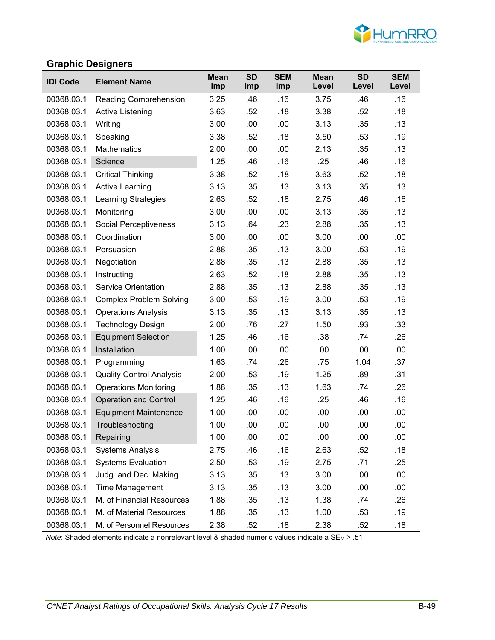

### **Graphic Designers**

| <b>IDI Code</b> | <b>Element Name</b>             | <b>Mean</b><br>Imp | <b>SD</b><br><b>Imp</b> | <b>SEM</b><br>Imp | <b>Mean</b><br>Level | <b>SD</b><br>Level | <b>SEM</b><br>Level |
|-----------------|---------------------------------|--------------------|-------------------------|-------------------|----------------------|--------------------|---------------------|
| 00368.03.1      | Reading Comprehension           | 3.25               | .46                     | .16               | 3.75                 | .46                | .16                 |
| 00368.03.1      | Active Listening                | 3.63               | .52                     | .18               | 3.38                 | .52                | .18                 |
| 00368.03.1      | Writing                         | 3.00               | .00                     | .00               | 3.13                 | .35                | .13                 |
| 00368.03.1      | Speaking                        | 3.38               | .52                     | .18               | 3.50                 | .53                | .19                 |
| 00368.03.1      | <b>Mathematics</b>              | 2.00               | .00                     | .00               | 2.13                 | .35                | .13                 |
| 00368.03.1      | Science                         | 1.25               | .46                     | .16               | .25                  | .46                | .16                 |
| 00368.03.1      | <b>Critical Thinking</b>        | 3.38               | .52                     | .18               | 3.63                 | .52                | .18                 |
| 00368.03.1      | <b>Active Learning</b>          | 3.13               | .35                     | .13               | 3.13                 | .35                | .13                 |
| 00368.03.1      | Learning Strategies             | 2.63               | .52                     | .18               | 2.75                 | .46                | .16                 |
| 00368.03.1      | Monitoring                      | 3.00               | .00                     | .00               | 3.13                 | .35                | .13                 |
| 00368.03.1      | Social Perceptiveness           | 3.13               | .64                     | .23               | 2.88                 | .35                | .13                 |
| 00368.03.1      | Coordination                    | 3.00               | .00                     | .00               | 3.00                 | .00                | .00                 |
| 00368.03.1      | Persuasion                      | 2.88               | .35                     | .13               | 3.00                 | .53                | .19                 |
| 00368.03.1      | Negotiation                     | 2.88               | .35                     | .13               | 2.88                 | .35                | .13                 |
| 00368.03.1      | Instructing                     | 2.63               | .52                     | .18               | 2.88                 | .35                | .13                 |
| 00368.03.1      | <b>Service Orientation</b>      | 2.88               | .35                     | .13               | 2.88                 | .35                | .13                 |
| 00368.03.1      | <b>Complex Problem Solving</b>  | 3.00               | .53                     | .19               | 3.00                 | .53                | .19                 |
| 00368.03.1      | <b>Operations Analysis</b>      | 3.13               | .35                     | .13               | 3.13                 | .35                | .13                 |
| 00368.03.1      | <b>Technology Design</b>        | 2.00               | .76                     | .27               | 1.50                 | .93                | .33                 |
| 00368.03.1      | <b>Equipment Selection</b>      | 1.25               | .46                     | .16               | .38                  | .74                | .26                 |
| 00368.03.1      | Installation                    | 1.00               | .00                     | .00               | .00                  | .00                | .00                 |
| 00368.03.1      | Programming                     | 1.63               | .74                     | .26               | .75                  | 1.04               | .37                 |
| 00368.03.1      | <b>Quality Control Analysis</b> | 2.00               | .53                     | .19               | 1.25                 | .89                | .31                 |
| 00368.03.1      | <b>Operations Monitoring</b>    | 1.88               | .35                     | .13               | 1.63                 | .74                | .26                 |
| 00368.03.1      | <b>Operation and Control</b>    | 1.25               | .46                     | .16               | .25                  | .46                | .16                 |
| 00368.03.1      | <b>Equipment Maintenance</b>    | 1.00               | .00                     | .00               | .00                  | .00                | .00                 |
| 00368.03.1      | Troubleshooting                 | 1.00               | .00                     | .00               | .00                  | .00                | .00                 |
| 00368.03.1      | Repairing                       | 1.00               | .00                     | .00               | .00                  | .00                | .00                 |
| 00368.03.1      | <b>Systems Analysis</b>         | 2.75               | .46                     | .16               | 2.63                 | .52                | .18                 |
| 00368.03.1      | <b>Systems Evaluation</b>       | 2.50               | .53                     | .19               | 2.75                 | .71                | .25                 |
| 00368.03.1      | Judg. and Dec. Making           | 3.13               | .35                     | .13               | 3.00                 | .00                | .00                 |
| 00368.03.1      | Time Management                 | 3.13               | .35                     | .13               | 3.00                 | .00                | .00                 |
| 00368.03.1      | M. of Financial Resources       | 1.88               | .35                     | .13               | 1.38                 | .74                | .26                 |
| 00368.03.1      | M. of Material Resources        | 1.88               | .35                     | .13               | 1.00                 | .53                | .19                 |
| 00368.03.1      | M. of Personnel Resources       | 2.38               | .52                     | .18               | 2.38                 | .52                | .18                 |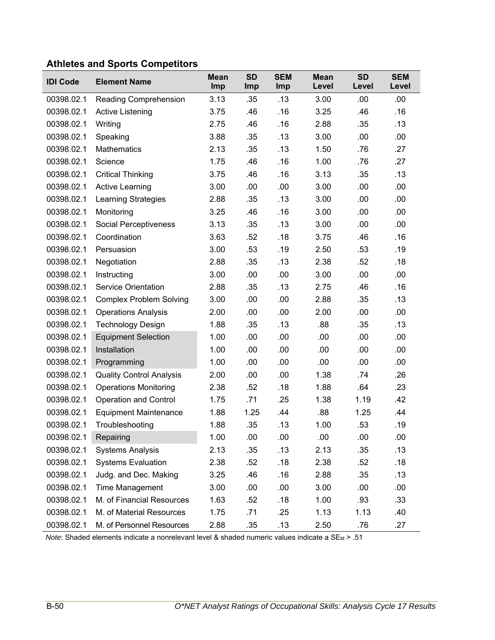# **Athletes and Sports Competitors**

| <b>IDI Code</b> | <b>Element Name</b>             | <b>Mean</b><br>Imp | <b>SD</b><br>Imp | <b>SEM</b><br>Imp | <b>Mean</b><br>Level | <b>SD</b><br>Level | <b>SEM</b><br>Level |
|-----------------|---------------------------------|--------------------|------------------|-------------------|----------------------|--------------------|---------------------|
| 00398.02.1      | Reading Comprehension           | 3.13               | .35              | .13               | 3.00                 | .00                | .00                 |
| 00398.02.1      | <b>Active Listening</b>         | 3.75               | .46              | .16               | 3.25                 | .46                | .16                 |
| 00398.02.1      | Writing                         | 2.75               | .46              | .16               | 2.88                 | .35                | .13                 |
| 00398.02.1      | Speaking                        | 3.88               | .35              | .13               | 3.00                 | .00                | .00                 |
| 00398.02.1      | <b>Mathematics</b>              | 2.13               | .35              | .13               | 1.50                 | .76                | .27                 |
| 00398.02.1      | Science                         | 1.75               | .46              | .16               | 1.00                 | .76                | .27                 |
| 00398.02.1      | <b>Critical Thinking</b>        | 3.75               | .46              | .16               | 3.13                 | .35                | .13                 |
| 00398.02.1      | <b>Active Learning</b>          | 3.00               | .00              | .00               | 3.00                 | .00                | .00                 |
| 00398.02.1      | Learning Strategies             | 2.88               | .35              | .13               | 3.00                 | .00                | .00                 |
| 00398.02.1      | Monitoring                      | 3.25               | .46              | .16               | 3.00                 | .00                | .00                 |
| 00398.02.1      | Social Perceptiveness           | 3.13               | .35              | .13               | 3.00                 | .00                | .00                 |
| 00398.02.1      | Coordination                    | 3.63               | .52              | .18               | 3.75                 | .46                | .16                 |
| 00398.02.1      | Persuasion                      | 3.00               | .53              | .19               | 2.50                 | .53                | .19                 |
| 00398.02.1      | Negotiation                     | 2.88               | .35              | .13               | 2.38                 | .52                | .18                 |
| 00398.02.1      | Instructing                     | 3.00               | .00              | .00               | 3.00                 | .00                | .00                 |
| 00398.02.1      | <b>Service Orientation</b>      | 2.88               | .35              | .13               | 2.75                 | .46                | .16                 |
| 00398.02.1      | <b>Complex Problem Solving</b>  | 3.00               | .00              | .00               | 2.88                 | .35                | .13                 |
| 00398.02.1      | <b>Operations Analysis</b>      | 2.00               | .00              | .00               | 2.00                 | .00                | .00                 |
| 00398.02.1      | <b>Technology Design</b>        | 1.88               | .35              | .13               | .88                  | .35                | .13                 |
| 00398.02.1      | <b>Equipment Selection</b>      | 1.00               | .00              | .00               | .00                  | .00                | .00                 |
| 00398.02.1      | Installation                    | 1.00               | .00              | .00               | .00                  | .00                | .00                 |
| 00398.02.1      | Programming                     | 1.00               | .00              | .00               | .00                  | .00                | .00                 |
| 00398.02.1      | <b>Quality Control Analysis</b> | 2.00               | .00              | .00               | 1.38                 | .74                | .26                 |
| 00398.02.1      | <b>Operations Monitoring</b>    | 2.38               | .52              | .18               | 1.88                 | .64                | .23                 |
| 00398.02.1      | <b>Operation and Control</b>    | 1.75               | .71              | .25               | 1.38                 | 1.19               | .42                 |
| 00398.02.1      | <b>Equipment Maintenance</b>    | 1.88               | 1.25             | .44               | .88                  | 1.25               | .44                 |
| 00398.02.1      | Troubleshooting                 | 1.88               | .35              | .13               | 1.00                 | .53                | .19                 |
| 00398.02.1      | Repairing                       | 1.00               | .00              | .00               | .00                  | .00                | .00                 |
| 00398.02.1      | <b>Systems Analysis</b>         | 2.13               | .35              | .13               | 2.13                 | .35                | .13                 |
| 00398.02.1      | <b>Systems Evaluation</b>       | 2.38               | .52              | .18               | 2.38                 | .52                | .18                 |
| 00398.02.1      | Judg. and Dec. Making           | 3.25               | .46              | .16               | 2.88                 | .35                | .13                 |
| 00398.02.1      | Time Management                 | 3.00               | .00              | .00               | 3.00                 | .00                | .00                 |
| 00398.02.1      | M. of Financial Resources       | 1.63               | .52              | .18               | 1.00                 | .93                | .33                 |
| 00398.02.1      | M. of Material Resources        | 1.75               | .71              | .25               | 1.13                 | 1.13               | .40                 |
| 00398.02.1      | M. of Personnel Resources       | 2.88               | .35              | .13               | 2.50                 | .76                | .27                 |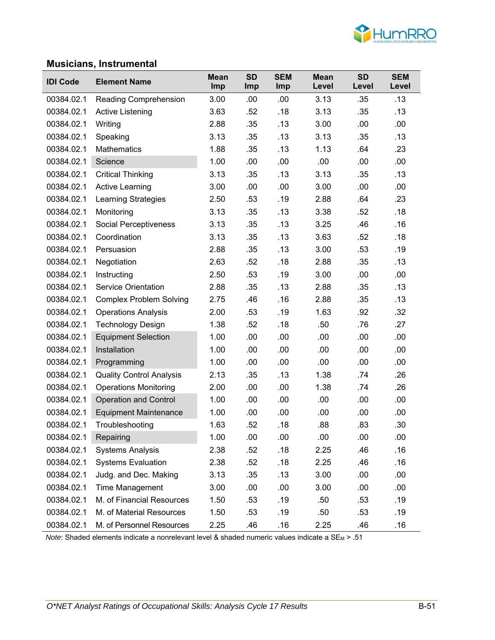

### **Musicians, Instrumental**

|                 | ololullo, mou umonum            |                    |                  |                   |                      |                    |                     |
|-----------------|---------------------------------|--------------------|------------------|-------------------|----------------------|--------------------|---------------------|
| <b>IDI Code</b> | <b>Element Name</b>             | <b>Mean</b><br>Imp | <b>SD</b><br>Imp | <b>SEM</b><br>Imp | <b>Mean</b><br>Level | <b>SD</b><br>Level | <b>SEM</b><br>Level |
| 00384.02.1      | Reading Comprehension           | 3.00               | .00              | .00               | 3.13                 | .35                | .13                 |
| 00384.02.1      | Active Listening                | 3.63               | .52              | .18               | 3.13                 | .35                | .13                 |
| 00384.02.1      | Writing                         | 2.88               | .35              | .13               | 3.00                 | .00                | .00                 |
| 00384.02.1      | Speaking                        | 3.13               | .35              | .13               | 3.13                 | .35                | .13                 |
| 00384.02.1      | <b>Mathematics</b>              | 1.88               | .35              | .13               | 1.13                 | .64                | .23                 |
| 00384.02.1      | Science                         | 1.00               | .00              | .00               | .00                  | .00                | .00                 |
| 00384.02.1      | <b>Critical Thinking</b>        | 3.13               | .35              | .13               | 3.13                 | .35                | .13                 |
| 00384.02.1      | <b>Active Learning</b>          | 3.00               | .00              | .00               | 3.00                 | .00                | .00                 |
| 00384.02.1      | Learning Strategies             | 2.50               | .53              | .19               | 2.88                 | .64                | .23                 |
| 00384.02.1      | Monitoring                      | 3.13               | .35              | .13               | 3.38                 | .52                | .18                 |
| 00384.02.1      | <b>Social Perceptiveness</b>    | 3.13               | .35              | .13               | 3.25                 | .46                | .16                 |
| 00384.02.1      | Coordination                    | 3.13               | .35              | .13               | 3.63                 | .52                | .18                 |
| 00384.02.1      | Persuasion                      | 2.88               | .35              | .13               | 3.00                 | .53                | .19                 |
| 00384.02.1      | Negotiation                     | 2.63               | .52              | .18               | 2.88                 | .35                | .13                 |
| 00384.02.1      | Instructing                     | 2.50               | .53              | .19               | 3.00                 | .00                | .00.                |
| 00384.02.1      | <b>Service Orientation</b>      | 2.88               | .35              | .13               | 2.88                 | .35                | .13                 |
| 00384.02.1      | <b>Complex Problem Solving</b>  | 2.75               | .46              | .16               | 2.88                 | .35                | .13                 |
| 00384.02.1      | <b>Operations Analysis</b>      | 2.00               | .53              | .19               | 1.63                 | .92                | .32                 |
| 00384.02.1      | <b>Technology Design</b>        | 1.38               | .52              | .18               | .50                  | .76                | .27                 |
| 00384.02.1      | <b>Equipment Selection</b>      | 1.00               | .00              | .00               | .00                  | .00                | .00                 |
| 00384.02.1      | Installation                    | 1.00               | .00              | .00               | .00                  | .00                | .00                 |
| 00384.02.1      | Programming                     | 1.00               | .00              | .00               | .00                  | .00                | .00                 |
| 00384.02.1      | <b>Quality Control Analysis</b> | 2.13               | .35              | .13               | 1.38                 | .74                | .26                 |
| 00384.02.1      | <b>Operations Monitoring</b>    | 2.00               | .00              | .00               | 1.38                 | .74                | .26                 |
| 00384.02.1      | <b>Operation and Control</b>    | 1.00               | .00              | .00               | .00                  | .00                | .00                 |
| 00384.02.1      | <b>Equipment Maintenance</b>    | 1.00               | .00              | .00               | .00                  | .00                | .00                 |
| 00384.02.1      | Troubleshooting                 | 1.63               | .52              | .18               | .88                  | .83                | .30                 |
| 00384.02.1      | Repairing                       | 1.00               | .00              | .00               | .00                  | .00                | .00                 |
| 00384.02.1      | <b>Systems Analysis</b>         | 2.38               | .52              | .18               | 2.25                 | .46                | .16                 |
| 00384.02.1      | <b>Systems Evaluation</b>       | 2.38               | .52              | .18               | 2.25                 | .46                | .16                 |
| 00384.02.1      | Judg. and Dec. Making           | 3.13               | .35              | .13               | 3.00                 | .00                | .00                 |
| 00384.02.1      | Time Management                 | 3.00               | .00              | .00               | 3.00                 | .00                | .00                 |
| 00384.02.1      | M. of Financial Resources       | 1.50               | .53              | .19               | .50                  | .53                | .19                 |
| 00384.02.1      | M. of Material Resources        | 1.50               | .53              | .19               | .50                  | .53                | .19                 |
| 00384.02.1      | M. of Personnel Resources       | 2.25               | .46              | .16               | 2.25                 | .46                | .16                 |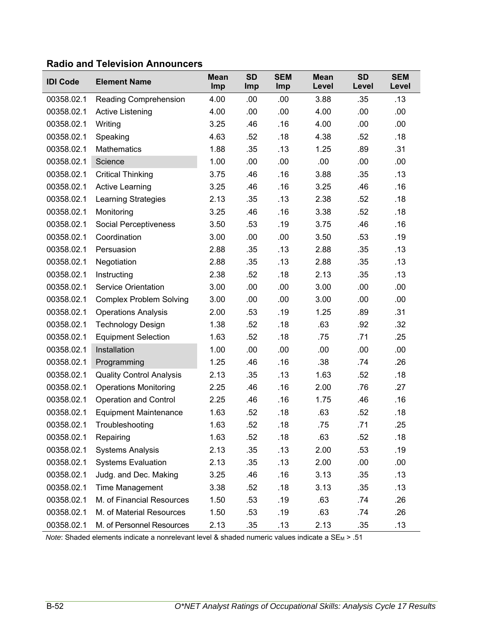|  |  | <b>Radio and Television Announcers</b> |
|--|--|----------------------------------------|
|--|--|----------------------------------------|

| <b>IDI Code</b> | <b>Element Name</b>             | <b>Mean</b><br>Imp | <b>SD</b><br>Imp | <b>SEM</b><br>Imp | <b>Mean</b><br>Level | <b>SD</b><br>Level | <b>SEM</b><br>Level |
|-----------------|---------------------------------|--------------------|------------------|-------------------|----------------------|--------------------|---------------------|
| 00358.02.1      | Reading Comprehension           | 4.00               | .00              | .00               | 3.88                 | .35                | .13                 |
| 00358.02.1      | Active Listening                | 4.00               | .00              | .00               | 4.00                 | .00                | .00.                |
| 00358.02.1      | Writing                         | 3.25               | .46              | .16               | 4.00                 | .00                | .00.                |
| 00358.02.1      | Speaking                        | 4.63               | .52              | .18               | 4.38                 | .52                | .18                 |
| 00358.02.1      | <b>Mathematics</b>              | 1.88               | .35              | .13               | 1.25                 | .89                | .31                 |
| 00358.02.1      | Science                         | 1.00               | .00              | .00               | .00                  | .00                | .00                 |
| 00358.02.1      | <b>Critical Thinking</b>        | 3.75               | .46              | .16               | 3.88                 | .35                | .13                 |
| 00358.02.1      | <b>Active Learning</b>          | 3.25               | .46              | .16               | 3.25                 | .46                | .16                 |
| 00358.02.1      | <b>Learning Strategies</b>      | 2.13               | .35              | .13               | 2.38                 | .52                | .18                 |
| 00358.02.1      | Monitoring                      | 3.25               | .46              | .16               | 3.38                 | .52                | .18                 |
| 00358.02.1      | Social Perceptiveness           | 3.50               | .53              | .19               | 3.75                 | .46                | .16                 |
| 00358.02.1      | Coordination                    | 3.00               | .00              | .00               | 3.50                 | .53                | .19                 |
| 00358.02.1      | Persuasion                      | 2.88               | .35              | .13               | 2.88                 | .35                | .13                 |
| 00358.02.1      | Negotiation                     | 2.88               | .35              | .13               | 2.88                 | .35                | .13                 |
| 00358.02.1      | Instructing                     | 2.38               | .52              | .18               | 2.13                 | .35                | .13                 |
| 00358.02.1      | <b>Service Orientation</b>      | 3.00               | .00              | .00               | 3.00                 | .00                | .00                 |
| 00358.02.1      | <b>Complex Problem Solving</b>  | 3.00               | .00              | .00               | 3.00                 | .00                | .00                 |
| 00358.02.1      | <b>Operations Analysis</b>      | 2.00               | .53              | .19               | 1.25                 | .89                | .31                 |
| 00358.02.1      | <b>Technology Design</b>        | 1.38               | .52              | .18               | .63                  | .92                | .32                 |
| 00358.02.1      | <b>Equipment Selection</b>      | 1.63               | .52              | .18               | .75                  | .71                | .25                 |
| 00358.02.1      | Installation                    | 1.00               | .00              | .00               | .00                  | .00                | .00                 |
| 00358.02.1      | Programming                     | 1.25               | .46              | .16               | .38                  | .74                | .26                 |
| 00358.02.1      | <b>Quality Control Analysis</b> | 2.13               | .35              | .13               | 1.63                 | .52                | .18                 |
| 00358.02.1      | <b>Operations Monitoring</b>    | 2.25               | .46              | .16               | 2.00                 | .76                | .27                 |
| 00358.02.1      | Operation and Control           | 2.25               | .46              | .16               | 1.75                 | .46                | .16                 |
| 00358.02.1      | <b>Equipment Maintenance</b>    | 1.63               | .52              | .18               | .63                  | .52                | .18                 |
| 00358.02.1      | Troubleshooting                 | 1.63               | .52              | .18               | .75                  | .71                | .25                 |
| 00358.02.1      | Repairing                       | 1.63               | .52              | .18               | .63                  | .52                | .18                 |
| 00358.02.1      | <b>Systems Analysis</b>         | 2.13               | .35              | .13               | 2.00                 | .53                | .19                 |
| 00358.02.1      | <b>Systems Evaluation</b>       | 2.13               | .35              | .13               | 2.00                 | .00                | .00                 |
| 00358.02.1      | Judg. and Dec. Making           | 3.25               | .46              | .16               | 3.13                 | .35                | .13                 |
| 00358.02.1      | Time Management                 | 3.38               | .52              | .18               | 3.13                 | .35                | .13                 |
| 00358.02.1      | M. of Financial Resources       | 1.50               | .53              | .19               | .63                  | .74                | .26                 |
| 00358.02.1      | M. of Material Resources        | 1.50               | .53              | .19               | .63                  | .74                | .26                 |
| 00358.02.1      | M. of Personnel Resources       | 2.13               | .35              | .13               | 2.13                 | .35                | .13                 |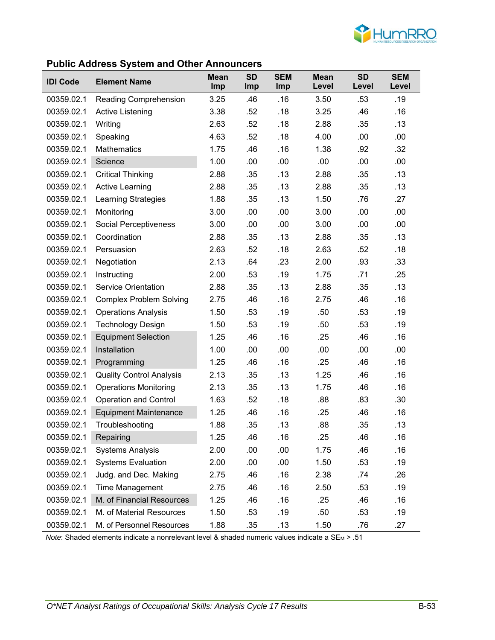

### **Public Address System and Other Announcers**

| <b>IDI Code</b> | <b>Element Name</b>             | <b>Mean</b><br>Imp | <b>SD</b><br>Imp | <b>SEM</b><br>Imp | <b>Mean</b><br>Level | <b>SD</b><br>Level | <b>SEM</b><br>Level |
|-----------------|---------------------------------|--------------------|------------------|-------------------|----------------------|--------------------|---------------------|
| 00359.02.1      | Reading Comprehension           | 3.25               | .46              | .16               | 3.50                 | .53                | .19                 |
| 00359.02.1      | Active Listening                | 3.38               | .52              | .18               | 3.25                 | .46                | .16                 |
| 00359.02.1      | Writing                         | 2.63               | .52              | .18               | 2.88                 | .35                | .13                 |
| 00359.02.1      | Speaking                        | 4.63               | .52              | .18               | 4.00                 | .00                | .00                 |
| 00359.02.1      | Mathematics                     | 1.75               | .46              | .16               | 1.38                 | .92                | .32                 |
| 00359.02.1      | Science                         | 1.00               | .00              | .00               | .00                  | .00                | .00                 |
| 00359.02.1      | <b>Critical Thinking</b>        | 2.88               | .35              | .13               | 2.88                 | .35                | .13                 |
| 00359.02.1      | <b>Active Learning</b>          | 2.88               | .35              | .13               | 2.88                 | .35                | .13                 |
| 00359.02.1      | <b>Learning Strategies</b>      | 1.88               | .35              | .13               | 1.50                 | .76                | .27                 |
| 00359.02.1      | Monitoring                      | 3.00               | .00              | .00               | 3.00                 | .00                | .00                 |
| 00359.02.1      | <b>Social Perceptiveness</b>    | 3.00               | .00              | .00               | 3.00                 | .00                | .00                 |
| 00359.02.1      | Coordination                    | 2.88               | .35              | .13               | 2.88                 | .35                | .13                 |
| 00359.02.1      | Persuasion                      | 2.63               | .52              | .18               | 2.63                 | .52                | .18                 |
| 00359.02.1      | Negotiation                     | 2.13               | .64              | .23               | 2.00                 | .93                | .33                 |
| 00359.02.1      | Instructing                     | 2.00               | .53              | .19               | 1.75                 | .71                | .25                 |
| 00359.02.1      | <b>Service Orientation</b>      | 2.88               | .35              | .13               | 2.88                 | .35                | .13                 |
| 00359.02.1      | <b>Complex Problem Solving</b>  | 2.75               | .46              | .16               | 2.75                 | .46                | .16                 |
| 00359.02.1      | <b>Operations Analysis</b>      | 1.50               | .53              | .19               | .50                  | .53                | .19                 |
| 00359.02.1      | <b>Technology Design</b>        | 1.50               | .53              | .19               | .50                  | .53                | .19                 |
| 00359.02.1      | <b>Equipment Selection</b>      | 1.25               | .46              | .16               | .25                  | .46                | .16                 |
| 00359.02.1      | Installation                    | 1.00               | .00              | .00               | .00                  | .00                | .00                 |
| 00359.02.1      | Programming                     | 1.25               | .46              | .16               | .25                  | .46                | .16                 |
| 00359.02.1      | <b>Quality Control Analysis</b> | 2.13               | .35              | .13               | 1.25                 | .46                | .16                 |
| 00359.02.1      | <b>Operations Monitoring</b>    | 2.13               | .35              | .13               | 1.75                 | .46                | .16                 |
| 00359.02.1      | <b>Operation and Control</b>    | 1.63               | .52              | .18               | .88                  | .83                | .30                 |
| 00359.02.1      | <b>Equipment Maintenance</b>    | 1.25               | .46              | .16               | .25                  | .46                | .16                 |
| 00359.02.1      | Troubleshooting                 | 1.88               | .35              | .13               | .88                  | .35                | .13                 |
| 00359.02.1      | Repairing                       | 1.25               | .46              | .16               | .25                  | .46                | .16                 |
| 00359.02.1      | <b>Systems Analysis</b>         | 2.00               | .00              | .00               | 1.75                 | .46                | .16                 |
| 00359.02.1      | <b>Systems Evaluation</b>       | 2.00               | .00              | .00               | 1.50                 | .53                | .19                 |
| 00359.02.1      | Judg. and Dec. Making           | 2.75               | .46              | .16               | 2.38                 | .74                | .26                 |
| 00359.02.1      | <b>Time Management</b>          | 2.75               | .46              | .16               | 2.50                 | .53                | .19                 |
| 00359.02.1      | M. of Financial Resources       | 1.25               | .46              | .16               | .25                  | .46                | .16                 |
| 00359.02.1      | M. of Material Resources        | 1.50               | .53              | .19               | .50                  | .53                | .19                 |
| 00359.02.1      | M. of Personnel Resources       | 1.88               | .35              | .13               | 1.50                 | .76                | .27                 |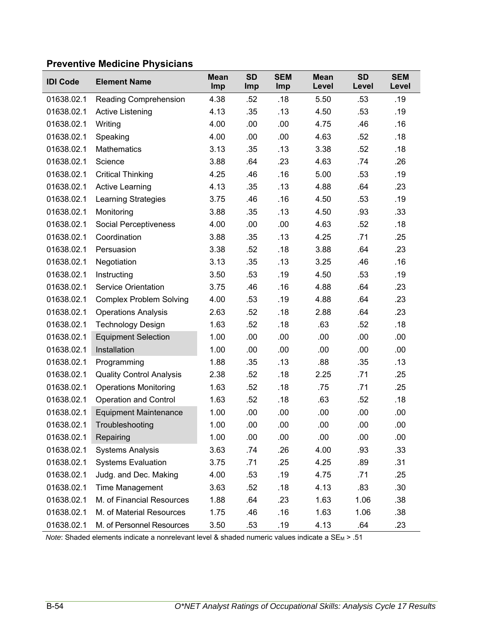# **Preventive Medicine Physicians**

| <b>IDI Code</b> | <b>Element Name</b>             | <b>Mean</b><br>Imp | <b>SD</b><br><b>Imp</b> | <b>SEM</b><br>Imp | <b>Mean</b><br>Level | <b>SD</b><br>Level | <b>SEM</b><br>Level |
|-----------------|---------------------------------|--------------------|-------------------------|-------------------|----------------------|--------------------|---------------------|
| 01638.02.1      | <b>Reading Comprehension</b>    | 4.38               | .52                     | .18               | 5.50                 | .53                | .19                 |
| 01638.02.1      | Active Listening                | 4.13               | .35                     | .13               | 4.50                 | .53                | .19                 |
| 01638.02.1      | Writing                         | 4.00               | .00                     | .00               | 4.75                 | .46                | .16                 |
| 01638.02.1      | Speaking                        | 4.00               | .00                     | .00               | 4.63                 | .52                | .18                 |
| 01638.02.1      | <b>Mathematics</b>              | 3.13               | .35                     | .13               | 3.38                 | .52                | .18                 |
| 01638.02.1      | Science                         | 3.88               | .64                     | .23               | 4.63                 | .74                | .26                 |
| 01638.02.1      | <b>Critical Thinking</b>        | 4.25               | .46                     | .16               | 5.00                 | .53                | .19                 |
| 01638.02.1      | <b>Active Learning</b>          | 4.13               | .35                     | .13               | 4.88                 | .64                | .23                 |
| 01638.02.1      | <b>Learning Strategies</b>      | 3.75               | .46                     | .16               | 4.50                 | .53                | .19                 |
| 01638.02.1      | Monitoring                      | 3.88               | .35                     | .13               | 4.50                 | .93                | .33                 |
| 01638.02.1      | Social Perceptiveness           | 4.00               | .00                     | .00               | 4.63                 | .52                | .18                 |
| 01638.02.1      | Coordination                    | 3.88               | .35                     | .13               | 4.25                 | .71                | .25                 |
| 01638.02.1      | Persuasion                      | 3.38               | .52                     | .18               | 3.88                 | .64                | .23                 |
| 01638.02.1      | Negotiation                     | 3.13               | .35                     | .13               | 3.25                 | .46                | .16                 |
| 01638.02.1      | Instructing                     | 3.50               | .53                     | .19               | 4.50                 | .53                | .19                 |
| 01638.02.1      | <b>Service Orientation</b>      | 3.75               | .46                     | .16               | 4.88                 | .64                | .23                 |
| 01638.02.1      | <b>Complex Problem Solving</b>  | 4.00               | .53                     | .19               | 4.88                 | .64                | .23                 |
| 01638.02.1      | <b>Operations Analysis</b>      | 2.63               | .52                     | .18               | 2.88                 | .64                | .23                 |
| 01638.02.1      | <b>Technology Design</b>        | 1.63               | .52                     | .18               | .63                  | .52                | .18                 |
| 01638.02.1      | <b>Equipment Selection</b>      | 1.00               | .00                     | .00               | .00                  | .00                | .00                 |
| 01638.02.1      | Installation                    | 1.00               | .00                     | .00               | .00                  | .00                | .00                 |
| 01638.02.1      | Programming                     | 1.88               | .35                     | .13               | .88                  | .35                | .13                 |
| 01638.02.1      | <b>Quality Control Analysis</b> | 2.38               | .52                     | .18               | 2.25                 | .71                | .25                 |
| 01638.02.1      | <b>Operations Monitoring</b>    | 1.63               | .52                     | .18               | .75                  | .71                | .25                 |
| 01638.02.1      | <b>Operation and Control</b>    | 1.63               | .52                     | .18               | .63                  | .52                | .18                 |
| 01638.02.1      | <b>Equipment Maintenance</b>    | 1.00               | .00                     | .00               | .00                  | .00                | .00                 |
| 01638.02.1      | Troubleshooting                 | 1.00               | .00                     | .00               | .00                  | .00                | .00                 |
| 01638.02.1      | Repairing                       | 1.00               | .00                     | .00               | .00                  | .00                | .00                 |
| 01638.02.1      | <b>Systems Analysis</b>         | 3.63               | .74                     | .26               | 4.00                 | .93                | .33                 |
| 01638.02.1      | <b>Systems Evaluation</b>       | 3.75               | .71                     | .25               | 4.25                 | .89                | .31                 |
| 01638.02.1      | Judg. and Dec. Making           | 4.00               | .53                     | .19               | 4.75                 | .71                | .25                 |
| 01638.02.1      | Time Management                 | 3.63               | .52                     | .18               | 4.13                 | .83                | .30                 |
| 01638.02.1      | M. of Financial Resources       | 1.88               | .64                     | .23               | 1.63                 | 1.06               | .38                 |
| 01638.02.1      | M. of Material Resources        | 1.75               | .46                     | .16               | 1.63                 | 1.06               | .38                 |
| 01638.02.1      | M. of Personnel Resources       | 3.50               | .53                     | .19               | 4.13                 | .64                | .23                 |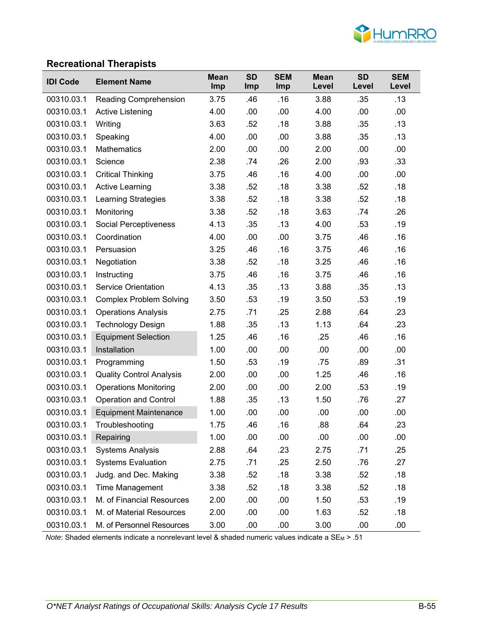

#### **Recreational Therapists**

| <b>IDI Code</b> | <b>Element Name</b>             | <b>Mean</b><br>Imp | <b>SD</b><br><b>Imp</b> | <b>SEM</b><br><b>Imp</b> | <b>Mean</b><br>Level | <b>SD</b><br>Level | <b>SEM</b><br>Level |
|-----------------|---------------------------------|--------------------|-------------------------|--------------------------|----------------------|--------------------|---------------------|
| 00310.03.1      | <b>Reading Comprehension</b>    | 3.75               | .46                     | .16                      | 3.88                 | .35                | .13                 |
| 00310.03.1      | <b>Active Listening</b>         | 4.00               | .00                     | .00                      | 4.00                 | .00                | .00                 |
| 00310.03.1      | Writing                         | 3.63               | .52                     | .18                      | 3.88                 | .35                | .13                 |
| 00310.03.1      | Speaking                        | 4.00               | .00                     | .00                      | 3.88                 | .35                | .13                 |
| 00310.03.1      | Mathematics                     | 2.00               | .00                     | .00                      | 2.00                 | .00                | .00                 |
| 00310.03.1      | Science                         | 2.38               | .74                     | .26                      | 2.00                 | .93                | .33                 |
| 00310.03.1      | <b>Critical Thinking</b>        | 3.75               | .46                     | .16                      | 4.00                 | .00                | .00                 |
| 00310.03.1      | <b>Active Learning</b>          | 3.38               | .52                     | .18                      | 3.38                 | .52                | .18                 |
| 00310.03.1      | Learning Strategies             | 3.38               | .52                     | .18                      | 3.38                 | .52                | .18                 |
| 00310.03.1      | Monitoring                      | 3.38               | .52                     | .18                      | 3.63                 | .74                | .26                 |
| 00310.03.1      | Social Perceptiveness           | 4.13               | .35                     | .13                      | 4.00                 | .53                | .19                 |
| 00310.03.1      | Coordination                    | 4.00               | .00                     | .00                      | 3.75                 | .46                | .16                 |
| 00310.03.1      | Persuasion                      | 3.25               | .46                     | .16                      | 3.75                 | .46                | .16                 |
| 00310.03.1      | Negotiation                     | 3.38               | .52                     | .18                      | 3.25                 | .46                | .16                 |
| 00310.03.1      | Instructing                     | 3.75               | .46                     | .16                      | 3.75                 | .46                | .16                 |
| 00310.03.1      | <b>Service Orientation</b>      | 4.13               | .35                     | .13                      | 3.88                 | .35                | .13                 |
| 00310.03.1      | <b>Complex Problem Solving</b>  | 3.50               | .53                     | .19                      | 3.50                 | .53                | .19                 |
| 00310.03.1      | <b>Operations Analysis</b>      | 2.75               | .71                     | .25                      | 2.88                 | .64                | .23                 |
| 00310.03.1      | <b>Technology Design</b>        | 1.88               | .35                     | .13                      | 1.13                 | .64                | .23                 |
| 00310.03.1      | <b>Equipment Selection</b>      | 1.25               | .46                     | .16                      | .25                  | .46                | .16                 |
| 00310.03.1      | Installation                    | 1.00               | .00                     | .00                      | .00                  | .00                | .00                 |
| 00310.03.1      | Programming                     | 1.50               | .53                     | .19                      | .75                  | .89                | .31                 |
| 00310.03.1      | <b>Quality Control Analysis</b> | 2.00               | .00                     | .00                      | 1.25                 | .46                | .16                 |
| 00310.03.1      | <b>Operations Monitoring</b>    | 2.00               | .00                     | .00                      | 2.00                 | .53                | .19                 |
| 00310.03.1      | <b>Operation and Control</b>    | 1.88               | .35                     | .13                      | 1.50                 | .76                | .27                 |
| 00310.03.1      | <b>Equipment Maintenance</b>    | 1.00               | .00                     | .00                      | .00                  | .00                | .00                 |
| 00310.03.1      | Troubleshooting                 | 1.75               | .46                     | .16                      | .88                  | .64                | .23                 |
| 00310.03.1      | Repairing                       | 1.00               | .00                     | .00                      | .00                  | .00                | .00                 |
| 00310.03.1      | <b>Systems Analysis</b>         | 2.88               | .64                     | .23                      | 2.75                 | .71                | .25                 |
| 00310.03.1      | <b>Systems Evaluation</b>       | 2.75               | .71                     | .25                      | 2.50                 | .76                | .27                 |
| 00310.03.1      | Judg. and Dec. Making           | 3.38               | .52                     | .18                      | 3.38                 | .52                | .18                 |
| 00310.03.1      | Time Management                 | 3.38               | .52                     | .18                      | 3.38                 | .52                | .18                 |
| 00310.03.1      | M. of Financial Resources       | 2.00               | .00                     | .00                      | 1.50                 | .53                | .19                 |
| 00310.03.1      | M. of Material Resources        | 2.00               | .00                     | .00                      | 1.63                 | .52                | .18                 |
| 00310.03.1      | M. of Personnel Resources       | 3.00               | .00                     | .00                      | 3.00                 | .00                | .00                 |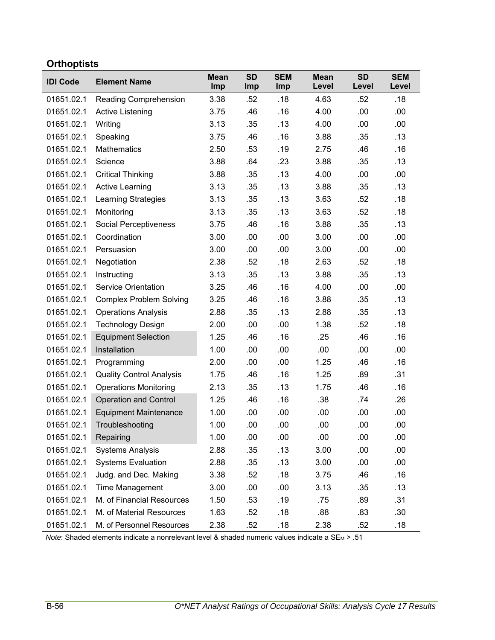# **Orthoptists**

| <b>IDI Code</b> | <b>Element Name</b>             | <b>Mean</b><br>Imp | <b>SD</b><br>Imp | <b>SEM</b><br>Imp | <b>Mean</b><br>Level | <b>SD</b><br>Level | <b>SEM</b><br>Level |
|-----------------|---------------------------------|--------------------|------------------|-------------------|----------------------|--------------------|---------------------|
| 01651.02.1      | Reading Comprehension           | 3.38               | .52              | .18               | 4.63                 | .52                | .18                 |
| 01651.02.1      | Active Listening                | 3.75               | .46              | .16               | 4.00                 | .00                | .00                 |
| 01651.02.1      | Writing                         | 3.13               | .35              | .13               | 4.00                 | .00                | .00                 |
| 01651.02.1      | Speaking                        | 3.75               | .46              | .16               | 3.88                 | .35                | .13                 |
| 01651.02.1      | <b>Mathematics</b>              | 2.50               | .53              | .19               | 2.75                 | .46                | .16                 |
| 01651.02.1      | Science                         | 3.88               | .64              | .23               | 3.88                 | .35                | .13                 |
| 01651.02.1      | <b>Critical Thinking</b>        | 3.88               | .35              | .13               | 4.00                 | .00                | .00                 |
| 01651.02.1      | <b>Active Learning</b>          | 3.13               | .35              | .13               | 3.88                 | .35                | .13                 |
| 01651.02.1      | <b>Learning Strategies</b>      | 3.13               | .35              | .13               | 3.63                 | .52                | .18                 |
| 01651.02.1      | Monitoring                      | 3.13               | .35              | .13               | 3.63                 | .52                | .18                 |
| 01651.02.1      | <b>Social Perceptiveness</b>    | 3.75               | .46              | .16               | 3.88                 | .35                | .13                 |
| 01651.02.1      | Coordination                    | 3.00               | .00              | .00               | 3.00                 | .00                | .00                 |
| 01651.02.1      | Persuasion                      | 3.00               | .00              | .00               | 3.00                 | .00                | .00                 |
| 01651.02.1      | Negotiation                     | 2.38               | .52              | .18               | 2.63                 | .52                | .18                 |
| 01651.02.1      | Instructing                     | 3.13               | .35              | .13               | 3.88                 | .35                | .13                 |
| 01651.02.1      | <b>Service Orientation</b>      | 3.25               | .46              | .16               | 4.00                 | .00                | .00                 |
| 01651.02.1      | <b>Complex Problem Solving</b>  | 3.25               | .46              | .16               | 3.88                 | .35                | .13                 |
| 01651.02.1      | <b>Operations Analysis</b>      | 2.88               | .35              | .13               | 2.88                 | .35                | .13                 |
| 01651.02.1      | <b>Technology Design</b>        | 2.00               | .00              | .00               | 1.38                 | .52                | .18                 |
| 01651.02.1      | <b>Equipment Selection</b>      | 1.25               | .46              | .16               | .25                  | .46                | .16                 |
| 01651.02.1      | Installation                    | 1.00               | .00              | .00               | .00                  | .00                | .00                 |
| 01651.02.1      | Programming                     | 2.00               | .00              | .00               | 1.25                 | .46                | .16                 |
| 01651.02.1      | <b>Quality Control Analysis</b> | 1.75               | .46              | .16               | 1.25                 | .89                | .31                 |
| 01651.02.1      | <b>Operations Monitoring</b>    | 2.13               | .35              | .13               | 1.75                 | .46                | .16                 |
| 01651.02.1      | <b>Operation and Control</b>    | 1.25               | .46              | .16               | .38                  | .74                | .26                 |
| 01651.02.1      | <b>Equipment Maintenance</b>    | 1.00               | .00              | .00               | .00                  | .00                | .00                 |
| 01651.02.1      | Troubleshooting                 | 1.00               | .00              | .00               | .00                  | .00                | .00                 |
| 01651.02.1      | Repairing                       | 1.00               | .00              | .00               | .00                  | .00                | .00                 |
| 01651.02.1      | <b>Systems Analysis</b>         | 2.88               | .35              | .13               | 3.00                 | .00                | .00                 |
| 01651.02.1      | <b>Systems Evaluation</b>       | 2.88               | .35              | .13               | 3.00                 | .00                | .00                 |
| 01651.02.1      | Judg. and Dec. Making           | 3.38               | .52              | .18               | 3.75                 | .46                | .16                 |
| 01651.02.1      | Time Management                 | 3.00               | .00              | .00               | 3.13                 | .35                | .13                 |
| 01651.02.1      | M. of Financial Resources       | 1.50               | .53              | .19               | .75                  | .89                | .31                 |
| 01651.02.1      | M. of Material Resources        | 1.63               | .52              | .18               | .88                  | .83                | .30                 |
| 01651.02.1      | M. of Personnel Resources       | 2.38               | .52              | .18               | 2.38                 | .52                | .18                 |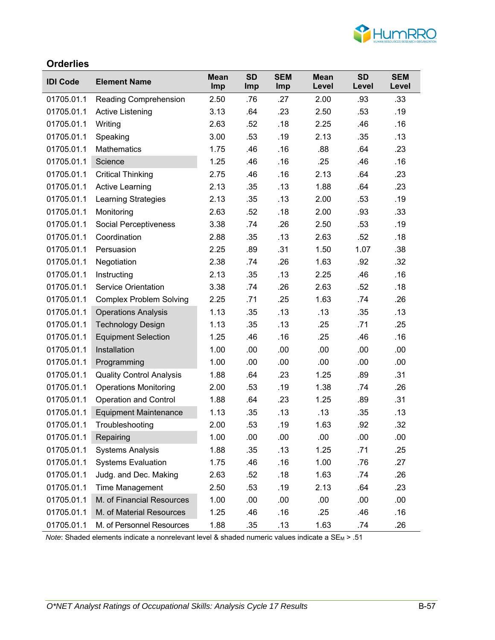

#### **Orderlies**

| <b>IDI Code</b> | <b>Element Name</b>             | <b>Mean</b><br><b>Imp</b> | <b>SD</b><br><b>Imp</b> | <b>SEM</b><br>Imp | <b>Mean</b><br>Level | <b>SD</b><br>Level | <b>SEM</b><br>Level |
|-----------------|---------------------------------|---------------------------|-------------------------|-------------------|----------------------|--------------------|---------------------|
| 01705.01.1      | <b>Reading Comprehension</b>    | 2.50                      | .76                     | .27               | 2.00                 | .93                | .33                 |
| 01705.01.1      | Active Listening                | 3.13                      | .64                     | .23               | 2.50                 | .53                | .19                 |
| 01705.01.1      | Writing                         | 2.63                      | .52                     | .18               | 2.25                 | .46                | .16                 |
| 01705.01.1      | Speaking                        | 3.00                      | .53                     | .19               | 2.13                 | .35                | .13                 |
| 01705.01.1      | <b>Mathematics</b>              | 1.75                      | .46                     | .16               | .88                  | .64                | .23                 |
| 01705.01.1      | Science                         | 1.25                      | .46                     | .16               | .25                  | .46                | .16                 |
| 01705.01.1      | <b>Critical Thinking</b>        | 2.75                      | .46                     | .16               | 2.13                 | .64                | .23                 |
| 01705.01.1      | <b>Active Learning</b>          | 2.13                      | .35                     | .13               | 1.88                 | .64                | .23                 |
| 01705.01.1      | <b>Learning Strategies</b>      | 2.13                      | .35                     | .13               | 2.00                 | .53                | .19                 |
| 01705.01.1      | Monitoring                      | 2.63                      | .52                     | .18               | 2.00                 | .93                | .33                 |
| 01705.01.1      | Social Perceptiveness           | 3.38                      | .74                     | .26               | 2.50                 | .53                | .19                 |
| 01705.01.1      | Coordination                    | 2.88                      | .35                     | .13               | 2.63                 | .52                | .18                 |
| 01705.01.1      | Persuasion                      | 2.25                      | .89                     | .31               | 1.50                 | 1.07               | .38                 |
| 01705.01.1      | Negotiation                     | 2.38                      | .74                     | .26               | 1.63                 | .92                | .32                 |
| 01705.01.1      | Instructing                     | 2.13                      | .35                     | .13               | 2.25                 | .46                | .16                 |
| 01705.01.1      | <b>Service Orientation</b>      | 3.38                      | .74                     | .26               | 2.63                 | .52                | .18                 |
| 01705.01.1      | <b>Complex Problem Solving</b>  | 2.25                      | .71                     | .25               | 1.63                 | .74                | .26                 |
| 01705.01.1      | <b>Operations Analysis</b>      | 1.13                      | .35                     | .13               | .13                  | .35                | .13                 |
| 01705.01.1      | <b>Technology Design</b>        | 1.13                      | .35                     | .13               | .25                  | .71                | .25                 |
| 01705.01.1      | <b>Equipment Selection</b>      | 1.25                      | .46                     | .16               | .25                  | .46                | .16                 |
| 01705.01.1      | Installation                    | 1.00                      | .00                     | .00               | .00                  | .00                | .00                 |
| 01705.01.1      | Programming                     | 1.00                      | .00                     | .00               | .00                  | .00                | .00                 |
| 01705.01.1      | <b>Quality Control Analysis</b> | 1.88                      | .64                     | .23               | 1.25                 | .89                | .31                 |
| 01705.01.1      | <b>Operations Monitoring</b>    | 2.00                      | .53                     | .19               | 1.38                 | .74                | .26                 |
| 01705.01.1      | <b>Operation and Control</b>    | 1.88                      | .64                     | .23               | 1.25                 | .89                | .31                 |
| 01705.01.1      | <b>Equipment Maintenance</b>    | 1.13                      | .35                     | .13               | .13                  | .35                | .13                 |
| 01705.01.1      | Troubleshooting                 | 2.00                      | .53                     | .19               | 1.63                 | .92                | .32                 |
| 01705.01.1      | Repairing                       | 1.00                      | .00                     | .00               | .00                  | .00                | .00                 |
| 01705.01.1      | <b>Systems Analysis</b>         | 1.88                      | .35                     | .13               | 1.25                 | .71                | .25                 |
| 01705.01.1      | <b>Systems Evaluation</b>       | 1.75                      | .46                     | .16               | 1.00                 | .76                | .27                 |
| 01705.01.1      | Judg. and Dec. Making           | 2.63                      | .52                     | .18               | 1.63                 | .74                | .26                 |
| 01705.01.1      | Time Management                 | 2.50                      | .53                     | .19               | 2.13                 | .64                | .23                 |
| 01705.01.1      | M. of Financial Resources       | 1.00                      | .00                     | .00               | .00                  | .00                | .00                 |
| 01705.01.1      | M. of Material Resources        | 1.25                      | .46                     | .16               | .25                  | .46                | .16                 |
| 01705.01.1      | M. of Personnel Resources       | 1.88                      | .35                     | .13               | 1.63                 | .74                | .26                 |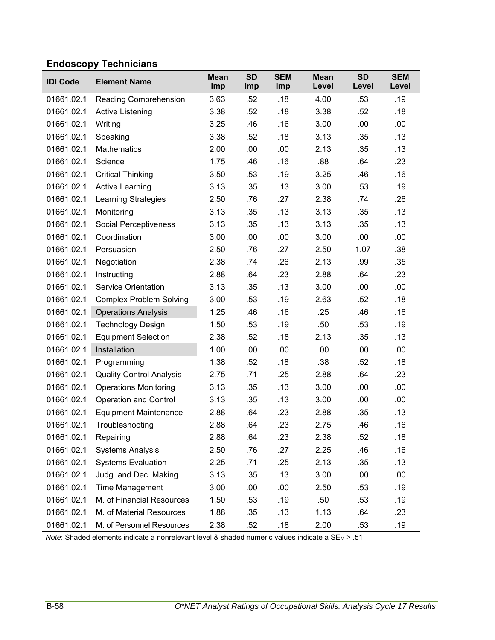# **Endoscopy Technicians**

| <b>IDI Code</b> | <b>Element Name</b>             | <b>Mean</b><br>Imp | <b>SD</b><br><b>Imp</b> | <b>SEM</b><br>Imp | <b>Mean</b><br>Level | <b>SD</b><br>Level | <b>SEM</b><br>Level |
|-----------------|---------------------------------|--------------------|-------------------------|-------------------|----------------------|--------------------|---------------------|
| 01661.02.1      | <b>Reading Comprehension</b>    | 3.63               | .52                     | .18               | 4.00                 | .53                | .19                 |
| 01661.02.1      | <b>Active Listening</b>         | 3.38               | .52                     | .18               | 3.38                 | .52                | .18                 |
| 01661.02.1      | Writing                         | 3.25               | .46                     | .16               | 3.00                 | .00                | .00                 |
| 01661.02.1      | Speaking                        | 3.38               | .52                     | .18               | 3.13                 | .35                | .13                 |
| 01661.02.1      | <b>Mathematics</b>              | 2.00               | .00                     | .00               | 2.13                 | .35                | .13                 |
| 01661.02.1      | Science                         | 1.75               | .46                     | .16               | .88                  | .64                | .23                 |
| 01661.02.1      | <b>Critical Thinking</b>        | 3.50               | .53                     | .19               | 3.25                 | .46                | .16                 |
| 01661.02.1      | <b>Active Learning</b>          | 3.13               | .35                     | .13               | 3.00                 | .53                | .19                 |
| 01661.02.1      | <b>Learning Strategies</b>      | 2.50               | .76                     | .27               | 2.38                 | .74                | .26                 |
| 01661.02.1      | Monitoring                      | 3.13               | .35                     | .13               | 3.13                 | .35                | .13                 |
| 01661.02.1      | Social Perceptiveness           | 3.13               | .35                     | .13               | 3.13                 | .35                | .13                 |
| 01661.02.1      | Coordination                    | 3.00               | .00                     | .00               | 3.00                 | .00                | .00                 |
| 01661.02.1      | Persuasion                      | 2.50               | .76                     | .27               | 2.50                 | 1.07               | .38                 |
| 01661.02.1      | Negotiation                     | 2.38               | .74                     | .26               | 2.13                 | .99                | .35                 |
| 01661.02.1      | Instructing                     | 2.88               | .64                     | .23               | 2.88                 | .64                | .23                 |
| 01661.02.1      | <b>Service Orientation</b>      | 3.13               | .35                     | .13               | 3.00                 | .00                | .00                 |
| 01661.02.1      | <b>Complex Problem Solving</b>  | 3.00               | .53                     | .19               | 2.63                 | .52                | .18                 |
| 01661.02.1      | <b>Operations Analysis</b>      | 1.25               | .46                     | .16               | .25                  | .46                | .16                 |
| 01661.02.1      | <b>Technology Design</b>        | 1.50               | .53                     | .19               | .50                  | .53                | .19                 |
| 01661.02.1      | <b>Equipment Selection</b>      | 2.38               | .52                     | .18               | 2.13                 | .35                | .13                 |
| 01661.02.1      | Installation                    | 1.00               | .00                     | .00               | .00                  | .00                | .00                 |
| 01661.02.1      | Programming                     | 1.38               | .52                     | .18               | .38                  | .52                | .18                 |
| 01661.02.1      | <b>Quality Control Analysis</b> | 2.75               | .71                     | .25               | 2.88                 | .64                | .23                 |
| 01661.02.1      | <b>Operations Monitoring</b>    | 3.13               | .35                     | .13               | 3.00                 | .00                | .00                 |
| 01661.02.1      | <b>Operation and Control</b>    | 3.13               | .35                     | .13               | 3.00                 | .00                | .00                 |
| 01661.02.1      | <b>Equipment Maintenance</b>    | 2.88               | .64                     | .23               | 2.88                 | .35                | .13                 |
| 01661.02.1      | Troubleshooting                 | 2.88               | .64                     | .23               | 2.75                 | .46                | .16                 |
| 01661.02.1      | Repairing                       | 2.88               | .64                     | .23               | 2.38                 | .52                | .18                 |
| 01661.02.1      | <b>Systems Analysis</b>         | 2.50               | .76                     | .27               | 2.25                 | .46                | .16                 |
| 01661.02.1      | <b>Systems Evaluation</b>       | 2.25               | .71                     | .25               | 2.13                 | .35                | .13                 |
| 01661.02.1      | Judg. and Dec. Making           | 3.13               | .35                     | .13               | 3.00                 | .00                | .00                 |
| 01661.02.1      | Time Management                 | 3.00               | .00                     | .00               | 2.50                 | .53                | .19                 |
| 01661.02.1      | M. of Financial Resources       | 1.50               | .53                     | .19               | .50                  | .53                | .19                 |
| 01661.02.1      | M. of Material Resources        | 1.88               | .35                     | .13               | 1.13                 | .64                | .23                 |
| 01661.02.1      | M. of Personnel Resources       | 2.38               | .52                     | .18               | 2.00                 | .53                | .19                 |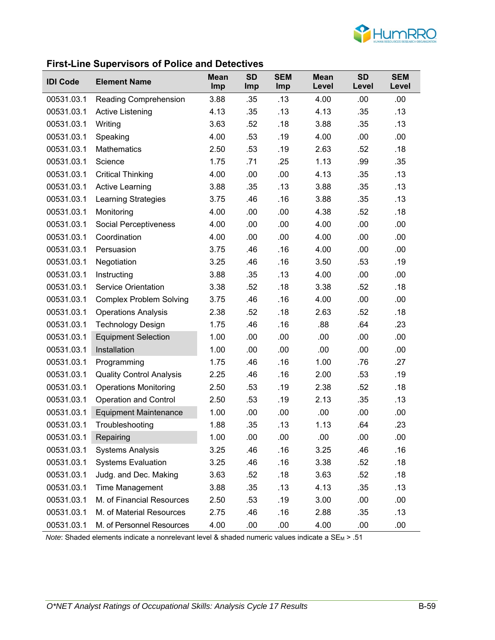

#### **First-Line Supervisors of Police and Detectives**

| <b>IDI Code</b> | .<br><b>Element Name</b>        | <b>Mean</b> | <b>SD</b>  | <b>SEM</b> | <b>Mean</b> | <b>SD</b> | <b>SEM</b> |
|-----------------|---------------------------------|-------------|------------|------------|-------------|-----------|------------|
|                 |                                 | Imp         | <b>Imp</b> | Imp        | Level       | Level     | Level      |
| 00531.03.1      | <b>Reading Comprehension</b>    | 3.88        | .35        | .13        | 4.00        | .00       | .00.       |
| 00531.03.1      | <b>Active Listening</b>         | 4.13        | .35        | .13        | 4.13        | .35       | .13        |
| 00531.03.1      | Writing                         | 3.63        | .52        | .18        | 3.88        | .35       | .13        |
| 00531.03.1      | Speaking                        | 4.00        | .53        | .19        | 4.00        | .00       | .00        |
| 00531.03.1      | <b>Mathematics</b>              | 2.50        | .53        | .19        | 2.63        | .52       | .18        |
| 00531.03.1      | Science                         | 1.75        | .71        | .25        | 1.13        | .99       | .35        |
| 00531.03.1      | <b>Critical Thinking</b>        | 4.00        | .00        | .00        | 4.13        | .35       | .13        |
| 00531.03.1      | <b>Active Learning</b>          | 3.88        | .35        | .13        | 3.88        | .35       | .13        |
| 00531.03.1      | Learning Strategies             | 3.75        | .46        | .16        | 3.88        | .35       | .13        |
| 00531.03.1      | Monitoring                      | 4.00        | .00        | .00        | 4.38        | .52       | .18        |
| 00531.03.1      | <b>Social Perceptiveness</b>    | 4.00        | .00        | .00        | 4.00        | .00       | .00        |
| 00531.03.1      | Coordination                    | 4.00        | .00        | .00        | 4.00        | .00       | .00        |
| 00531.03.1      | Persuasion                      | 3.75        | .46        | .16        | 4.00        | .00       | .00        |
| 00531.03.1      | Negotiation                     | 3.25        | .46        | .16        | 3.50        | .53       | .19        |
| 00531.03.1      | Instructing                     | 3.88        | .35        | .13        | 4.00        | .00       | .00        |
| 00531.03.1      | <b>Service Orientation</b>      | 3.38        | .52        | .18        | 3.38        | .52       | .18        |
| 00531.03.1      | <b>Complex Problem Solving</b>  | 3.75        | .46        | .16        | 4.00        | .00       | .00        |
| 00531.03.1      | <b>Operations Analysis</b>      | 2.38        | .52        | .18        | 2.63        | .52       | .18        |
| 00531.03.1      | <b>Technology Design</b>        | 1.75        | .46        | .16        | .88         | .64       | .23        |
| 00531.03.1      | <b>Equipment Selection</b>      | 1.00        | .00        | .00        | .00         | .00       | .00        |
| 00531.03.1      | Installation                    | 1.00        | .00        | .00        | .00         | .00       | .00        |
| 00531.03.1      | Programming                     | 1.75        | .46        | .16        | 1.00        | .76       | .27        |
| 00531.03.1      | <b>Quality Control Analysis</b> | 2.25        | .46        | .16        | 2.00        | .53       | .19        |
| 00531.03.1      | <b>Operations Monitoring</b>    | 2.50        | .53        | .19        | 2.38        | .52       | .18        |
| 00531.03.1      | <b>Operation and Control</b>    | 2.50        | .53        | .19        | 2.13        | .35       | .13        |
| 00531.03.1      | <b>Equipment Maintenance</b>    | 1.00        | .00        | .00        | .00         | .00       | .00        |
| 00531.03.1      | Troubleshooting                 | 1.88        | .35        | .13        | 1.13        | .64       | .23        |
| 00531.03.1      | Repairing                       | 1.00        | .00        | .00        | .00         | .00       | .00        |
| 00531.03.1      | <b>Systems Analysis</b>         | 3.25        | .46        | .16        | 3.25        | .46       | .16        |
| 00531.03.1      | <b>Systems Evaluation</b>       | 3.25        | .46        | .16        | 3.38        | .52       | .18        |
| 00531.03.1      | Judg. and Dec. Making           | 3.63        | .52        | .18        | 3.63        | .52       | .18        |
| 00531.03.1      | Time Management                 | 3.88        | .35        | .13        | 4.13        | .35       | .13        |
| 00531.03.1      | M. of Financial Resources       | 2.50        | .53        | .19        | 3.00        | .00       | .00        |
| 00531.03.1      | M. of Material Resources        | 2.75        | .46        | .16        | 2.88        | .35       | .13        |
| 00531.03.1      | M. of Personnel Resources       | 4.00        | .00        | .00        | 4.00        | .00       | .00        |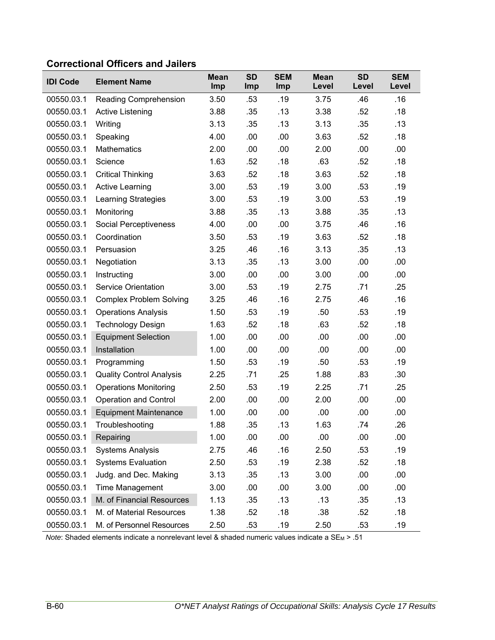### **Correctional Officers and Jailers**

| <b>IDI Code</b> | <b>Element Name</b>             | <b>Mean</b><br>Imp | <b>SD</b><br>Imp | <b>SEM</b><br>Imp | <b>Mean</b><br>Level | <b>SD</b><br>Level | <b>SEM</b><br>Level |
|-----------------|---------------------------------|--------------------|------------------|-------------------|----------------------|--------------------|---------------------|
| 00550.03.1      | Reading Comprehension           | 3.50               | .53              | .19               | 3.75                 | .46                | .16                 |
| 00550.03.1      | Active Listening                | 3.88               | .35              | .13               | 3.38                 | .52                | .18                 |
| 00550.03.1      | Writing                         | 3.13               | .35              | .13               | 3.13                 | .35                | .13                 |
| 00550.03.1      | Speaking                        | 4.00               | .00              | .00               | 3.63                 | .52                | .18                 |
| 00550.03.1      | <b>Mathematics</b>              | 2.00               | .00              | .00               | 2.00                 | .00                | .00                 |
| 00550.03.1      | Science                         | 1.63               | .52              | .18               | .63                  | .52                | .18                 |
| 00550.03.1      | <b>Critical Thinking</b>        | 3.63               | .52              | .18               | 3.63                 | .52                | .18                 |
| 00550.03.1      | <b>Active Learning</b>          | 3.00               | .53              | .19               | 3.00                 | .53                | .19                 |
| 00550.03.1      | <b>Learning Strategies</b>      | 3.00               | .53              | .19               | 3.00                 | .53                | .19                 |
| 00550.03.1      | Monitoring                      | 3.88               | .35              | .13               | 3.88                 | .35                | .13                 |
| 00550.03.1      | Social Perceptiveness           | 4.00               | .00              | .00               | 3.75                 | .46                | .16                 |
| 00550.03.1      | Coordination                    | 3.50               | .53              | .19               | 3.63                 | .52                | .18                 |
| 00550.03.1      | Persuasion                      | 3.25               | .46              | .16               | 3.13                 | .35                | .13                 |
| 00550.03.1      | Negotiation                     | 3.13               | .35              | .13               | 3.00                 | .00                | .00                 |
| 00550.03.1      | Instructing                     | 3.00               | .00              | .00               | 3.00                 | .00                | .00                 |
| 00550.03.1      | <b>Service Orientation</b>      | 3.00               | .53              | .19               | 2.75                 | .71                | .25                 |
| 00550.03.1      | <b>Complex Problem Solving</b>  | 3.25               | .46              | .16               | 2.75                 | .46                | .16                 |
| 00550.03.1      | <b>Operations Analysis</b>      | 1.50               | .53              | .19               | .50                  | .53                | .19                 |
| 00550.03.1      | <b>Technology Design</b>        | 1.63               | .52              | .18               | .63                  | .52                | .18                 |
| 00550.03.1      | <b>Equipment Selection</b>      | 1.00               | .00              | .00               | .00                  | .00                | .00                 |
| 00550.03.1      | Installation                    | 1.00               | .00              | .00               | .00                  | .00                | .00                 |
| 00550.03.1      | Programming                     | 1.50               | .53              | .19               | .50                  | .53                | .19                 |
| 00550.03.1      | <b>Quality Control Analysis</b> | 2.25               | .71              | .25               | 1.88                 | .83                | .30                 |
| 00550.03.1      | <b>Operations Monitoring</b>    | 2.50               | .53              | .19               | 2.25                 | .71                | .25                 |
| 00550.03.1      | <b>Operation and Control</b>    | 2.00               | .00              | .00               | 2.00                 | .00                | .00.                |
| 00550.03.1      | <b>Equipment Maintenance</b>    | 1.00               | .00              | .00               | .00                  | .00                | .00                 |
| 00550.03.1      | Troubleshooting                 | 1.88               | .35              | .13               | 1.63                 | .74                | .26                 |
| 00550.03.1      | Repairing                       | 1.00               | .00              | .00               | .00                  | .00                | .00                 |
| 00550.03.1      | <b>Systems Analysis</b>         | 2.75               | .46              | .16               | 2.50                 | .53                | .19                 |
| 00550.03.1      | <b>Systems Evaluation</b>       | 2.50               | .53              | .19               | 2.38                 | .52                | .18                 |
| 00550.03.1      | Judg. and Dec. Making           | 3.13               | .35              | .13               | 3.00                 | .00                | .00                 |
| 00550.03.1      | Time Management                 | 3.00               | .00              | .00               | 3.00                 | .00                | .00                 |
| 00550.03.1      | M. of Financial Resources       | 1.13               | .35              | .13               | .13                  | .35                | .13                 |
| 00550.03.1      | M. of Material Resources        | 1.38               | .52              | .18               | .38                  | .52                | .18                 |
| 00550.03.1      | M. of Personnel Resources       | 2.50               | .53              | .19               | 2.50                 | .53                | .19                 |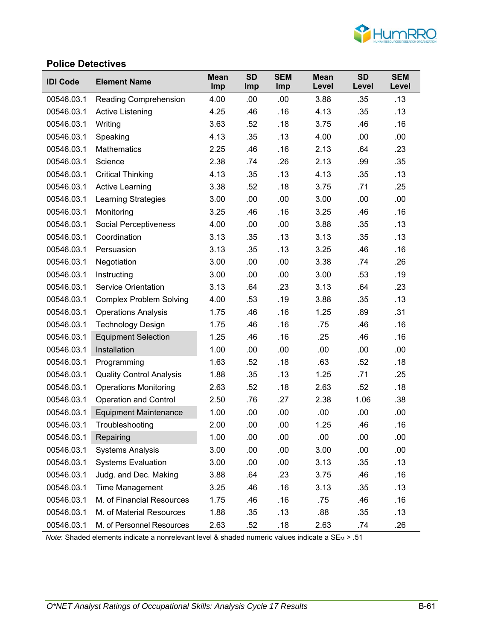

#### **Police Detectives**

| <b>IDI Code</b> | <b>Element Name</b>             | <b>Mean</b><br><b>Imp</b> | <b>SD</b><br><b>Imp</b> | <b>SEM</b><br>Imp | <b>Mean</b><br>Level | <b>SD</b><br>Level | <b>SEM</b><br>Level |
|-----------------|---------------------------------|---------------------------|-------------------------|-------------------|----------------------|--------------------|---------------------|
| 00546.03.1      | <b>Reading Comprehension</b>    | 4.00                      | .00                     | .00               | 3.88                 | .35                | .13                 |
| 00546.03.1      | Active Listening                | 4.25                      | .46                     | .16               | 4.13                 | .35                | .13                 |
| 00546.03.1      | Writing                         | 3.63                      | .52                     | .18               | 3.75                 | .46                | .16                 |
| 00546.03.1      | Speaking                        | 4.13                      | .35                     | .13               | 4.00                 | .00                | .00                 |
| 00546.03.1      | <b>Mathematics</b>              | 2.25                      | .46                     | .16               | 2.13                 | .64                | .23                 |
| 00546.03.1      | Science                         | 2.38                      | .74                     | .26               | 2.13                 | .99                | .35                 |
| 00546.03.1      | <b>Critical Thinking</b>        | 4.13                      | .35                     | .13               | 4.13                 | .35                | .13                 |
| 00546.03.1      | <b>Active Learning</b>          | 3.38                      | .52                     | .18               | 3.75                 | .71                | .25                 |
| 00546.03.1      | <b>Learning Strategies</b>      | 3.00                      | .00                     | .00               | 3.00                 | .00                | .00                 |
| 00546.03.1      | Monitoring                      | 3.25                      | .46                     | .16               | 3.25                 | .46                | .16                 |
| 00546.03.1      | Social Perceptiveness           | 4.00                      | .00                     | .00               | 3.88                 | .35                | .13                 |
| 00546.03.1      | Coordination                    | 3.13                      | .35                     | .13               | 3.13                 | .35                | .13                 |
| 00546.03.1      | Persuasion                      | 3.13                      | .35                     | .13               | 3.25                 | .46                | .16                 |
| 00546.03.1      | Negotiation                     | 3.00                      | .00                     | .00               | 3.38                 | .74                | .26                 |
| 00546.03.1      | Instructing                     | 3.00                      | .00                     | .00               | 3.00                 | .53                | .19                 |
| 00546.03.1      | <b>Service Orientation</b>      | 3.13                      | .64                     | .23               | 3.13                 | .64                | .23                 |
| 00546.03.1      | <b>Complex Problem Solving</b>  | 4.00                      | .53                     | .19               | 3.88                 | .35                | .13                 |
| 00546.03.1      | <b>Operations Analysis</b>      | 1.75                      | .46                     | .16               | 1.25                 | .89                | .31                 |
| 00546.03.1      | <b>Technology Design</b>        | 1.75                      | .46                     | .16               | .75                  | .46                | .16                 |
| 00546.03.1      | <b>Equipment Selection</b>      | 1.25                      | .46                     | .16               | .25                  | .46                | .16                 |
| 00546.03.1      | Installation                    | 1.00                      | .00                     | .00               | .00                  | .00                | .00                 |
| 00546.03.1      | Programming                     | 1.63                      | .52                     | .18               | .63                  | .52                | .18                 |
| 00546.03.1      | <b>Quality Control Analysis</b> | 1.88                      | .35                     | .13               | 1.25                 | .71                | .25                 |
| 00546.03.1      | <b>Operations Monitoring</b>    | 2.63                      | .52                     | .18               | 2.63                 | .52                | .18                 |
| 00546.03.1      | <b>Operation and Control</b>    | 2.50                      | .76                     | .27               | 2.38                 | 1.06               | .38                 |
| 00546.03.1      | <b>Equipment Maintenance</b>    | 1.00                      | .00                     | .00               | .00                  | .00                | .00                 |
| 00546.03.1      | Troubleshooting                 | 2.00                      | .00                     | .00               | 1.25                 | .46                | .16                 |
| 00546.03.1      | Repairing                       | 1.00                      | .00                     | .00               | .00                  | .00                | .00                 |
| 00546.03.1      | <b>Systems Analysis</b>         | 3.00                      | .00                     | .00               | 3.00                 | .00                | .00                 |
| 00546.03.1      | <b>Systems Evaluation</b>       | 3.00                      | .00                     | .00               | 3.13                 | .35                | .13                 |
| 00546.03.1      | Judg. and Dec. Making           | 3.88                      | .64                     | .23               | 3.75                 | .46                | .16                 |
| 00546.03.1      | Time Management                 | 3.25                      | .46                     | .16               | 3.13                 | .35                | .13                 |
| 00546.03.1      | M. of Financial Resources       | 1.75                      | .46                     | .16               | .75                  | .46                | .16                 |
| 00546.03.1      | M. of Material Resources        | 1.88                      | .35                     | .13               | .88                  | .35                | .13                 |
| 00546.03.1      | M. of Personnel Resources       | 2.63                      | .52                     | .18               | 2.63                 | .74                | .26                 |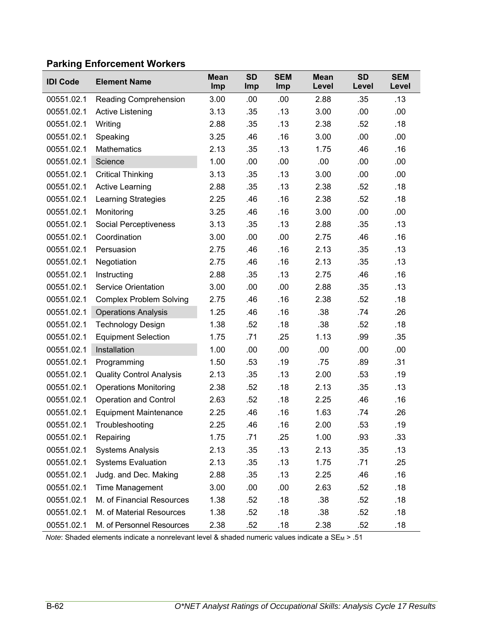# **Parking Enforcement Workers**

| <b>IDI Code</b> | <b>Element Name</b>             | <b>Mean</b><br>Imp | <b>SD</b><br>Imp | <b>SEM</b><br>Imp | <b>Mean</b><br>Level | <b>SD</b><br>Level | <b>SEM</b><br>Level |
|-----------------|---------------------------------|--------------------|------------------|-------------------|----------------------|--------------------|---------------------|
| 00551.02.1      | Reading Comprehension           | 3.00               | .00              | .00               | 2.88                 | .35                | .13                 |
| 00551.02.1      | <b>Active Listening</b>         | 3.13               | .35              | .13               | 3.00                 | .00                | .00                 |
| 00551.02.1      | Writing                         | 2.88               | .35              | .13               | 2.38                 | .52                | .18                 |
| 00551.02.1      | Speaking                        | 3.25               | .46              | .16               | 3.00                 | .00                | .00                 |
| 00551.02.1      | <b>Mathematics</b>              | 2.13               | .35              | .13               | 1.75                 | .46                | .16                 |
| 00551.02.1      | Science                         | 1.00               | .00              | .00               | .00                  | .00                | .00                 |
| 00551.02.1      | <b>Critical Thinking</b>        | 3.13               | .35              | .13               | 3.00                 | .00                | .00                 |
| 00551.02.1      | <b>Active Learning</b>          | 2.88               | .35              | .13               | 2.38                 | .52                | .18                 |
| 00551.02.1      | Learning Strategies             | 2.25               | .46              | .16               | 2.38                 | .52                | .18                 |
| 00551.02.1      | Monitoring                      | 3.25               | .46              | .16               | 3.00                 | .00                | .00                 |
| 00551.02.1      | Social Perceptiveness           | 3.13               | .35              | .13               | 2.88                 | .35                | .13                 |
| 00551.02.1      | Coordination                    | 3.00               | .00              | .00               | 2.75                 | .46                | .16                 |
| 00551.02.1      | Persuasion                      | 2.75               | .46              | .16               | 2.13                 | .35                | .13                 |
| 00551.02.1      | Negotiation                     | 2.75               | .46              | .16               | 2.13                 | .35                | .13                 |
| 00551.02.1      | Instructing                     | 2.88               | .35              | .13               | 2.75                 | .46                | .16                 |
| 00551.02.1      | <b>Service Orientation</b>      | 3.00               | .00              | .00               | 2.88                 | .35                | .13                 |
| 00551.02.1      | <b>Complex Problem Solving</b>  | 2.75               | .46              | .16               | 2.38                 | .52                | .18                 |
| 00551.02.1      | <b>Operations Analysis</b>      | 1.25               | .46              | .16               | .38                  | .74                | .26                 |
| 00551.02.1      | <b>Technology Design</b>        | 1.38               | .52              | .18               | .38                  | .52                | .18                 |
| 00551.02.1      | <b>Equipment Selection</b>      | 1.75               | .71              | .25               | 1.13                 | .99                | .35                 |
| 00551.02.1      | Installation                    | 1.00               | .00              | .00               | .00                  | .00                | .00                 |
| 00551.02.1      | Programming                     | 1.50               | .53              | .19               | .75                  | .89                | .31                 |
| 00551.02.1      | <b>Quality Control Analysis</b> | 2.13               | .35              | .13               | 2.00                 | .53                | .19                 |
| 00551.02.1      | <b>Operations Monitoring</b>    | 2.38               | .52              | .18               | 2.13                 | .35                | .13                 |
| 00551.02.1      | <b>Operation and Control</b>    | 2.63               | .52              | .18               | 2.25                 | .46                | .16                 |
| 00551.02.1      | <b>Equipment Maintenance</b>    | 2.25               | .46              | .16               | 1.63                 | .74                | .26                 |
| 00551.02.1      | Troubleshooting                 | 2.25               | .46              | .16               | 2.00                 | .53                | .19                 |
| 00551.02.1      | Repairing                       | 1.75               | .71              | .25               | 1.00                 | .93                | .33                 |
| 00551.02.1      | <b>Systems Analysis</b>         | 2.13               | .35              | .13               | 2.13                 | .35                | .13                 |
| 00551.02.1      | <b>Systems Evaluation</b>       | 2.13               | .35              | .13               | 1.75                 | .71                | .25                 |
| 00551.02.1      | Judg. and Dec. Making           | 2.88               | .35              | .13               | 2.25                 | .46                | .16                 |
| 00551.02.1      | Time Management                 | 3.00               | .00              | .00               | 2.63                 | .52                | .18                 |
| 00551.02.1      | M. of Financial Resources       | 1.38               | .52              | .18               | .38                  | .52                | .18                 |
| 00551.02.1      | M. of Material Resources        | 1.38               | .52              | .18               | .38                  | .52                | .18                 |
| 00551.02.1      | M. of Personnel Resources       | 2.38               | .52              | .18               | 2.38                 | .52                | .18                 |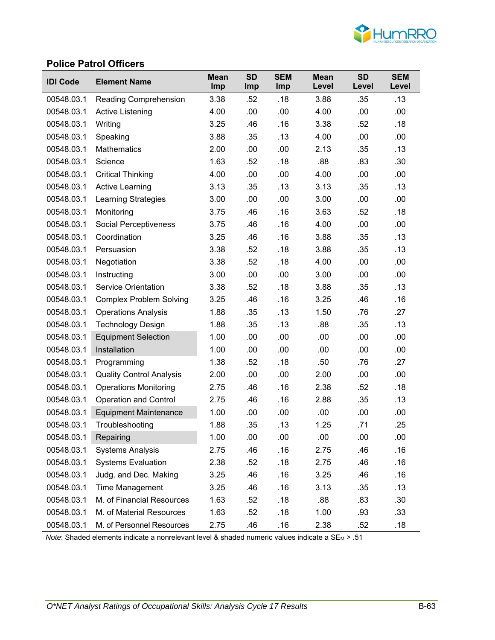

#### **Police Patrol Officers**

| <b>IDI Code</b> | <b>Element Name</b>             | <b>Mean</b><br><b>Imp</b> | <b>SD</b><br><b>Imp</b> | <b>SEM</b><br><b>Imp</b> | <b>Mean</b><br>Level | <b>SD</b><br>Level | <b>SEM</b><br>Level |
|-----------------|---------------------------------|---------------------------|-------------------------|--------------------------|----------------------|--------------------|---------------------|
| 00548.03.1      | <b>Reading Comprehension</b>    | 3.38                      | .52                     | .18                      | 3.88                 | .35                | .13                 |
| 00548.03.1      | <b>Active Listening</b>         | 4.00                      | .00                     | .00                      | 4.00                 | .00                | .00                 |
| 00548.03.1      | Writing                         | 3.25                      | .46                     | .16                      | 3.38                 | .52                | .18                 |
| 00548.03.1      | Speaking                        | 3.88                      | .35                     | .13                      | 4.00                 | .00                | .00                 |
| 00548.03.1      | Mathematics                     | 2.00                      | .00                     | .00                      | 2.13                 | .35                | .13                 |
| 00548.03.1      | Science                         | 1.63                      | .52                     | .18                      | .88                  | .83                | .30                 |
| 00548.03.1      | <b>Critical Thinking</b>        | 4.00                      | .00                     | .00                      | 4.00                 | .00                | .00                 |
| 00548.03.1      | <b>Active Learning</b>          | 3.13                      | .35                     | .13                      | 3.13                 | .35                | .13                 |
| 00548.03.1      | Learning Strategies             | 3.00                      | .00                     | .00                      | 3.00                 | .00                | .00                 |
| 00548.03.1      | Monitoring                      | 3.75                      | .46                     | .16                      | 3.63                 | .52                | .18                 |
| 00548.03.1      | Social Perceptiveness           | 3.75                      | .46                     | .16                      | 4.00                 | .00                | .00                 |
| 00548.03.1      | Coordination                    | 3.25                      | .46                     | .16                      | 3.88                 | .35                | .13                 |
| 00548.03.1      | Persuasion                      | 3.38                      | .52                     | .18                      | 3.88                 | .35                | .13                 |
| 00548.03.1      | Negotiation                     | 3.38                      | .52                     | .18                      | 4.00                 | .00                | .00                 |
| 00548.03.1      | Instructing                     | 3.00                      | .00                     | .00                      | 3.00                 | .00                | .00                 |
| 00548.03.1      | <b>Service Orientation</b>      | 3.38                      | .52                     | .18                      | 3.88                 | .35                | .13                 |
| 00548.03.1      | <b>Complex Problem Solving</b>  | 3.25                      | .46                     | .16                      | 3.25                 | .46                | .16                 |
| 00548.03.1      | <b>Operations Analysis</b>      | 1.88                      | .35                     | .13                      | 1.50                 | .76                | .27                 |
| 00548.03.1      | <b>Technology Design</b>        | 1.88                      | .35                     | .13                      | .88                  | .35                | .13                 |
| 00548.03.1      | <b>Equipment Selection</b>      | 1.00                      | .00                     | .00                      | .00                  | .00                | .00                 |
| 00548.03.1      | Installation                    | 1.00                      | .00                     | .00                      | .00                  | .00                | .00                 |
| 00548.03.1      | Programming                     | 1.38                      | .52                     | .18                      | .50                  | .76                | .27                 |
| 00548.03.1      | <b>Quality Control Analysis</b> | 2.00                      | .00                     | .00                      | 2.00                 | .00                | .00                 |
| 00548.03.1      | <b>Operations Monitoring</b>    | 2.75                      | .46                     | .16                      | 2.38                 | .52                | .18                 |
| 00548.03.1      | <b>Operation and Control</b>    | 2.75                      | .46                     | .16                      | 2.88                 | .35                | .13                 |
| 00548.03.1      | <b>Equipment Maintenance</b>    | 1.00                      | .00                     | .00                      | .00                  | .00                | .00                 |
| 00548.03.1      | Troubleshooting                 | 1.88                      | .35                     | .13                      | 1.25                 | .71                | .25                 |
| 00548.03.1      | Repairing                       | 1.00                      | .00                     | .00                      | .00                  | .00                | .00                 |
| 00548.03.1      | <b>Systems Analysis</b>         | 2.75                      | .46                     | .16                      | 2.75                 | .46                | .16                 |
| 00548.03.1      | <b>Systems Evaluation</b>       | 2.38                      | .52                     | .18                      | 2.75                 | .46                | .16                 |
| 00548.03.1      | Judg. and Dec. Making           | 3.25                      | .46                     | .16                      | 3.25                 | .46                | .16                 |
| 00548.03.1      | Time Management                 | 3.25                      | .46                     | .16                      | 3.13                 | .35                | .13                 |
| 00548.03.1      | M. of Financial Resources       | 1.63                      | .52                     | .18                      | .88                  | .83                | .30                 |
| 00548.03.1      | M. of Material Resources        | 1.63                      | .52                     | .18                      | 1.00                 | .93                | .33                 |
| 00548.03.1      | M. of Personnel Resources       | 2.75                      | .46                     | .16                      | 2.38                 | .52                | .18                 |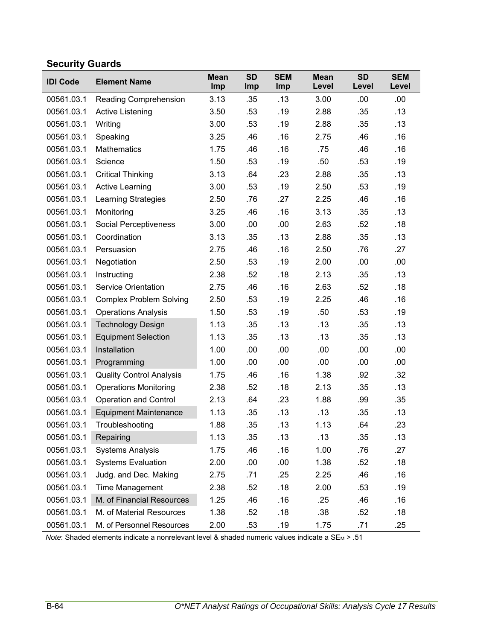# **Security Guards**

| <b>IDI Code</b> | <b>Element Name</b>             | <b>Mean</b><br>Imp | <b>SD</b><br>Imp | <b>SEM</b><br>Imp | <b>Mean</b><br>Level | <b>SD</b><br>Level | <b>SEM</b><br>Level |
|-----------------|---------------------------------|--------------------|------------------|-------------------|----------------------|--------------------|---------------------|
| 00561.03.1      | <b>Reading Comprehension</b>    | 3.13               | .35              | .13               | 3.00                 | .00                | .00.                |
| 00561.03.1      | Active Listening                | 3.50               | .53              | .19               | 2.88                 | .35                | .13                 |
| 00561.03.1      | Writing                         | 3.00               | .53              | .19               | 2.88                 | .35                | .13                 |
| 00561.03.1      | Speaking                        | 3.25               | .46              | .16               | 2.75                 | .46                | .16                 |
| 00561.03.1      | <b>Mathematics</b>              | 1.75               | .46              | .16               | .75                  | .46                | .16                 |
| 00561.03.1      | Science                         | 1.50               | .53              | .19               | .50                  | .53                | .19                 |
| 00561.03.1      | <b>Critical Thinking</b>        | 3.13               | .64              | .23               | 2.88                 | .35                | .13                 |
| 00561.03.1      | <b>Active Learning</b>          | 3.00               | .53              | .19               | 2.50                 | .53                | .19                 |
| 00561.03.1      | <b>Learning Strategies</b>      | 2.50               | .76              | .27               | 2.25                 | .46                | .16                 |
| 00561.03.1      | Monitoring                      | 3.25               | .46              | .16               | 3.13                 | .35                | .13                 |
| 00561.03.1      | <b>Social Perceptiveness</b>    | 3.00               | .00              | .00               | 2.63                 | .52                | .18                 |
| 00561.03.1      | Coordination                    | 3.13               | .35              | .13               | 2.88                 | .35                | .13                 |
| 00561.03.1      | Persuasion                      | 2.75               | .46              | .16               | 2.50                 | .76                | .27                 |
| 00561.03.1      | Negotiation                     | 2.50               | .53              | .19               | 2.00                 | .00                | .00                 |
| 00561.03.1      | Instructing                     | 2.38               | .52              | .18               | 2.13                 | .35                | .13                 |
| 00561.03.1      | <b>Service Orientation</b>      | 2.75               | .46              | .16               | 2.63                 | .52                | .18                 |
| 00561.03.1      | <b>Complex Problem Solving</b>  | 2.50               | .53              | .19               | 2.25                 | .46                | .16                 |
| 00561.03.1      | <b>Operations Analysis</b>      | 1.50               | .53              | .19               | .50                  | .53                | .19                 |
| 00561.03.1      | <b>Technology Design</b>        | 1.13               | .35              | .13               | .13                  | .35                | .13                 |
| 00561.03.1      | <b>Equipment Selection</b>      | 1.13               | .35              | .13               | .13                  | .35                | .13                 |
| 00561.03.1      | Installation                    | 1.00               | .00              | .00               | .00                  | .00                | .00                 |
| 00561.03.1      | Programming                     | 1.00               | .00              | .00               | .00                  | .00                | .00                 |
| 00561.03.1      | <b>Quality Control Analysis</b> | 1.75               | .46              | .16               | 1.38                 | .92                | .32                 |
| 00561.03.1      | <b>Operations Monitoring</b>    | 2.38               | .52              | .18               | 2.13                 | .35                | .13                 |
| 00561.03.1      | <b>Operation and Control</b>    | 2.13               | .64              | .23               | 1.88                 | .99                | .35                 |
| 00561.03.1      | <b>Equipment Maintenance</b>    | 1.13               | .35              | .13               | .13                  | .35                | .13                 |
| 00561.03.1      | Troubleshooting                 | 1.88               | .35              | .13               | 1.13                 | .64                | .23                 |
| 00561.03.1      | Repairing                       | 1.13               | .35              | .13               | .13                  | .35                | .13                 |
| 00561.03.1      | <b>Systems Analysis</b>         | 1.75               | .46              | .16               | 1.00                 | .76                | .27                 |
| 00561.03.1      | <b>Systems Evaluation</b>       | 2.00               | .00              | .00               | 1.38                 | .52                | .18                 |
| 00561.03.1      | Judg. and Dec. Making           | 2.75               | .71              | .25               | 2.25                 | .46                | .16                 |
| 00561.03.1      | Time Management                 | 2.38               | .52              | .18               | 2.00                 | .53                | .19                 |
| 00561.03.1      | M. of Financial Resources       | 1.25               | .46              | .16               | .25                  | .46                | .16                 |
| 00561.03.1      | M. of Material Resources        | 1.38               | .52              | .18               | .38                  | .52                | .18                 |
| 00561.03.1      | M. of Personnel Resources       | 2.00               | .53              | .19               | 1.75                 | .71                | .25                 |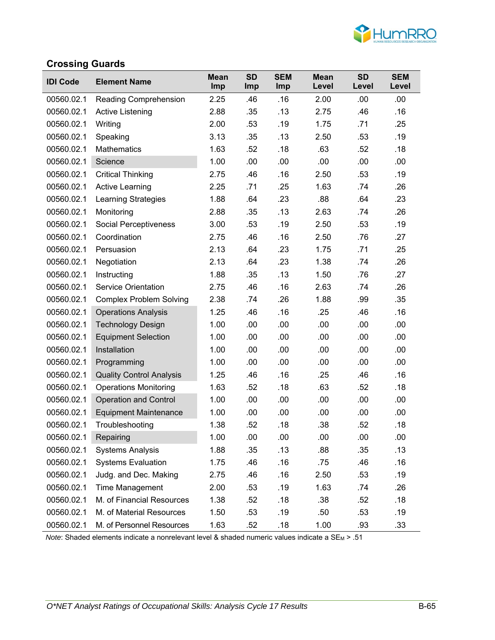

### **Crossing Guards**

| <b>IDI Code</b> | <b>Element Name</b>             | <b>Mean</b><br>Imp | <b>SD</b><br>Imp | <b>SEM</b><br>Imp | <b>Mean</b><br>Level | <b>SD</b><br>Level | <b>SEM</b><br>Level |
|-----------------|---------------------------------|--------------------|------------------|-------------------|----------------------|--------------------|---------------------|
| 00560.02.1      | <b>Reading Comprehension</b>    | 2.25               | .46              | .16               | 2.00                 | .00                | .00                 |
| 00560.02.1      | Active Listening                | 2.88               | .35              | .13               | 2.75                 | .46                | .16                 |
| 00560.02.1      | Writing                         | 2.00               | .53              | .19               | 1.75                 | .71                | .25                 |
| 00560.02.1      | Speaking                        | 3.13               | .35              | .13               | 2.50                 | .53                | .19                 |
| 00560.02.1      | <b>Mathematics</b>              | 1.63               | .52              | .18               | .63                  | .52                | .18                 |
| 00560.02.1      | Science                         | 1.00               | .00              | .00               | .00                  | .00                | .00                 |
| 00560.02.1      | <b>Critical Thinking</b>        | 2.75               | .46              | .16               | 2.50                 | .53                | .19                 |
| 00560.02.1      | <b>Active Learning</b>          | 2.25               | .71              | .25               | 1.63                 | .74                | .26                 |
| 00560.02.1      | <b>Learning Strategies</b>      | 1.88               | .64              | .23               | .88                  | .64                | .23                 |
| 00560.02.1      | Monitoring                      | 2.88               | .35              | .13               | 2.63                 | .74                | .26                 |
| 00560.02.1      | <b>Social Perceptiveness</b>    | 3.00               | .53              | .19               | 2.50                 | .53                | .19                 |
| 00560.02.1      | Coordination                    | 2.75               | .46              | .16               | 2.50                 | .76                | .27                 |
| 00560.02.1      | Persuasion                      | 2.13               | .64              | .23               | 1.75                 | .71                | .25                 |
| 00560.02.1      | Negotiation                     | 2.13               | .64              | .23               | 1.38                 | .74                | .26                 |
| 00560.02.1      | Instructing                     | 1.88               | .35              | .13               | 1.50                 | .76                | .27                 |
| 00560.02.1      | <b>Service Orientation</b>      | 2.75               | .46              | .16               | 2.63                 | .74                | .26                 |
| 00560.02.1      | <b>Complex Problem Solving</b>  | 2.38               | .74              | .26               | 1.88                 | .99                | .35                 |
| 00560.02.1      | <b>Operations Analysis</b>      | 1.25               | .46              | .16               | .25                  | .46                | .16                 |
| 00560.02.1      | <b>Technology Design</b>        | 1.00               | .00              | .00               | .00                  | .00                | .00                 |
| 00560.02.1      | <b>Equipment Selection</b>      | 1.00               | .00              | .00               | .00                  | .00                | .00                 |
| 00560.02.1      | Installation                    | 1.00               | .00              | .00               | .00                  | .00                | .00                 |
| 00560.02.1      | Programming                     | 1.00               | .00              | .00               | .00                  | .00                | .00                 |
| 00560.02.1      | <b>Quality Control Analysis</b> | 1.25               | .46              | .16               | .25                  | .46                | .16                 |
| 00560.02.1      | <b>Operations Monitoring</b>    | 1.63               | .52              | .18               | .63                  | .52                | .18                 |
| 00560.02.1      | <b>Operation and Control</b>    | 1.00               | .00              | .00               | .00                  | .00                | .00                 |
| 00560.02.1      | <b>Equipment Maintenance</b>    | 1.00               | .00              | .00               | .00                  | .00                | .00                 |
| 00560.02.1      | Troubleshooting                 | 1.38               | .52              | .18               | .38                  | .52                | .18                 |
| 00560.02.1      | Repairing                       | 1.00               | .00              | .00               | .00                  | .00                | .00                 |
| 00560.02.1      | <b>Systems Analysis</b>         | 1.88               | .35              | .13               | .88                  | .35                | .13                 |
| 00560.02.1      | <b>Systems Evaluation</b>       | 1.75               | .46              | .16               | .75                  | .46                | .16                 |
| 00560.02.1      | Judg. and Dec. Making           | 2.75               | .46              | .16               | 2.50                 | .53                | .19                 |
| 00560.02.1      | Time Management                 | 2.00               | .53              | .19               | 1.63                 | .74                | .26                 |
| 00560.02.1      | M. of Financial Resources       | 1.38               | .52              | .18               | .38                  | .52                | .18                 |
| 00560.02.1      | M. of Material Resources        | 1.50               | .53              | .19               | .50                  | .53                | .19                 |
| 00560.02.1      | M. of Personnel Resources       | 1.63               | .52              | .18               | 1.00                 | .93                | .33                 |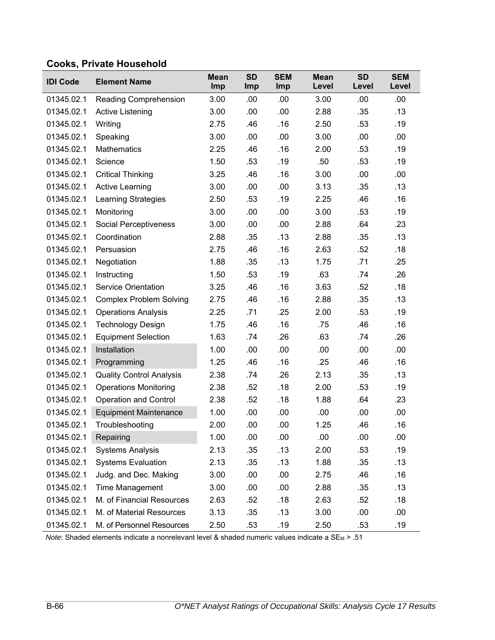### **Cooks, Private Household**

| <b>IDI Code</b> | <b>Element Name</b>             | <b>Mean</b><br>Imp | <b>SD</b><br>Imp | <b>SEM</b><br>Imp | <b>Mean</b><br>Level | <b>SD</b><br>Level | <b>SEM</b><br>Level |
|-----------------|---------------------------------|--------------------|------------------|-------------------|----------------------|--------------------|---------------------|
| 01345.02.1      | Reading Comprehension           | 3.00               | .00              | .00               | 3.00                 | .00                | .00.                |
| 01345.02.1      | Active Listening                | 3.00               | .00              | .00               | 2.88                 | .35                | .13                 |
| 01345.02.1      | Writing                         | 2.75               | .46              | .16               | 2.50                 | .53                | .19                 |
| 01345.02.1      | Speaking                        | 3.00               | .00              | .00               | 3.00                 | .00                | .00                 |
| 01345.02.1      | <b>Mathematics</b>              | 2.25               | .46              | .16               | 2.00                 | .53                | .19                 |
| 01345.02.1      | Science                         | 1.50               | .53              | .19               | .50                  | .53                | .19                 |
| 01345.02.1      | <b>Critical Thinking</b>        | 3.25               | .46              | .16               | 3.00                 | .00                | .00                 |
| 01345.02.1      | <b>Active Learning</b>          | 3.00               | .00              | .00               | 3.13                 | .35                | .13                 |
| 01345.02.1      | <b>Learning Strategies</b>      | 2.50               | .53              | .19               | 2.25                 | .46                | .16                 |
| 01345.02.1      | Monitoring                      | 3.00               | .00              | .00               | 3.00                 | .53                | .19                 |
| 01345.02.1      | Social Perceptiveness           | 3.00               | .00              | .00               | 2.88                 | .64                | .23                 |
| 01345.02.1      | Coordination                    | 2.88               | .35              | .13               | 2.88                 | .35                | .13                 |
| 01345.02.1      | Persuasion                      | 2.75               | .46              | .16               | 2.63                 | .52                | .18                 |
| 01345.02.1      | Negotiation                     | 1.88               | .35              | .13               | 1.75                 | .71                | .25                 |
| 01345.02.1      | Instructing                     | 1.50               | .53              | .19               | .63                  | .74                | .26                 |
| 01345.02.1      | <b>Service Orientation</b>      | 3.25               | .46              | .16               | 3.63                 | .52                | .18                 |
| 01345.02.1      | <b>Complex Problem Solving</b>  | 2.75               | .46              | .16               | 2.88                 | .35                | .13                 |
| 01345.02.1      | <b>Operations Analysis</b>      | 2.25               | .71              | .25               | 2.00                 | .53                | .19                 |
| 01345.02.1      | <b>Technology Design</b>        | 1.75               | .46              | .16               | .75                  | .46                | .16                 |
| 01345.02.1      | <b>Equipment Selection</b>      | 1.63               | .74              | .26               | .63                  | .74                | .26                 |
| 01345.02.1      | Installation                    | 1.00               | .00              | .00               | .00                  | .00                | .00                 |
| 01345.02.1      | Programming                     | 1.25               | .46              | .16               | .25                  | .46                | .16                 |
| 01345.02.1      | <b>Quality Control Analysis</b> | 2.38               | .74              | .26               | 2.13                 | .35                | .13                 |
| 01345.02.1      | <b>Operations Monitoring</b>    | 2.38               | .52              | .18               | 2.00                 | .53                | .19                 |
| 01345.02.1      | <b>Operation and Control</b>    | 2.38               | .52              | .18               | 1.88                 | .64                | .23                 |
| 01345.02.1      | <b>Equipment Maintenance</b>    | 1.00               | .00              | .00               | .00                  | .00                | .00                 |
| 01345.02.1      | Troubleshooting                 | 2.00               | .00              | .00               | 1.25                 | .46                | .16                 |
| 01345.02.1      | Repairing                       | 1.00               | .00              | .00               | .00                  | .00                | .00                 |
| 01345.02.1      | <b>Systems Analysis</b>         | 2.13               | .35              | .13               | 2.00                 | .53                | .19                 |
| 01345.02.1      | <b>Systems Evaluation</b>       | 2.13               | .35              | .13               | 1.88                 | .35                | .13                 |
| 01345.02.1      | Judg. and Dec. Making           | 3.00               | .00              | .00               | 2.75                 | .46                | .16                 |
| 01345.02.1      | Time Management                 | 3.00               | .00              | .00               | 2.88                 | .35                | .13                 |
| 01345.02.1      | M. of Financial Resources       | 2.63               | .52              | .18               | 2.63                 | .52                | .18                 |
| 01345.02.1      | M. of Material Resources        | 3.13               | .35              | .13               | 3.00                 | .00                | .00                 |
| 01345.02.1      | M. of Personnel Resources       | 2.50               | .53              | .19               | 2.50                 | .53                | .19                 |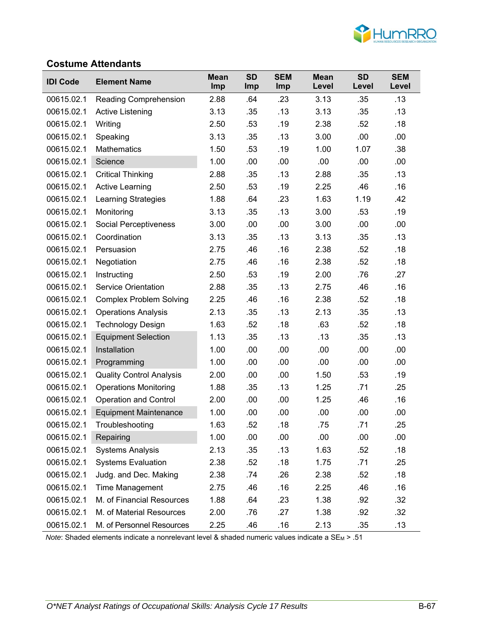

#### **Costume Attendants**

| <b>IDI Code</b> | <b>Element Name</b>             | <b>Mean</b><br>Imp | <b>SD</b><br><b>Imp</b> | <b>SEM</b><br>Imp | <b>Mean</b><br>Level | <b>SD</b><br>Level | <b>SEM</b><br>Level |
|-----------------|---------------------------------|--------------------|-------------------------|-------------------|----------------------|--------------------|---------------------|
| 00615.02.1      | Reading Comprehension           | 2.88               | .64                     | .23               | 3.13                 | .35                | .13                 |
| 00615.02.1      | Active Listening                | 3.13               | .35                     | .13               | 3.13                 | .35                | .13                 |
| 00615.02.1      | Writing                         | 2.50               | .53                     | .19               | 2.38                 | .52                | .18                 |
| 00615.02.1      | Speaking                        | 3.13               | .35                     | .13               | 3.00                 | .00                | .00                 |
| 00615.02.1      | <b>Mathematics</b>              | 1.50               | .53                     | .19               | 1.00                 | 1.07               | .38                 |
| 00615.02.1      | Science                         | 1.00               | .00                     | .00               | .00                  | .00                | .00                 |
| 00615.02.1      | <b>Critical Thinking</b>        | 2.88               | .35                     | .13               | 2.88                 | .35                | .13                 |
| 00615.02.1      | <b>Active Learning</b>          | 2.50               | .53                     | .19               | 2.25                 | .46                | .16                 |
| 00615.02.1      | Learning Strategies             | 1.88               | .64                     | .23               | 1.63                 | 1.19               | .42                 |
| 00615.02.1      | Monitoring                      | 3.13               | .35                     | .13               | 3.00                 | .53                | .19                 |
| 00615.02.1      | Social Perceptiveness           | 3.00               | .00                     | .00               | 3.00                 | .00                | .00                 |
| 00615.02.1      | Coordination                    | 3.13               | .35                     | .13               | 3.13                 | .35                | .13                 |
| 00615.02.1      | Persuasion                      | 2.75               | .46                     | .16               | 2.38                 | .52                | .18                 |
| 00615.02.1      | Negotiation                     | 2.75               | .46                     | .16               | 2.38                 | .52                | .18                 |
| 00615.02.1      | Instructing                     | 2.50               | .53                     | .19               | 2.00                 | .76                | .27                 |
| 00615.02.1      | <b>Service Orientation</b>      | 2.88               | .35                     | .13               | 2.75                 | .46                | .16                 |
| 00615.02.1      | <b>Complex Problem Solving</b>  | 2.25               | .46                     | .16               | 2.38                 | .52                | .18                 |
| 00615.02.1      | <b>Operations Analysis</b>      | 2.13               | .35                     | .13               | 2.13                 | .35                | .13                 |
| 00615.02.1      | <b>Technology Design</b>        | 1.63               | .52                     | .18               | .63                  | .52                | .18                 |
| 00615.02.1      | <b>Equipment Selection</b>      | 1.13               | .35                     | .13               | .13                  | .35                | .13                 |
| 00615.02.1      | Installation                    | 1.00               | .00                     | .00               | .00                  | .00                | .00                 |
| 00615.02.1      | Programming                     | 1.00               | .00                     | .00               | .00                  | .00                | .00                 |
| 00615.02.1      | <b>Quality Control Analysis</b> | 2.00               | .00                     | .00               | 1.50                 | .53                | .19                 |
| 00615.02.1      | <b>Operations Monitoring</b>    | 1.88               | .35                     | .13               | 1.25                 | .71                | .25                 |
| 00615.02.1      | <b>Operation and Control</b>    | 2.00               | .00                     | .00               | 1.25                 | .46                | .16                 |
| 00615.02.1      | <b>Equipment Maintenance</b>    | 1.00               | .00                     | .00               | .00                  | .00                | .00                 |
| 00615.02.1      | Troubleshooting                 | 1.63               | .52                     | .18               | .75                  | .71                | .25                 |
| 00615.02.1      | Repairing                       | 1.00               | .00                     | .00               | .00                  | .00                | .00                 |
| 00615.02.1      | <b>Systems Analysis</b>         | 2.13               | .35                     | .13               | 1.63                 | .52                | .18                 |
| 00615.02.1      | <b>Systems Evaluation</b>       | 2.38               | .52                     | .18               | 1.75                 | .71                | .25                 |
| 00615.02.1      | Judg. and Dec. Making           | 2.38               | .74                     | .26               | 2.38                 | .52                | .18                 |
| 00615.02.1      | Time Management                 | 2.75               | .46                     | .16               | 2.25                 | .46                | .16                 |
| 00615.02.1      | M. of Financial Resources       | 1.88               | .64                     | .23               | 1.38                 | .92                | .32                 |
| 00615.02.1      | M. of Material Resources        | 2.00               | .76                     | .27               | 1.38                 | .92                | .32                 |
| 00615.02.1      | M. of Personnel Resources       | 2.25               | .46                     | .16               | 2.13                 | .35                | .13                 |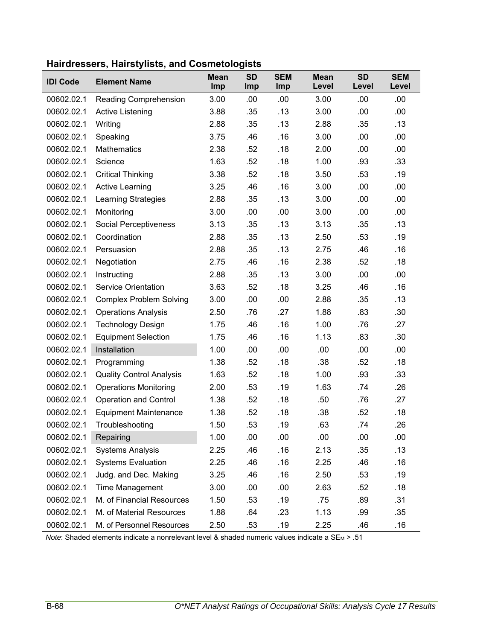| <b>IDI Code</b> | <b>Element Name</b>             | <b>Mean</b><br>Imp | <b>SD</b><br>Imp | <b>SEM</b><br>Imp | <b>Mean</b><br>Level | <b>SD</b><br>Level | <b>SEM</b><br>Level |
|-----------------|---------------------------------|--------------------|------------------|-------------------|----------------------|--------------------|---------------------|
| 00602.02.1      | Reading Comprehension           | 3.00               | .00              | .00.              | 3.00                 | .00                | .00                 |
| 00602.02.1      | <b>Active Listening</b>         | 3.88               | .35              | .13               | 3.00                 | .00                | .00                 |
| 00602.02.1      | Writing                         | 2.88               | .35              | .13               | 2.88                 | .35                | .13                 |
| 00602.02.1      | Speaking                        | 3.75               | .46              | .16               | 3.00                 | .00                | .00                 |
| 00602.02.1      | <b>Mathematics</b>              | 2.38               | .52              | .18               | 2.00                 | .00                | .00                 |
| 00602.02.1      | Science                         | 1.63               | .52              | .18               | 1.00                 | .93                | .33                 |
| 00602.02.1      | <b>Critical Thinking</b>        | 3.38               | .52              | .18               | 3.50                 | .53                | .19                 |
| 00602.02.1      | <b>Active Learning</b>          | 3.25               | .46              | .16               | 3.00                 | .00                | .00                 |
| 00602.02.1      | <b>Learning Strategies</b>      | 2.88               | .35              | .13               | 3.00                 | .00                | .00                 |
| 00602.02.1      | Monitoring                      | 3.00               | .00              | .00               | 3.00                 | .00                | .00                 |
| 00602.02.1      | Social Perceptiveness           | 3.13               | .35              | .13               | 3.13                 | .35                | .13                 |
| 00602.02.1      | Coordination                    | 2.88               | .35              | .13               | 2.50                 | .53                | .19                 |
| 00602.02.1      | Persuasion                      | 2.88               | .35              | .13               | 2.75                 | .46                | .16                 |
| 00602.02.1      | Negotiation                     | 2.75               | .46              | .16               | 2.38                 | .52                | .18                 |
| 00602.02.1      | Instructing                     | 2.88               | .35              | .13               | 3.00                 | .00                | .00                 |
| 00602.02.1      | <b>Service Orientation</b>      | 3.63               | .52              | .18               | 3.25                 | .46                | .16                 |
| 00602.02.1      | <b>Complex Problem Solving</b>  | 3.00               | .00              | .00               | 2.88                 | .35                | .13                 |
| 00602.02.1      | <b>Operations Analysis</b>      | 2.50               | .76              | .27               | 1.88                 | .83                | .30                 |
| 00602.02.1      | <b>Technology Design</b>        | 1.75               | .46              | .16               | 1.00                 | .76                | .27                 |
| 00602.02.1      | <b>Equipment Selection</b>      | 1.75               | .46              | .16               | 1.13                 | .83                | .30                 |
| 00602.02.1      | Installation                    | 1.00               | .00              | .00               | .00                  | .00                | .00                 |
| 00602.02.1      | Programming                     | 1.38               | .52              | .18               | .38                  | .52                | .18                 |
| 00602.02.1      | <b>Quality Control Analysis</b> | 1.63               | .52              | .18               | 1.00                 | .93                | .33                 |
| 00602.02.1      | <b>Operations Monitoring</b>    | 2.00               | .53              | .19               | 1.63                 | .74                | .26                 |
| 00602.02.1      | <b>Operation and Control</b>    | 1.38               | .52              | .18               | .50                  | .76                | .27                 |
| 00602.02.1      | <b>Equipment Maintenance</b>    | 1.38               | .52              | .18               | .38                  | .52                | .18                 |
| 00602.02.1      | Troubleshooting                 | 1.50               | .53              | .19               | .63                  | .74                | .26                 |
| 00602.02.1      | Repairing                       | 1.00               | .00              | .00               | .00                  | .00                | .00                 |
| 00602.02.1      | <b>Systems Analysis</b>         | 2.25               | .46              | .16               | 2.13                 | .35                | .13                 |
| 00602.02.1      | <b>Systems Evaluation</b>       | 2.25               | .46              | .16               | 2.25                 | .46                | .16                 |
| 00602.02.1      | Judg. and Dec. Making           | 3.25               | .46              | .16               | 2.50                 | .53                | .19                 |
| 00602.02.1      | Time Management                 | 3.00               | .00              | .00               | 2.63                 | .52                | .18                 |
| 00602.02.1      | M. of Financial Resources       | 1.50               | .53              | .19               | .75                  | .89                | .31                 |
| 00602.02.1      | M. of Material Resources        | 1.88               | .64              | .23               | 1.13                 | .99                | .35                 |
| 00602.02.1      | M. of Personnel Resources       | 2.50               | .53              | .19               | 2.25                 | .46                | .16                 |

### **Hairdressers, Hairstylists, and Cosmetologists**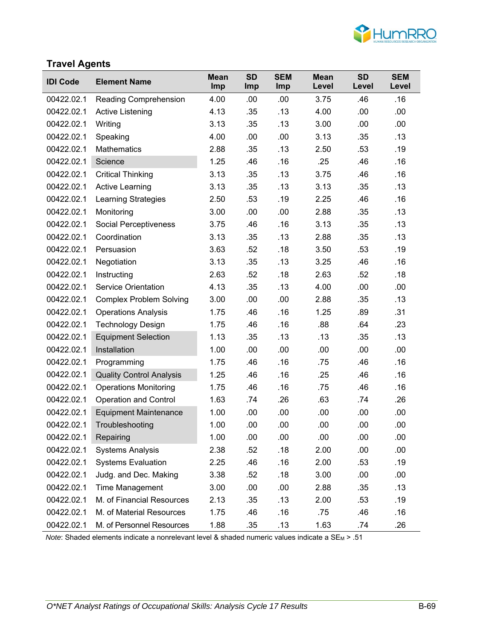

## **Travel Agents**

| <b>IDI Code</b> | <b>Element Name</b>             | <b>Mean</b><br><b>Imp</b> | <b>SD</b><br><b>Imp</b> | <b>SEM</b><br><b>Imp</b> | <b>Mean</b><br>Level | <b>SD</b><br>Level | <b>SEM</b><br>Level |
|-----------------|---------------------------------|---------------------------|-------------------------|--------------------------|----------------------|--------------------|---------------------|
| 00422.02.1      | Reading Comprehension           | 4.00                      | .00                     | .00                      | 3.75                 | .46                | .16                 |
| 00422.02.1      | <b>Active Listening</b>         | 4.13                      | .35                     | .13                      | 4.00                 | .00                | .00                 |
| 00422.02.1      | Writing                         | 3.13                      | .35                     | .13                      | 3.00                 | .00                | .00                 |
| 00422.02.1      | Speaking                        | 4.00                      | .00                     | .00                      | 3.13                 | .35                | .13                 |
| 00422.02.1      | <b>Mathematics</b>              | 2.88                      | .35                     | .13                      | 2.50                 | .53                | .19                 |
| 00422.02.1      | Science                         | 1.25                      | .46                     | .16                      | .25                  | .46                | .16                 |
| 00422.02.1      | <b>Critical Thinking</b>        | 3.13                      | .35                     | .13                      | 3.75                 | .46                | .16                 |
| 00422.02.1      | <b>Active Learning</b>          | 3.13                      | .35                     | .13                      | 3.13                 | .35                | .13                 |
| 00422.02.1      | <b>Learning Strategies</b>      | 2.50                      | .53                     | .19                      | 2.25                 | .46                | .16                 |
| 00422.02.1      | Monitoring                      | 3.00                      | .00                     | .00                      | 2.88                 | .35                | .13                 |
| 00422.02.1      | Social Perceptiveness           | 3.75                      | .46                     | .16                      | 3.13                 | .35                | .13                 |
| 00422.02.1      | Coordination                    | 3.13                      | .35                     | .13                      | 2.88                 | .35                | .13                 |
| 00422.02.1      | Persuasion                      | 3.63                      | .52                     | .18                      | 3.50                 | .53                | .19                 |
| 00422.02.1      | Negotiation                     | 3.13                      | .35                     | .13                      | 3.25                 | .46                | .16                 |
| 00422.02.1      | Instructing                     | 2.63                      | .52                     | .18                      | 2.63                 | .52                | .18                 |
| 00422.02.1      | <b>Service Orientation</b>      | 4.13                      | .35                     | .13                      | 4.00                 | .00                | .00                 |
| 00422.02.1      | <b>Complex Problem Solving</b>  | 3.00                      | .00                     | .00                      | 2.88                 | .35                | .13                 |
| 00422.02.1      | <b>Operations Analysis</b>      | 1.75                      | .46                     | .16                      | 1.25                 | .89                | .31                 |
| 00422.02.1      | <b>Technology Design</b>        | 1.75                      | .46                     | .16                      | .88                  | .64                | .23                 |
| 00422.02.1      | <b>Equipment Selection</b>      | 1.13                      | .35                     | .13                      | .13                  | .35                | .13                 |
| 00422.02.1      | Installation                    | 1.00                      | .00                     | .00                      | .00                  | .00                | .00                 |
| 00422.02.1      | Programming                     | 1.75                      | .46                     | .16                      | .75                  | .46                | .16                 |
| 00422.02.1      | <b>Quality Control Analysis</b> | 1.25                      | .46                     | .16                      | .25                  | .46                | .16                 |
| 00422.02.1      | <b>Operations Monitoring</b>    | 1.75                      | .46                     | .16                      | .75                  | .46                | .16                 |
| 00422.02.1      | <b>Operation and Control</b>    | 1.63                      | .74                     | .26                      | .63                  | .74                | .26                 |
| 00422.02.1      | <b>Equipment Maintenance</b>    | 1.00                      | .00                     | .00                      | .00                  | .00                | .00                 |
| 00422.02.1      | Troubleshooting                 | 1.00                      | .00                     | .00                      | .00                  | .00                | .00                 |
| 00422.02.1      | Repairing                       | 1.00                      | .00                     | .00                      | .00                  | .00                | .00                 |
| 00422.02.1      | <b>Systems Analysis</b>         | 2.38                      | .52                     | .18                      | 2.00                 | .00                | .00                 |
| 00422.02.1      | <b>Systems Evaluation</b>       | 2.25                      | .46                     | .16                      | 2.00                 | .53                | .19                 |
| 00422.02.1      | Judg. and Dec. Making           | 3.38                      | .52                     | .18                      | 3.00                 | .00                | .00                 |
| 00422.02.1      | Time Management                 | 3.00                      | .00                     | .00                      | 2.88                 | .35                | .13                 |
| 00422.02.1      | M. of Financial Resources       | 2.13                      | .35                     | .13                      | 2.00                 | .53                | .19                 |
| 00422.02.1      | M. of Material Resources        | 1.75                      | .46                     | .16                      | .75                  | .46                | .16                 |
| 00422.02.1      | M. of Personnel Resources       | 1.88                      | .35                     | .13                      | 1.63                 | .74                | .26                 |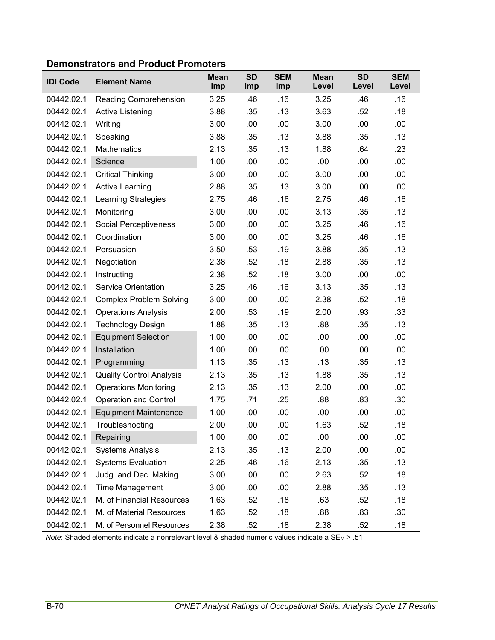| <b>Demonstrators and Product Promoters</b> |  |  |  |
|--------------------------------------------|--|--|--|
|--------------------------------------------|--|--|--|

| <b>IDI Code</b> | <b>Element Name</b>             | <b>Mean</b><br>Imp | <b>SD</b><br>Imp | <b>SEM</b><br>Imp | <b>Mean</b><br>Level | <b>SD</b><br>Level | <b>SEM</b><br>Level |
|-----------------|---------------------------------|--------------------|------------------|-------------------|----------------------|--------------------|---------------------|
| 00442.02.1      | Reading Comprehension           | 3.25               | .46              | .16               | 3.25                 | .46                | .16                 |
| 00442.02.1      | Active Listening                | 3.88               | .35              | .13               | 3.63                 | .52                | .18                 |
| 00442.02.1      | Writing                         | 3.00               | .00              | .00               | 3.00                 | .00                | .00                 |
| 00442.02.1      | Speaking                        | 3.88               | .35              | .13               | 3.88                 | .35                | .13                 |
| 00442.02.1      | <b>Mathematics</b>              | 2.13               | .35              | .13               | 1.88                 | .64                | .23                 |
| 00442.02.1      | Science                         | 1.00               | .00              | .00               | .00                  | .00                | .00                 |
| 00442.02.1      | <b>Critical Thinking</b>        | 3.00               | .00              | .00               | 3.00                 | .00                | .00                 |
| 00442.02.1      | <b>Active Learning</b>          | 2.88               | .35              | .13               | 3.00                 | .00                | .00                 |
| 00442.02.1      | <b>Learning Strategies</b>      | 2.75               | .46              | .16               | 2.75                 | .46                | .16                 |
| 00442.02.1      | Monitoring                      | 3.00               | .00              | .00               | 3.13                 | .35                | .13                 |
| 00442.02.1      | Social Perceptiveness           | 3.00               | .00              | .00               | 3.25                 | .46                | .16                 |
| 00442.02.1      | Coordination                    | 3.00               | .00              | .00               | 3.25                 | .46                | .16                 |
| 00442.02.1      | Persuasion                      | 3.50               | .53              | .19               | 3.88                 | .35                | .13                 |
| 00442.02.1      | Negotiation                     | 2.38               | .52              | .18               | 2.88                 | .35                | .13                 |
| 00442.02.1      | Instructing                     | 2.38               | .52              | .18               | 3.00                 | .00                | .00                 |
| 00442.02.1      | <b>Service Orientation</b>      | 3.25               | .46              | .16               | 3.13                 | .35                | .13                 |
| 00442.02.1      | <b>Complex Problem Solving</b>  | 3.00               | .00              | .00               | 2.38                 | .52                | .18                 |
| 00442.02.1      | <b>Operations Analysis</b>      | 2.00               | .53              | .19               | 2.00                 | .93                | .33                 |
| 00442.02.1      | <b>Technology Design</b>        | 1.88               | .35              | .13               | .88                  | .35                | .13                 |
| 00442.02.1      | <b>Equipment Selection</b>      | 1.00               | .00              | .00               | .00                  | .00                | .00                 |
| 00442.02.1      | Installation                    | 1.00               | .00              | .00               | .00                  | .00                | .00                 |
| 00442.02.1      | Programming                     | 1.13               | .35              | .13               | .13                  | .35                | .13                 |
| 00442.02.1      | <b>Quality Control Analysis</b> | 2.13               | .35              | .13               | 1.88                 | .35                | .13                 |
| 00442.02.1      | <b>Operations Monitoring</b>    | 2.13               | .35              | .13               | 2.00                 | .00                | .00                 |
| 00442.02.1      | <b>Operation and Control</b>    | 1.75               | .71              | .25               | .88                  | .83                | .30                 |
| 00442.02.1      | <b>Equipment Maintenance</b>    | 1.00               | .00              | .00               | .00                  | .00                | .00                 |
| 00442.02.1      | Troubleshooting                 | 2.00               | .00              | .00               | 1.63                 | .52                | .18                 |
| 00442.02.1      | Repairing                       | 1.00               | .00              | .00               | .00                  | .00                | .00                 |
| 00442.02.1      | <b>Systems Analysis</b>         | 2.13               | .35              | .13               | 2.00                 | .00                | .00                 |
| 00442.02.1      | <b>Systems Evaluation</b>       | 2.25               | .46              | .16               | 2.13                 | .35                | .13                 |
| 00442.02.1      | Judg. and Dec. Making           | 3.00               | .00              | .00               | 2.63                 | .52                | .18                 |
| 00442.02.1      | Time Management                 | 3.00               | .00              | .00               | 2.88                 | .35                | .13                 |
| 00442.02.1      | M. of Financial Resources       | 1.63               | .52              | .18               | .63                  | .52                | .18                 |
| 00442.02.1      | M. of Material Resources        | 1.63               | .52              | .18               | .88                  | .83                | .30                 |
| 00442.02.1      | M. of Personnel Resources       | 2.38               | .52              | .18               | 2.38                 | .52                | .18                 |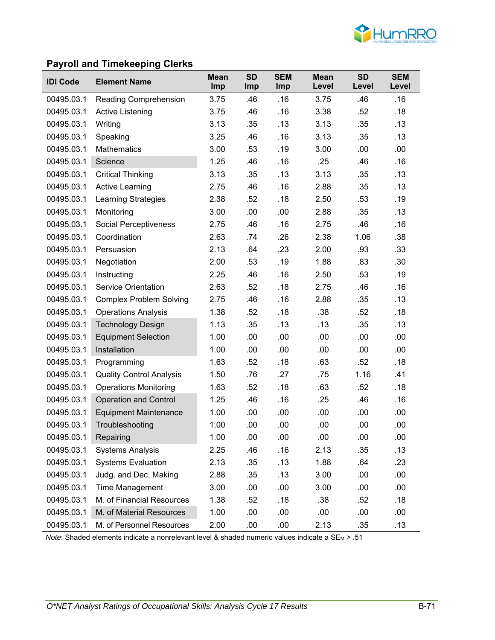

### **Payroll and Timekeeping Clerks**

| <b>IDI Code</b> | <b>Element Name</b>             | <b>Mean</b><br><b>Imp</b> | <b>SD</b><br><b>Imp</b> | <b>SEM</b><br><b>Imp</b> | <b>Mean</b><br>Level | <b>SD</b><br>Level | <b>SEM</b><br>Level |
|-----------------|---------------------------------|---------------------------|-------------------------|--------------------------|----------------------|--------------------|---------------------|
| 00495.03.1      | Reading Comprehension           | 3.75                      | .46                     | .16                      | 3.75                 | .46                | .16                 |
| 00495.03.1      | Active Listening                | 3.75                      | .46                     | .16                      | 3.38                 | .52                | .18                 |
| 00495.03.1      | Writing                         | 3.13                      | .35                     | .13                      | 3.13                 | .35                | .13                 |
| 00495.03.1      | Speaking                        | 3.25                      | .46                     | .16                      | 3.13                 | .35                | .13                 |
| 00495.03.1      | <b>Mathematics</b>              | 3.00                      | .53                     | .19                      | 3.00                 | .00                | .00                 |
| 00495.03.1      | Science                         | 1.25                      | .46                     | .16                      | .25                  | .46                | .16                 |
| 00495.03.1      | <b>Critical Thinking</b>        | 3.13                      | .35                     | .13                      | 3.13                 | .35                | .13                 |
| 00495.03.1      | <b>Active Learning</b>          | 2.75                      | .46                     | .16                      | 2.88                 | .35                | .13                 |
| 00495.03.1      | <b>Learning Strategies</b>      | 2.38                      | .52                     | .18                      | 2.50                 | .53                | .19                 |
| 00495.03.1      | Monitoring                      | 3.00                      | .00                     | .00                      | 2.88                 | .35                | .13                 |
| 00495.03.1      | <b>Social Perceptiveness</b>    | 2.75                      | .46                     | .16                      | 2.75                 | .46                | .16                 |
| 00495.03.1      | Coordination                    | 2.63                      | .74                     | .26                      | 2.38                 | 1.06               | .38                 |
| 00495.03.1      | Persuasion                      | 2.13                      | .64                     | .23                      | 2.00                 | .93                | .33                 |
| 00495.03.1      | Negotiation                     | 2.00                      | .53                     | .19                      | 1.88                 | .83                | .30                 |
| 00495.03.1      | Instructing                     | 2.25                      | .46                     | .16                      | 2.50                 | .53                | .19                 |
| 00495.03.1      | <b>Service Orientation</b>      | 2.63                      | .52                     | .18                      | 2.75                 | .46                | .16                 |
| 00495.03.1      | <b>Complex Problem Solving</b>  | 2.75                      | .46                     | .16                      | 2.88                 | .35                | .13                 |
| 00495.03.1      | <b>Operations Analysis</b>      | 1.38                      | .52                     | .18                      | .38                  | .52                | .18                 |
| 00495.03.1      | <b>Technology Design</b>        | 1.13                      | .35                     | .13                      | .13                  | .35                | .13                 |
| 00495.03.1      | <b>Equipment Selection</b>      | 1.00                      | .00                     | .00                      | .00                  | .00                | .00                 |
| 00495.03.1      | Installation                    | 1.00                      | .00                     | .00                      | .00                  | .00                | .00                 |
| 00495.03.1      | Programming                     | 1.63                      | .52                     | .18                      | .63                  | .52                | .18                 |
| 00495.03.1      | <b>Quality Control Analysis</b> | 1.50                      | .76                     | .27                      | .75                  | 1.16               | .41                 |
| 00495.03.1      | <b>Operations Monitoring</b>    | 1.63                      | .52                     | .18                      | .63                  | .52                | .18                 |
| 00495.03.1      | <b>Operation and Control</b>    | 1.25                      | .46                     | .16                      | .25                  | .46                | .16                 |
| 00495.03.1      | <b>Equipment Maintenance</b>    | 1.00                      | .00                     | .00                      | .00                  | .00                | .00                 |
| 00495.03.1      | Troubleshooting                 | 1.00                      | .00                     | .00                      | .00                  | .00                | .00                 |
| 00495.03.1      | Repairing                       | 1.00                      | .00                     | .00                      | .00                  | .00                | .00                 |
| 00495.03.1      | <b>Systems Analysis</b>         | 2.25                      | .46                     | .16                      | 2.13                 | .35                | .13                 |
| 00495.03.1      | <b>Systems Evaluation</b>       | 2.13                      | .35                     | .13                      | 1.88                 | .64                | .23                 |
| 00495.03.1      | Judg. and Dec. Making           | 2.88                      | .35                     | .13                      | 3.00                 | .00                | .00                 |
| 00495.03.1      | Time Management                 | 3.00                      | .00                     | .00                      | 3.00                 | .00                | .00                 |
| 00495.03.1      | M. of Financial Resources       | 1.38                      | .52                     | .18                      | .38                  | .52                | .18                 |
| 00495.03.1      | M. of Material Resources        | 1.00                      | .00                     | .00                      | .00                  | .00                | .00                 |
| 00495.03.1      | M. of Personnel Resources       | 2.00                      | .00                     | .00                      | 2.13                 | .35                | .13                 |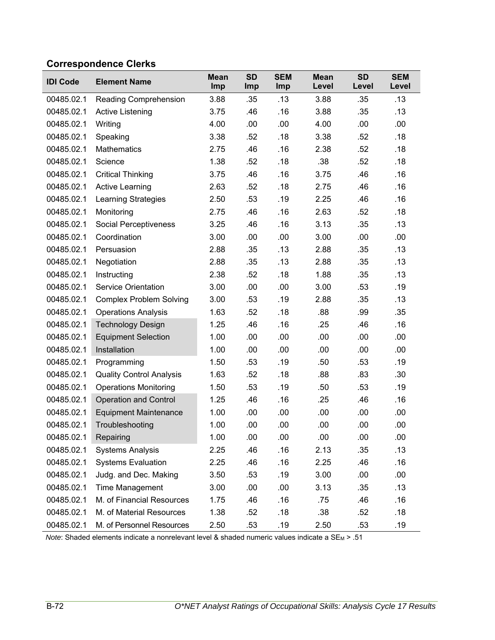# **Correspondence Clerks**

| <b>IDI Code</b> | <b>Element Name</b>             | <b>Mean</b><br>Imp | <b>SD</b><br><b>Imp</b> | <b>SEM</b><br>Imp | <b>Mean</b><br>Level | <b>SD</b><br>Level | <b>SEM</b><br>Level |
|-----------------|---------------------------------|--------------------|-------------------------|-------------------|----------------------|--------------------|---------------------|
| 00485.02.1      | Reading Comprehension           | 3.88               | .35                     | .13               | 3.88                 | .35                | .13                 |
| 00485.02.1      | <b>Active Listening</b>         | 3.75               | .46                     | .16               | 3.88                 | .35                | .13                 |
| 00485.02.1      | Writing                         | 4.00               | .00                     | .00               | 4.00                 | .00                | .00                 |
| 00485.02.1      | Speaking                        | 3.38               | .52                     | .18               | 3.38                 | .52                | .18                 |
| 00485.02.1      | <b>Mathematics</b>              | 2.75               | .46                     | .16               | 2.38                 | .52                | .18                 |
| 00485.02.1      | Science                         | 1.38               | .52                     | .18               | .38                  | .52                | .18                 |
| 00485.02.1      | <b>Critical Thinking</b>        | 3.75               | .46                     | .16               | 3.75                 | .46                | .16                 |
| 00485.02.1      | <b>Active Learning</b>          | 2.63               | .52                     | .18               | 2.75                 | .46                | .16                 |
| 00485.02.1      | <b>Learning Strategies</b>      | 2.50               | .53                     | .19               | 2.25                 | .46                | .16                 |
| 00485.02.1      | Monitoring                      | 2.75               | .46                     | .16               | 2.63                 | .52                | .18                 |
| 00485.02.1      | Social Perceptiveness           | 3.25               | .46                     | .16               | 3.13                 | .35                | .13                 |
| 00485.02.1      | Coordination                    | 3.00               | .00                     | .00               | 3.00                 | .00                | .00                 |
| 00485.02.1      | Persuasion                      | 2.88               | .35                     | .13               | 2.88                 | .35                | .13                 |
| 00485.02.1      | Negotiation                     | 2.88               | .35                     | .13               | 2.88                 | .35                | .13                 |
| 00485.02.1      | Instructing                     | 2.38               | .52                     | .18               | 1.88                 | .35                | .13                 |
| 00485.02.1      | <b>Service Orientation</b>      | 3.00               | .00                     | .00               | 3.00                 | .53                | .19                 |
| 00485.02.1      | <b>Complex Problem Solving</b>  | 3.00               | .53                     | .19               | 2.88                 | .35                | .13                 |
| 00485.02.1      | <b>Operations Analysis</b>      | 1.63               | .52                     | .18               | .88                  | .99                | .35                 |
| 00485.02.1      | <b>Technology Design</b>        | 1.25               | .46                     | .16               | .25                  | .46                | .16                 |
| 00485.02.1      | <b>Equipment Selection</b>      | 1.00               | .00                     | .00               | .00                  | .00                | .00                 |
| 00485.02.1      | Installation                    | 1.00               | .00                     | .00               | .00                  | .00                | .00                 |
| 00485.02.1      | Programming                     | 1.50               | .53                     | .19               | .50                  | .53                | .19                 |
| 00485.02.1      | <b>Quality Control Analysis</b> | 1.63               | .52                     | .18               | .88                  | .83                | .30                 |
| 00485.02.1      | <b>Operations Monitoring</b>    | 1.50               | .53                     | .19               | .50                  | .53                | .19                 |
| 00485.02.1      | <b>Operation and Control</b>    | 1.25               | .46                     | .16               | .25                  | .46                | .16                 |
| 00485.02.1      | <b>Equipment Maintenance</b>    | 1.00               | .00                     | .00               | .00                  | .00                | .00                 |
| 00485.02.1      | Troubleshooting                 | 1.00               | .00                     | .00               | .00                  | .00                | .00                 |
| 00485.02.1      | Repairing                       | 1.00               | .00                     | .00               | .00                  | .00                | .00                 |
| 00485.02.1      | <b>Systems Analysis</b>         | 2.25               | .46                     | .16               | 2.13                 | .35                | .13                 |
| 00485.02.1      | <b>Systems Evaluation</b>       | 2.25               | .46                     | .16               | 2.25                 | .46                | .16                 |
| 00485.02.1      | Judg. and Dec. Making           | 3.50               | .53                     | .19               | 3.00                 | .00                | .00                 |
| 00485.02.1      | Time Management                 | 3.00               | .00                     | .00               | 3.13                 | .35                | .13                 |
| 00485.02.1      | M. of Financial Resources       | 1.75               | .46                     | .16               | .75                  | .46                | .16                 |
| 00485.02.1      | M. of Material Resources        | 1.38               | .52                     | .18               | .38                  | .52                | .18                 |
| 00485.02.1      | M. of Personnel Resources       | 2.50               | .53                     | .19               | 2.50                 | .53                | .19                 |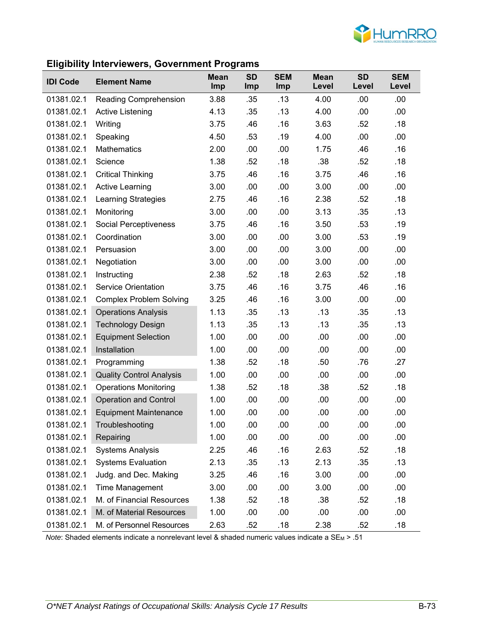

### **Eligibility Interviewers, Government Programs**

| ÷<br><b>IDI Code</b> | <b>Element Name</b>             | ັ<br><b>Mean</b><br><b>Imp</b> | <b>SD</b><br>Imp | <b>SEM</b><br>Imp | <b>Mean</b><br>Level | <b>SD</b><br>Level | <b>SEM</b><br>Level |
|----------------------|---------------------------------|--------------------------------|------------------|-------------------|----------------------|--------------------|---------------------|
| 01381.02.1           | Reading Comprehension           | 3.88                           | .35              | .13               | 4.00                 | .00                | .00                 |
| 01381.02.1           | <b>Active Listening</b>         | 4.13                           | .35              | .13               | 4.00                 | .00                | .00.                |
| 01381.02.1           | Writing                         | 3.75                           | .46              | .16               | 3.63                 | .52                | .18                 |
| 01381.02.1           | Speaking                        | 4.50                           | .53              | .19               | 4.00                 | .00                | .00                 |
| 01381.02.1           | <b>Mathematics</b>              | 2.00                           | .00              | .00               | 1.75                 | .46                | .16                 |
| 01381.02.1           | Science                         | 1.38                           | .52              | .18               | .38                  | .52                | .18                 |
| 01381.02.1           | <b>Critical Thinking</b>        | 3.75                           | .46              | .16               | 3.75                 | .46                | .16                 |
| 01381.02.1           | <b>Active Learning</b>          | 3.00                           | .00              | .00               | 3.00                 | .00                | .00                 |
| 01381.02.1           | <b>Learning Strategies</b>      | 2.75                           | .46              | .16               | 2.38                 | .52                | .18                 |
| 01381.02.1           | Monitoring                      | 3.00                           | .00              | .00               | 3.13                 | .35                | .13                 |
| 01381.02.1           | <b>Social Perceptiveness</b>    | 3.75                           | .46              | .16               | 3.50                 | .53                | .19                 |
| 01381.02.1           | Coordination                    | 3.00                           | .00              | .00               | 3.00                 | .53                | .19                 |
| 01381.02.1           | Persuasion                      | 3.00                           | .00              | .00               | 3.00                 | .00                | .00                 |
| 01381.02.1           | Negotiation                     | 3.00                           | .00              | .00               | 3.00                 | .00                | .00                 |
| 01381.02.1           | Instructing                     | 2.38                           | .52              | .18               | 2.63                 | .52                | .18                 |
| 01381.02.1           | <b>Service Orientation</b>      | 3.75                           | .46              | .16               | 3.75                 | .46                | .16                 |
| 01381.02.1           | <b>Complex Problem Solving</b>  | 3.25                           | .46              | .16               | 3.00                 | .00                | .00                 |
| 01381.02.1           | <b>Operations Analysis</b>      | 1.13                           | .35              | .13               | .13                  | .35                | .13                 |
| 01381.02.1           | <b>Technology Design</b>        | 1.13                           | .35              | .13               | .13                  | .35                | .13                 |
| 01381.02.1           | <b>Equipment Selection</b>      | 1.00                           | .00              | .00               | .00                  | .00                | .00                 |
| 01381.02.1           | Installation                    | 1.00                           | .00              | .00               | .00                  | .00                | .00                 |
| 01381.02.1           | Programming                     | 1.38                           | .52              | .18               | .50                  | .76                | .27                 |
| 01381.02.1           | <b>Quality Control Analysis</b> | 1.00                           | .00              | .00               | .00                  | .00                | .00                 |
| 01381.02.1           | <b>Operations Monitoring</b>    | 1.38                           | .52              | .18               | .38                  | .52                | .18                 |
| 01381.02.1           | <b>Operation and Control</b>    | 1.00                           | .00              | .00               | .00                  | .00                | .00                 |
| 01381.02.1           | <b>Equipment Maintenance</b>    | 1.00                           | .00              | .00               | .00                  | .00                | .00                 |
| 01381.02.1           | Troubleshooting                 | 1.00                           | .00              | .00               | .00                  | .00                | .00                 |
| 01381.02.1           | Repairing                       | 1.00                           | .00              | .00               | .00                  | .00                | .00                 |
| 01381.02.1           | <b>Systems Analysis</b>         | 2.25                           | .46              | .16               | 2.63                 | .52                | .18                 |
| 01381.02.1           | <b>Systems Evaluation</b>       | 2.13                           | .35              | .13               | 2.13                 | .35                | .13                 |
| 01381.02.1           | Judg. and Dec. Making           | 3.25                           | .46              | .16               | 3.00                 | .00                | .00                 |
| 01381.02.1           | <b>Time Management</b>          | 3.00                           | .00              | .00               | 3.00                 | .00                | .00                 |
| 01381.02.1           | M. of Financial Resources       | 1.38                           | .52              | .18               | .38                  | .52                | .18                 |
| 01381.02.1           | M. of Material Resources        | 1.00                           | .00              | .00               | .00.                 | .00                | .00                 |
| 01381.02.1           | M. of Personnel Resources       | 2.63                           | .52              | .18               | 2.38                 | .52                | .18                 |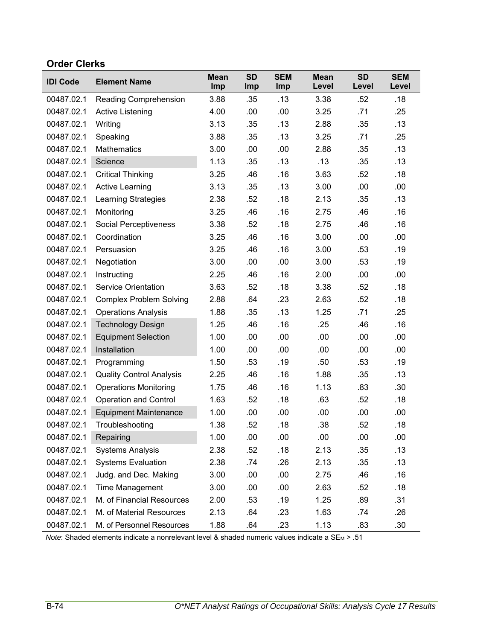### **Order Clerks**

| <b>IDI Code</b> | <b>Element Name</b>             | <b>Mean</b><br>Imp | <b>SD</b><br>Imp | <b>SEM</b><br>Imp | <b>Mean</b><br>Level | <b>SD</b><br>Level | <b>SEM</b><br>Level |
|-----------------|---------------------------------|--------------------|------------------|-------------------|----------------------|--------------------|---------------------|
| 00487.02.1      | <b>Reading Comprehension</b>    | 3.88               | .35              | .13               | 3.38                 | .52                | .18                 |
| 00487.02.1      | Active Listening                | 4.00               | .00              | .00               | 3.25                 | .71                | .25                 |
| 00487.02.1      | Writing                         | 3.13               | .35              | .13               | 2.88                 | .35                | .13                 |
| 00487.02.1      | Speaking                        | 3.88               | .35              | .13               | 3.25                 | .71                | .25                 |
| 00487.02.1      | <b>Mathematics</b>              | 3.00               | .00              | .00               | 2.88                 | .35                | .13                 |
| 00487.02.1      | Science                         | 1.13               | .35              | .13               | .13                  | .35                | .13                 |
| 00487.02.1      | <b>Critical Thinking</b>        | 3.25               | .46              | .16               | 3.63                 | .52                | .18                 |
| 00487.02.1      | <b>Active Learning</b>          | 3.13               | .35              | .13               | 3.00                 | .00                | .00                 |
| 00487.02.1      | <b>Learning Strategies</b>      | 2.38               | .52              | .18               | 2.13                 | .35                | .13                 |
| 00487.02.1      | Monitoring                      | 3.25               | .46              | .16               | 2.75                 | .46                | .16                 |
| 00487.02.1      | <b>Social Perceptiveness</b>    | 3.38               | .52              | .18               | 2.75                 | .46                | .16                 |
| 00487.02.1      | Coordination                    | 3.25               | .46              | .16               | 3.00                 | .00                | .00                 |
| 00487.02.1      | Persuasion                      | 3.25               | .46              | .16               | 3.00                 | .53                | .19                 |
| 00487.02.1      | Negotiation                     | 3.00               | .00              | .00               | 3.00                 | .53                | .19                 |
| 00487.02.1      | Instructing                     | 2.25               | .46              | .16               | 2.00                 | .00                | .00                 |
| 00487.02.1      | <b>Service Orientation</b>      | 3.63               | .52              | .18               | 3.38                 | .52                | .18                 |
| 00487.02.1      | <b>Complex Problem Solving</b>  | 2.88               | .64              | .23               | 2.63                 | .52                | .18                 |
| 00487.02.1      | <b>Operations Analysis</b>      | 1.88               | .35              | .13               | 1.25                 | .71                | .25                 |
| 00487.02.1      | <b>Technology Design</b>        | 1.25               | .46              | .16               | .25                  | .46                | .16                 |
| 00487.02.1      | <b>Equipment Selection</b>      | 1.00               | .00              | .00               | .00                  | .00                | .00                 |
| 00487.02.1      | Installation                    | 1.00               | .00              | .00               | .00                  | .00                | .00                 |
| 00487.02.1      | Programming                     | 1.50               | .53              | .19               | .50                  | .53                | .19                 |
| 00487.02.1      | <b>Quality Control Analysis</b> | 2.25               | .46              | .16               | 1.88                 | .35                | .13                 |
| 00487.02.1      | <b>Operations Monitoring</b>    | 1.75               | .46              | .16               | 1.13                 | .83                | .30                 |
| 00487.02.1      | <b>Operation and Control</b>    | 1.63               | .52              | .18               | .63                  | .52                | .18                 |
| 00487.02.1      | <b>Equipment Maintenance</b>    | 1.00               | .00              | .00               | .00                  | .00                | .00                 |
| 00487.02.1      | Troubleshooting                 | 1.38               | .52              | .18               | .38                  | .52                | .18                 |
| 00487.02.1      | Repairing                       | 1.00               | .00              | .00               | .00                  | .00                | .00                 |
| 00487.02.1      | <b>Systems Analysis</b>         | 2.38               | .52              | .18               | 2.13                 | .35                | .13                 |
| 00487.02.1      | <b>Systems Evaluation</b>       | 2.38               | .74              | .26               | 2.13                 | .35                | .13                 |
| 00487.02.1      | Judg. and Dec. Making           | 3.00               | .00              | .00               | 2.75                 | .46                | .16                 |
| 00487.02.1      | <b>Time Management</b>          | 3.00               | .00              | .00               | 2.63                 | .52                | .18                 |
| 00487.02.1      | M. of Financial Resources       | 2.00               | .53              | .19               | 1.25                 | .89                | .31                 |
| 00487.02.1      | M. of Material Resources        | 2.13               | .64              | .23               | 1.63                 | .74                | .26                 |
| 00487.02.1      | M. of Personnel Resources       | 1.88               | .64              | .23               | 1.13                 | .83                | .30                 |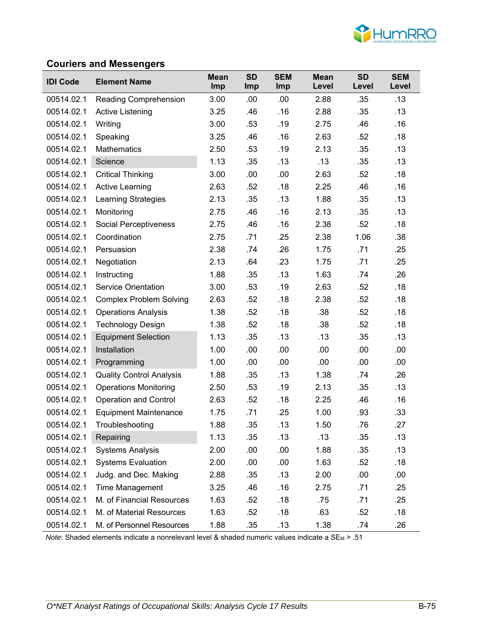

#### **Couriers and Messengers**

| <b>IDI Code</b> | <b>Element Name</b>             | <b>Mean</b><br>Imp | <b>SD</b><br>Imp | <b>SEM</b><br>Imp | <b>Mean</b><br>Level | <b>SD</b><br>Level | <b>SEM</b><br>Level |
|-----------------|---------------------------------|--------------------|------------------|-------------------|----------------------|--------------------|---------------------|
| 00514.02.1      | <b>Reading Comprehension</b>    | 3.00               | .00              | .00               | 2.88                 | .35                | .13                 |
| 00514.02.1      | Active Listening                | 3.25               | .46              | .16               | 2.88                 | .35                | .13                 |
| 00514.02.1      | Writing                         | 3.00               | .53              | .19               | 2.75                 | .46                | .16                 |
| 00514.02.1      | Speaking                        | 3.25               | .46              | .16               | 2.63                 | .52                | .18                 |
| 00514.02.1      | <b>Mathematics</b>              | 2.50               | .53              | .19               | 2.13                 | .35                | .13                 |
| 00514.02.1      | Science                         | 1.13               | .35              | .13               | .13                  | .35                | .13                 |
| 00514.02.1      | <b>Critical Thinking</b>        | 3.00               | .00              | .00               | 2.63                 | .52                | .18                 |
| 00514.02.1      | <b>Active Learning</b>          | 2.63               | .52              | .18               | 2.25                 | .46                | .16                 |
| 00514.02.1      | <b>Learning Strategies</b>      | 2.13               | .35              | .13               | 1.88                 | .35                | .13                 |
| 00514.02.1      | Monitoring                      | 2.75               | .46              | .16               | 2.13                 | .35                | .13                 |
| 00514.02.1      | <b>Social Perceptiveness</b>    | 2.75               | .46              | .16               | 2.38                 | .52                | .18                 |
| 00514.02.1      | Coordination                    | 2.75               | .71              | .25               | 2.38                 | 1.06               | .38                 |
| 00514.02.1      | Persuasion                      | 2.38               | .74              | .26               | 1.75                 | .71                | .25                 |
| 00514.02.1      | Negotiation                     | 2.13               | .64              | .23               | 1.75                 | .71                | .25                 |
| 00514.02.1      | Instructing                     | 1.88               | .35              | .13               | 1.63                 | .74                | .26                 |
| 00514.02.1      | <b>Service Orientation</b>      | 3.00               | .53              | .19               | 2.63                 | .52                | .18                 |
| 00514.02.1      | <b>Complex Problem Solving</b>  | 2.63               | .52              | .18               | 2.38                 | .52                | .18                 |
| 00514.02.1      | <b>Operations Analysis</b>      | 1.38               | .52              | .18               | .38                  | .52                | .18                 |
| 00514.02.1      | <b>Technology Design</b>        | 1.38               | .52              | .18               | .38                  | .52                | .18                 |
| 00514.02.1      | <b>Equipment Selection</b>      | 1.13               | .35              | .13               | .13                  | .35                | .13                 |
| 00514.02.1      | Installation                    | 1.00               | .00              | .00               | .00                  | .00                | .00                 |
| 00514.02.1      | Programming                     | 1.00               | .00              | .00               | .00                  | .00                | .00                 |
| 00514.02.1      | <b>Quality Control Analysis</b> | 1.88               | .35              | .13               | 1.38                 | .74                | .26                 |
| 00514.02.1      | <b>Operations Monitoring</b>    | 2.50               | .53              | .19               | 2.13                 | .35                | .13                 |
| 00514.02.1      | <b>Operation and Control</b>    | 2.63               | .52              | .18               | 2.25                 | .46                | .16                 |
| 00514.02.1      | <b>Equipment Maintenance</b>    | 1.75               | .71              | .25               | 1.00                 | .93                | .33                 |
| 00514.02.1      | Troubleshooting                 | 1.88               | .35              | .13               | 1.50                 | .76                | .27                 |
| 00514.02.1      | Repairing                       | 1.13               | .35              | .13               | .13                  | .35                | .13                 |
| 00514.02.1      | <b>Systems Analysis</b>         | 2.00               | .00              | .00               | 1.88                 | .35                | .13                 |
| 00514.02.1      | <b>Systems Evaluation</b>       | 2.00               | .00              | .00               | 1.63                 | .52                | .18                 |
| 00514.02.1      | Judg. and Dec. Making           | 2.88               | .35              | .13               | 2.00                 | .00                | .00                 |
| 00514.02.1      | Time Management                 | 3.25               | .46              | .16               | 2.75                 | .71                | .25                 |
| 00514.02.1      | M. of Financial Resources       | 1.63               | .52              | .18               | .75                  | .71                | .25                 |
| 00514.02.1      | M. of Material Resources        | 1.63               | .52              | .18               | .63                  | .52                | .18                 |
| 00514.02.1      | M. of Personnel Resources       | 1.88               | .35              | .13               | 1.38                 | .74                | .26                 |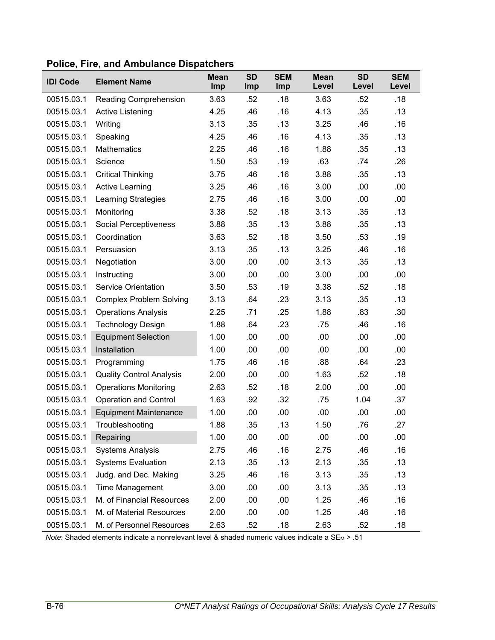| <b>IDI Code</b> | <b>Element Name</b>             | <b>Mean</b><br>Imp | <b>SD</b><br>Imp | <b>SEM</b><br>Imp | <b>Mean</b><br>Level | <b>SD</b><br>Level | <b>SEM</b><br>Level |
|-----------------|---------------------------------|--------------------|------------------|-------------------|----------------------|--------------------|---------------------|
| 00515.03.1      | Reading Comprehension           | 3.63               | .52              | .18               | 3.63                 | .52                | .18                 |
| 00515.03.1      | <b>Active Listening</b>         | 4.25               | .46              | .16               | 4.13                 | .35                | .13                 |
| 00515.03.1      | Writing                         | 3.13               | .35              | .13               | 3.25                 | .46                | .16                 |
| 00515.03.1      | Speaking                        | 4.25               | .46              | .16               | 4.13                 | .35                | .13                 |
| 00515.03.1      | <b>Mathematics</b>              | 2.25               | .46              | .16               | 1.88                 | .35                | .13                 |
| 00515.03.1      | Science                         | 1.50               | .53              | .19               | .63                  | .74                | .26                 |
| 00515.03.1      | <b>Critical Thinking</b>        | 3.75               | .46              | .16               | 3.88                 | .35                | .13                 |
| 00515.03.1      | <b>Active Learning</b>          | 3.25               | .46              | .16               | 3.00                 | .00                | .00                 |
| 00515.03.1      | <b>Learning Strategies</b>      | 2.75               | .46              | .16               | 3.00                 | .00                | .00                 |
| 00515.03.1      | Monitoring                      | 3.38               | .52              | .18               | 3.13                 | .35                | .13                 |
| 00515.03.1      | Social Perceptiveness           | 3.88               | .35              | .13               | 3.88                 | .35                | .13                 |
| 00515.03.1      | Coordination                    | 3.63               | .52              | .18               | 3.50                 | .53                | .19                 |
| 00515.03.1      | Persuasion                      | 3.13               | .35              | .13               | 3.25                 | .46                | .16                 |
| 00515.03.1      | Negotiation                     | 3.00               | .00              | .00               | 3.13                 | .35                | .13                 |
| 00515.03.1      | Instructing                     | 3.00               | .00              | .00               | 3.00                 | .00                | .00                 |
| 00515.03.1      | <b>Service Orientation</b>      | 3.50               | .53              | .19               | 3.38                 | .52                | .18                 |
| 00515.03.1      | <b>Complex Problem Solving</b>  | 3.13               | .64              | .23               | 3.13                 | .35                | .13                 |
| 00515.03.1      | <b>Operations Analysis</b>      | 2.25               | .71              | .25               | 1.88                 | .83                | .30                 |
| 00515.03.1      | <b>Technology Design</b>        | 1.88               | .64              | .23               | .75                  | .46                | .16                 |
| 00515.03.1      | <b>Equipment Selection</b>      | 1.00               | .00              | .00               | .00                  | .00                | .00                 |
| 00515.03.1      | Installation                    | 1.00               | .00              | .00               | .00                  | .00                | .00                 |
| 00515.03.1      | Programming                     | 1.75               | .46              | .16               | .88                  | .64                | .23                 |
| 00515.03.1      | <b>Quality Control Analysis</b> | 2.00               | .00              | .00               | 1.63                 | .52                | .18                 |
| 00515.03.1      | <b>Operations Monitoring</b>    | 2.63               | .52              | .18               | 2.00                 | .00                | .00                 |
| 00515.03.1      | <b>Operation and Control</b>    | 1.63               | .92              | .32               | .75                  | 1.04               | .37                 |
| 00515.03.1      | <b>Equipment Maintenance</b>    | 1.00               | .00              | .00               | .00                  | .00                | .00                 |
| 00515.03.1      | Troubleshooting                 | 1.88               | .35              | .13               | 1.50                 | .76                | .27                 |
| 00515.03.1      | Repairing                       | 1.00               | .00              | .00               | .00                  | .00                | .00                 |
| 00515.03.1      | <b>Systems Analysis</b>         | 2.75               | .46              | .16               | 2.75                 | .46                | .16                 |
| 00515.03.1      | <b>Systems Evaluation</b>       | 2.13               | .35              | .13               | 2.13                 | .35                | .13                 |
| 00515.03.1      | Judg. and Dec. Making           | 3.25               | .46              | .16               | 3.13                 | .35                | .13                 |
| 00515.03.1      | Time Management                 | 3.00               | .00              | .00               | 3.13                 | .35                | .13                 |
| 00515.03.1      | M. of Financial Resources       | 2.00               | .00              | .00               | 1.25                 | .46                | .16                 |
| 00515.03.1      | M. of Material Resources        | 2.00               | .00              | .00               | 1.25                 | .46                | .16                 |
| 00515.03.1      | M. of Personnel Resources       | 2.63               | .52              | .18               | 2.63                 | .52                | .18                 |

#### **Police, Fire, and Ambulance Dispatchers**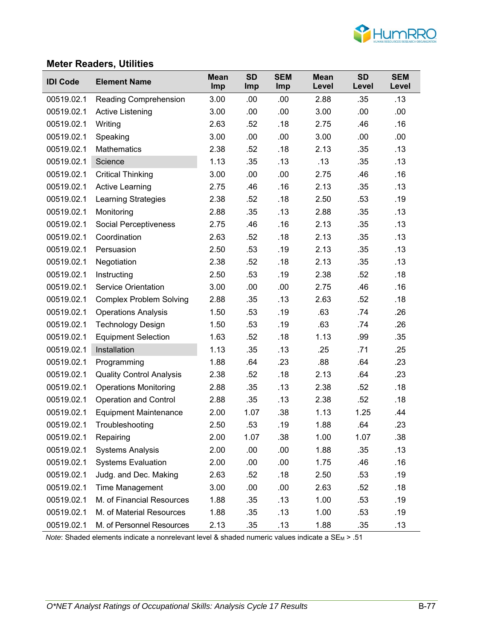

#### **Meter Readers, Utilities**

| <b>IDI Code</b> | <b>Element Name</b>             | <b>Mean</b><br><b>Imp</b> | <b>SD</b><br><b>Imp</b> | <b>SEM</b><br>Imp | <b>Mean</b><br>Level | <b>SD</b><br>Level | <b>SEM</b><br>Level |
|-----------------|---------------------------------|---------------------------|-------------------------|-------------------|----------------------|--------------------|---------------------|
| 00519.02.1      | <b>Reading Comprehension</b>    | 3.00                      | .00                     | .00               | 2.88                 | .35                | .13                 |
| 00519.02.1      | Active Listening                | 3.00                      | .00                     | .00               | 3.00                 | .00                | .00.                |
| 00519.02.1      | Writing                         | 2.63                      | .52                     | .18               | 2.75                 | .46                | .16                 |
| 00519.02.1      | Speaking                        | 3.00                      | .00                     | .00               | 3.00                 | .00                | .00                 |
| 00519.02.1      | <b>Mathematics</b>              | 2.38                      | .52                     | .18               | 2.13                 | .35                | .13                 |
| 00519.02.1      | Science                         | 1.13                      | .35                     | .13               | .13                  | .35                | .13                 |
| 00519.02.1      | <b>Critical Thinking</b>        | 3.00                      | .00                     | .00               | 2.75                 | .46                | .16                 |
| 00519.02.1      | <b>Active Learning</b>          | 2.75                      | .46                     | .16               | 2.13                 | .35                | .13                 |
| 00519.02.1      | <b>Learning Strategies</b>      | 2.38                      | .52                     | .18               | 2.50                 | .53                | .19                 |
| 00519.02.1      | Monitoring                      | 2.88                      | .35                     | .13               | 2.88                 | .35                | .13                 |
| 00519.02.1      | Social Perceptiveness           | 2.75                      | .46                     | .16               | 2.13                 | .35                | .13                 |
| 00519.02.1      | Coordination                    | 2.63                      | .52                     | .18               | 2.13                 | .35                | .13                 |
| 00519.02.1      | Persuasion                      | 2.50                      | .53                     | .19               | 2.13                 | .35                | .13                 |
| 00519.02.1      | Negotiation                     | 2.38                      | .52                     | .18               | 2.13                 | .35                | .13                 |
| 00519.02.1      | Instructing                     | 2.50                      | .53                     | .19               | 2.38                 | .52                | .18                 |
| 00519.02.1      | <b>Service Orientation</b>      | 3.00                      | .00                     | .00               | 2.75                 | .46                | .16                 |
| 00519.02.1      | <b>Complex Problem Solving</b>  | 2.88                      | .35                     | .13               | 2.63                 | .52                | .18                 |
| 00519.02.1      | <b>Operations Analysis</b>      | 1.50                      | .53                     | .19               | .63                  | .74                | .26                 |
| 00519.02.1      | <b>Technology Design</b>        | 1.50                      | .53                     | .19               | .63                  | .74                | .26                 |
| 00519.02.1      | <b>Equipment Selection</b>      | 1.63                      | .52                     | .18               | 1.13                 | .99                | .35                 |
| 00519.02.1      | Installation                    | 1.13                      | .35                     | .13               | .25                  | .71                | .25                 |
| 00519.02.1      | Programming                     | 1.88                      | .64                     | .23               | .88                  | .64                | .23                 |
| 00519.02.1      | <b>Quality Control Analysis</b> | 2.38                      | .52                     | .18               | 2.13                 | .64                | .23                 |
| 00519.02.1      | <b>Operations Monitoring</b>    | 2.88                      | .35                     | .13               | 2.38                 | .52                | .18                 |
| 00519.02.1      | <b>Operation and Control</b>    | 2.88                      | .35                     | .13               | 2.38                 | .52                | .18                 |
| 00519.02.1      | <b>Equipment Maintenance</b>    | 2.00                      | 1.07                    | .38               | 1.13                 | 1.25               | .44                 |
| 00519.02.1      | Troubleshooting                 | 2.50                      | .53                     | .19               | 1.88                 | .64                | .23                 |
| 00519.02.1      | Repairing                       | 2.00                      | 1.07                    | .38               | 1.00                 | 1.07               | .38                 |
| 00519.02.1      | <b>Systems Analysis</b>         | 2.00                      | .00                     | .00               | 1.88                 | .35                | .13                 |
| 00519.02.1      | <b>Systems Evaluation</b>       | 2.00                      | .00                     | .00               | 1.75                 | .46                | .16                 |
| 00519.02.1      | Judg. and Dec. Making           | 2.63                      | .52                     | .18               | 2.50                 | .53                | .19                 |
| 00519.02.1      | Time Management                 | 3.00                      | .00                     | .00               | 2.63                 | .52                | .18                 |
| 00519.02.1      | M. of Financial Resources       | 1.88                      | .35                     | .13               | 1.00                 | .53                | .19                 |
| 00519.02.1      | M. of Material Resources        | 1.88                      | .35                     | .13               | 1.00                 | .53                | .19                 |
| 00519.02.1      | M. of Personnel Resources       | 2.13                      | .35                     | .13               | 1.88                 | .35                | .13                 |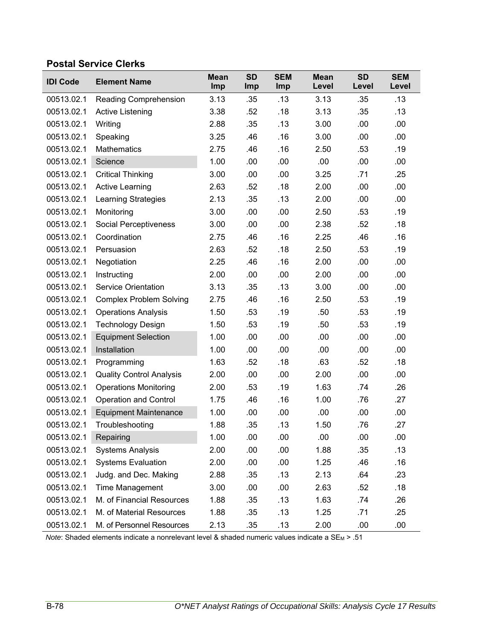### **Postal Service Clerks**

| <b>IDI Code</b> | <b>Element Name</b>             | <b>Mean</b><br>Imp | <b>SD</b><br>Imp | <b>SEM</b><br>Imp | <b>Mean</b><br>Level | <b>SD</b><br>Level | <b>SEM</b><br>Level |
|-----------------|---------------------------------|--------------------|------------------|-------------------|----------------------|--------------------|---------------------|
| 00513.02.1      | Reading Comprehension           | 3.13               | .35              | .13               | 3.13                 | .35                | .13                 |
| 00513.02.1      | Active Listening                | 3.38               | .52              | .18               | 3.13                 | .35                | .13                 |
| 00513.02.1      | Writing                         | 2.88               | .35              | .13               | 3.00                 | .00                | .00                 |
| 00513.02.1      | Speaking                        | 3.25               | .46              | .16               | 3.00                 | .00                | .00                 |
| 00513.02.1      | <b>Mathematics</b>              | 2.75               | .46              | .16               | 2.50                 | .53                | .19                 |
| 00513.02.1      | Science                         | 1.00               | .00              | .00               | .00                  | .00                | .00                 |
| 00513.02.1      | <b>Critical Thinking</b>        | 3.00               | .00              | .00               | 3.25                 | .71                | .25                 |
| 00513.02.1      | <b>Active Learning</b>          | 2.63               | .52              | .18               | 2.00                 | .00                | .00                 |
| 00513.02.1      | <b>Learning Strategies</b>      | 2.13               | .35              | .13               | 2.00                 | .00                | .00                 |
| 00513.02.1      | Monitoring                      | 3.00               | .00              | .00               | 2.50                 | .53                | .19                 |
| 00513.02.1      | Social Perceptiveness           | 3.00               | .00              | .00               | 2.38                 | .52                | .18                 |
| 00513.02.1      | Coordination                    | 2.75               | .46              | .16               | 2.25                 | .46                | .16                 |
| 00513.02.1      | Persuasion                      | 2.63               | .52              | .18               | 2.50                 | .53                | .19                 |
| 00513.02.1      | Negotiation                     | 2.25               | .46              | .16               | 2.00                 | .00                | .00                 |
| 00513.02.1      | Instructing                     | 2.00               | .00              | .00               | 2.00                 | .00                | .00                 |
| 00513.02.1      | <b>Service Orientation</b>      | 3.13               | .35              | .13               | 3.00                 | .00                | .00                 |
| 00513.02.1      | <b>Complex Problem Solving</b>  | 2.75               | .46              | .16               | 2.50                 | .53                | .19                 |
| 00513.02.1      | <b>Operations Analysis</b>      | 1.50               | .53              | .19               | .50                  | .53                | .19                 |
| 00513.02.1      | <b>Technology Design</b>        | 1.50               | .53              | .19               | .50                  | .53                | .19                 |
| 00513.02.1      | <b>Equipment Selection</b>      | 1.00               | .00              | .00               | .00                  | .00                | .00                 |
| 00513.02.1      | Installation                    | 1.00               | .00              | .00               | .00                  | .00                | .00                 |
| 00513.02.1      | Programming                     | 1.63               | .52              | .18               | .63                  | .52                | .18                 |
| 00513.02.1      | <b>Quality Control Analysis</b> | 2.00               | .00              | .00               | 2.00                 | .00                | .00                 |
| 00513.02.1      | <b>Operations Monitoring</b>    | 2.00               | .53              | .19               | 1.63                 | .74                | .26                 |
| 00513.02.1      | <b>Operation and Control</b>    | 1.75               | .46              | .16               | 1.00                 | .76                | .27                 |
| 00513.02.1      | <b>Equipment Maintenance</b>    | 1.00               | .00              | .00               | .00                  | .00                | .00                 |
| 00513.02.1      | Troubleshooting                 | 1.88               | .35              | .13               | 1.50                 | .76                | .27                 |
| 00513.02.1      | Repairing                       | 1.00               | .00              | .00               | .00                  | .00                | .00                 |
| 00513.02.1      | <b>Systems Analysis</b>         | 2.00               | .00              | .00               | 1.88                 | .35                | .13                 |
| 00513.02.1      | <b>Systems Evaluation</b>       | 2.00               | .00              | .00               | 1.25                 | .46                | .16                 |
| 00513.02.1      | Judg. and Dec. Making           | 2.88               | .35              | .13               | 2.13                 | .64                | .23                 |
| 00513.02.1      | <b>Time Management</b>          | 3.00               | .00              | .00               | 2.63                 | .52                | .18                 |
| 00513.02.1      | M. of Financial Resources       | 1.88               | .35              | .13               | 1.63                 | .74                | .26                 |
| 00513.02.1      | M. of Material Resources        | 1.88               | .35              | .13               | 1.25                 | .71                | .25                 |
| 00513.02.1      | M. of Personnel Resources       | 2.13               | .35              | .13               | 2.00                 | .00                | .00                 |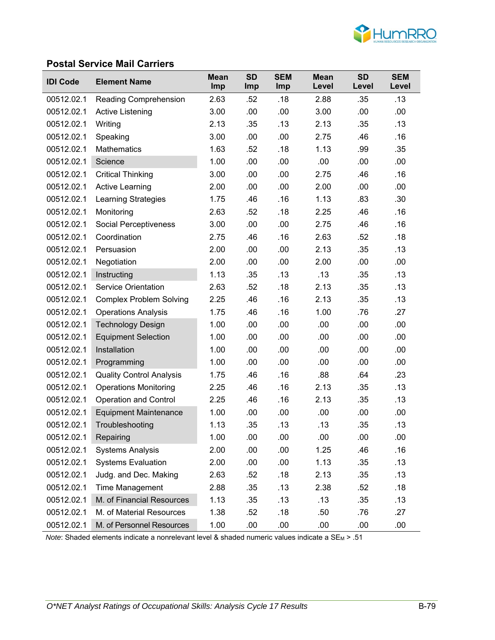

#### **Postal Service Mail Carriers**

| <b>IDI Code</b> | <b>Element Name</b>             | <b>Mean</b><br>Imp | <b>SD</b><br><b>Imp</b> | <b>SEM</b><br><b>Imp</b> | <b>Mean</b><br>Level | <b>SD</b><br>Level | <b>SEM</b><br>Level |
|-----------------|---------------------------------|--------------------|-------------------------|--------------------------|----------------------|--------------------|---------------------|
| 00512.02.1      | <b>Reading Comprehension</b>    | 2.63               | .52                     | .18                      | 2.88                 | .35                | .13                 |
| 00512.02.1      | <b>Active Listening</b>         | 3.00               | .00                     | .00                      | 3.00                 | .00                | .00                 |
| 00512.02.1      | Writing                         | 2.13               | .35                     | .13                      | 2.13                 | .35                | .13                 |
| 00512.02.1      | Speaking                        | 3.00               | .00                     | .00                      | 2.75                 | .46                | .16                 |
| 00512.02.1      | <b>Mathematics</b>              | 1.63               | .52                     | .18                      | 1.13                 | .99                | .35                 |
| 00512.02.1      | Science                         | 1.00               | .00                     | .00                      | .00                  | .00                | .00                 |
| 00512.02.1      | <b>Critical Thinking</b>        | 3.00               | .00                     | .00                      | 2.75                 | .46                | .16                 |
| 00512.02.1      | <b>Active Learning</b>          | 2.00               | .00                     | .00                      | 2.00                 | .00                | .00                 |
| 00512.02.1      | <b>Learning Strategies</b>      | 1.75               | .46                     | .16                      | 1.13                 | .83                | .30                 |
| 00512.02.1      | Monitoring                      | 2.63               | .52                     | .18                      | 2.25                 | .46                | .16                 |
| 00512.02.1      | <b>Social Perceptiveness</b>    | 3.00               | .00                     | .00                      | 2.75                 | .46                | .16                 |
| 00512.02.1      | Coordination                    | 2.75               | .46                     | .16                      | 2.63                 | .52                | .18                 |
| 00512.02.1      | Persuasion                      | 2.00               | .00                     | .00                      | 2.13                 | .35                | .13                 |
| 00512.02.1      | Negotiation                     | 2.00               | .00                     | .00                      | 2.00                 | .00                | .00                 |
| 00512.02.1      | Instructing                     | 1.13               | .35                     | .13                      | .13                  | .35                | .13                 |
| 00512.02.1      | <b>Service Orientation</b>      | 2.63               | .52                     | .18                      | 2.13                 | .35                | .13                 |
| 00512.02.1      | <b>Complex Problem Solving</b>  | 2.25               | .46                     | .16                      | 2.13                 | .35                | .13                 |
| 00512.02.1      | <b>Operations Analysis</b>      | 1.75               | .46                     | .16                      | 1.00                 | .76                | .27                 |
| 00512.02.1      | <b>Technology Design</b>        | 1.00               | .00                     | .00                      | .00                  | .00                | .00                 |
| 00512.02.1      | <b>Equipment Selection</b>      | 1.00               | .00                     | .00                      | .00                  | .00                | .00                 |
| 00512.02.1      | Installation                    | 1.00               | .00                     | .00                      | .00                  | .00                | .00                 |
| 00512.02.1      | Programming                     | 1.00               | .00                     | .00                      | .00                  | .00                | .00                 |
| 00512.02.1      | <b>Quality Control Analysis</b> | 1.75               | .46                     | .16                      | .88                  | .64                | .23                 |
| 00512.02.1      | <b>Operations Monitoring</b>    | 2.25               | .46                     | .16                      | 2.13                 | .35                | .13                 |
| 00512.02.1      | <b>Operation and Control</b>    | 2.25               | .46                     | .16                      | 2.13                 | .35                | .13                 |
| 00512.02.1      | <b>Equipment Maintenance</b>    | 1.00               | .00                     | .00                      | .00                  | .00                | .00                 |
| 00512.02.1      | Troubleshooting                 | 1.13               | .35                     | .13                      | .13                  | .35                | .13                 |
| 00512.02.1      | Repairing                       | 1.00               | .00                     | .00                      | .00                  | .00                | .00                 |
| 00512.02.1      | <b>Systems Analysis</b>         | 2.00               | .00                     | .00                      | 1.25                 | .46                | .16                 |
| 00512.02.1      | <b>Systems Evaluation</b>       | 2.00               | .00                     | .00                      | 1.13                 | .35                | .13                 |
| 00512.02.1      | Judg. and Dec. Making           | 2.63               | .52                     | .18                      | 2.13                 | .35                | .13                 |
| 00512.02.1      | Time Management                 | 2.88               | .35                     | .13                      | 2.38                 | .52                | .18                 |
| 00512.02.1      | M. of Financial Resources       | 1.13               | .35                     | .13                      | .13                  | .35                | .13                 |
| 00512.02.1      | M. of Material Resources        | 1.38               | .52                     | .18                      | .50                  | .76                | .27                 |
| 00512.02.1      | M. of Personnel Resources       | 1.00               | .00                     | .00                      | .00                  | .00                | .00                 |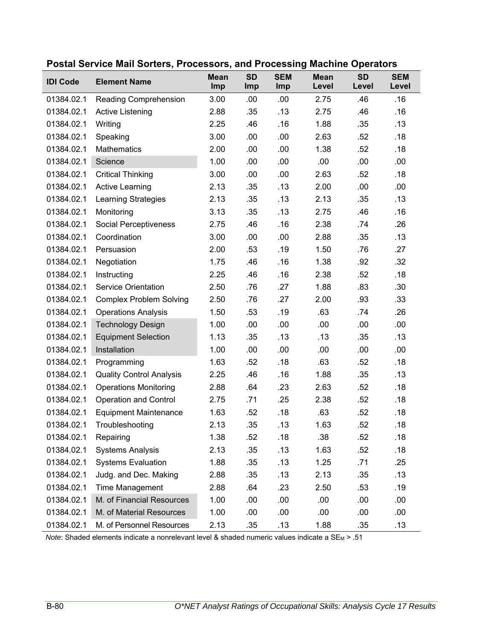| <b>IDI Code</b> | <b>Element Name</b>             | <b>Mean</b><br>Imp | <b>SD</b><br>Imp | <b>SEM</b><br>Imp | <b>Mean</b><br>Level | <b>SD</b><br>Level | <b>SEM</b><br>Level |
|-----------------|---------------------------------|--------------------|------------------|-------------------|----------------------|--------------------|---------------------|
| 01384.02.1      | Reading Comprehension           | 3.00               | .00              | .00               | 2.75                 | .46                | .16                 |
| 01384.02.1      | <b>Active Listening</b>         | 2.88               | .35              | .13               | 2.75                 | .46                | .16                 |
| 01384.02.1      | Writing                         | 2.25               | .46              | .16               | 1.88                 | .35                | .13                 |
| 01384.02.1      | Speaking                        | 3.00               | .00              | .00               | 2.63                 | .52                | .18                 |
| 01384.02.1      | <b>Mathematics</b>              | 2.00               | .00              | .00               | 1.38                 | .52                | .18                 |
| 01384.02.1      | Science                         | 1.00               | .00              | .00               | .00                  | .00                | .00                 |
| 01384.02.1      | <b>Critical Thinking</b>        | 3.00               | .00              | .00               | 2.63                 | .52                | .18                 |
| 01384.02.1      | <b>Active Learning</b>          | 2.13               | .35              | .13               | 2.00                 | .00                | .00                 |
| 01384.02.1      | <b>Learning Strategies</b>      | 2.13               | .35              | .13               | 2.13                 | .35                | .13                 |
| 01384.02.1      | Monitoring                      | 3.13               | .35              | .13               | 2.75                 | .46                | .16                 |
| 01384.02.1      | Social Perceptiveness           | 2.75               | .46              | .16               | 2.38                 | .74                | .26                 |
| 01384.02.1      | Coordination                    | 3.00               | .00              | .00               | 2.88                 | .35                | .13                 |
| 01384.02.1      | Persuasion                      | 2.00               | .53              | .19               | 1.50                 | .76                | .27                 |
| 01384.02.1      | Negotiation                     | 1.75               | .46              | .16               | 1.38                 | .92                | .32                 |
| 01384.02.1      | Instructing                     | 2.25               | .46              | .16               | 2.38                 | .52                | .18                 |
| 01384.02.1      | <b>Service Orientation</b>      | 2.50               | .76              | .27               | 1.88                 | .83                | .30                 |
| 01384.02.1      | <b>Complex Problem Solving</b>  | 2.50               | .76              | .27               | 2.00                 | .93                | .33                 |
| 01384.02.1      | <b>Operations Analysis</b>      | 1.50               | .53              | .19               | .63                  | .74                | .26                 |
| 01384.02.1      | <b>Technology Design</b>        | 1.00               | .00              | .00               | .00                  | .00                | .00                 |
| 01384.02.1      | <b>Equipment Selection</b>      | 1.13               | .35              | .13               | .13                  | .35                | .13                 |
| 01384.02.1      | Installation                    | 1.00               | .00              | .00               | .00                  | .00                | .00                 |
| 01384.02.1      | Programming                     | 1.63               | .52              | .18               | .63                  | .52                | .18                 |
| 01384.02.1      | <b>Quality Control Analysis</b> | 2.25               | .46              | .16               | 1.88                 | .35                | .13                 |
| 01384.02.1      | <b>Operations Monitoring</b>    | 2.88               | .64              | .23               | 2.63                 | .52                | .18                 |
| 01384.02.1      | <b>Operation and Control</b>    | 2.75               | .71              | .25               | 2.38                 | .52                | .18                 |
| 01384.02.1      | <b>Equipment Maintenance</b>    | 1.63               | .52              | .18               | .63                  | .52                | .18                 |
| 01384.02.1      | Troubleshooting                 | 2.13               | .35              | .13               | 1.63                 | .52                | .18                 |
| 01384.02.1      | Repairing                       | 1.38               | .52              | .18               | .38                  | .52                | .18                 |
| 01384.02.1      | <b>Systems Analysis</b>         | 2.13               | .35              | .13               | 1.63                 | .52                | .18                 |
| 01384.02.1      | <b>Systems Evaluation</b>       | 1.88               | .35              | .13               | 1.25                 | .71                | .25                 |
| 01384.02.1      | Judg. and Dec. Making           | 2.88               | .35              | .13               | 2.13                 | .35                | .13                 |
| 01384.02.1      | <b>Time Management</b>          | 2.88               | .64              | .23               | 2.50                 | .53                | .19                 |
| 01384.02.1      | M. of Financial Resources       | 1.00               | .00              | .00               | .00.                 | .00                | .00                 |
| 01384.02.1      | M. of Material Resources        | 1.00               | .00              | .00               | .00                  | .00                | .00                 |
| 01384.02.1      | M. of Personnel Resources       | 2.13               | .35              | .13               | 1.88                 | .35                | .13                 |

#### **Postal Service Mail Sorters, Processors, and Processing Machine Operators**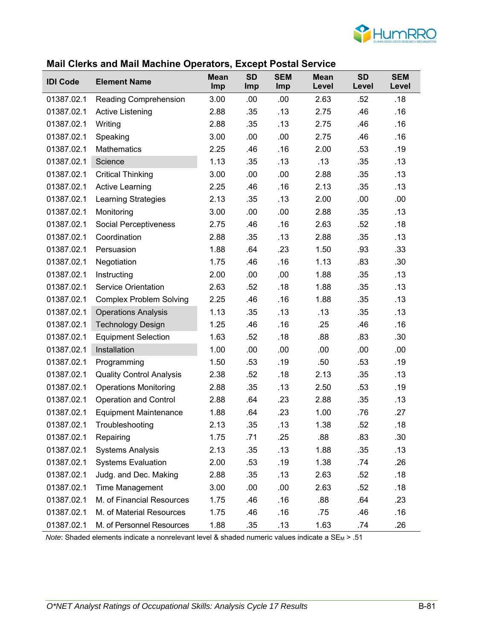

#### **Mail Clerks and Mail Machine Operators, Except Postal Service**

| <b>IDI Code</b> | <b>Element Name</b>             | <b>Mean</b><br>Imp | <b>SD</b><br>Imp | <b>SEM</b><br>Imp | <b>Mean</b><br>Level | <b>SD</b><br>Level | <b>SEM</b><br>Level |
|-----------------|---------------------------------|--------------------|------------------|-------------------|----------------------|--------------------|---------------------|
| 01387.02.1      | Reading Comprehension           | 3.00               | .00              | .00               | 2.63                 | .52                | .18                 |
| 01387.02.1      | <b>Active Listening</b>         | 2.88               | .35              | .13               | 2.75                 | .46                | .16                 |
| 01387.02.1      | Writing                         | 2.88               | .35              | .13               | 2.75                 | .46                | .16                 |
| 01387.02.1      | Speaking                        | 3.00               | .00              | .00               | 2.75                 | .46                | .16                 |
| 01387.02.1      | <b>Mathematics</b>              | 2.25               | .46              | .16               | 2.00                 | .53                | .19                 |
| 01387.02.1      | Science                         | 1.13               | .35              | .13               | .13                  | .35                | .13                 |
| 01387.02.1      | <b>Critical Thinking</b>        | 3.00               | .00              | .00               | 2.88                 | .35                | .13                 |
| 01387.02.1      | <b>Active Learning</b>          | 2.25               | .46              | .16               | 2.13                 | .35                | .13                 |
| 01387.02.1      | <b>Learning Strategies</b>      | 2.13               | .35              | .13               | 2.00                 | .00                | .00                 |
| 01387.02.1      | Monitoring                      | 3.00               | .00              | .00               | 2.88                 | .35                | .13                 |
| 01387.02.1      | Social Perceptiveness           | 2.75               | .46              | .16               | 2.63                 | .52                | .18                 |
| 01387.02.1      | Coordination                    | 2.88               | .35              | .13               | 2.88                 | .35                | .13                 |
| 01387.02.1      | Persuasion                      | 1.88               | .64              | .23               | 1.50                 | .93                | .33                 |
| 01387.02.1      | Negotiation                     | 1.75               | .46              | .16               | 1.13                 | .83                | .30                 |
| 01387.02.1      | Instructing                     | 2.00               | .00              | .00               | 1.88                 | .35                | .13                 |
| 01387.02.1      | <b>Service Orientation</b>      | 2.63               | .52              | .18               | 1.88                 | .35                | .13                 |
| 01387.02.1      | <b>Complex Problem Solving</b>  | 2.25               | .46              | .16               | 1.88                 | .35                | .13                 |
| 01387.02.1      | <b>Operations Analysis</b>      | 1.13               | .35              | .13               | .13                  | .35                | .13                 |
| 01387.02.1      | <b>Technology Design</b>        | 1.25               | .46              | .16               | .25                  | .46                | .16                 |
| 01387.02.1      | <b>Equipment Selection</b>      | 1.63               | .52              | .18               | .88                  | .83                | .30                 |
| 01387.02.1      | Installation                    | 1.00               | .00              | .00               | .00                  | .00                | .00                 |
| 01387.02.1      | Programming                     | 1.50               | .53              | .19               | .50                  | .53                | .19                 |
| 01387.02.1      | <b>Quality Control Analysis</b> | 2.38               | .52              | .18               | 2.13                 | .35                | .13                 |
| 01387.02.1      | <b>Operations Monitoring</b>    | 2.88               | .35              | .13               | 2.50                 | .53                | .19                 |
| 01387.02.1      | <b>Operation and Control</b>    | 2.88               | .64              | .23               | 2.88                 | .35                | .13                 |
| 01387.02.1      | <b>Equipment Maintenance</b>    | 1.88               | .64              | .23               | 1.00                 | .76                | .27                 |
| 01387.02.1      | Troubleshooting                 | 2.13               | .35              | .13               | 1.38                 | .52                | .18                 |
| 01387.02.1      | Repairing                       | 1.75               | .71              | .25               | .88                  | .83                | .30                 |
| 01387.02.1      | <b>Systems Analysis</b>         | 2.13               | .35              | .13               | 1.88                 | .35                | .13                 |
| 01387.02.1      | <b>Systems Evaluation</b>       | 2.00               | .53              | .19               | 1.38                 | .74                | .26                 |
| 01387.02.1      | Judg. and Dec. Making           | 2.88               | .35              | .13               | 2.63                 | .52                | .18                 |
| 01387.02.1      | Time Management                 | 3.00               | .00              | .00               | 2.63                 | .52                | .18                 |
| 01387.02.1      | M. of Financial Resources       | 1.75               | .46              | .16               | .88                  | .64                | .23                 |
| 01387.02.1      | M. of Material Resources        | 1.75               | .46              | .16               | .75                  | .46                | .16                 |
| 01387.02.1      | M. of Personnel Resources       | 1.88               | .35              | .13               | 1.63                 | .74                | .26                 |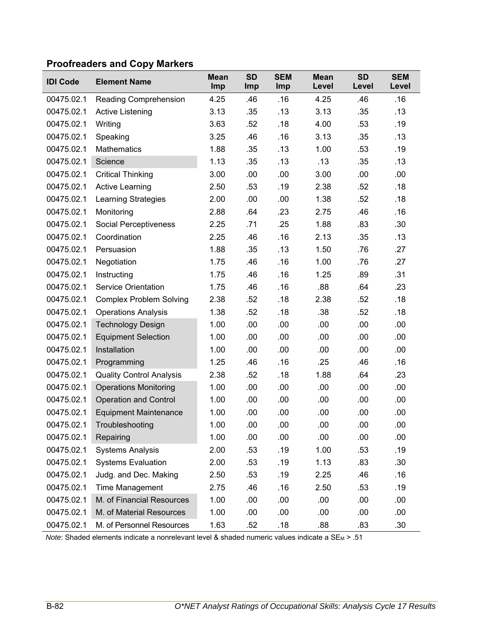# **Proofreaders and Copy Markers**

| <b>IDI Code</b> | <b>Element Name</b>             | <b>Mean</b><br>Imp | <b>SD</b><br><b>Imp</b> | <b>SEM</b><br>Imp | <b>Mean</b><br>Level | <b>SD</b><br>Level | <b>SEM</b><br>Level |
|-----------------|---------------------------------|--------------------|-------------------------|-------------------|----------------------|--------------------|---------------------|
| 00475.02.1      | <b>Reading Comprehension</b>    | 4.25               | .46                     | .16               | 4.25                 | .46                | .16                 |
| 00475.02.1      | <b>Active Listening</b>         | 3.13               | .35                     | .13               | 3.13                 | .35                | .13                 |
| 00475.02.1      | Writing                         | 3.63               | .52                     | .18               | 4.00                 | .53                | .19                 |
| 00475.02.1      | Speaking                        | 3.25               | .46                     | .16               | 3.13                 | .35                | .13                 |
| 00475.02.1      | <b>Mathematics</b>              | 1.88               | .35                     | .13               | 1.00                 | .53                | .19                 |
| 00475.02.1      | Science                         | 1.13               | .35                     | .13               | .13                  | .35                | .13                 |
| 00475.02.1      | <b>Critical Thinking</b>        | 3.00               | .00                     | .00               | 3.00                 | .00                | .00                 |
| 00475.02.1      | <b>Active Learning</b>          | 2.50               | .53                     | .19               | 2.38                 | .52                | .18                 |
| 00475.02.1      | <b>Learning Strategies</b>      | 2.00               | .00                     | .00               | 1.38                 | .52                | .18                 |
| 00475.02.1      | Monitoring                      | 2.88               | .64                     | .23               | 2.75                 | .46                | .16                 |
| 00475.02.1      | Social Perceptiveness           | 2.25               | .71                     | .25               | 1.88                 | .83                | .30                 |
| 00475.02.1      | Coordination                    | 2.25               | .46                     | .16               | 2.13                 | .35                | .13                 |
| 00475.02.1      | Persuasion                      | 1.88               | .35                     | .13               | 1.50                 | .76                | .27                 |
| 00475.02.1      | Negotiation                     | 1.75               | .46                     | .16               | 1.00                 | .76                | .27                 |
| 00475.02.1      | Instructing                     | 1.75               | .46                     | .16               | 1.25                 | .89                | .31                 |
| 00475.02.1      | <b>Service Orientation</b>      | 1.75               | .46                     | .16               | .88                  | .64                | .23                 |
| 00475.02.1      | <b>Complex Problem Solving</b>  | 2.38               | .52                     | .18               | 2.38                 | .52                | .18                 |
| 00475.02.1      | <b>Operations Analysis</b>      | 1.38               | .52                     | .18               | .38                  | .52                | .18                 |
| 00475.02.1      | <b>Technology Design</b>        | 1.00               | .00                     | .00               | .00                  | .00                | .00                 |
| 00475.02.1      | <b>Equipment Selection</b>      | 1.00               | .00                     | .00               | .00                  | .00                | .00                 |
| 00475.02.1      | Installation                    | 1.00               | .00                     | .00               | .00                  | .00                | .00                 |
| 00475.02.1      | Programming                     | 1.25               | .46                     | .16               | .25                  | .46                | .16                 |
| 00475.02.1      | <b>Quality Control Analysis</b> | 2.38               | .52                     | .18               | 1.88                 | .64                | .23                 |
| 00475.02.1      | <b>Operations Monitoring</b>    | 1.00               | .00                     | .00               | .00                  | .00                | .00                 |
| 00475.02.1      | <b>Operation and Control</b>    | 1.00               | .00                     | .00               | .00                  | .00                | .00                 |
| 00475.02.1      | <b>Equipment Maintenance</b>    | 1.00               | .00                     | .00               | .00                  | .00                | .00                 |
| 00475.02.1      | Troubleshooting                 | 1.00               | .00                     | .00               | .00                  | .00                | .00                 |
| 00475.02.1      | Repairing                       | 1.00               | .00                     | .00               | .00                  | .00                | .00                 |
| 00475.02.1      | <b>Systems Analysis</b>         | 2.00               | .53                     | .19               | 1.00                 | .53                | .19                 |
| 00475.02.1      | <b>Systems Evaluation</b>       | 2.00               | .53                     | .19               | 1.13                 | .83                | .30                 |
| 00475.02.1      | Judg. and Dec. Making           | 2.50               | .53                     | .19               | 2.25                 | .46                | .16                 |
| 00475.02.1      | Time Management                 | 2.75               | .46                     | .16               | 2.50                 | .53                | .19                 |
| 00475.02.1      | M. of Financial Resources       | 1.00               | .00                     | .00               | .00                  | .00                | .00                 |
| 00475.02.1      | M. of Material Resources        | 1.00               | .00                     | .00               | .00                  | .00                | .00                 |
| 00475.02.1      | M. of Personnel Resources       | 1.63               | .52                     | .18               | .88                  | .83                | .30                 |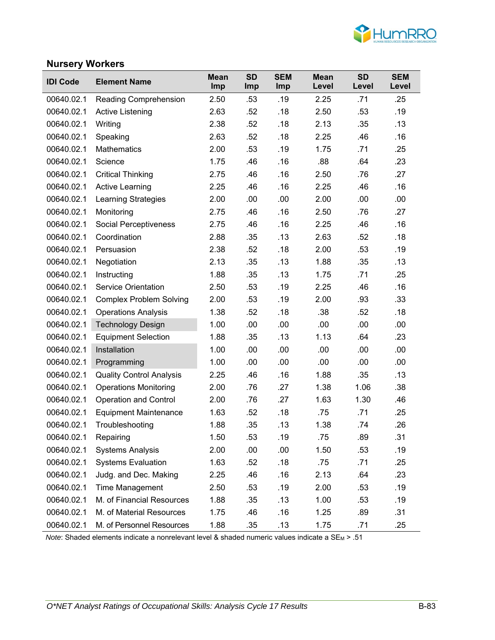

#### **Nursery Workers**

| <b>IDI Code</b> | <b>Element Name</b>             | <b>Mean</b><br>Imp | <b>SD</b><br>Imp | <b>SEM</b><br><b>Imp</b> | <b>Mean</b><br>Level | <b>SD</b><br>Level | <b>SEM</b><br>Level |
|-----------------|---------------------------------|--------------------|------------------|--------------------------|----------------------|--------------------|---------------------|
| 00640.02.1      | <b>Reading Comprehension</b>    | 2.50               | .53              | .19                      | 2.25                 | .71                | .25                 |
| 00640.02.1      | <b>Active Listening</b>         | 2.63               | .52              | .18                      | 2.50                 | .53                | .19                 |
| 00640.02.1      | Writing                         | 2.38               | .52              | .18                      | 2.13                 | .35                | .13                 |
| 00640.02.1      | Speaking                        | 2.63               | .52              | .18                      | 2.25                 | .46                | .16                 |
| 00640.02.1      | <b>Mathematics</b>              | 2.00               | .53              | .19                      | 1.75                 | .71                | .25                 |
| 00640.02.1      | Science                         | 1.75               | .46              | .16                      | .88                  | .64                | .23                 |
| 00640.02.1      | <b>Critical Thinking</b>        | 2.75               | .46              | .16                      | 2.50                 | .76                | .27                 |
| 00640.02.1      | <b>Active Learning</b>          | 2.25               | .46              | .16                      | 2.25                 | .46                | .16                 |
| 00640.02.1      | <b>Learning Strategies</b>      | 2.00               | .00              | .00                      | 2.00                 | .00                | .00                 |
| 00640.02.1      | Monitoring                      | 2.75               | .46              | .16                      | 2.50                 | .76                | .27                 |
| 00640.02.1      | <b>Social Perceptiveness</b>    | 2.75               | .46              | .16                      | 2.25                 | .46                | .16                 |
| 00640.02.1      | Coordination                    | 2.88               | .35              | .13                      | 2.63                 | .52                | .18                 |
| 00640.02.1      | Persuasion                      | 2.38               | .52              | .18                      | 2.00                 | .53                | .19                 |
| 00640.02.1      | Negotiation                     | 2.13               | .35              | .13                      | 1.88                 | .35                | .13                 |
| 00640.02.1      | Instructing                     | 1.88               | .35              | .13                      | 1.75                 | .71                | .25                 |
| 00640.02.1      | <b>Service Orientation</b>      | 2.50               | .53              | .19                      | 2.25                 | .46                | .16                 |
| 00640.02.1      | <b>Complex Problem Solving</b>  | 2.00               | .53              | .19                      | 2.00                 | .93                | .33                 |
| 00640.02.1      | <b>Operations Analysis</b>      | 1.38               | .52              | .18                      | .38                  | .52                | .18                 |
| 00640.02.1      | <b>Technology Design</b>        | 1.00               | .00              | .00                      | .00                  | .00                | .00                 |
| 00640.02.1      | <b>Equipment Selection</b>      | 1.88               | .35              | .13                      | 1.13                 | .64                | .23                 |
| 00640.02.1      | Installation                    | 1.00               | .00              | .00                      | .00                  | .00                | .00                 |
| 00640.02.1      | Programming                     | 1.00               | .00              | .00                      | .00                  | .00                | .00                 |
| 00640.02.1      | <b>Quality Control Analysis</b> | 2.25               | .46              | .16                      | 1.88                 | .35                | .13                 |
| 00640.02.1      | <b>Operations Monitoring</b>    | 2.00               | .76              | .27                      | 1.38                 | 1.06               | .38                 |
| 00640.02.1      | <b>Operation and Control</b>    | 2.00               | .76              | .27                      | 1.63                 | 1.30               | .46                 |
| 00640.02.1      | <b>Equipment Maintenance</b>    | 1.63               | .52              | .18                      | .75                  | .71                | .25                 |
| 00640.02.1      | Troubleshooting                 | 1.88               | .35              | .13                      | 1.38                 | .74                | .26                 |
| 00640.02.1      | Repairing                       | 1.50               | .53              | .19                      | .75                  | .89                | .31                 |
| 00640.02.1      | <b>Systems Analysis</b>         | 2.00               | .00              | .00                      | 1.50                 | .53                | .19                 |
| 00640.02.1      | <b>Systems Evaluation</b>       | 1.63               | .52              | .18                      | .75                  | .71                | .25                 |
| 00640.02.1      | Judg. and Dec. Making           | 2.25               | .46              | .16                      | 2.13                 | .64                | .23                 |
| 00640.02.1      | <b>Time Management</b>          | 2.50               | .53              | .19                      | 2.00                 | .53                | .19                 |
| 00640.02.1      | M. of Financial Resources       | 1.88               | .35              | .13                      | 1.00                 | .53                | .19                 |
| 00640.02.1      | M. of Material Resources        | 1.75               | .46              | .16                      | 1.25                 | .89                | .31                 |
| 00640.02.1      | M. of Personnel Resources       | 1.88               | .35              | .13                      | 1.75                 | .71                | .25                 |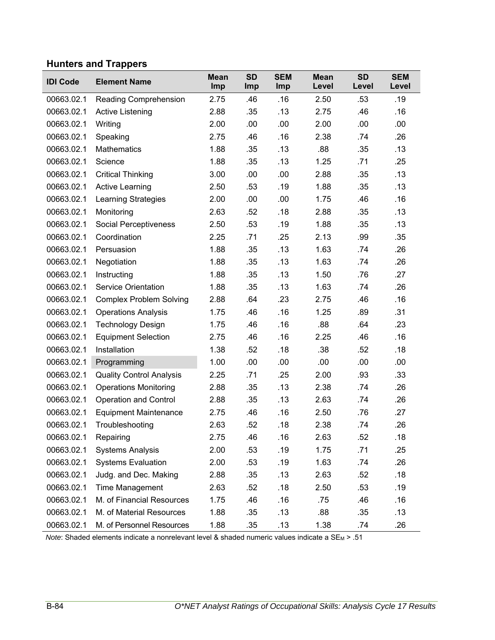# **Hunters and Trappers**

| <b>IDI Code</b> | <b>Element Name</b>             | <b>Mean</b><br>Imp | <b>SD</b><br>Imp | <b>SEM</b><br>Imp | <b>Mean</b><br>Level | <b>SD</b><br>Level | <b>SEM</b><br>Level |
|-----------------|---------------------------------|--------------------|------------------|-------------------|----------------------|--------------------|---------------------|
| 00663.02.1      | Reading Comprehension           | 2.75               | .46              | .16               | 2.50                 | .53                | .19                 |
| 00663.02.1      | Active Listening                | 2.88               | .35              | .13               | 2.75                 | .46                | .16                 |
| 00663.02.1      | Writing                         | 2.00               | .00              | .00               | 2.00                 | .00                | .00.                |
| 00663.02.1      | Speaking                        | 2.75               | .46              | .16               | 2.38                 | .74                | .26                 |
| 00663.02.1      | <b>Mathematics</b>              | 1.88               | .35              | .13               | .88                  | .35                | .13                 |
| 00663.02.1      | Science                         | 1.88               | .35              | .13               | 1.25                 | .71                | .25                 |
| 00663.02.1      | <b>Critical Thinking</b>        | 3.00               | .00              | .00               | 2.88                 | .35                | .13                 |
| 00663.02.1      | <b>Active Learning</b>          | 2.50               | .53              | .19               | 1.88                 | .35                | .13                 |
| 00663.02.1      | <b>Learning Strategies</b>      | 2.00               | .00              | .00               | 1.75                 | .46                | .16                 |
| 00663.02.1      | Monitoring                      | 2.63               | .52              | .18               | 2.88                 | .35                | .13                 |
| 00663.02.1      | Social Perceptiveness           | 2.50               | .53              | .19               | 1.88                 | .35                | .13                 |
| 00663.02.1      | Coordination                    | 2.25               | .71              | .25               | 2.13                 | .99                | .35                 |
| 00663.02.1      | Persuasion                      | 1.88               | .35              | .13               | 1.63                 | .74                | .26                 |
| 00663.02.1      | Negotiation                     | 1.88               | .35              | .13               | 1.63                 | .74                | .26                 |
| 00663.02.1      | Instructing                     | 1.88               | .35              | .13               | 1.50                 | .76                | .27                 |
| 00663.02.1      | <b>Service Orientation</b>      | 1.88               | .35              | .13               | 1.63                 | .74                | .26                 |
| 00663.02.1      | <b>Complex Problem Solving</b>  | 2.88               | .64              | .23               | 2.75                 | .46                | .16                 |
| 00663.02.1      | <b>Operations Analysis</b>      | 1.75               | .46              | .16               | 1.25                 | .89                | .31                 |
| 00663.02.1      | <b>Technology Design</b>        | 1.75               | .46              | .16               | .88                  | .64                | .23                 |
| 00663.02.1      | <b>Equipment Selection</b>      | 2.75               | .46              | .16               | 2.25                 | .46                | .16                 |
| 00663.02.1      | Installation                    | 1.38               | .52              | .18               | .38                  | .52                | .18                 |
| 00663.02.1      | Programming                     | 1.00               | .00              | .00               | .00                  | .00                | .00                 |
| 00663.02.1      | <b>Quality Control Analysis</b> | 2.25               | .71              | .25               | 2.00                 | .93                | .33                 |
| 00663.02.1      | <b>Operations Monitoring</b>    | 2.88               | .35              | .13               | 2.38                 | .74                | .26                 |
| 00663.02.1      | <b>Operation and Control</b>    | 2.88               | .35              | .13               | 2.63                 | .74                | .26                 |
| 00663.02.1      | <b>Equipment Maintenance</b>    | 2.75               | .46              | .16               | 2.50                 | .76                | .27                 |
| 00663.02.1      | Troubleshooting                 | 2.63               | .52              | .18               | 2.38                 | .74                | .26                 |
| 00663.02.1      | Repairing                       | 2.75               | .46              | .16               | 2.63                 | .52                | .18                 |
| 00663.02.1      | <b>Systems Analysis</b>         | 2.00               | .53              | .19               | 1.75                 | .71                | .25                 |
| 00663.02.1      | <b>Systems Evaluation</b>       | 2.00               | .53              | .19               | 1.63                 | .74                | .26                 |
| 00663.02.1      | Judg. and Dec. Making           | 2.88               | .35              | .13               | 2.63                 | .52                | .18                 |
| 00663.02.1      | Time Management                 | 2.63               | .52              | .18               | 2.50                 | .53                | .19                 |
| 00663.02.1      | M. of Financial Resources       | 1.75               | .46              | .16               | .75                  | .46                | .16                 |
| 00663.02.1      | M. of Material Resources        | 1.88               | .35              | .13               | .88                  | .35                | .13                 |
| 00663.02.1      | M. of Personnel Resources       | 1.88               | .35              | .13               | 1.38                 | .74                | .26                 |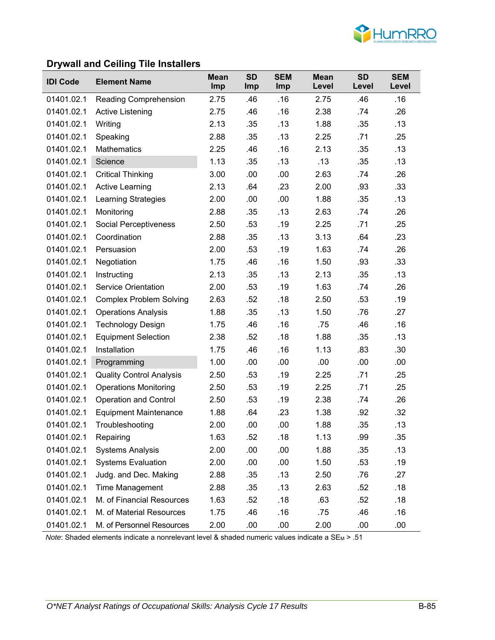

### **Drywall and Ceiling Tile Installers**

| <b>IDI Code</b> | <b>Element Name</b>             | <b>Mean</b><br>Imp | <b>SD</b><br><b>Imp</b> | <b>SEM</b><br><b>Imp</b> | <b>Mean</b><br>Level | <b>SD</b><br>Level | <b>SEM</b><br>Level |
|-----------------|---------------------------------|--------------------|-------------------------|--------------------------|----------------------|--------------------|---------------------|
| 01401.02.1      | Reading Comprehension           | 2.75               | .46                     | .16                      | 2.75                 | .46                | .16                 |
| 01401.02.1      | <b>Active Listening</b>         | 2.75               | .46                     | .16                      | 2.38                 | .74                | .26                 |
| 01401.02.1      | Writing                         | 2.13               | .35                     | .13                      | 1.88                 | .35                | .13                 |
| 01401.02.1      | Speaking                        | 2.88               | .35                     | .13                      | 2.25                 | .71                | .25                 |
| 01401.02.1      | <b>Mathematics</b>              | 2.25               | .46                     | .16                      | 2.13                 | .35                | .13                 |
| 01401.02.1      | Science                         | 1.13               | .35                     | .13                      | .13                  | .35                | .13                 |
| 01401.02.1      | <b>Critical Thinking</b>        | 3.00               | .00                     | .00                      | 2.63                 | .74                | .26                 |
| 01401.02.1      | <b>Active Learning</b>          | 2.13               | .64                     | .23                      | 2.00                 | .93                | .33                 |
| 01401.02.1      | Learning Strategies             | 2.00               | .00                     | .00                      | 1.88                 | .35                | .13                 |
| 01401.02.1      | Monitoring                      | 2.88               | .35                     | .13                      | 2.63                 | .74                | .26                 |
| 01401.02.1      | Social Perceptiveness           | 2.50               | .53                     | .19                      | 2.25                 | .71                | .25                 |
| 01401.02.1      | Coordination                    | 2.88               | .35                     | .13                      | 3.13                 | .64                | .23                 |
| 01401.02.1      | Persuasion                      | 2.00               | .53                     | .19                      | 1.63                 | .74                | .26                 |
| 01401.02.1      | Negotiation                     | 1.75               | .46                     | .16                      | 1.50                 | .93                | .33                 |
| 01401.02.1      | Instructing                     | 2.13               | .35                     | .13                      | 2.13                 | .35                | .13                 |
| 01401.02.1      | <b>Service Orientation</b>      | 2.00               | .53                     | .19                      | 1.63                 | .74                | .26                 |
| 01401.02.1      | <b>Complex Problem Solving</b>  | 2.63               | .52                     | .18                      | 2.50                 | .53                | .19                 |
| 01401.02.1      | <b>Operations Analysis</b>      | 1.88               | .35                     | .13                      | 1.50                 | .76                | .27                 |
| 01401.02.1      | <b>Technology Design</b>        | 1.75               | .46                     | .16                      | .75                  | .46                | .16                 |
| 01401.02.1      | <b>Equipment Selection</b>      | 2.38               | .52                     | .18                      | 1.88                 | .35                | .13                 |
| 01401.02.1      | Installation                    | 1.75               | .46                     | .16                      | 1.13                 | .83                | .30                 |
| 01401.02.1      | Programming                     | 1.00               | .00                     | .00                      | .00                  | .00                | .00                 |
| 01401.02.1      | <b>Quality Control Analysis</b> | 2.50               | .53                     | .19                      | 2.25                 | .71                | .25                 |
| 01401.02.1      | <b>Operations Monitoring</b>    | 2.50               | .53                     | .19                      | 2.25                 | .71                | .25                 |
| 01401.02.1      | <b>Operation and Control</b>    | 2.50               | .53                     | .19                      | 2.38                 | .74                | .26                 |
| 01401.02.1      | <b>Equipment Maintenance</b>    | 1.88               | .64                     | .23                      | 1.38                 | .92                | .32                 |
| 01401.02.1      | Troubleshooting                 | 2.00               | .00                     | .00                      | 1.88                 | .35                | .13                 |
| 01401.02.1      | Repairing                       | 1.63               | .52                     | .18                      | 1.13                 | .99                | .35                 |
| 01401.02.1      | <b>Systems Analysis</b>         | 2.00               | .00                     | .00                      | 1.88                 | .35                | .13                 |
| 01401.02.1      | <b>Systems Evaluation</b>       | 2.00               | .00                     | .00                      | 1.50                 | .53                | .19                 |
| 01401.02.1      | Judg. and Dec. Making           | 2.88               | .35                     | .13                      | 2.50                 | .76                | .27                 |
| 01401.02.1      | Time Management                 | 2.88               | .35                     | .13                      | 2.63                 | .52                | .18                 |
| 01401.02.1      | M. of Financial Resources       | 1.63               | .52                     | .18                      | .63                  | .52                | .18                 |
| 01401.02.1      | M. of Material Resources        | 1.75               | .46                     | .16                      | .75                  | .46                | .16                 |
| 01401.02.1      | M. of Personnel Resources       | 2.00               | .00                     | .00                      | 2.00                 | .00                | .00                 |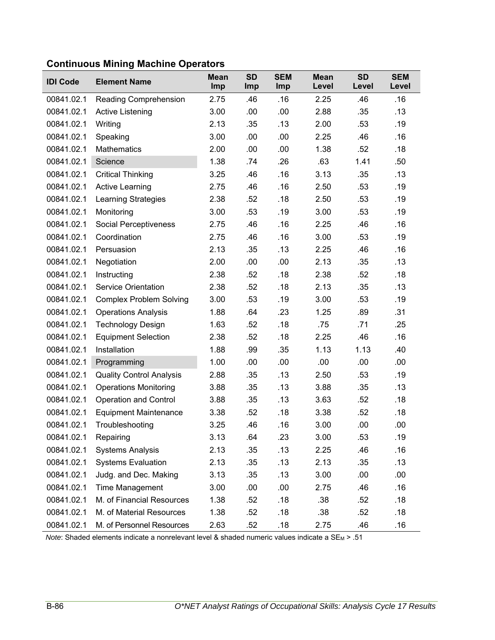| <b>IDI Code</b> | <b>Element Name</b>             | <b>Mean</b><br>Imp | <b>SD</b><br>Imp | <b>SEM</b><br>Imp | <b>Mean</b><br>Level | <b>SD</b><br>Level | <b>SEM</b><br>Level |
|-----------------|---------------------------------|--------------------|------------------|-------------------|----------------------|--------------------|---------------------|
| 00841.02.1      | Reading Comprehension           | 2.75               | .46              | .16               | 2.25                 | .46                | .16                 |
| 00841.02.1      | Active Listening                | 3.00               | .00              | .00               | 2.88                 | .35                | .13                 |
| 00841.02.1      | Writing                         | 2.13               | .35              | .13               | 2.00                 | .53                | .19                 |
| 00841.02.1      | Speaking                        | 3.00               | .00              | .00               | 2.25                 | .46                | .16                 |
| 00841.02.1      | <b>Mathematics</b>              | 2.00               | .00              | .00               | 1.38                 | .52                | .18                 |
| 00841.02.1      | Science                         | 1.38               | .74              | .26               | .63                  | 1.41               | .50                 |
| 00841.02.1      | <b>Critical Thinking</b>        | 3.25               | .46              | .16               | 3.13                 | .35                | .13                 |
| 00841.02.1      | <b>Active Learning</b>          | 2.75               | .46              | .16               | 2.50                 | .53                | .19                 |
| 00841.02.1      | <b>Learning Strategies</b>      | 2.38               | .52              | .18               | 2.50                 | .53                | .19                 |
| 00841.02.1      | Monitoring                      | 3.00               | .53              | .19               | 3.00                 | .53                | .19                 |
| 00841.02.1      | Social Perceptiveness           | 2.75               | .46              | .16               | 2.25                 | .46                | .16                 |
| 00841.02.1      | Coordination                    | 2.75               | .46              | .16               | 3.00                 | .53                | .19                 |
| 00841.02.1      | Persuasion                      | 2.13               | .35              | .13               | 2.25                 | .46                | .16                 |
| 00841.02.1      | Negotiation                     | 2.00               | .00              | .00               | 2.13                 | .35                | .13                 |
| 00841.02.1      | Instructing                     | 2.38               | .52              | .18               | 2.38                 | .52                | .18                 |
| 00841.02.1      | <b>Service Orientation</b>      | 2.38               | .52              | .18               | 2.13                 | .35                | .13                 |
| 00841.02.1      | <b>Complex Problem Solving</b>  | 3.00               | .53              | .19               | 3.00                 | .53                | .19                 |
| 00841.02.1      | <b>Operations Analysis</b>      | 1.88               | .64              | .23               | 1.25                 | .89                | .31                 |
| 00841.02.1      | <b>Technology Design</b>        | 1.63               | .52              | .18               | .75                  | .71                | .25                 |
| 00841.02.1      | <b>Equipment Selection</b>      | 2.38               | .52              | .18               | 2.25                 | .46                | .16                 |
| 00841.02.1      | Installation                    | 1.88               | .99              | .35               | 1.13                 | 1.13               | .40                 |
| 00841.02.1      | Programming                     | 1.00               | .00              | .00               | .00                  | .00                | .00                 |
| 00841.02.1      | <b>Quality Control Analysis</b> | 2.88               | .35              | .13               | 2.50                 | .53                | .19                 |
| 00841.02.1      | <b>Operations Monitoring</b>    | 3.88               | .35              | .13               | 3.88                 | .35                | .13                 |
| 00841.02.1      | <b>Operation and Control</b>    | 3.88               | .35              | .13               | 3.63                 | .52                | .18                 |
| 00841.02.1      | <b>Equipment Maintenance</b>    | 3.38               | .52              | .18               | 3.38                 | .52                | .18                 |
| 00841.02.1      | Troubleshooting                 | 3.25               | .46              | .16               | 3.00                 | .00                | .00                 |
| 00841.02.1      | Repairing                       | 3.13               | .64              | .23               | 3.00                 | .53                | .19                 |
| 00841.02.1      | <b>Systems Analysis</b>         | 2.13               | .35              | .13               | 2.25                 | .46                | .16                 |
| 00841.02.1      | <b>Systems Evaluation</b>       | 2.13               | .35              | .13               | 2.13                 | .35                | .13                 |
| 00841.02.1      | Judg. and Dec. Making           | 3.13               | .35              | .13               | 3.00                 | .00                | .00                 |
| 00841.02.1      | Time Management                 | 3.00               | .00              | .00               | 2.75                 | .46                | .16                 |
| 00841.02.1      | M. of Financial Resources       | 1.38               | .52              | .18               | .38                  | .52                | .18                 |
| 00841.02.1      | M. of Material Resources        | 1.38               | .52              | .18               | .38                  | .52                | .18                 |
| 00841.02.1      | M. of Personnel Resources       | 2.63               | .52              | .18               | 2.75                 | .46                | .16                 |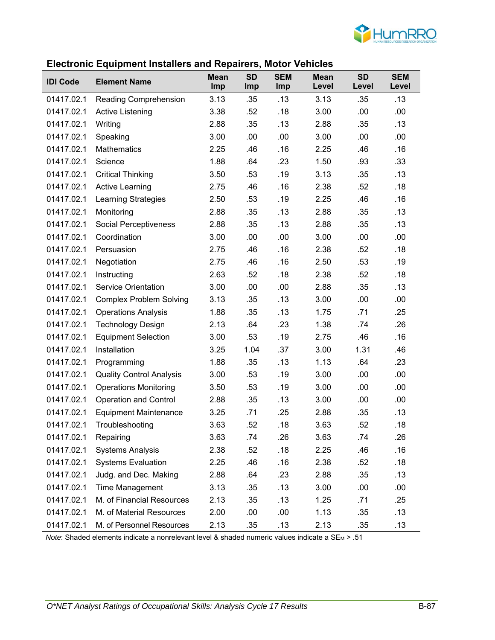

#### **Electronic Equipment Installers and Repairers, Motor Vehicles**

|                 |                                 | <b>Mean</b> | <b>SD</b> | <b>SEM</b> | <b>Mean</b> | <b>SD</b> | <b>SEM</b> |
|-----------------|---------------------------------|-------------|-----------|------------|-------------|-----------|------------|
| <b>IDI Code</b> | <b>Element Name</b>             | <b>Imp</b>  | Imp       | Imp        | Level       | Level     | Level      |
| 01417.02.1      | <b>Reading Comprehension</b>    | 3.13        | .35       | .13        | 3.13        | .35       | .13        |
| 01417.02.1      | <b>Active Listening</b>         | 3.38        | .52       | .18        | 3.00        | .00       | .00        |
| 01417.02.1      | Writing                         | 2.88        | .35       | .13        | 2.88        | .35       | .13        |
| 01417.02.1      | Speaking                        | 3.00        | .00       | .00        | 3.00        | .00       | .00        |
| 01417.02.1      | <b>Mathematics</b>              | 2.25        | .46       | .16        | 2.25        | .46       | .16        |
| 01417.02.1      | Science                         | 1.88        | .64       | .23        | 1.50        | .93       | .33        |
| 01417.02.1      | <b>Critical Thinking</b>        | 3.50        | .53       | .19        | 3.13        | .35       | .13        |
| 01417.02.1      | <b>Active Learning</b>          | 2.75        | .46       | .16        | 2.38        | .52       | .18        |
| 01417.02.1      | Learning Strategies             | 2.50        | .53       | .19        | 2.25        | .46       | .16        |
| 01417.02.1      | Monitoring                      | 2.88        | .35       | .13        | 2.88        | .35       | .13        |
| 01417.02.1      | Social Perceptiveness           | 2.88        | .35       | .13        | 2.88        | .35       | .13        |
| 01417.02.1      | Coordination                    | 3.00        | .00       | .00        | 3.00        | .00       | .00.       |
| 01417.02.1      | Persuasion                      | 2.75        | .46       | .16        | 2.38        | .52       | .18        |
| 01417.02.1      | Negotiation                     | 2.75        | .46       | .16        | 2.50        | .53       | .19        |
| 01417.02.1      | Instructing                     | 2.63        | .52       | .18        | 2.38        | .52       | .18        |
| 01417.02.1      | <b>Service Orientation</b>      | 3.00        | .00       | .00        | 2.88        | .35       | .13        |
| 01417.02.1      | <b>Complex Problem Solving</b>  | 3.13        | .35       | .13        | 3.00        | .00       | .00.       |
| 01417.02.1      | <b>Operations Analysis</b>      | 1.88        | .35       | .13        | 1.75        | .71       | .25        |
| 01417.02.1      | <b>Technology Design</b>        | 2.13        | .64       | .23        | 1.38        | .74       | .26        |
| 01417.02.1      | <b>Equipment Selection</b>      | 3.00        | .53       | .19        | 2.75        | .46       | .16        |
| 01417.02.1      | Installation                    | 3.25        | 1.04      | .37        | 3.00        | 1.31      | .46        |
| 01417.02.1      | Programming                     | 1.88        | .35       | .13        | 1.13        | .64       | .23        |
| 01417.02.1      | <b>Quality Control Analysis</b> | 3.00        | .53       | .19        | 3.00        | .00       | .00        |
| 01417.02.1      | <b>Operations Monitoring</b>    | 3.50        | .53       | .19        | 3.00        | .00       | .00.       |
| 01417.02.1      | <b>Operation and Control</b>    | 2.88        | .35       | .13        | 3.00        | .00       | .00        |
| 01417.02.1      | <b>Equipment Maintenance</b>    | 3.25        | .71       | .25        | 2.88        | .35       | .13        |
| 01417.02.1      | Troubleshooting                 | 3.63        | .52       | .18        | 3.63        | .52       | .18        |
| 01417.02.1      | Repairing                       | 3.63        | .74       | .26        | 3.63        | .74       | .26        |
| 01417.02.1      | <b>Systems Analysis</b>         | 2.38        | .52       | .18        | 2.25        | .46       | .16        |
| 01417.02.1      | <b>Systems Evaluation</b>       | 2.25        | .46       | .16        | 2.38        | .52       | .18        |
| 01417.02.1      | Judg. and Dec. Making           | 2.88        | .64       | .23        | 2.88        | .35       | .13        |
| 01417.02.1      | Time Management                 | 3.13        | .35       | .13        | 3.00        | .00       | .00        |
| 01417.02.1      | M. of Financial Resources       | 2.13        | .35       | .13        | 1.25        | .71       | .25        |
| 01417.02.1      | M. of Material Resources        | 2.00        | .00       | .00        | 1.13        | .35       | .13        |
| 01417.02.1      | M. of Personnel Resources       | 2.13        | .35       | .13        | 2.13        | .35       | .13        |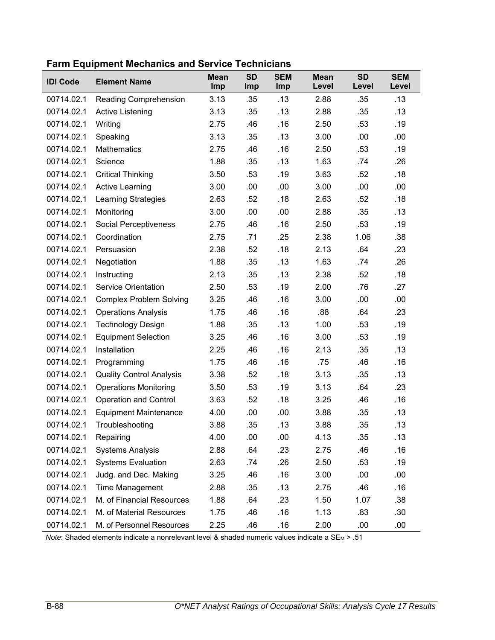| <b>IDI Code</b> | <b>Element Name</b>             | <b>Mean</b><br>Imp | <b>SD</b><br>Imp | <b>SEM</b><br>Imp | <b>Mean</b><br>Level | <b>SD</b><br>Level | <b>SEM</b><br>Level |
|-----------------|---------------------------------|--------------------|------------------|-------------------|----------------------|--------------------|---------------------|
| 00714.02.1      | Reading Comprehension           | 3.13               | .35              | .13               | 2.88                 | .35                | .13                 |
| 00714.02.1      | Active Listening                | 3.13               | .35              | .13               | 2.88                 | .35                | .13                 |
| 00714.02.1      | Writing                         | 2.75               | .46              | .16               | 2.50                 | .53                | .19                 |
| 00714.02.1      | Speaking                        | 3.13               | .35              | .13               | 3.00                 | .00                | .00                 |
| 00714.02.1      | <b>Mathematics</b>              | 2.75               | .46              | .16               | 2.50                 | .53                | .19                 |
| 00714.02.1      | Science                         | 1.88               | .35              | .13               | 1.63                 | .74                | .26                 |
| 00714.02.1      | <b>Critical Thinking</b>        | 3.50               | .53              | .19               | 3.63                 | .52                | .18                 |
| 00714.02.1      | <b>Active Learning</b>          | 3.00               | .00              | .00               | 3.00                 | .00                | .00                 |
| 00714.02.1      | <b>Learning Strategies</b>      | 2.63               | .52              | .18               | 2.63                 | .52                | .18                 |
| 00714.02.1      | Monitoring                      | 3.00               | .00              | .00               | 2.88                 | .35                | .13                 |
| 00714.02.1      | Social Perceptiveness           | 2.75               | .46              | .16               | 2.50                 | .53                | .19                 |
| 00714.02.1      | Coordination                    | 2.75               | .71              | .25               | 2.38                 | 1.06               | .38                 |
| 00714.02.1      | Persuasion                      | 2.38               | .52              | .18               | 2.13                 | .64                | .23                 |
| 00714.02.1      | Negotiation                     | 1.88               | .35              | .13               | 1.63                 | .74                | .26                 |
| 00714.02.1      | Instructing                     | 2.13               | .35              | .13               | 2.38                 | .52                | .18                 |
| 00714.02.1      | <b>Service Orientation</b>      | 2.50               | .53              | .19               | 2.00                 | .76                | .27                 |
| 00714.02.1      | <b>Complex Problem Solving</b>  | 3.25               | .46              | .16               | 3.00                 | .00                | .00                 |
| 00714.02.1      | <b>Operations Analysis</b>      | 1.75               | .46              | .16               | .88                  | .64                | .23                 |
| 00714.02.1      | <b>Technology Design</b>        | 1.88               | .35              | .13               | 1.00                 | .53                | .19                 |
| 00714.02.1      | <b>Equipment Selection</b>      | 3.25               | .46              | .16               | 3.00                 | .53                | .19                 |
| 00714.02.1      | Installation                    | 2.25               | .46              | .16               | 2.13                 | .35                | .13                 |
| 00714.02.1      | Programming                     | 1.75               | .46              | .16               | .75                  | .46                | .16                 |
| 00714.02.1      | <b>Quality Control Analysis</b> | 3.38               | .52              | .18               | 3.13                 | .35                | .13                 |
| 00714.02.1      | <b>Operations Monitoring</b>    | 3.50               | .53              | .19               | 3.13                 | .64                | .23                 |
| 00714.02.1      | <b>Operation and Control</b>    | 3.63               | .52              | .18               | 3.25                 | .46                | .16                 |
| 00714.02.1      | <b>Equipment Maintenance</b>    | 4.00               | .00              | .00               | 3.88                 | .35                | .13                 |
| 00714.02.1      | Troubleshooting                 | 3.88               | .35              | .13               | 3.88                 | .35                | .13                 |
| 00714.02.1      | Repairing                       | 4.00               | .00              | .00               | 4.13                 | .35                | .13                 |
| 00714.02.1      | <b>Systems Analysis</b>         | 2.88               | .64              | .23               | 2.75                 | .46                | .16                 |
| 00714.02.1      | <b>Systems Evaluation</b>       | 2.63               | .74              | .26               | 2.50                 | .53                | .19                 |
| 00714.02.1      | Judg. and Dec. Making           | 3.25               | .46              | .16               | 3.00                 | .00                | .00                 |
| 00714.02.1      | <b>Time Management</b>          | 2.88               | .35              | .13               | 2.75                 | .46                | .16                 |
| 00714.02.1      | M. of Financial Resources       | 1.88               | .64              | .23               | 1.50                 | 1.07               | .38                 |
| 00714.02.1      | M. of Material Resources        | 1.75               | .46              | .16               | 1.13                 | .83                | .30                 |
| 00714.02.1      | M. of Personnel Resources       | 2.25               | .46              | .16               | 2.00                 | .00                | .00                 |

**Farm Equipment Mechanics and Service Technicians**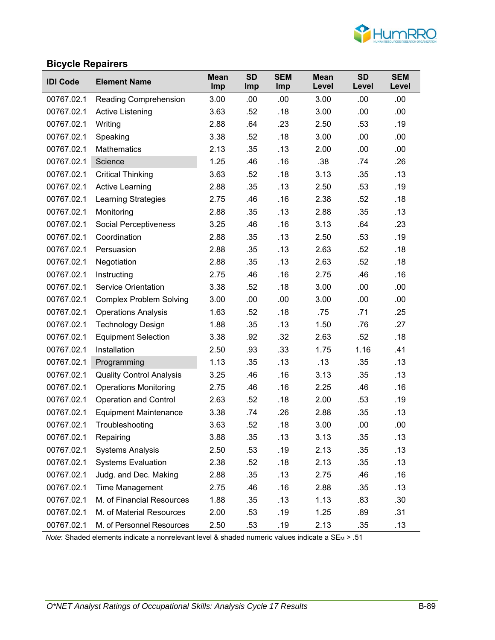

### **Bicycle Repairers**

| <b>IDI Code</b> | <b>Element Name</b>             | <b>Mean</b><br>Imp | <b>SD</b><br><b>Imp</b> | <b>SEM</b><br>Imp | <b>Mean</b><br>Level | <b>SD</b><br>Level | <b>SEM</b><br>Level |
|-----------------|---------------------------------|--------------------|-------------------------|-------------------|----------------------|--------------------|---------------------|
| 00767.02.1      | Reading Comprehension           | 3.00               | .00                     | .00               | 3.00                 | .00                | .00                 |
| 00767.02.1      | Active Listening                | 3.63               | .52                     | .18               | 3.00                 | .00                | .00                 |
| 00767.02.1      | Writing                         | 2.88               | .64                     | .23               | 2.50                 | .53                | .19                 |
| 00767.02.1      | Speaking                        | 3.38               | .52                     | .18               | 3.00                 | .00                | .00                 |
| 00767.02.1      | <b>Mathematics</b>              | 2.13               | .35                     | .13               | 2.00                 | .00                | .00                 |
| 00767.02.1      | Science                         | 1.25               | .46                     | .16               | .38                  | .74                | .26                 |
| 00767.02.1      | <b>Critical Thinking</b>        | 3.63               | .52                     | .18               | 3.13                 | .35                | .13                 |
| 00767.02.1      | <b>Active Learning</b>          | 2.88               | .35                     | .13               | 2.50                 | .53                | .19                 |
| 00767.02.1      | Learning Strategies             | 2.75               | .46                     | .16               | 2.38                 | .52                | .18                 |
| 00767.02.1      | Monitoring                      | 2.88               | .35                     | .13               | 2.88                 | .35                | .13                 |
| 00767.02.1      | Social Perceptiveness           | 3.25               | .46                     | .16               | 3.13                 | .64                | .23                 |
| 00767.02.1      | Coordination                    | 2.88               | .35                     | .13               | 2.50                 | .53                | .19                 |
| 00767.02.1      | Persuasion                      | 2.88               | .35                     | .13               | 2.63                 | .52                | .18                 |
| 00767.02.1      | Negotiation                     | 2.88               | .35                     | .13               | 2.63                 | .52                | .18                 |
| 00767.02.1      | Instructing                     | 2.75               | .46                     | .16               | 2.75                 | .46                | .16                 |
| 00767.02.1      | <b>Service Orientation</b>      | 3.38               | .52                     | .18               | 3.00                 | .00                | .00                 |
| 00767.02.1      | <b>Complex Problem Solving</b>  | 3.00               | .00                     | .00               | 3.00                 | .00                | .00                 |
| 00767.02.1      | <b>Operations Analysis</b>      | 1.63               | .52                     | .18               | .75                  | .71                | .25                 |
| 00767.02.1      | <b>Technology Design</b>        | 1.88               | .35                     | .13               | 1.50                 | .76                | .27                 |
| 00767.02.1      | <b>Equipment Selection</b>      | 3.38               | .92                     | .32               | 2.63                 | .52                | .18                 |
| 00767.02.1      | Installation                    | 2.50               | .93                     | .33               | 1.75                 | 1.16               | .41                 |
| 00767.02.1      | Programming                     | 1.13               | .35                     | .13               | .13                  | .35                | .13                 |
| 00767.02.1      | <b>Quality Control Analysis</b> | 3.25               | .46                     | .16               | 3.13                 | .35                | .13                 |
| 00767.02.1      | <b>Operations Monitoring</b>    | 2.75               | .46                     | .16               | 2.25                 | .46                | .16                 |
| 00767.02.1      | <b>Operation and Control</b>    | 2.63               | .52                     | .18               | 2.00                 | .53                | .19                 |
| 00767.02.1      | <b>Equipment Maintenance</b>    | 3.38               | .74                     | .26               | 2.88                 | .35                | .13                 |
| 00767.02.1      | Troubleshooting                 | 3.63               | .52                     | .18               | 3.00                 | .00                | .00                 |
| 00767.02.1      | Repairing                       | 3.88               | .35                     | .13               | 3.13                 | .35                | .13                 |
| 00767.02.1      | <b>Systems Analysis</b>         | 2.50               | .53                     | .19               | 2.13                 | .35                | .13                 |
| 00767.02.1      | <b>Systems Evaluation</b>       | 2.38               | .52                     | .18               | 2.13                 | .35                | .13                 |
| 00767.02.1      | Judg. and Dec. Making           | 2.88               | .35                     | .13               | 2.75                 | .46                | .16                 |
| 00767.02.1      | Time Management                 | 2.75               | .46                     | .16               | 2.88                 | .35                | .13                 |
| 00767.02.1      | M. of Financial Resources       | 1.88               | .35                     | .13               | 1.13                 | .83                | .30                 |
| 00767.02.1      | M. of Material Resources        | 2.00               | .53                     | .19               | 1.25                 | .89                | .31                 |
| 00767.02.1      | M. of Personnel Resources       | 2.50               | .53                     | .19               | 2.13                 | .35                | .13                 |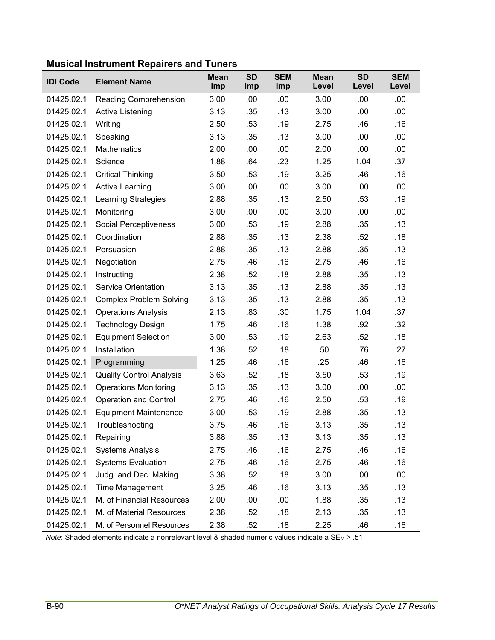| <b>IDI Code</b> | <b>Element Name</b>             | <b>Mean</b><br>Imp | <b>SD</b><br>Imp | <b>SEM</b><br>Imp | <b>Mean</b><br>Level | <b>SD</b><br>Level | <b>SEM</b><br>Level |
|-----------------|---------------------------------|--------------------|------------------|-------------------|----------------------|--------------------|---------------------|
| 01425.02.1      | Reading Comprehension           | 3.00               | .00              | .00               | 3.00                 | .00                | .00.                |
| 01425.02.1      | <b>Active Listening</b>         | 3.13               | .35              | .13               | 3.00                 | .00                | .00                 |
| 01425.02.1      | Writing                         | 2.50               | .53              | .19               | 2.75                 | .46                | .16                 |
| 01425.02.1      | Speaking                        | 3.13               | .35              | .13               | 3.00                 | .00                | .00                 |
| 01425.02.1      | <b>Mathematics</b>              | 2.00               | .00              | .00               | 2.00                 | .00                | .00                 |
| 01425.02.1      | Science                         | 1.88               | .64              | .23               | 1.25                 | 1.04               | .37                 |
| 01425.02.1      | <b>Critical Thinking</b>        | 3.50               | .53              | .19               | 3.25                 | .46                | .16                 |
| 01425.02.1      | <b>Active Learning</b>          | 3.00               | .00              | .00               | 3.00                 | .00                | .00                 |
| 01425.02.1      | <b>Learning Strategies</b>      | 2.88               | .35              | .13               | 2.50                 | .53                | .19                 |
| 01425.02.1      | Monitoring                      | 3.00               | .00              | .00               | 3.00                 | .00                | .00                 |
| 01425.02.1      | Social Perceptiveness           | 3.00               | .53              | .19               | 2.88                 | .35                | .13                 |
| 01425.02.1      | Coordination                    | 2.88               | .35              | .13               | 2.38                 | .52                | .18                 |
| 01425.02.1      | Persuasion                      | 2.88               | .35              | .13               | 2.88                 | .35                | .13                 |
| 01425.02.1      | Negotiation                     | 2.75               | .46              | .16               | 2.75                 | .46                | .16                 |
| 01425.02.1      | Instructing                     | 2.38               | .52              | .18               | 2.88                 | .35                | .13                 |
| 01425.02.1      | <b>Service Orientation</b>      | 3.13               | .35              | .13               | 2.88                 | .35                | .13                 |
| 01425.02.1      | <b>Complex Problem Solving</b>  | 3.13               | .35              | .13               | 2.88                 | .35                | .13                 |
| 01425.02.1      | <b>Operations Analysis</b>      | 2.13               | .83              | .30               | 1.75                 | 1.04               | .37                 |
| 01425.02.1      | <b>Technology Design</b>        | 1.75               | .46              | .16               | 1.38                 | .92                | .32                 |
| 01425.02.1      | <b>Equipment Selection</b>      | 3.00               | .53              | .19               | 2.63                 | .52                | .18                 |
| 01425.02.1      | Installation                    | 1.38               | .52              | .18               | .50                  | .76                | .27                 |
| 01425.02.1      | Programming                     | 1.25               | .46              | .16               | .25                  | .46                | .16                 |
| 01425.02.1      | <b>Quality Control Analysis</b> | 3.63               | .52              | .18               | 3.50                 | .53                | .19                 |
| 01425.02.1      | <b>Operations Monitoring</b>    | 3.13               | .35              | .13               | 3.00                 | .00                | .00                 |
| 01425.02.1      | <b>Operation and Control</b>    | 2.75               | .46              | .16               | 2.50                 | .53                | .19                 |
| 01425.02.1      | <b>Equipment Maintenance</b>    | 3.00               | .53              | .19               | 2.88                 | .35                | .13                 |
| 01425.02.1      | Troubleshooting                 | 3.75               | .46              | .16               | 3.13                 | .35                | .13                 |
| 01425.02.1      | Repairing                       | 3.88               | .35              | .13               | 3.13                 | .35                | .13                 |
| 01425.02.1      | <b>Systems Analysis</b>         | 2.75               | .46              | .16               | 2.75                 | .46                | .16                 |
| 01425.02.1      | <b>Systems Evaluation</b>       | 2.75               | .46              | .16               | 2.75                 | .46                | .16                 |
| 01425.02.1      | Judg. and Dec. Making           | 3.38               | .52              | .18               | 3.00                 | .00                | .00                 |
| 01425.02.1      | Time Management                 | 3.25               | .46              | .16               | 3.13                 | .35                | .13                 |
| 01425.02.1      | M. of Financial Resources       | 2.00               | .00              | .00               | 1.88                 | .35                | .13                 |
| 01425.02.1      | M. of Material Resources        | 2.38               | .52              | .18               | 2.13                 | .35                | .13                 |
| 01425.02.1      | M. of Personnel Resources       | 2.38               | .52              | .18               | 2.25                 | .46                | .16                 |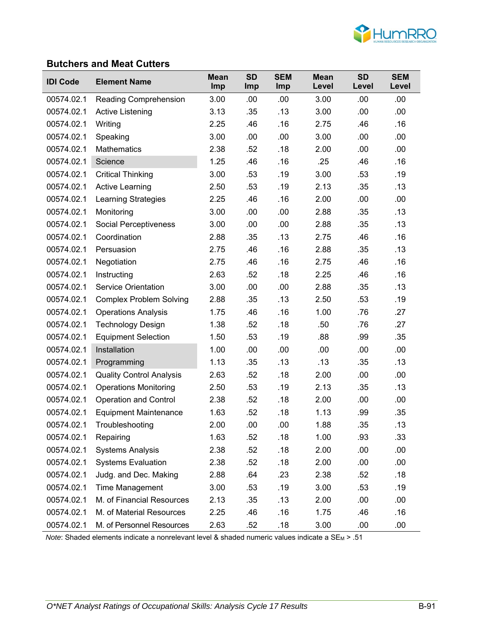

### **Butchers and Meat Cutters**

| <b>IDI Code</b> | <b>Element Name</b>             | <b>Mean</b><br>Imp | <b>SD</b><br><b>Imp</b> | <b>SEM</b><br>Imp | <b>Mean</b><br>Level | <b>SD</b><br>Level | <b>SEM</b><br>Level |
|-----------------|---------------------------------|--------------------|-------------------------|-------------------|----------------------|--------------------|---------------------|
| 00574.02.1      | Reading Comprehension           | 3.00               | .00                     | .00               | 3.00                 | .00                | .00                 |
| 00574.02.1      | Active Listening                | 3.13               | .35                     | .13               | 3.00                 | .00                | .00                 |
| 00574.02.1      | Writing                         | 2.25               | .46                     | .16               | 2.75                 | .46                | .16                 |
| 00574.02.1      | Speaking                        | 3.00               | .00                     | .00               | 3.00                 | .00                | .00                 |
| 00574.02.1      | <b>Mathematics</b>              | 2.38               | .52                     | .18               | 2.00                 | .00                | .00                 |
| 00574.02.1      | Science                         | 1.25               | .46                     | .16               | .25                  | .46                | .16                 |
| 00574.02.1      | <b>Critical Thinking</b>        | 3.00               | .53                     | .19               | 3.00                 | .53                | .19                 |
| 00574.02.1      | <b>Active Learning</b>          | 2.50               | .53                     | .19               | 2.13                 | .35                | .13                 |
| 00574.02.1      | Learning Strategies             | 2.25               | .46                     | .16               | 2.00                 | .00                | .00                 |
| 00574.02.1      | Monitoring                      | 3.00               | .00                     | .00               | 2.88                 | .35                | .13                 |
| 00574.02.1      | Social Perceptiveness           | 3.00               | .00                     | .00               | 2.88                 | .35                | .13                 |
| 00574.02.1      | Coordination                    | 2.88               | .35                     | .13               | 2.75                 | .46                | .16                 |
| 00574.02.1      | Persuasion                      | 2.75               | .46                     | .16               | 2.88                 | .35                | .13                 |
| 00574.02.1      | Negotiation                     | 2.75               | .46                     | .16               | 2.75                 | .46                | .16                 |
| 00574.02.1      | Instructing                     | 2.63               | .52                     | .18               | 2.25                 | .46                | .16                 |
| 00574.02.1      | <b>Service Orientation</b>      | 3.00               | .00                     | .00               | 2.88                 | .35                | .13                 |
| 00574.02.1      | <b>Complex Problem Solving</b>  | 2.88               | .35                     | .13               | 2.50                 | .53                | .19                 |
| 00574.02.1      | <b>Operations Analysis</b>      | 1.75               | .46                     | .16               | 1.00                 | .76                | .27                 |
| 00574.02.1      | <b>Technology Design</b>        | 1.38               | .52                     | .18               | .50                  | .76                | .27                 |
| 00574.02.1      | <b>Equipment Selection</b>      | 1.50               | .53                     | .19               | .88                  | .99                | .35                 |
| 00574.02.1      | Installation                    | 1.00               | .00                     | .00               | .00                  | .00                | .00                 |
| 00574.02.1      | Programming                     | 1.13               | .35                     | .13               | .13                  | .35                | .13                 |
| 00574.02.1      | <b>Quality Control Analysis</b> | 2.63               | .52                     | .18               | 2.00                 | .00                | .00                 |
| 00574.02.1      | <b>Operations Monitoring</b>    | 2.50               | .53                     | .19               | 2.13                 | .35                | .13                 |
| 00574.02.1      | <b>Operation and Control</b>    | 2.38               | .52                     | .18               | 2.00                 | .00                | .00                 |
| 00574.02.1      | <b>Equipment Maintenance</b>    | 1.63               | .52                     | .18               | 1.13                 | .99                | .35                 |
| 00574.02.1      | Troubleshooting                 | 2.00               | .00                     | .00               | 1.88                 | .35                | .13                 |
| 00574.02.1      | Repairing                       | 1.63               | .52                     | .18               | 1.00                 | .93                | .33                 |
| 00574.02.1      | <b>Systems Analysis</b>         | 2.38               | .52                     | .18               | 2.00                 | .00                | .00                 |
| 00574.02.1      | <b>Systems Evaluation</b>       | 2.38               | .52                     | .18               | 2.00                 | .00                | .00                 |
| 00574.02.1      | Judg. and Dec. Making           | 2.88               | .64                     | .23               | 2.38                 | .52                | .18                 |
| 00574.02.1      | Time Management                 | 3.00               | .53                     | .19               | 3.00                 | .53                | .19                 |
| 00574.02.1      | M. of Financial Resources       | 2.13               | .35                     | .13               | 2.00                 | .00                | .00                 |
| 00574.02.1      | M. of Material Resources        | 2.25               | .46                     | .16               | 1.75                 | .46                | .16                 |
| 00574.02.1      | M. of Personnel Resources       | 2.63               | .52                     | .18               | 3.00                 | .00                | .00                 |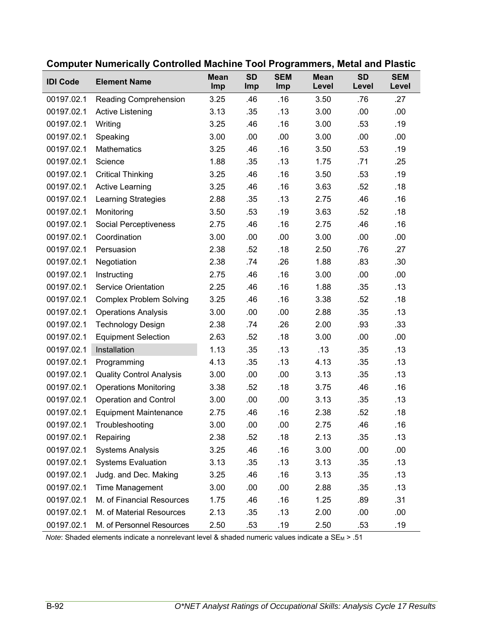| <b>IDI Code</b> | <b>Element Name</b>             | <b>Mean</b><br>Imp | <b>SD</b><br>Imp | <b>SEM</b><br>Imp | <b>Mean</b><br>Level | <b>SD</b><br>Level | <b>SEM</b><br>Level |
|-----------------|---------------------------------|--------------------|------------------|-------------------|----------------------|--------------------|---------------------|
| 00197.02.1      | Reading Comprehension           | 3.25               | .46              | .16               | 3.50                 | .76                | .27                 |
| 00197.02.1      | <b>Active Listening</b>         | 3.13               | .35              | .13               | 3.00                 | .00                | .00                 |
| 00197.02.1      | Writing                         | 3.25               | .46              | .16               | 3.00                 | .53                | .19                 |
| 00197.02.1      | Speaking                        | 3.00               | .00              | .00               | 3.00                 | .00                | .00                 |
| 00197.02.1      | Mathematics                     | 3.25               | .46              | .16               | 3.50                 | .53                | .19                 |
| 00197.02.1      | Science                         | 1.88               | .35              | .13               | 1.75                 | .71                | .25                 |
| 00197.02.1      | <b>Critical Thinking</b>        | 3.25               | .46              | .16               | 3.50                 | .53                | .19                 |
| 00197.02.1      | <b>Active Learning</b>          | 3.25               | .46              | .16               | 3.63                 | .52                | .18                 |
| 00197.02.1      | <b>Learning Strategies</b>      | 2.88               | .35              | .13               | 2.75                 | .46                | .16                 |
| 00197.02.1      | Monitoring                      | 3.50               | .53              | .19               | 3.63                 | .52                | .18                 |
| 00197.02.1      | Social Perceptiveness           | 2.75               | .46              | .16               | 2.75                 | .46                | .16                 |
| 00197.02.1      | Coordination                    | 3.00               | .00              | .00               | 3.00                 | .00                | .00                 |
| 00197.02.1      | Persuasion                      | 2.38               | .52              | .18               | 2.50                 | .76                | .27                 |
| 00197.02.1      | Negotiation                     | 2.38               | .74              | .26               | 1.88                 | .83                | .30                 |
| 00197.02.1      | Instructing                     | 2.75               | .46              | .16               | 3.00                 | .00                | .00                 |
| 00197.02.1      | <b>Service Orientation</b>      | 2.25               | .46              | .16               | 1.88                 | .35                | .13                 |
| 00197.02.1      | <b>Complex Problem Solving</b>  | 3.25               | .46              | .16               | 3.38                 | .52                | .18                 |
| 00197.02.1      | <b>Operations Analysis</b>      | 3.00               | .00              | .00               | 2.88                 | .35                | .13                 |
| 00197.02.1      | <b>Technology Design</b>        | 2.38               | .74              | .26               | 2.00                 | .93                | .33                 |
| 00197.02.1      | <b>Equipment Selection</b>      | 2.63               | .52              | .18               | 3.00                 | .00                | .00                 |
| 00197.02.1      | Installation                    | 1.13               | .35              | .13               | .13                  | .35                | .13                 |
| 00197.02.1      | Programming                     | 4.13               | .35              | .13               | 4.13                 | .35                | .13                 |
| 00197.02.1      | <b>Quality Control Analysis</b> | 3.00               | .00              | .00               | 3.13                 | .35                | .13                 |
| 00197.02.1      | <b>Operations Monitoring</b>    | 3.38               | .52              | .18               | 3.75                 | .46                | .16                 |
| 00197.02.1      | <b>Operation and Control</b>    | 3.00               | .00              | .00               | 3.13                 | .35                | .13                 |
| 00197.02.1      | <b>Equipment Maintenance</b>    | 2.75               | .46              | .16               | 2.38                 | .52                | .18                 |
| 00197.02.1      | Troubleshooting                 | 3.00               | .00              | .00               | 2.75                 | .46                | .16                 |
| 00197.02.1      | Repairing                       | 2.38               | .52              | .18               | 2.13                 | .35                | .13                 |
| 00197.02.1      | <b>Systems Analysis</b>         | 3.25               | .46              | .16               | 3.00                 | .00                | .00                 |
| 00197.02.1      | <b>Systems Evaluation</b>       | 3.13               | .35              | .13               | 3.13                 | .35                | .13                 |
| 00197.02.1      | Judg. and Dec. Making           | 3.25               | .46              | .16               | 3.13                 | .35                | .13                 |
| 00197.02.1      | Time Management                 | 3.00               | .00              | .00               | 2.88                 | .35                | .13                 |
| 00197.02.1      | M. of Financial Resources       | 1.75               | .46              | .16               | 1.25                 | .89                | .31                 |
| 00197.02.1      | M. of Material Resources        | 2.13               | .35              | .13               | 2.00                 | .00                | .00                 |
| 00197.02.1      | M. of Personnel Resources       | 2.50               | .53              | .19               | 2.50                 | .53                | .19                 |

### **Computer Numerically Controlled Machine Tool Programmers, Metal and Plastic**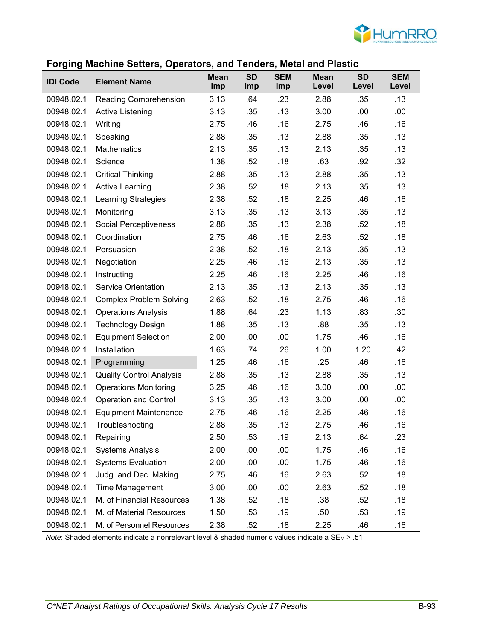

#### **Forging Machine Setters, Operators, and Tenders, Metal and Plastic**

| <b>IDI Code</b> | <b>Element Name</b>             | <b>Mean</b><br>Imp | <b>SD</b><br><b>Imp</b> | <b>SEM</b><br>Imp | <b>Mean</b><br>Level | <b>SD</b><br>Level | <b>SEM</b><br>Level |
|-----------------|---------------------------------|--------------------|-------------------------|-------------------|----------------------|--------------------|---------------------|
| 00948.02.1      | Reading Comprehension           | 3.13               | .64                     | .23               | 2.88                 | .35                | .13                 |
| 00948.02.1      | <b>Active Listening</b>         | 3.13               | .35                     | .13               | 3.00                 | .00                | .00                 |
| 00948.02.1      | Writing                         | 2.75               | .46                     | .16               | 2.75                 | .46                | .16                 |
| 00948.02.1      | Speaking                        | 2.88               | .35                     | .13               | 2.88                 | .35                | .13                 |
| 00948.02.1      | <b>Mathematics</b>              | 2.13               | .35                     | .13               | 2.13                 | .35                | .13                 |
| 00948.02.1      | Science                         | 1.38               | .52                     | .18               | .63                  | .92                | .32                 |
| 00948.02.1      | <b>Critical Thinking</b>        | 2.88               | .35                     | .13               | 2.88                 | .35                | .13                 |
| 00948.02.1      | <b>Active Learning</b>          | 2.38               | .52                     | .18               | 2.13                 | .35                | .13                 |
| 00948.02.1      | Learning Strategies             | 2.38               | .52                     | .18               | 2.25                 | .46                | .16                 |
| 00948.02.1      | Monitoring                      | 3.13               | .35                     | .13               | 3.13                 | .35                | .13                 |
| 00948.02.1      | Social Perceptiveness           | 2.88               | .35                     | .13               | 2.38                 | .52                | .18                 |
| 00948.02.1      | Coordination                    | 2.75               | .46                     | .16               | 2.63                 | .52                | .18                 |
| 00948.02.1      | Persuasion                      | 2.38               | .52                     | .18               | 2.13                 | .35                | .13                 |
| 00948.02.1      | Negotiation                     | 2.25               | .46                     | .16               | 2.13                 | .35                | .13                 |
| 00948.02.1      | Instructing                     | 2.25               | .46                     | .16               | 2.25                 | .46                | .16                 |
| 00948.02.1      | <b>Service Orientation</b>      | 2.13               | .35                     | .13               | 2.13                 | .35                | .13                 |
| 00948.02.1      | <b>Complex Problem Solving</b>  | 2.63               | .52                     | .18               | 2.75                 | .46                | .16                 |
| 00948.02.1      | <b>Operations Analysis</b>      | 1.88               | .64                     | .23               | 1.13                 | .83                | .30                 |
| 00948.02.1      | <b>Technology Design</b>        | 1.88               | .35                     | .13               | .88                  | .35                | .13                 |
| 00948.02.1      | <b>Equipment Selection</b>      | 2.00               | .00                     | .00               | 1.75                 | .46                | .16                 |
| 00948.02.1      | Installation                    | 1.63               | .74                     | .26               | 1.00                 | 1.20               | .42                 |
| 00948.02.1      | Programming                     | 1.25               | .46                     | .16               | .25                  | .46                | .16                 |
| 00948.02.1      | <b>Quality Control Analysis</b> | 2.88               | .35                     | .13               | 2.88                 | .35                | .13                 |
| 00948.02.1      | <b>Operations Monitoring</b>    | 3.25               | .46                     | .16               | 3.00                 | .00                | .00                 |
| 00948.02.1      | <b>Operation and Control</b>    | 3.13               | .35                     | .13               | 3.00                 | .00                | .00                 |
| 00948.02.1      | <b>Equipment Maintenance</b>    | 2.75               | .46                     | .16               | 2.25                 | .46                | .16                 |
| 00948.02.1      | Troubleshooting                 | 2.88               | .35                     | .13               | 2.75                 | .46                | .16                 |
| 00948.02.1      | Repairing                       | 2.50               | .53                     | .19               | 2.13                 | .64                | .23                 |
| 00948.02.1      | <b>Systems Analysis</b>         | 2.00               | .00                     | .00               | 1.75                 | .46                | .16                 |
| 00948.02.1      | <b>Systems Evaluation</b>       | 2.00               | .00                     | .00               | 1.75                 | .46                | .16                 |
| 00948.02.1      | Judg. and Dec. Making           | 2.75               | .46                     | .16               | 2.63                 | .52                | .18                 |
| 00948.02.1      | Time Management                 | 3.00               | .00                     | .00               | 2.63                 | .52                | .18                 |
| 00948.02.1      | M. of Financial Resources       | 1.38               | .52                     | .18               | .38                  | .52                | .18                 |
| 00948.02.1      | M. of Material Resources        | 1.50               | .53                     | .19               | .50                  | .53                | .19                 |
| 00948.02.1      | M. of Personnel Resources       | 2.38               | .52                     | .18               | 2.25                 | .46                | .16                 |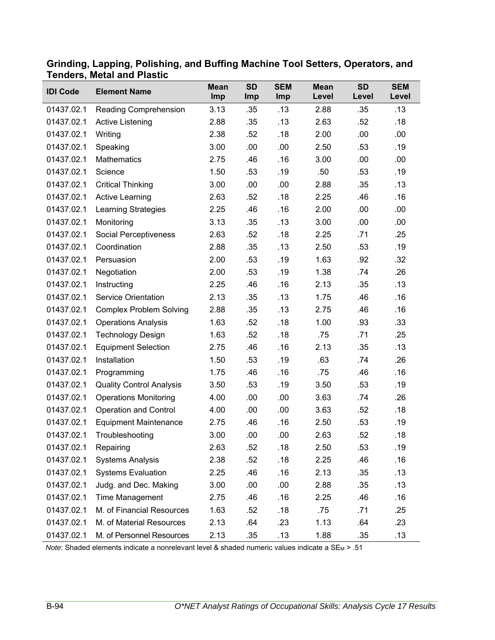| <b>IDI Code</b> | <b>Element Name</b>             | <b>Mean</b><br>Imp | <b>SD</b><br>Imp | <b>SEM</b><br>Imp | <b>Mean</b><br>Level | <b>SD</b><br>Level | <b>SEM</b><br>Level |
|-----------------|---------------------------------|--------------------|------------------|-------------------|----------------------|--------------------|---------------------|
| 01437.02.1      | Reading Comprehension           | 3.13               | .35              | .13               | 2.88                 | .35                | .13                 |
| 01437.02.1      | Active Listening                | 2.88               | .35              | .13               | 2.63                 | .52                | .18                 |
| 01437.02.1      | Writing                         | 2.38               | .52              | .18               | 2.00                 | .00                | .00.                |
| 01437.02.1      | Speaking                        | 3.00               | .00              | .00               | 2.50                 | .53                | .19                 |
| 01437.02.1      | Mathematics                     | 2.75               | .46              | .16               | 3.00                 | .00                | .00.                |
| 01437.02.1      | Science                         | 1.50               | .53              | .19               | .50                  | .53                | .19                 |
| 01437.02.1      | <b>Critical Thinking</b>        | 3.00               | .00              | .00               | 2.88                 | .35                | .13                 |
| 01437.02.1      | <b>Active Learning</b>          | 2.63               | .52              | .18               | 2.25                 | .46                | .16                 |
| 01437.02.1      | Learning Strategies             | 2.25               | .46              | .16               | 2.00                 | .00                | .00                 |
| 01437.02.1      | Monitoring                      | 3.13               | .35              | .13               | 3.00                 | .00                | .00.                |
| 01437.02.1      | Social Perceptiveness           | 2.63               | .52              | .18               | 2.25                 | .71                | .25                 |
| 01437.02.1      | Coordination                    | 2.88               | .35              | .13               | 2.50                 | .53                | .19                 |
| 01437.02.1      | Persuasion                      | 2.00               | .53              | .19               | 1.63                 | .92                | .32                 |
| 01437.02.1      | Negotiation                     | 2.00               | .53              | .19               | 1.38                 | .74                | .26                 |
| 01437.02.1      | Instructing                     | 2.25               | .46              | .16               | 2.13                 | .35                | .13                 |
| 01437.02.1      | <b>Service Orientation</b>      | 2.13               | .35              | .13               | 1.75                 | .46                | .16                 |
| 01437.02.1      | <b>Complex Problem Solving</b>  | 2.88               | .35              | .13               | 2.75                 | .46                | .16                 |
| 01437.02.1      | <b>Operations Analysis</b>      | 1.63               | .52              | .18               | 1.00                 | .93                | .33                 |
| 01437.02.1      | <b>Technology Design</b>        | 1.63               | .52              | .18               | .75                  | .71                | .25                 |
| 01437.02.1      | <b>Equipment Selection</b>      | 2.75               | .46              | .16               | 2.13                 | .35                | .13                 |
| 01437.02.1      | Installation                    | 1.50               | .53              | .19               | .63                  | .74                | .26                 |
| 01437.02.1      | Programming                     | 1.75               | .46              | .16               | .75                  | .46                | .16                 |
| 01437.02.1      | <b>Quality Control Analysis</b> | 3.50               | .53              | .19               | 3.50                 | .53                | .19                 |
| 01437.02.1      | <b>Operations Monitoring</b>    | 4.00               | .00              | .00               | 3.63                 | .74                | .26                 |
| 01437.02.1      | <b>Operation and Control</b>    | 4.00               | .00              | .00               | 3.63                 | .52                | .18                 |
| 01437.02.1      | <b>Equipment Maintenance</b>    | 2.75               | .46              | .16               | 2.50                 | .53                | .19                 |
| 01437.02.1      | Troubleshooting                 | 3.00               | .00              | .00               | 2.63                 | .52                | .18                 |
| 01437.02.1      | Repairing                       | 2.63               | .52              | .18               | 2.50                 | .53                | .19                 |
| 01437.02.1      | <b>Systems Analysis</b>         | 2.38               | .52              | .18               | 2.25                 | .46                | .16                 |
| 01437.02.1      | <b>Systems Evaluation</b>       | 2.25               | .46              | .16               | 2.13                 | .35                | .13                 |
| 01437.02.1      | Judg. and Dec. Making           | 3.00               | .00              | .00               | 2.88                 | .35                | .13                 |
| 01437.02.1      | Time Management                 | 2.75               | .46              | .16               | 2.25                 | .46                | .16                 |
| 01437.02.1      | M. of Financial Resources       | 1.63               | .52              | .18               | .75                  | .71                | .25                 |
| 01437.02.1      | M. of Material Resources        | 2.13               | .64              | .23               | 1.13                 | .64                | .23                 |
| 01437.02.1      | M. of Personnel Resources       | 2.13               | .35              | .13               | 1.88                 | .35                | .13                 |

#### **Grinding, Lapping, Polishing, and Buffing Machine Tool Setters, Operators, and Tenders, Metal and Plastic**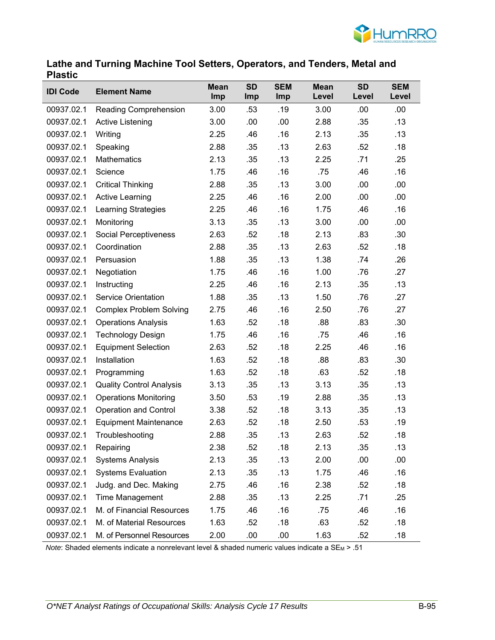

#### **Lathe and Turning Machine Tool Setters, Operators, and Tenders, Metal and Plastic**

| <b>IDI Code</b> | <b>Element Name</b>             | <b>Mean</b><br>Imp | <b>SD</b><br>Imp | <b>SEM</b><br>Imp | <b>Mean</b><br>Level | <b>SD</b><br>Level | <b>SEM</b><br>Level |
|-----------------|---------------------------------|--------------------|------------------|-------------------|----------------------|--------------------|---------------------|
| 00937.02.1      | Reading Comprehension           | 3.00               | .53              | .19               | 3.00                 | .00                | .00                 |
| 00937.02.1      | Active Listening                | 3.00               | .00              | .00               | 2.88                 | .35                | .13                 |
| 00937.02.1      | Writing                         | 2.25               | .46              | .16               | 2.13                 | .35                | .13                 |
| 00937.02.1      | Speaking                        | 2.88               | .35              | .13               | 2.63                 | .52                | .18                 |
| 00937.02.1      | <b>Mathematics</b>              | 2.13               | .35              | .13               | 2.25                 | .71                | .25                 |
| 00937.02.1      | Science                         | 1.75               | .46              | .16               | .75                  | .46                | .16                 |
| 00937.02.1      | <b>Critical Thinking</b>        | 2.88               | .35              | .13               | 3.00                 | .00                | .00                 |
| 00937.02.1      | <b>Active Learning</b>          | 2.25               | .46              | .16               | 2.00                 | .00                | .00                 |
| 00937.02.1      | <b>Learning Strategies</b>      | 2.25               | .46              | .16               | 1.75                 | .46                | .16                 |
| 00937.02.1      | Monitoring                      | 3.13               | .35              | .13               | 3.00                 | .00                | .00                 |
| 00937.02.1      | Social Perceptiveness           | 2.63               | .52              | .18               | 2.13                 | .83                | .30                 |
| 00937.02.1      | Coordination                    | 2.88               | .35              | .13               | 2.63                 | .52                | .18                 |
| 00937.02.1      | Persuasion                      | 1.88               | .35              | .13               | 1.38                 | .74                | .26                 |
| 00937.02.1      | Negotiation                     | 1.75               | .46              | .16               | 1.00                 | .76                | .27                 |
| 00937.02.1      | Instructing                     | 2.25               | .46              | .16               | 2.13                 | .35                | .13                 |
| 00937.02.1      | <b>Service Orientation</b>      | 1.88               | .35              | .13               | 1.50                 | .76                | .27                 |
| 00937.02.1      | <b>Complex Problem Solving</b>  | 2.75               | .46              | .16               | 2.50                 | .76                | .27                 |
| 00937.02.1      | <b>Operations Analysis</b>      | 1.63               | .52              | .18               | .88                  | .83                | .30                 |
| 00937.02.1      | <b>Technology Design</b>        | 1.75               | .46              | .16               | .75                  | .46                | .16                 |
| 00937.02.1      | <b>Equipment Selection</b>      | 2.63               | .52              | .18               | 2.25                 | .46                | .16                 |
| 00937.02.1      | Installation                    | 1.63               | .52              | .18               | .88                  | .83                | .30                 |
| 00937.02.1      | Programming                     | 1.63               | .52              | .18               | .63                  | .52                | .18                 |
| 00937.02.1      | <b>Quality Control Analysis</b> | 3.13               | .35              | .13               | 3.13                 | .35                | .13                 |
| 00937.02.1      | <b>Operations Monitoring</b>    | 3.50               | .53              | .19               | 2.88                 | .35                | .13                 |
| 00937.02.1      | <b>Operation and Control</b>    | 3.38               | .52              | .18               | 3.13                 | .35                | .13                 |
| 00937.02.1      | <b>Equipment Maintenance</b>    | 2.63               | .52              | .18               | 2.50                 | .53                | .19                 |
| 00937.02.1      | Troubleshooting                 | 2.88               | .35              | .13               | 2.63                 | .52                | .18                 |
| 00937.02.1      | Repairing                       | 2.38               | .52              | .18               | 2.13                 | .35                | .13                 |
| 00937.02.1      | <b>Systems Analysis</b>         | 2.13               | .35              | .13               | 2.00                 | .00                | .00                 |
| 00937.02.1      | <b>Systems Evaluation</b>       | 2.13               | .35              | .13               | 1.75                 | .46                | .16                 |
| 00937.02.1      | Judg. and Dec. Making           | 2.75               | .46              | .16               | 2.38                 | .52                | .18                 |
| 00937.02.1      | Time Management                 | 2.88               | .35              | .13               | 2.25                 | .71                | .25                 |
| 00937.02.1      | M. of Financial Resources       | 1.75               | .46              | .16               | .75                  | .46                | .16                 |
| 00937.02.1      | M. of Material Resources        | 1.63               | .52              | .18               | .63                  | .52                | .18                 |
| 00937.02.1      | M. of Personnel Resources       | 2.00               | .00              | .00               | 1.63                 | .52                | .18                 |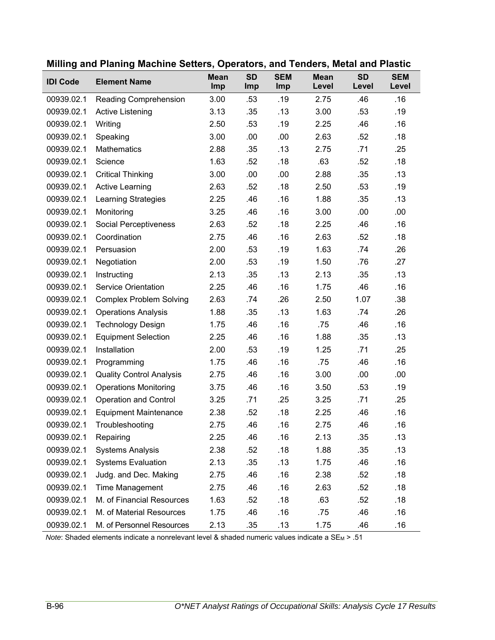| <b>IDI Code</b> | <b>Element Name</b>             | <b>Mean</b><br>Imp | <b>SD</b><br>Imp | <b>SEM</b><br>Imp | <b>Mean</b><br>Level | <b>SD</b><br>Level | <b>SEM</b><br>Level |
|-----------------|---------------------------------|--------------------|------------------|-------------------|----------------------|--------------------|---------------------|
| 00939.02.1      | Reading Comprehension           | 3.00               | .53              | .19               | 2.75                 | .46                | .16                 |
| 00939.02.1      | Active Listening                | 3.13               | .35              | .13               | 3.00                 | .53                | .19                 |
| 00939.02.1      | Writing                         | 2.50               | .53              | .19               | 2.25                 | .46                | .16                 |
| 00939.02.1      | Speaking                        | 3.00               | .00              | .00               | 2.63                 | .52                | .18                 |
| 00939.02.1      | <b>Mathematics</b>              | 2.88               | .35              | .13               | 2.75                 | .71                | .25                 |
| 00939.02.1      | Science                         | 1.63               | .52              | .18               | .63                  | .52                | .18                 |
| 00939.02.1      | <b>Critical Thinking</b>        | 3.00               | .00              | .00               | 2.88                 | .35                | .13                 |
| 00939.02.1      | <b>Active Learning</b>          | 2.63               | .52              | .18               | 2.50                 | .53                | .19                 |
| 00939.02.1      | <b>Learning Strategies</b>      | 2.25               | .46              | .16               | 1.88                 | .35                | .13                 |
| 00939.02.1      | Monitoring                      | 3.25               | .46              | .16               | 3.00                 | .00                | .00                 |
| 00939.02.1      | Social Perceptiveness           | 2.63               | .52              | .18               | 2.25                 | .46                | .16                 |
| 00939.02.1      | Coordination                    | 2.75               | .46              | .16               | 2.63                 | .52                | .18                 |
| 00939.02.1      | Persuasion                      | 2.00               | .53              | .19               | 1.63                 | .74                | .26                 |
| 00939.02.1      | Negotiation                     | 2.00               | .53              | .19               | 1.50                 | .76                | .27                 |
| 00939.02.1      | Instructing                     | 2.13               | .35              | .13               | 2.13                 | .35                | .13                 |
| 00939.02.1      | <b>Service Orientation</b>      | 2.25               | .46              | .16               | 1.75                 | .46                | .16                 |
| 00939.02.1      | <b>Complex Problem Solving</b>  | 2.63               | .74              | .26               | 2.50                 | 1.07               | .38                 |
| 00939.02.1      | <b>Operations Analysis</b>      | 1.88               | .35              | .13               | 1.63                 | .74                | .26                 |
| 00939.02.1      | <b>Technology Design</b>        | 1.75               | .46              | .16               | .75                  | .46                | .16                 |
| 00939.02.1      | <b>Equipment Selection</b>      | 2.25               | .46              | .16               | 1.88                 | .35                | .13                 |
| 00939.02.1      | Installation                    | 2.00               | .53              | .19               | 1.25                 | .71                | .25                 |
| 00939.02.1      | Programming                     | 1.75               | .46              | .16               | .75                  | .46                | .16                 |
| 00939.02.1      | <b>Quality Control Analysis</b> | 2.75               | .46              | .16               | 3.00                 | .00                | .00.                |
| 00939.02.1      | <b>Operations Monitoring</b>    | 3.75               | .46              | .16               | 3.50                 | .53                | .19                 |
| 00939.02.1      | <b>Operation and Control</b>    | 3.25               | .71              | .25               | 3.25                 | .71                | .25                 |
| 00939.02.1      | <b>Equipment Maintenance</b>    | 2.38               | .52              | .18               | 2.25                 | .46                | .16                 |
| 00939.02.1      | Troubleshooting                 | 2.75               | .46              | .16               | 2.75                 | .46                | .16                 |
| 00939.02.1      | Repairing                       | 2.25               | .46              | .16               | 2.13                 | .35                | .13                 |
| 00939.02.1      | <b>Systems Analysis</b>         | 2.38               | .52              | .18               | 1.88                 | .35                | .13                 |
| 00939.02.1      | <b>Systems Evaluation</b>       | 2.13               | .35              | .13               | 1.75                 | .46                | .16                 |
| 00939.02.1      | Judg. and Dec. Making           | 2.75               | .46              | .16               | 2.38                 | .52                | .18                 |
| 00939.02.1      | <b>Time Management</b>          | 2.75               | .46              | .16               | 2.63                 | .52                | .18                 |
| 00939.02.1      | M. of Financial Resources       | 1.63               | .52              | .18               | .63                  | .52                | .18                 |
| 00939.02.1      | M. of Material Resources        | 1.75               | .46              | .16               | .75                  | .46                | .16                 |
| 00939.02.1      | M. of Personnel Resources       | 2.13               | .35              | .13               | 1.75                 | .46                | .16                 |

## **Milling and Planing Machine Setters, Operators, and Tenders, Metal and Plastic**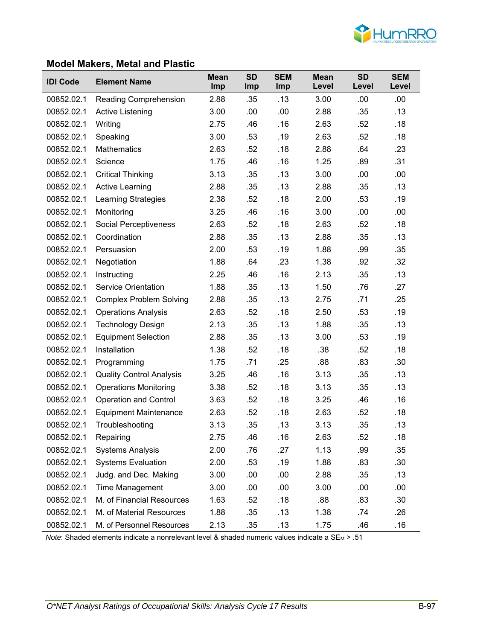

### **Model Makers, Metal and Plastic**

| <b>IDI Code</b> | <b>Element Name</b>             | <b>Mean</b><br>Imp | <b>SD</b><br><b>Imp</b> | <b>SEM</b><br><b>Imp</b> | <b>Mean</b><br>Level | <b>SD</b><br>Level | <b>SEM</b><br>Level |
|-----------------|---------------------------------|--------------------|-------------------------|--------------------------|----------------------|--------------------|---------------------|
| 00852.02.1      | <b>Reading Comprehension</b>    | 2.88               | .35                     | .13                      | 3.00                 | .00                | .00                 |
| 00852.02.1      | <b>Active Listening</b>         | 3.00               | .00                     | .00                      | 2.88                 | .35                | .13                 |
| 00852.02.1      | Writing                         | 2.75               | .46                     | .16                      | 2.63                 | .52                | .18                 |
| 00852.02.1      | Speaking                        | 3.00               | .53                     | .19                      | 2.63                 | .52                | .18                 |
| 00852.02.1      | <b>Mathematics</b>              | 2.63               | .52                     | .18                      | 2.88                 | .64                | .23                 |
| 00852.02.1      | Science                         | 1.75               | .46                     | .16                      | 1.25                 | .89                | .31                 |
| 00852.02.1      | <b>Critical Thinking</b>        | 3.13               | .35                     | .13                      | 3.00                 | .00                | .00                 |
| 00852.02.1      | Active Learning                 | 2.88               | .35                     | .13                      | 2.88                 | .35                | .13                 |
| 00852.02.1      | <b>Learning Strategies</b>      | 2.38               | .52                     | .18                      | 2.00                 | .53                | .19                 |
| 00852.02.1      | Monitoring                      | 3.25               | .46                     | .16                      | 3.00                 | .00                | .00                 |
| 00852.02.1      | Social Perceptiveness           | 2.63               | .52                     | .18                      | 2.63                 | .52                | .18                 |
| 00852.02.1      | Coordination                    | 2.88               | .35                     | .13                      | 2.88                 | .35                | .13                 |
| 00852.02.1      | Persuasion                      | 2.00               | .53                     | .19                      | 1.88                 | .99                | .35                 |
| 00852.02.1      | Negotiation                     | 1.88               | .64                     | .23                      | 1.38                 | .92                | .32                 |
| 00852.02.1      | Instructing                     | 2.25               | .46                     | .16                      | 2.13                 | .35                | .13                 |
| 00852.02.1      | <b>Service Orientation</b>      | 1.88               | .35                     | .13                      | 1.50                 | .76                | .27                 |
| 00852.02.1      | <b>Complex Problem Solving</b>  | 2.88               | .35                     | .13                      | 2.75                 | .71                | .25                 |
| 00852.02.1      | <b>Operations Analysis</b>      | 2.63               | .52                     | .18                      | 2.50                 | .53                | .19                 |
| 00852.02.1      | <b>Technology Design</b>        | 2.13               | .35                     | .13                      | 1.88                 | .35                | .13                 |
| 00852.02.1      | <b>Equipment Selection</b>      | 2.88               | .35                     | .13                      | 3.00                 | .53                | .19                 |
| 00852.02.1      | Installation                    | 1.38               | .52                     | .18                      | .38                  | .52                | .18                 |
| 00852.02.1      | Programming                     | 1.75               | .71                     | .25                      | .88                  | .83                | .30                 |
| 00852.02.1      | <b>Quality Control Analysis</b> | 3.25               | .46                     | .16                      | 3.13                 | .35                | .13                 |
| 00852.02.1      | <b>Operations Monitoring</b>    | 3.38               | .52                     | .18                      | 3.13                 | .35                | .13                 |
| 00852.02.1      | <b>Operation and Control</b>    | 3.63               | .52                     | .18                      | 3.25                 | .46                | .16                 |
| 00852.02.1      | <b>Equipment Maintenance</b>    | 2.63               | .52                     | .18                      | 2.63                 | .52                | .18                 |
| 00852.02.1      | Troubleshooting                 | 3.13               | .35                     | .13                      | 3.13                 | .35                | .13                 |
| 00852.02.1      | Repairing                       | 2.75               | .46                     | .16                      | 2.63                 | .52                | .18                 |
| 00852.02.1      | <b>Systems Analysis</b>         | 2.00               | .76                     | .27                      | 1.13                 | .99                | .35                 |
| 00852.02.1      | <b>Systems Evaluation</b>       | 2.00               | .53                     | .19                      | 1.88                 | .83                | .30                 |
| 00852.02.1      | Judg. and Dec. Making           | 3.00               | .00                     | .00                      | 2.88                 | .35                | .13                 |
| 00852.02.1      | Time Management                 | 3.00               | .00                     | .00                      | 3.00                 | .00                | .00                 |
| 00852.02.1      | M. of Financial Resources       | 1.63               | .52                     | .18                      | .88                  | .83                | .30                 |
| 00852.02.1      | M. of Material Resources        | 1.88               | .35                     | .13                      | 1.38                 | .74                | .26                 |
| 00852.02.1      | M. of Personnel Resources       | 2.13               | .35                     | .13                      | 1.75                 | .46                | .16                 |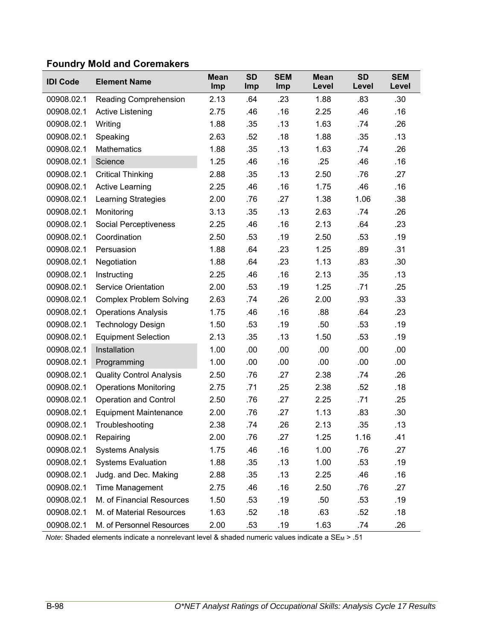# **Foundry Mold and Coremakers**

| <b>IDI Code</b> | <b>Element Name</b>             | <b>Mean</b><br>Imp | <b>SD</b><br><b>Imp</b> | <b>SEM</b><br>Imp | <b>Mean</b><br>Level | <b>SD</b><br>Level | <b>SEM</b><br>Level |
|-----------------|---------------------------------|--------------------|-------------------------|-------------------|----------------------|--------------------|---------------------|
| 00908.02.1      | Reading Comprehension           | 2.13               | .64                     | .23               | 1.88                 | .83                | .30                 |
| 00908.02.1      | Active Listening                | 2.75               | .46                     | .16               | 2.25                 | .46                | .16                 |
| 00908.02.1      | Writing                         | 1.88               | .35                     | .13               | 1.63                 | .74                | .26                 |
| 00908.02.1      | Speaking                        | 2.63               | .52                     | .18               | 1.88                 | .35                | .13                 |
| 00908.02.1      | <b>Mathematics</b>              | 1.88               | .35                     | .13               | 1.63                 | .74                | .26                 |
| 00908.02.1      | Science                         | 1.25               | .46                     | .16               | .25                  | .46                | .16                 |
| 00908.02.1      | <b>Critical Thinking</b>        | 2.88               | .35                     | .13               | 2.50                 | .76                | .27                 |
| 00908.02.1      | <b>Active Learning</b>          | 2.25               | .46                     | .16               | 1.75                 | .46                | .16                 |
| 00908.02.1      | <b>Learning Strategies</b>      | 2.00               | .76                     | .27               | 1.38                 | 1.06               | .38                 |
| 00908.02.1      | Monitoring                      | 3.13               | .35                     | .13               | 2.63                 | .74                | .26                 |
| 00908.02.1      | <b>Social Perceptiveness</b>    | 2.25               | .46                     | .16               | 2.13                 | .64                | .23                 |
| 00908.02.1      | Coordination                    | 2.50               | .53                     | .19               | 2.50                 | .53                | .19                 |
| 00908.02.1      | Persuasion                      | 1.88               | .64                     | .23               | 1.25                 | .89                | .31                 |
| 00908.02.1      | Negotiation                     | 1.88               | .64                     | .23               | 1.13                 | .83                | .30                 |
| 00908.02.1      | Instructing                     | 2.25               | .46                     | .16               | 2.13                 | .35                | .13                 |
| 00908.02.1      | <b>Service Orientation</b>      | 2.00               | .53                     | .19               | 1.25                 | .71                | .25                 |
| 00908.02.1      | <b>Complex Problem Solving</b>  | 2.63               | .74                     | .26               | 2.00                 | .93                | .33                 |
| 00908.02.1      | <b>Operations Analysis</b>      | 1.75               | .46                     | .16               | .88                  | .64                | .23                 |
| 00908.02.1      | <b>Technology Design</b>        | 1.50               | .53                     | .19               | .50                  | .53                | .19                 |
| 00908.02.1      | <b>Equipment Selection</b>      | 2.13               | .35                     | .13               | 1.50                 | .53                | .19                 |
| 00908.02.1      | Installation                    | 1.00               | .00                     | .00               | .00                  | .00                | .00                 |
| 00908.02.1      | Programming                     | 1.00               | .00                     | .00               | .00                  | .00                | .00                 |
| 00908.02.1      | <b>Quality Control Analysis</b> | 2.50               | .76                     | .27               | 2.38                 | .74                | .26                 |
| 00908.02.1      | <b>Operations Monitoring</b>    | 2.75               | .71                     | .25               | 2.38                 | .52                | .18                 |
| 00908.02.1      | <b>Operation and Control</b>    | 2.50               | .76                     | .27               | 2.25                 | .71                | .25                 |
| 00908.02.1      | <b>Equipment Maintenance</b>    | 2.00               | .76                     | .27               | 1.13                 | .83                | .30                 |
| 00908.02.1      | Troubleshooting                 | 2.38               | .74                     | .26               | 2.13                 | .35                | .13                 |
| 00908.02.1      | Repairing                       | 2.00               | .76                     | .27               | 1.25                 | 1.16               | .41                 |
| 00908.02.1      | <b>Systems Analysis</b>         | 1.75               | .46                     | .16               | 1.00                 | .76                | .27                 |
| 00908.02.1      | <b>Systems Evaluation</b>       | 1.88               | .35                     | .13               | 1.00                 | .53                | .19                 |
| 00908.02.1      | Judg. and Dec. Making           | 2.88               | .35                     | .13               | 2.25                 | .46                | .16                 |
| 00908.02.1      | <b>Time Management</b>          | 2.75               | .46                     | .16               | 2.50                 | .76                | .27                 |
| 00908.02.1      | M. of Financial Resources       | 1.50               | .53                     | .19               | .50                  | .53                | .19                 |
| 00908.02.1      | M. of Material Resources        | 1.63               | .52                     | .18               | .63                  | .52                | .18                 |
| 00908.02.1      | M. of Personnel Resources       | 2.00               | .53                     | .19               | 1.63                 | .74                | .26                 |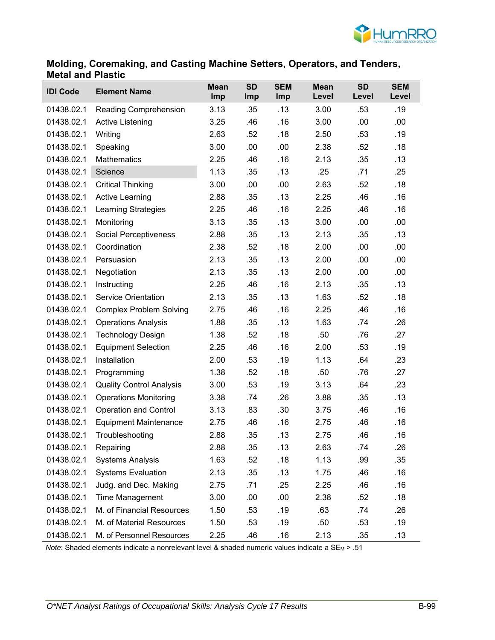

#### **Molding, Coremaking, and Casting Machine Setters, Operators, and Tenders, Metal and Plastic**

| <b>IDI Code</b> | <b>Element Name</b>             | <b>Mean</b><br>Imp | <b>SD</b><br>Imp | <b>SEM</b><br>Imp | <b>Mean</b><br>Level | <b>SD</b><br>Level | <b>SEM</b><br>Level |
|-----------------|---------------------------------|--------------------|------------------|-------------------|----------------------|--------------------|---------------------|
| 01438.02.1      | Reading Comprehension           | 3.13               | .35              | .13               | 3.00                 | .53                | .19                 |
| 01438.02.1      | Active Listening                | 3.25               | .46              | .16               | 3.00                 | .00                | .00                 |
| 01438.02.1      | Writing                         | 2.63               | .52              | .18               | 2.50                 | .53                | .19                 |
| 01438.02.1      | Speaking                        | 3.00               | .00              | .00               | 2.38                 | .52                | .18                 |
| 01438.02.1      | <b>Mathematics</b>              | 2.25               | .46              | .16               | 2.13                 | .35                | .13                 |
| 01438.02.1      | Science                         | 1.13               | .35              | .13               | .25                  | .71                | .25                 |
| 01438.02.1      | <b>Critical Thinking</b>        | 3.00               | .00              | .00               | 2.63                 | .52                | .18                 |
| 01438.02.1      | <b>Active Learning</b>          | 2.88               | .35              | .13               | 2.25                 | .46                | .16                 |
| 01438.02.1      | <b>Learning Strategies</b>      | 2.25               | .46              | .16               | 2.25                 | .46                | .16                 |
| 01438.02.1      | Monitoring                      | 3.13               | .35              | .13               | 3.00                 | .00                | .00                 |
| 01438.02.1      | Social Perceptiveness           | 2.88               | .35              | .13               | 2.13                 | .35                | .13                 |
| 01438.02.1      | Coordination                    | 2.38               | .52              | .18               | 2.00                 | .00                | .00                 |
| 01438.02.1      | Persuasion                      | 2.13               | .35              | .13               | 2.00                 | .00                | .00                 |
| 01438.02.1      | Negotiation                     | 2.13               | .35              | .13               | 2.00                 | .00                | .00                 |
| 01438.02.1      | Instructing                     | 2.25               | .46              | .16               | 2.13                 | .35                | .13                 |
| 01438.02.1      | <b>Service Orientation</b>      | 2.13               | .35              | .13               | 1.63                 | .52                | .18                 |
| 01438.02.1      | <b>Complex Problem Solving</b>  | 2.75               | .46              | .16               | 2.25                 | .46                | .16                 |
| 01438.02.1      | <b>Operations Analysis</b>      | 1.88               | .35              | .13               | 1.63                 | .74                | .26                 |
| 01438.02.1      | <b>Technology Design</b>        | 1.38               | .52              | .18               | .50                  | .76                | .27                 |
| 01438.02.1      | <b>Equipment Selection</b>      | 2.25               | .46              | .16               | 2.00                 | .53                | .19                 |
| 01438.02.1      | Installation                    | 2.00               | .53              | .19               | 1.13                 | .64                | .23                 |
| 01438.02.1      | Programming                     | 1.38               | .52              | .18               | .50                  | .76                | .27                 |
| 01438.02.1      | <b>Quality Control Analysis</b> | 3.00               | .53              | .19               | 3.13                 | .64                | .23                 |
| 01438.02.1      | <b>Operations Monitoring</b>    | 3.38               | .74              | .26               | 3.88                 | .35                | .13                 |
| 01438.02.1      | <b>Operation and Control</b>    | 3.13               | .83              | .30               | 3.75                 | .46                | .16                 |
| 01438.02.1      | <b>Equipment Maintenance</b>    | 2.75               | .46              | .16               | 2.75                 | .46                | .16                 |
| 01438.02.1      | Troubleshooting                 | 2.88               | .35              | .13               | 2.75                 | .46                | .16                 |
| 01438.02.1      | Repairing                       | 2.88               | .35              | .13               | 2.63                 | .74                | .26                 |
| 01438.02.1      | <b>Systems Analysis</b>         | 1.63               | .52              | .18               | 1.13                 | .99                | .35                 |
| 01438.02.1      | <b>Systems Evaluation</b>       | 2.13               | .35              | .13               | 1.75                 | .46                | .16                 |
| 01438.02.1      | Judg. and Dec. Making           | 2.75               | .71              | .25               | 2.25                 | .46                | .16                 |
| 01438.02.1      | <b>Time Management</b>          | 3.00               | .00              | .00               | 2.38                 | .52                | .18                 |
| 01438.02.1      | M. of Financial Resources       | 1.50               | .53              | .19               | .63                  | .74                | .26                 |
| 01438.02.1      | M. of Material Resources        | 1.50               | .53              | .19               | .50                  | .53                | .19                 |
| 01438.02.1      | M. of Personnel Resources       | 2.25               | .46              | .16               | 2.13                 | .35                | .13                 |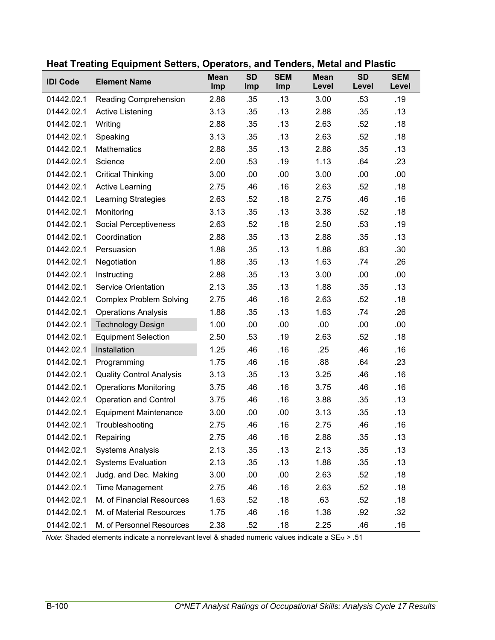| <b>IDI Code</b> | <b>Element Name</b>             | <b>Mean</b><br>Imp | <b>SD</b><br>Imp | <b>SEM</b><br>Imp | <b>Mean</b><br>Level | <b>SD</b><br>Level | <b>SEM</b><br>Level |
|-----------------|---------------------------------|--------------------|------------------|-------------------|----------------------|--------------------|---------------------|
| 01442.02.1      | Reading Comprehension           | 2.88               | .35              | .13               | 3.00                 | .53                | .19                 |
| 01442.02.1      | <b>Active Listening</b>         | 3.13               | .35              | .13               | 2.88                 | .35                | .13                 |
| 01442.02.1      | Writing                         | 2.88               | .35              | .13               | 2.63                 | .52                | .18                 |
| 01442.02.1      | Speaking                        | 3.13               | .35              | .13               | 2.63                 | .52                | .18                 |
| 01442.02.1      | <b>Mathematics</b>              | 2.88               | .35              | .13               | 2.88                 | .35                | .13                 |
| 01442.02.1      | Science                         | 2.00               | .53              | .19               | 1.13                 | .64                | .23                 |
| 01442.02.1      | <b>Critical Thinking</b>        | 3.00               | .00              | .00               | 3.00                 | .00                | .00                 |
| 01442.02.1      | <b>Active Learning</b>          | 2.75               | .46              | .16               | 2.63                 | .52                | .18                 |
| 01442.02.1      | <b>Learning Strategies</b>      | 2.63               | .52              | .18               | 2.75                 | .46                | .16                 |
| 01442.02.1      | Monitoring                      | 3.13               | .35              | .13               | 3.38                 | .52                | .18                 |
| 01442.02.1      | Social Perceptiveness           | 2.63               | .52              | .18               | 2.50                 | .53                | .19                 |
| 01442.02.1      | Coordination                    | 2.88               | .35              | .13               | 2.88                 | .35                | .13                 |
| 01442.02.1      | Persuasion                      | 1.88               | .35              | .13               | 1.88                 | .83                | .30                 |
| 01442.02.1      | Negotiation                     | 1.88               | .35              | .13               | 1.63                 | .74                | .26                 |
| 01442.02.1      | Instructing                     | 2.88               | .35              | .13               | 3.00                 | .00                | .00                 |
| 01442.02.1      | Service Orientation             | 2.13               | .35              | .13               | 1.88                 | .35                | .13                 |
| 01442.02.1      | <b>Complex Problem Solving</b>  | 2.75               | .46              | .16               | 2.63                 | .52                | .18                 |
| 01442.02.1      | <b>Operations Analysis</b>      | 1.88               | .35              | .13               | 1.63                 | .74                | .26                 |
| 01442.02.1      | <b>Technology Design</b>        | 1.00               | .00              | .00               | .00                  | .00                | .00                 |
| 01442.02.1      | <b>Equipment Selection</b>      | 2.50               | .53              | .19               | 2.63                 | .52                | .18                 |
| 01442.02.1      | Installation                    | 1.25               | .46              | .16               | .25                  | .46                | .16                 |
| 01442.02.1      | Programming                     | 1.75               | .46              | .16               | .88                  | .64                | .23                 |
| 01442.02.1      | <b>Quality Control Analysis</b> | 3.13               | .35              | .13               | 3.25                 | .46                | .16                 |
| 01442.02.1      | <b>Operations Monitoring</b>    | 3.75               | .46              | .16               | 3.75                 | .46                | .16                 |
| 01442.02.1      | <b>Operation and Control</b>    | 3.75               | .46              | .16               | 3.88                 | .35                | .13                 |
| 01442.02.1      | <b>Equipment Maintenance</b>    | 3.00               | .00              | .00               | 3.13                 | .35                | .13                 |
| 01442.02.1      | Troubleshooting                 | 2.75               | .46              | .16               | 2.75                 | .46                | .16                 |
| 01442.02.1      | Repairing                       | 2.75               | .46              | .16               | 2.88                 | .35                | .13                 |
| 01442.02.1      | <b>Systems Analysis</b>         | 2.13               | .35              | .13               | 2.13                 | .35                | .13                 |
| 01442.02.1      | <b>Systems Evaluation</b>       | 2.13               | .35              | .13               | 1.88                 | .35                | .13                 |
| 01442.02.1      | Judg. and Dec. Making           | 3.00               | .00              | .00               | 2.63                 | .52                | .18                 |
| 01442.02.1      | Time Management                 | 2.75               | .46              | .16               | 2.63                 | .52                | .18                 |
| 01442.02.1      | M. of Financial Resources       | 1.63               | .52              | .18               | .63                  | .52                | .18                 |
| 01442.02.1      | M. of Material Resources        | 1.75               | .46              | .16               | 1.38                 | .92                | .32                 |
| 01442.02.1      | M. of Personnel Resources       | 2.38               | .52              | .18               | 2.25                 | .46                | .16                 |

### **Heat Treating Equipment Setters, Operators, and Tenders, Metal and Plastic**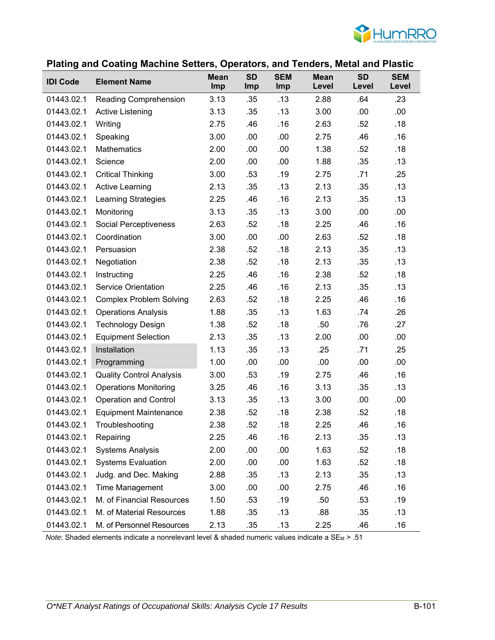

### **Plating and Coating Machine Setters, Operators, and Tenders, Metal and Plastic**

| <b>IDI Code</b> | <b>Element Name</b>             | <b>Mean</b><br>Imp | <b>SD</b><br>Imp | <b>SEM</b><br>Imp | <b>Mean</b><br>Level | <b>SD</b><br>Level | <b>SEM</b><br>Level |
|-----------------|---------------------------------|--------------------|------------------|-------------------|----------------------|--------------------|---------------------|
| 01443.02.1      | Reading Comprehension           | 3.13               | .35              | .13               | 2.88                 | .64                | .23                 |
| 01443.02.1      | <b>Active Listening</b>         | 3.13               | .35              | .13               | 3.00                 | .00                | .00                 |
| 01443.02.1      | Writing                         | 2.75               | .46              | .16               | 2.63                 | .52                | .18                 |
| 01443.02.1      | Speaking                        | 3.00               | .00              | .00               | 2.75                 | .46                | .16                 |
| 01443.02.1      | Mathematics                     | 2.00               | .00              | .00               | 1.38                 | .52                | .18                 |
| 01443.02.1      | Science                         | 2.00               | .00              | .00               | 1.88                 | .35                | .13                 |
| 01443.02.1      | <b>Critical Thinking</b>        | 3.00               | .53              | .19               | 2.75                 | .71                | .25                 |
| 01443.02.1      | <b>Active Learning</b>          | 2.13               | .35              | .13               | 2.13                 | .35                | .13                 |
| 01443.02.1      | <b>Learning Strategies</b>      | 2.25               | .46              | .16               | 2.13                 | .35                | .13                 |
| 01443.02.1      | Monitoring                      | 3.13               | .35              | .13               | 3.00                 | .00                | .00                 |
| 01443.02.1      | Social Perceptiveness           | 2.63               | .52              | .18               | 2.25                 | .46                | .16                 |
| 01443.02.1      | Coordination                    | 3.00               | .00              | .00               | 2.63                 | .52                | .18                 |
| 01443.02.1      | Persuasion                      | 2.38               | .52              | .18               | 2.13                 | .35                | .13                 |
| 01443.02.1      | Negotiation                     | 2.38               | .52              | .18               | 2.13                 | .35                | .13                 |
| 01443.02.1      | Instructing                     | 2.25               | .46              | .16               | 2.38                 | .52                | .18                 |
| 01443.02.1      | <b>Service Orientation</b>      | 2.25               | .46              | .16               | 2.13                 | .35                | .13                 |
| 01443.02.1      | <b>Complex Problem Solving</b>  | 2.63               | .52              | .18               | 2.25                 | .46                | .16                 |
| 01443.02.1      | <b>Operations Analysis</b>      | 1.88               | .35              | .13               | 1.63                 | .74                | .26                 |
| 01443.02.1      | <b>Technology Design</b>        | 1.38               | .52              | .18               | .50                  | .76                | .27                 |
| 01443.02.1      | <b>Equipment Selection</b>      | 2.13               | .35              | .13               | 2.00                 | .00                | .00                 |
| 01443.02.1      | Installation                    | 1.13               | .35              | .13               | .25                  | .71                | .25                 |
| 01443.02.1      | Programming                     | 1.00               | .00              | .00               | .00                  | .00                | .00                 |
| 01443.02.1      | <b>Quality Control Analysis</b> | 3.00               | .53              | .19               | 2.75                 | .46                | .16                 |
| 01443.02.1      | <b>Operations Monitoring</b>    | 3.25               | .46              | .16               | 3.13                 | .35                | .13                 |
| 01443.02.1      | <b>Operation and Control</b>    | 3.13               | .35              | .13               | 3.00                 | .00                | .00                 |
| 01443.02.1      | <b>Equipment Maintenance</b>    | 2.38               | .52              | .18               | 2.38                 | .52                | .18                 |
| 01443.02.1      | Troubleshooting                 | 2.38               | .52              | .18               | 2.25                 | .46                | .16                 |
| 01443.02.1      | Repairing                       | 2.25               | .46              | .16               | 2.13                 | .35                | .13                 |
| 01443.02.1      | <b>Systems Analysis</b>         | 2.00               | .00              | .00               | 1.63                 | .52                | .18                 |
| 01443.02.1      | <b>Systems Evaluation</b>       | 2.00               | .00              | .00               | 1.63                 | .52                | .18                 |
| 01443.02.1      | Judg. and Dec. Making           | 2.88               | .35              | .13               | 2.13                 | .35                | .13                 |
| 01443.02.1      | <b>Time Management</b>          | 3.00               | .00              | .00               | 2.75                 | .46                | .16                 |
| 01443.02.1      | M. of Financial Resources       | 1.50               | .53              | .19               | .50                  | .53                | .19                 |
| 01443.02.1      | M. of Material Resources        | 1.88               | .35              | .13               | .88                  | .35                | .13                 |
| 01443.02.1      | M. of Personnel Resources       | 2.13               | .35              | .13               | 2.25                 | .46                | .16                 |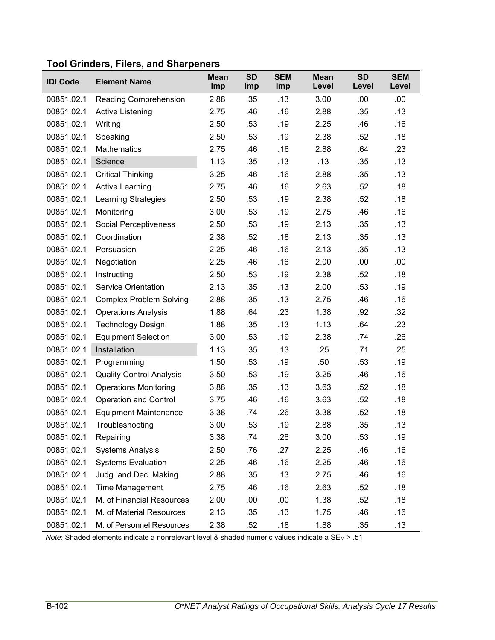| <b>IDI Code</b> | <b>Element Name</b>             | <b>Mean</b><br>Imp | <b>SD</b><br>Imp | <b>SEM</b><br>Imp | <b>Mean</b><br>Level | <b>SD</b><br>Level | <b>SEM</b><br>Level |
|-----------------|---------------------------------|--------------------|------------------|-------------------|----------------------|--------------------|---------------------|
| 00851.02.1      | Reading Comprehension           | 2.88               | .35              | .13               | 3.00                 | .00                | .00                 |
| 00851.02.1      | Active Listening                | 2.75               | .46              | .16               | 2.88                 | .35                | .13                 |
| 00851.02.1      | Writing                         | 2.50               | .53              | .19               | 2.25                 | .46                | .16                 |
| 00851.02.1      | Speaking                        | 2.50               | .53              | .19               | 2.38                 | .52                | .18                 |
| 00851.02.1      | <b>Mathematics</b>              | 2.75               | .46              | .16               | 2.88                 | .64                | .23                 |
| 00851.02.1      | Science                         | 1.13               | .35              | .13               | .13                  | .35                | .13                 |
| 00851.02.1      | <b>Critical Thinking</b>        | 3.25               | .46              | .16               | 2.88                 | .35                | .13                 |
| 00851.02.1      | <b>Active Learning</b>          | 2.75               | .46              | .16               | 2.63                 | .52                | .18                 |
| 00851.02.1      | <b>Learning Strategies</b>      | 2.50               | .53              | .19               | 2.38                 | .52                | .18                 |
| 00851.02.1      | Monitoring                      | 3.00               | .53              | .19               | 2.75                 | .46                | .16                 |
| 00851.02.1      | Social Perceptiveness           | 2.50               | .53              | .19               | 2.13                 | .35                | .13                 |
| 00851.02.1      | Coordination                    | 2.38               | .52              | .18               | 2.13                 | .35                | .13                 |
| 00851.02.1      | Persuasion                      | 2.25               | .46              | .16               | 2.13                 | .35                | .13                 |
| 00851.02.1      | Negotiation                     | 2.25               | .46              | .16               | 2.00                 | .00                | .00                 |
| 00851.02.1      | Instructing                     | 2.50               | .53              | .19               | 2.38                 | .52                | .18                 |
| 00851.02.1      | <b>Service Orientation</b>      | 2.13               | .35              | .13               | 2.00                 | .53                | .19                 |
| 00851.02.1      | <b>Complex Problem Solving</b>  | 2.88               | .35              | .13               | 2.75                 | .46                | .16                 |
| 00851.02.1      | <b>Operations Analysis</b>      | 1.88               | .64              | .23               | 1.38                 | .92                | .32                 |
| 00851.02.1      | <b>Technology Design</b>        | 1.88               | .35              | .13               | 1.13                 | .64                | .23                 |
| 00851.02.1      | <b>Equipment Selection</b>      | 3.00               | .53              | .19               | 2.38                 | .74                | .26                 |
| 00851.02.1      | Installation                    | 1.13               | .35              | .13               | .25                  | .71                | .25                 |
| 00851.02.1      | Programming                     | 1.50               | .53              | .19               | .50                  | .53                | .19                 |
| 00851.02.1      | <b>Quality Control Analysis</b> | 3.50               | .53              | .19               | 3.25                 | .46                | .16                 |
| 00851.02.1      | <b>Operations Monitoring</b>    | 3.88               | .35              | .13               | 3.63                 | .52                | .18                 |
| 00851.02.1      | <b>Operation and Control</b>    | 3.75               | .46              | .16               | 3.63                 | .52                | .18                 |
| 00851.02.1      | <b>Equipment Maintenance</b>    | 3.38               | .74              | .26               | 3.38                 | .52                | .18                 |
| 00851.02.1      | Troubleshooting                 | 3.00               | .53              | .19               | 2.88                 | .35                | .13                 |
| 00851.02.1      | Repairing                       | 3.38               | .74              | .26               | 3.00                 | .53                | .19                 |
| 00851.02.1      | <b>Systems Analysis</b>         | 2.50               | .76              | .27               | 2.25                 | .46                | .16                 |
| 00851.02.1      | <b>Systems Evaluation</b>       | 2.25               | .46              | .16               | 2.25                 | .46                | .16                 |
| 00851.02.1      | Judg. and Dec. Making           | 2.88               | .35              | .13               | 2.75                 | .46                | .16                 |
| 00851.02.1      | Time Management                 | 2.75               | .46              | .16               | 2.63                 | .52                | .18                 |
| 00851.02.1      | M. of Financial Resources       | 2.00               | .00              | .00               | 1.38                 | .52                | .18                 |
| 00851.02.1      | M. of Material Resources        | 2.13               | .35              | .13               | 1.75                 | .46                | .16                 |
| 00851.02.1      | M. of Personnel Resources       | 2.38               | .52              | .18               | 1.88                 | .35                | .13                 |

# **Tool Grinders, Filers, and Sharpeners**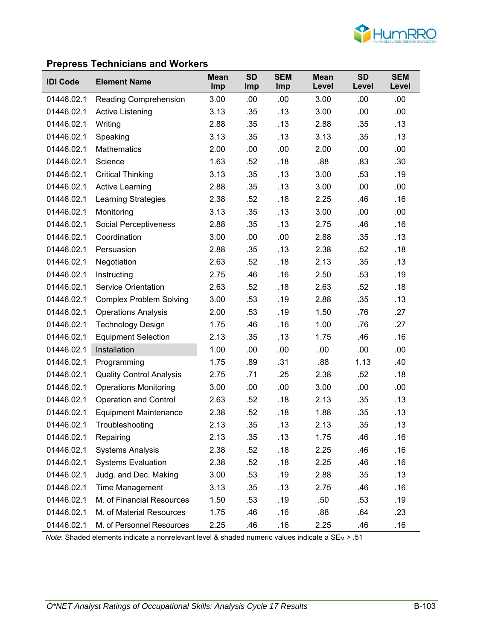

### **Prepress Technicians and Workers**

| <b>IDI Code</b> | <b>Element Name</b>             | <b>Mean</b><br><b>Imp</b> | <b>SD</b><br><b>Imp</b> | <b>SEM</b><br>Imp | <b>Mean</b><br>Level | <b>SD</b><br>Level | <b>SEM</b><br>Level |
|-----------------|---------------------------------|---------------------------|-------------------------|-------------------|----------------------|--------------------|---------------------|
| 01446.02.1      | <b>Reading Comprehension</b>    | 3.00                      | .00                     | .00               | 3.00                 | .00                | .00                 |
| 01446.02.1      | Active Listening                | 3.13                      | .35                     | .13               | 3.00                 | .00                | .00.                |
| 01446.02.1      | Writing                         | 2.88                      | .35                     | .13               | 2.88                 | .35                | .13                 |
| 01446.02.1      | Speaking                        | 3.13                      | .35                     | .13               | 3.13                 | .35                | .13                 |
| 01446.02.1      | <b>Mathematics</b>              | 2.00                      | .00                     | .00               | 2.00                 | .00                | .00                 |
| 01446.02.1      | Science                         | 1.63                      | .52                     | .18               | .88                  | .83                | .30                 |
| 01446.02.1      | <b>Critical Thinking</b>        | 3.13                      | .35                     | .13               | 3.00                 | .53                | .19                 |
| 01446.02.1      | <b>Active Learning</b>          | 2.88                      | .35                     | .13               | 3.00                 | .00                | .00                 |
| 01446.02.1      | <b>Learning Strategies</b>      | 2.38                      | .52                     | .18               | 2.25                 | .46                | .16                 |
| 01446.02.1      | Monitoring                      | 3.13                      | .35                     | .13               | 3.00                 | .00                | .00                 |
| 01446.02.1      | Social Perceptiveness           | 2.88                      | .35                     | .13               | 2.75                 | .46                | .16                 |
| 01446.02.1      | Coordination                    | 3.00                      | .00                     | .00               | 2.88                 | .35                | .13                 |
| 01446.02.1      | Persuasion                      | 2.88                      | .35                     | .13               | 2.38                 | .52                | .18                 |
| 01446.02.1      | Negotiation                     | 2.63                      | .52                     | .18               | 2.13                 | .35                | .13                 |
| 01446.02.1      | Instructing                     | 2.75                      | .46                     | .16               | 2.50                 | .53                | .19                 |
| 01446.02.1      | Service Orientation             | 2.63                      | .52                     | .18               | 2.63                 | .52                | .18                 |
| 01446.02.1      | <b>Complex Problem Solving</b>  | 3.00                      | .53                     | .19               | 2.88                 | .35                | .13                 |
| 01446.02.1      | <b>Operations Analysis</b>      | 2.00                      | .53                     | .19               | 1.50                 | .76                | .27                 |
| 01446.02.1      | <b>Technology Design</b>        | 1.75                      | .46                     | .16               | 1.00                 | .76                | .27                 |
| 01446.02.1      | <b>Equipment Selection</b>      | 2.13                      | .35                     | .13               | 1.75                 | .46                | .16                 |
| 01446.02.1      | Installation                    | 1.00                      | .00                     | .00               | .00                  | .00                | .00                 |
| 01446.02.1      | Programming                     | 1.75                      | .89                     | .31               | .88                  | 1.13               | .40                 |
| 01446.02.1      | <b>Quality Control Analysis</b> | 2.75                      | .71                     | .25               | 2.38                 | .52                | .18                 |
| 01446.02.1      | <b>Operations Monitoring</b>    | 3.00                      | .00                     | .00               | 3.00                 | .00                | .00                 |
| 01446.02.1      | <b>Operation and Control</b>    | 2.63                      | .52                     | .18               | 2.13                 | .35                | .13                 |
| 01446.02.1      | <b>Equipment Maintenance</b>    | 2.38                      | .52                     | .18               | 1.88                 | .35                | .13                 |
| 01446.02.1      | Troubleshooting                 | 2.13                      | .35                     | .13               | 2.13                 | .35                | .13                 |
| 01446.02.1      | Repairing                       | 2.13                      | .35                     | .13               | 1.75                 | .46                | .16                 |
| 01446.02.1      | <b>Systems Analysis</b>         | 2.38                      | .52                     | .18               | 2.25                 | .46                | .16                 |
| 01446.02.1      | <b>Systems Evaluation</b>       | 2.38                      | .52                     | .18               | 2.25                 | .46                | .16                 |
| 01446.02.1      | Judg. and Dec. Making           | 3.00                      | .53                     | .19               | 2.88                 | .35                | .13                 |
| 01446.02.1      | <b>Time Management</b>          | 3.13                      | .35                     | .13               | 2.75                 | .46                | .16                 |
| 01446.02.1      | M. of Financial Resources       | 1.50                      | .53                     | .19               | .50                  | .53                | .19                 |
| 01446.02.1      | M. of Material Resources        | 1.75                      | .46                     | .16               | .88                  | .64                | .23                 |
| 01446.02.1      | M. of Personnel Resources       | 2.25                      | .46                     | .16               | 2.25                 | .46                | .16                 |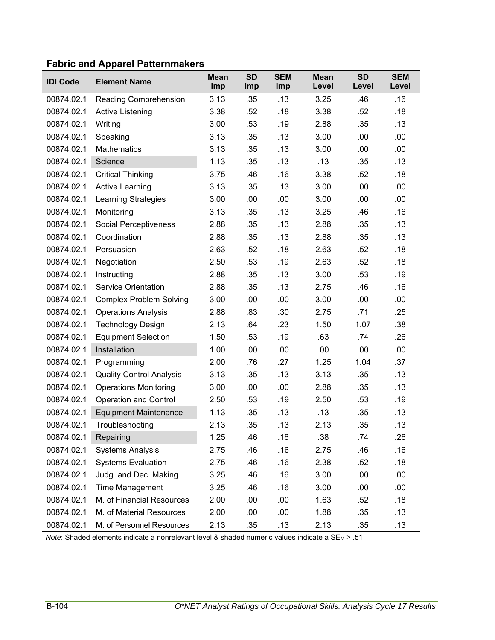| <b>IDI Code</b> | <b>Element Name</b>             | <b>Mean</b><br>Imp | <b>SD</b><br>Imp | <b>SEM</b><br>Imp | <b>Mean</b><br>Level | <b>SD</b><br>Level | <b>SEM</b><br>Level |
|-----------------|---------------------------------|--------------------|------------------|-------------------|----------------------|--------------------|---------------------|
| 00874.02.1      | Reading Comprehension           | 3.13               | .35              | .13               | 3.25                 | .46                | .16                 |
| 00874.02.1      | Active Listening                | 3.38               | .52              | .18               | 3.38                 | .52                | .18                 |
| 00874.02.1      | Writing                         | 3.00               | .53              | .19               | 2.88                 | .35                | .13                 |
| 00874.02.1      | Speaking                        | 3.13               | .35              | .13               | 3.00                 | .00                | .00                 |
| 00874.02.1      | <b>Mathematics</b>              | 3.13               | .35              | .13               | 3.00                 | .00                | .00                 |
| 00874.02.1      | Science                         | 1.13               | .35              | .13               | .13                  | .35                | .13                 |
| 00874.02.1      | <b>Critical Thinking</b>        | 3.75               | .46              | .16               | 3.38                 | .52                | .18                 |
| 00874.02.1      | <b>Active Learning</b>          | 3.13               | .35              | .13               | 3.00                 | .00                | .00                 |
| 00874.02.1      | Learning Strategies             | 3.00               | .00              | .00               | 3.00                 | .00                | .00                 |
| 00874.02.1      | Monitoring                      | 3.13               | .35              | .13               | 3.25                 | .46                | .16                 |
| 00874.02.1      | Social Perceptiveness           | 2.88               | .35              | .13               | 2.88                 | .35                | .13                 |
| 00874.02.1      | Coordination                    | 2.88               | .35              | .13               | 2.88                 | .35                | .13                 |
| 00874.02.1      | Persuasion                      | 2.63               | .52              | .18               | 2.63                 | .52                | .18                 |
| 00874.02.1      | Negotiation                     | 2.50               | .53              | .19               | 2.63                 | .52                | .18                 |
| 00874.02.1      | Instructing                     | 2.88               | .35              | .13               | 3.00                 | .53                | .19                 |
| 00874.02.1      | <b>Service Orientation</b>      | 2.88               | .35              | .13               | 2.75                 | .46                | .16                 |
| 00874.02.1      | <b>Complex Problem Solving</b>  | 3.00               | .00              | .00               | 3.00                 | .00                | .00                 |
| 00874.02.1      | <b>Operations Analysis</b>      | 2.88               | .83              | .30               | 2.75                 | .71                | .25                 |
| 00874.02.1      | <b>Technology Design</b>        | 2.13               | .64              | .23               | 1.50                 | 1.07               | .38                 |
| 00874.02.1      | <b>Equipment Selection</b>      | 1.50               | .53              | .19               | .63                  | .74                | .26                 |
| 00874.02.1      | Installation                    | 1.00               | .00              | .00               | .00                  | .00                | .00                 |
| 00874.02.1      | Programming                     | 2.00               | .76              | .27               | 1.25                 | 1.04               | .37                 |
| 00874.02.1      | <b>Quality Control Analysis</b> | 3.13               | .35              | .13               | 3.13                 | .35                | .13                 |
| 00874.02.1      | <b>Operations Monitoring</b>    | 3.00               | .00              | .00               | 2.88                 | .35                | .13                 |
| 00874.02.1      | <b>Operation and Control</b>    | 2.50               | .53              | .19               | 2.50                 | .53                | .19                 |
| 00874.02.1      | <b>Equipment Maintenance</b>    | 1.13               | .35              | .13               | .13                  | .35                | .13                 |
| 00874.02.1      | Troubleshooting                 | 2.13               | .35              | .13               | 2.13                 | .35                | .13                 |
| 00874.02.1      | Repairing                       | 1.25               | .46              | .16               | .38                  | .74                | .26                 |
| 00874.02.1      | <b>Systems Analysis</b>         | 2.75               | .46              | .16               | 2.75                 | .46                | .16                 |
| 00874.02.1      | <b>Systems Evaluation</b>       | 2.75               | .46              | .16               | 2.38                 | .52                | .18                 |
| 00874.02.1      | Judg. and Dec. Making           | 3.25               | .46              | .16               | 3.00                 | .00                | .00                 |
| 00874.02.1      | Time Management                 | 3.25               | .46              | .16               | 3.00                 | .00                | .00                 |
| 00874.02.1      | M. of Financial Resources       | 2.00               | .00              | .00               | 1.63                 | .52                | .18                 |
| 00874.02.1      | M. of Material Resources        | 2.00               | .00              | .00               | 1.88                 | .35                | .13                 |
| 00874.02.1      | M. of Personnel Resources       | 2.13               | .35              | .13               | 2.13                 | .35                | .13                 |

## **Fabric and Apparel Patternmakers**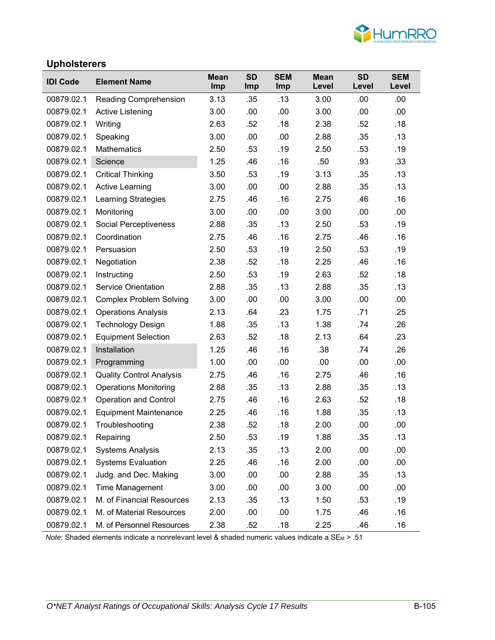

#### **Upholsterers**

| <b>IDI Code</b> | <b>Element Name</b>             | <b>Mean</b><br>Imp | <b>SD</b><br>Imp | <b>SEM</b><br>Imp | <b>Mean</b><br>Level | <b>SD</b><br>Level | <b>SEM</b><br>Level |
|-----------------|---------------------------------|--------------------|------------------|-------------------|----------------------|--------------------|---------------------|
| 00879.02.1      | <b>Reading Comprehension</b>    | 3.13               | .35              | .13               | 3.00                 | .00                | .00                 |
| 00879.02.1      | Active Listening                | 3.00               | .00              | .00               | 3.00                 | .00                | .00                 |
| 00879.02.1      | Writing                         | 2.63               | .52              | .18               | 2.38                 | .52                | .18                 |
| 00879.02.1      | Speaking                        | 3.00               | .00              | .00               | 2.88                 | .35                | .13                 |
| 00879.02.1      | <b>Mathematics</b>              | 2.50               | .53              | .19               | 2.50                 | .53                | .19                 |
| 00879.02.1      | Science                         | 1.25               | .46              | .16               | .50                  | .93                | .33                 |
| 00879.02.1      | <b>Critical Thinking</b>        | 3.50               | .53              | .19               | 3.13                 | .35                | .13                 |
| 00879.02.1      | <b>Active Learning</b>          | 3.00               | .00              | .00               | 2.88                 | .35                | .13                 |
| 00879.02.1      | <b>Learning Strategies</b>      | 2.75               | .46              | .16               | 2.75                 | .46                | .16                 |
| 00879.02.1      | Monitoring                      | 3.00               | .00              | .00               | 3.00                 | .00                | .00                 |
| 00879.02.1      | <b>Social Perceptiveness</b>    | 2.88               | .35              | .13               | 2.50                 | .53                | .19                 |
| 00879.02.1      | Coordination                    | 2.75               | .46              | .16               | 2.75                 | .46                | .16                 |
| 00879.02.1      | Persuasion                      | 2.50               | .53              | .19               | 2.50                 | .53                | .19                 |
| 00879.02.1      | Negotiation                     | 2.38               | .52              | .18               | 2.25                 | .46                | .16                 |
| 00879.02.1      | Instructing                     | 2.50               | .53              | .19               | 2.63                 | .52                | .18                 |
| 00879.02.1      | <b>Service Orientation</b>      | 2.88               | .35              | .13               | 2.88                 | .35                | .13                 |
| 00879.02.1      | <b>Complex Problem Solving</b>  | 3.00               | .00              | .00               | 3.00                 | .00                | .00                 |
| 00879.02.1      | <b>Operations Analysis</b>      | 2.13               | .64              | .23               | 1.75                 | .71                | .25                 |
| 00879.02.1      | <b>Technology Design</b>        | 1.88               | .35              | .13               | 1.38                 | .74                | .26                 |
| 00879.02.1      | <b>Equipment Selection</b>      | 2.63               | .52              | .18               | 2.13                 | .64                | .23                 |
| 00879.02.1      | Installation                    | 1.25               | .46              | .16               | .38                  | .74                | .26                 |
| 00879.02.1      | Programming                     | 1.00               | .00              | .00               | .00                  | .00                | .00                 |
| 00879.02.1      | <b>Quality Control Analysis</b> | 2.75               | .46              | .16               | 2.75                 | .46                | .16                 |
| 00879.02.1      | <b>Operations Monitoring</b>    | 2.88               | .35              | .13               | 2.88                 | .35                | .13                 |
| 00879.02.1      | <b>Operation and Control</b>    | 2.75               | .46              | .16               | 2.63                 | .52                | .18                 |
| 00879.02.1      | <b>Equipment Maintenance</b>    | 2.25               | .46              | .16               | 1.88                 | .35                | .13                 |
| 00879.02.1      | Troubleshooting                 | 2.38               | .52              | .18               | 2.00                 | .00                | .00                 |
| 00879.02.1      | Repairing                       | 2.50               | .53              | .19               | 1.88                 | .35                | .13                 |
| 00879.02.1      | <b>Systems Analysis</b>         | 2.13               | .35              | .13               | 2.00                 | .00                | .00                 |
| 00879.02.1      | <b>Systems Evaluation</b>       | 2.25               | .46              | .16               | 2.00                 | .00                | .00                 |
| 00879.02.1      | Judg. and Dec. Making           | 3.00               | .00              | .00               | 2.88                 | .35                | .13                 |
| 00879.02.1      | Time Management                 | 3.00               | .00              | .00               | 3.00                 | .00                | .00                 |
| 00879.02.1      | M. of Financial Resources       | 2.13               | .35              | .13               | 1.50                 | .53                | .19                 |
| 00879.02.1      | M. of Material Resources        | 2.00               | .00              | .00               | 1.75                 | .46                | .16                 |
| 00879.02.1      | M. of Personnel Resources       | 2.38               | .52              | .18               | 2.25                 | .46                | .16                 |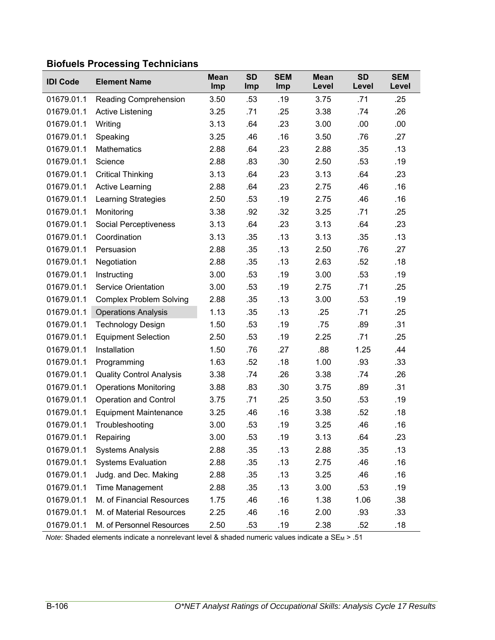# **Biofuels Processing Technicians**

| <b>IDI Code</b> | <b>Element Name</b>             | <b>Mean</b><br>Imp | <b>SD</b><br>Imp | <b>SEM</b><br>Imp | <b>Mean</b><br>Level | <b>SD</b><br>Level | <b>SEM</b><br>Level |
|-----------------|---------------------------------|--------------------|------------------|-------------------|----------------------|--------------------|---------------------|
| 01679.01.1      | Reading Comprehension           | 3.50               | .53              | .19               | 3.75                 | .71                | .25                 |
| 01679.01.1      | <b>Active Listening</b>         | 3.25               | .71              | .25               | 3.38                 | .74                | .26                 |
| 01679.01.1      | Writing                         | 3.13               | .64              | .23               | 3.00                 | .00                | .00                 |
| 01679.01.1      | Speaking                        | 3.25               | .46              | .16               | 3.50                 | .76                | .27                 |
| 01679.01.1      | <b>Mathematics</b>              | 2.88               | .64              | .23               | 2.88                 | .35                | .13                 |
| 01679.01.1      | Science                         | 2.88               | .83              | .30               | 2.50                 | .53                | .19                 |
| 01679.01.1      | <b>Critical Thinking</b>        | 3.13               | .64              | .23               | 3.13                 | .64                | .23                 |
| 01679.01.1      | <b>Active Learning</b>          | 2.88               | .64              | .23               | 2.75                 | .46                | .16                 |
| 01679.01.1      | Learning Strategies             | 2.50               | .53              | .19               | 2.75                 | .46                | .16                 |
| 01679.01.1      | Monitoring                      | 3.38               | .92              | .32               | 3.25                 | .71                | .25                 |
| 01679.01.1      | Social Perceptiveness           | 3.13               | .64              | .23               | 3.13                 | .64                | .23                 |
| 01679.01.1      | Coordination                    | 3.13               | .35              | .13               | 3.13                 | .35                | .13                 |
| 01679.01.1      | Persuasion                      | 2.88               | .35              | .13               | 2.50                 | .76                | .27                 |
| 01679.01.1      | Negotiation                     | 2.88               | .35              | .13               | 2.63                 | .52                | .18                 |
| 01679.01.1      | Instructing                     | 3.00               | .53              | .19               | 3.00                 | .53                | .19                 |
| 01679.01.1      | <b>Service Orientation</b>      | 3.00               | .53              | .19               | 2.75                 | .71                | .25                 |
| 01679.01.1      | <b>Complex Problem Solving</b>  | 2.88               | .35              | .13               | 3.00                 | .53                | .19                 |
| 01679.01.1      | <b>Operations Analysis</b>      | 1.13               | .35              | .13               | .25                  | .71                | .25                 |
| 01679.01.1      | <b>Technology Design</b>        | 1.50               | .53              | .19               | .75                  | .89                | .31                 |
| 01679.01.1      | <b>Equipment Selection</b>      | 2.50               | .53              | .19               | 2.25                 | .71                | .25                 |
| 01679.01.1      | Installation                    | 1.50               | .76              | .27               | .88                  | 1.25               | .44                 |
| 01679.01.1      | Programming                     | 1.63               | .52              | .18               | 1.00                 | .93                | .33                 |
| 01679.01.1      | <b>Quality Control Analysis</b> | 3.38               | .74              | .26               | 3.38                 | .74                | .26                 |
| 01679.01.1      | <b>Operations Monitoring</b>    | 3.88               | .83              | .30               | 3.75                 | .89                | .31                 |
| 01679.01.1      | <b>Operation and Control</b>    | 3.75               | .71              | .25               | 3.50                 | .53                | .19                 |
| 01679.01.1      | <b>Equipment Maintenance</b>    | 3.25               | .46              | .16               | 3.38                 | .52                | .18                 |
| 01679.01.1      | Troubleshooting                 | 3.00               | .53              | .19               | 3.25                 | .46                | .16                 |
| 01679.01.1      | Repairing                       | 3.00               | .53              | .19               | 3.13                 | .64                | .23                 |
| 01679.01.1      | <b>Systems Analysis</b>         | 2.88               | .35              | .13               | 2.88                 | .35                | .13                 |
| 01679.01.1      | <b>Systems Evaluation</b>       | 2.88               | .35              | .13               | 2.75                 | .46                | .16                 |
| 01679.01.1      | Judg. and Dec. Making           | 2.88               | .35              | .13               | 3.25                 | .46                | .16                 |
| 01679.01.1      | <b>Time Management</b>          | 2.88               | .35              | .13               | 3.00                 | .53                | .19                 |
| 01679.01.1      | M. of Financial Resources       | 1.75               | .46              | .16               | 1.38                 | 1.06               | .38                 |
| 01679.01.1      | M. of Material Resources        | 2.25               | .46              | .16               | 2.00                 | .93                | .33                 |
| 01679.01.1      | M. of Personnel Resources       | 2.50               | .53              | .19               | 2.38                 | .52                | .18                 |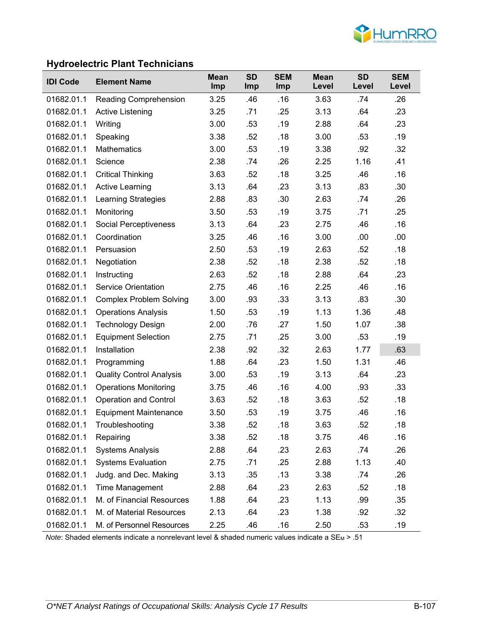

### **Hydroelectric Plant Technicians**

| <b>IDI Code</b> | <b>Element Name</b>             | <b>Mean</b><br><b>Imp</b> | <b>SD</b><br><b>Imp</b> | <b>SEM</b><br><b>Imp</b> | <b>Mean</b><br>Level | <b>SD</b><br>Level | <b>SEM</b><br>Level |
|-----------------|---------------------------------|---------------------------|-------------------------|--------------------------|----------------------|--------------------|---------------------|
| 01682.01.1      | Reading Comprehension           | 3.25                      | .46                     | .16                      | 3.63                 | .74                | .26                 |
| 01682.01.1      | <b>Active Listening</b>         | 3.25                      | .71                     | .25                      | 3.13                 | .64                | .23                 |
| 01682.01.1      | Writing                         | 3.00                      | .53                     | .19                      | 2.88                 | .64                | .23                 |
| 01682.01.1      | Speaking                        | 3.38                      | .52                     | .18                      | 3.00                 | .53                | .19                 |
| 01682.01.1      | <b>Mathematics</b>              | 3.00                      | .53                     | .19                      | 3.38                 | .92                | .32                 |
| 01682.01.1      | Science                         | 2.38                      | .74                     | .26                      | 2.25                 | 1.16               | .41                 |
| 01682.01.1      | <b>Critical Thinking</b>        | 3.63                      | .52                     | .18                      | 3.25                 | .46                | .16                 |
| 01682.01.1      | <b>Active Learning</b>          | 3.13                      | .64                     | .23                      | 3.13                 | .83                | .30                 |
| 01682.01.1      | Learning Strategies             | 2.88                      | .83                     | .30                      | 2.63                 | .74                | .26                 |
| 01682.01.1      | Monitoring                      | 3.50                      | .53                     | .19                      | 3.75                 | .71                | .25                 |
| 01682.01.1      | Social Perceptiveness           | 3.13                      | .64                     | .23                      | 2.75                 | .46                | .16                 |
| 01682.01.1      | Coordination                    | 3.25                      | .46                     | .16                      | 3.00                 | .00                | .00                 |
| 01682.01.1      | Persuasion                      | 2.50                      | .53                     | .19                      | 2.63                 | .52                | .18                 |
| 01682.01.1      | Negotiation                     | 2.38                      | .52                     | .18                      | 2.38                 | .52                | .18                 |
| 01682.01.1      | Instructing                     | 2.63                      | .52                     | .18                      | 2.88                 | .64                | .23                 |
| 01682.01.1      | <b>Service Orientation</b>      | 2.75                      | .46                     | .16                      | 2.25                 | .46                | .16                 |
| 01682.01.1      | <b>Complex Problem Solving</b>  | 3.00                      | .93                     | .33                      | 3.13                 | .83                | .30                 |
| 01682.01.1      | <b>Operations Analysis</b>      | 1.50                      | .53                     | .19                      | 1.13                 | 1.36               | .48                 |
| 01682.01.1      | <b>Technology Design</b>        | 2.00                      | .76                     | .27                      | 1.50                 | 1.07               | .38                 |
| 01682.01.1      | <b>Equipment Selection</b>      | 2.75                      | .71                     | .25                      | 3.00                 | .53                | .19                 |
| 01682.01.1      | Installation                    | 2.38                      | .92                     | .32                      | 2.63                 | 1.77               | .63                 |
| 01682.01.1      | Programming                     | 1.88                      | .64                     | .23                      | 1.50                 | 1.31               | .46                 |
| 01682.01.1      | <b>Quality Control Analysis</b> | 3.00                      | .53                     | .19                      | 3.13                 | .64                | .23                 |
| 01682.01.1      | <b>Operations Monitoring</b>    | 3.75                      | .46                     | .16                      | 4.00                 | .93                | .33                 |
| 01682.01.1      | <b>Operation and Control</b>    | 3.63                      | .52                     | .18                      | 3.63                 | .52                | .18                 |
| 01682.01.1      | <b>Equipment Maintenance</b>    | 3.50                      | .53                     | .19                      | 3.75                 | .46                | .16                 |
| 01682.01.1      | Troubleshooting                 | 3.38                      | .52                     | .18                      | 3.63                 | .52                | .18                 |
| 01682.01.1      | Repairing                       | 3.38                      | .52                     | .18                      | 3.75                 | .46                | .16                 |
| 01682.01.1      | <b>Systems Analysis</b>         | 2.88                      | .64                     | .23                      | 2.63                 | .74                | .26                 |
| 01682.01.1      | <b>Systems Evaluation</b>       | 2.75                      | .71                     | .25                      | 2.88                 | 1.13               | .40                 |
| 01682.01.1      | Judg. and Dec. Making           | 3.13                      | .35                     | .13                      | 3.38                 | .74                | .26                 |
| 01682.01.1      | Time Management                 | 2.88                      | .64                     | .23                      | 2.63                 | .52                | .18                 |
| 01682.01.1      | M. of Financial Resources       | 1.88                      | .64                     | .23                      | 1.13                 | .99                | .35                 |
| 01682.01.1      | M. of Material Resources        | 2.13                      | .64                     | .23                      | 1.38                 | .92                | .32                 |
| 01682.01.1      | M. of Personnel Resources       | 2.25                      | .46                     | .16                      | 2.50                 | .53                | .19                 |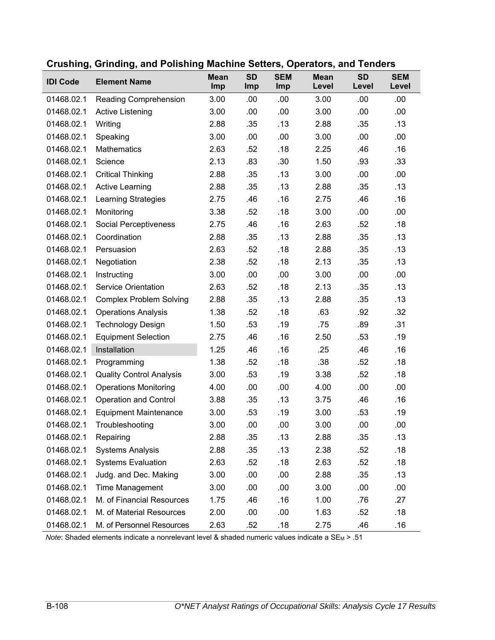| <b>IDI Code</b> | <b>Element Name</b>             | <b>Mean</b><br>Imp | <b>SD</b><br>Imp | <b>SEM</b><br>Imp | <b>Mean</b><br>Level | <b>SD</b><br>Level | <b>SEM</b><br>Level |
|-----------------|---------------------------------|--------------------|------------------|-------------------|----------------------|--------------------|---------------------|
| 01468.02.1      | <b>Reading Comprehension</b>    | 3.00               | .00              | .00               | 3.00                 | .00                | .00                 |
| 01468.02.1      | Active Listening                | 3.00               | .00              | .00               | 3.00                 | .00                | .00                 |
| 01468.02.1      | Writing                         | 2.88               | .35              | .13               | 2.88                 | .35                | .13                 |
| 01468.02.1      | Speaking                        | 3.00               | .00              | .00               | 3.00                 | .00                | .00                 |
| 01468.02.1      | Mathematics                     | 2.63               | .52              | .18               | 2.25                 | .46                | .16                 |
| 01468.02.1      | Science                         | 2.13               | .83              | .30               | 1.50                 | .93                | .33                 |
| 01468.02.1      | <b>Critical Thinking</b>        | 2.88               | .35              | .13               | 3.00                 | .00                | .00                 |
| 01468.02.1      | <b>Active Learning</b>          | 2.88               | .35              | .13               | 2.88                 | .35                | .13                 |
| 01468.02.1      | <b>Learning Strategies</b>      | 2.75               | .46              | .16               | 2.75                 | .46                | .16                 |
| 01468.02.1      | Monitoring                      | 3.38               | .52              | .18               | 3.00                 | .00                | .00                 |
| 01468.02.1      | Social Perceptiveness           | 2.75               | .46              | .16               | 2.63                 | .52                | .18                 |
| 01468.02.1      | Coordination                    | 2.88               | .35              | .13               | 2.88                 | .35                | .13                 |
| 01468.02.1      | Persuasion                      | 2.63               | .52              | .18               | 2.88                 | .35                | .13                 |
| 01468.02.1      | Negotiation                     | 2.38               | .52              | .18               | 2.13                 | .35                | .13                 |
| 01468.02.1      | Instructing                     | 3.00               | .00              | .00               | 3.00                 | .00                | .00                 |
| 01468.02.1      | <b>Service Orientation</b>      | 2.63               | .52              | .18               | 2.13                 | .35                | .13                 |
| 01468.02.1      | <b>Complex Problem Solving</b>  | 2.88               | .35              | .13               | 2.88                 | .35                | .13                 |
| 01468.02.1      | <b>Operations Analysis</b>      | 1.38               | .52              | .18               | .63                  | .92                | .32                 |
| 01468.02.1      | <b>Technology Design</b>        | 1.50               | .53              | .19               | .75                  | .89                | .31                 |
| 01468.02.1      | <b>Equipment Selection</b>      | 2.75               | .46              | .16               | 2.50                 | .53                | .19                 |
| 01468.02.1      | Installation                    | 1.25               | .46              | .16               | .25                  | .46                | .16                 |
| 01468.02.1      | Programming                     | 1.38               | .52              | .18               | .38                  | .52                | .18                 |
| 01468.02.1      | <b>Quality Control Analysis</b> | 3.00               | .53              | .19               | 3.38                 | .52                | .18                 |
| 01468.02.1      | <b>Operations Monitoring</b>    | 4.00               | .00              | .00               | 4.00                 | .00                | .00                 |
| 01468.02.1      | <b>Operation and Control</b>    | 3.88               | .35              | .13               | 3.75                 | .46                | .16                 |
| 01468.02.1      | <b>Equipment Maintenance</b>    | 3.00               | .53              | .19               | 3.00                 | .53                | .19                 |
| 01468.02.1      | Troubleshooting                 | 3.00               | .00              | .00               | 3.00                 | .00                | .00                 |
| 01468.02.1      | Repairing                       | 2.88               | .35              | .13               | 2.88                 | .35                | .13                 |
| 01468.02.1      | <b>Systems Analysis</b>         | 2.88               | .35              | .13               | 2.38                 | .52                | .18                 |
| 01468.02.1      | <b>Systems Evaluation</b>       | 2.63               | .52              | .18               | 2.63                 | .52                | .18                 |
| 01468.02.1      | Judg. and Dec. Making           | 3.00               | .00              | .00               | 2.88                 | .35                | .13                 |
| 01468.02.1      | <b>Time Management</b>          | 3.00               | .00              | .00               | 3.00                 | .00                | .00                 |
| 01468.02.1      | M. of Financial Resources       | 1.75               | .46              | .16               | 1.00                 | .76                | .27                 |
| 01468.02.1      | M. of Material Resources        | 2.00               | .00              | .00               | 1.63                 | .52                | .18                 |
| 01468.02.1      | M. of Personnel Resources       | 2.63               | .52              | .18               | 2.75                 | .46                | .16                 |

### **Crushing, Grinding, and Polishing Machine Setters, Operators, and Tenders**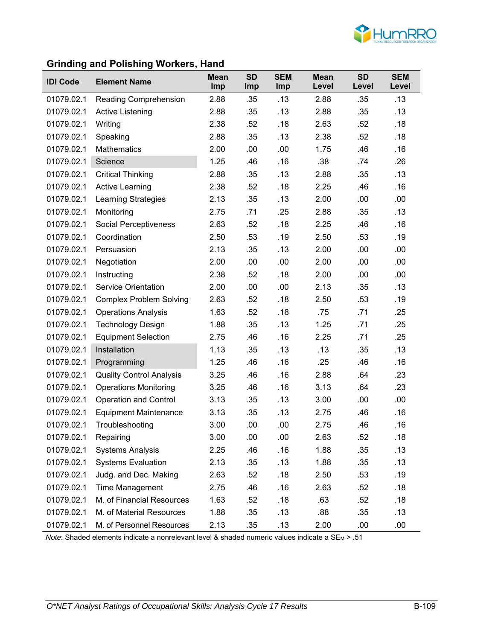

# **Grinding and Polishing Workers, Hand**

| <b>IDI Code</b> | <b>Element Name</b>             | <b>Mean</b><br>Imp | <b>SD</b><br><b>Imp</b> | <b>SEM</b><br>Imp | <b>Mean</b><br>Level | <b>SD</b><br>Level | <b>SEM</b><br>Level |
|-----------------|---------------------------------|--------------------|-------------------------|-------------------|----------------------|--------------------|---------------------|
| 01079.02.1      | <b>Reading Comprehension</b>    | 2.88               | .35                     | .13               | 2.88                 | .35                | .13                 |
| 01079.02.1      | <b>Active Listening</b>         | 2.88               | .35                     | .13               | 2.88                 | .35                | .13                 |
| 01079.02.1      | Writing                         | 2.38               | .52                     | .18               | 2.63                 | .52                | .18                 |
| 01079.02.1      | Speaking                        | 2.88               | .35                     | .13               | 2.38                 | .52                | .18                 |
| 01079.02.1      | <b>Mathematics</b>              | 2.00               | .00                     | .00               | 1.75                 | .46                | .16                 |
| 01079.02.1      | Science                         | 1.25               | .46                     | .16               | .38                  | .74                | .26                 |
| 01079.02.1      | <b>Critical Thinking</b>        | 2.88               | .35                     | .13               | 2.88                 | .35                | .13                 |
| 01079.02.1      | <b>Active Learning</b>          | 2.38               | .52                     | .18               | 2.25                 | .46                | .16                 |
| 01079.02.1      | Learning Strategies             | 2.13               | .35                     | .13               | 2.00                 | .00                | .00                 |
| 01079.02.1      | Monitoring                      | 2.75               | .71                     | .25               | 2.88                 | .35                | .13                 |
| 01079.02.1      | <b>Social Perceptiveness</b>    | 2.63               | .52                     | .18               | 2.25                 | .46                | .16                 |
| 01079.02.1      | Coordination                    | 2.50               | .53                     | .19               | 2.50                 | .53                | .19                 |
| 01079.02.1      | Persuasion                      | 2.13               | .35                     | .13               | 2.00                 | .00                | .00                 |
| 01079.02.1      | Negotiation                     | 2.00               | .00                     | .00               | 2.00                 | .00                | .00                 |
| 01079.02.1      | Instructing                     | 2.38               | .52                     | .18               | 2.00                 | .00                | .00                 |
| 01079.02.1      | <b>Service Orientation</b>      | 2.00               | .00                     | .00               | 2.13                 | .35                | .13                 |
| 01079.02.1      | <b>Complex Problem Solving</b>  | 2.63               | .52                     | .18               | 2.50                 | .53                | .19                 |
| 01079.02.1      | <b>Operations Analysis</b>      | 1.63               | .52                     | .18               | .75                  | .71                | .25                 |
| 01079.02.1      | <b>Technology Design</b>        | 1.88               | .35                     | .13               | 1.25                 | .71                | .25                 |
| 01079.02.1      | <b>Equipment Selection</b>      | 2.75               | .46                     | .16               | 2.25                 | .71                | .25                 |
| 01079.02.1      | Installation                    | 1.13               | .35                     | .13               | .13                  | .35                | .13                 |
| 01079.02.1      | Programming                     | 1.25               | .46                     | .16               | .25                  | .46                | .16                 |
| 01079.02.1      | <b>Quality Control Analysis</b> | 3.25               | .46                     | .16               | 2.88                 | .64                | .23                 |
| 01079.02.1      | <b>Operations Monitoring</b>    | 3.25               | .46                     | .16               | 3.13                 | .64                | .23                 |
| 01079.02.1      | <b>Operation and Control</b>    | 3.13               | .35                     | .13               | 3.00                 | .00                | .00                 |
| 01079.02.1      | <b>Equipment Maintenance</b>    | 3.13               | .35                     | .13               | 2.75                 | .46                | .16                 |
| 01079.02.1      | Troubleshooting                 | 3.00               | .00                     | .00               | 2.75                 | .46                | .16                 |
| 01079.02.1      | Repairing                       | 3.00               | .00                     | .00               | 2.63                 | .52                | .18                 |
| 01079.02.1      | <b>Systems Analysis</b>         | 2.25               | .46                     | .16               | 1.88                 | .35                | .13                 |
| 01079.02.1      | <b>Systems Evaluation</b>       | 2.13               | .35                     | .13               | 1.88                 | .35                | .13                 |
| 01079.02.1      | Judg. and Dec. Making           | 2.63               | .52                     | .18               | 2.50                 | .53                | .19                 |
| 01079.02.1      | Time Management                 | 2.75               | .46                     | .16               | 2.63                 | .52                | .18                 |
| 01079.02.1      | M. of Financial Resources       | 1.63               | .52                     | .18               | .63                  | .52                | .18                 |
| 01079.02.1      | M. of Material Resources        | 1.88               | .35                     | .13               | .88                  | .35                | .13                 |
| 01079.02.1      | M. of Personnel Resources       | 2.13               | .35                     | .13               | 2.00                 | .00                | .00                 |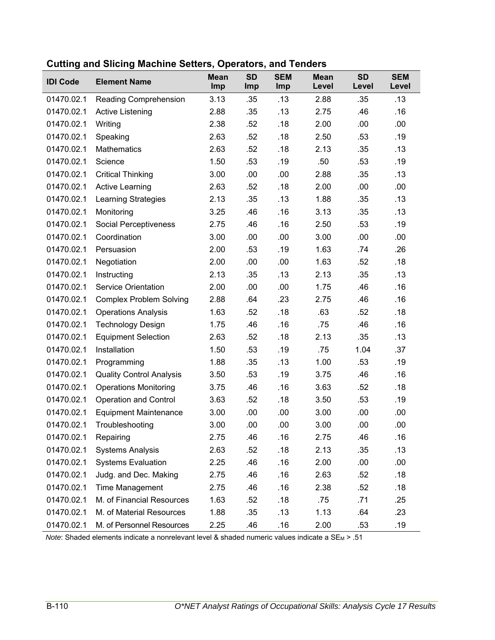| <b>IDI Code</b> | <b>Element Name</b>             | <b>Mean</b><br>Imp | <b>SD</b><br>Imp | <b>SEM</b><br>Imp | <b>Mean</b><br>Level | <b>SD</b><br>Level | <b>SEM</b><br>Level |
|-----------------|---------------------------------|--------------------|------------------|-------------------|----------------------|--------------------|---------------------|
| 01470.02.1      | Reading Comprehension           | 3.13               | .35              | .13               | 2.88                 | .35                | .13                 |
| 01470.02.1      | Active Listening                | 2.88               | .35              | .13               | 2.75                 | .46                | .16                 |
| 01470.02.1      | Writing                         | 2.38               | .52              | .18               | 2.00                 | .00                | .00                 |
| 01470.02.1      | Speaking                        | 2.63               | .52              | .18               | 2.50                 | .53                | .19                 |
| 01470.02.1      | <b>Mathematics</b>              | 2.63               | .52              | .18               | 2.13                 | .35                | .13                 |
| 01470.02.1      | Science                         | 1.50               | .53              | .19               | .50                  | .53                | .19                 |
| 01470.02.1      | <b>Critical Thinking</b>        | 3.00               | .00              | .00               | 2.88                 | .35                | .13                 |
| 01470.02.1      | <b>Active Learning</b>          | 2.63               | .52              | .18               | 2.00                 | .00                | .00                 |
| 01470.02.1      | <b>Learning Strategies</b>      | 2.13               | .35              | .13               | 1.88                 | .35                | .13                 |
| 01470.02.1      | Monitoring                      | 3.25               | .46              | .16               | 3.13                 | .35                | .13                 |
| 01470.02.1      | Social Perceptiveness           | 2.75               | .46              | .16               | 2.50                 | .53                | .19                 |
| 01470.02.1      | Coordination                    | 3.00               | .00              | .00               | 3.00                 | .00                | .00                 |
| 01470.02.1      | Persuasion                      | 2.00               | .53              | .19               | 1.63                 | .74                | .26                 |
| 01470.02.1      | Negotiation                     | 2.00               | .00              | .00               | 1.63                 | .52                | .18                 |
| 01470.02.1      | Instructing                     | 2.13               | .35              | .13               | 2.13                 | .35                | .13                 |
| 01470.02.1      | <b>Service Orientation</b>      | 2.00               | .00              | .00               | 1.75                 | .46                | .16                 |
| 01470.02.1      | <b>Complex Problem Solving</b>  | 2.88               | .64              | .23               | 2.75                 | .46                | .16                 |
| 01470.02.1      | <b>Operations Analysis</b>      | 1.63               | .52              | .18               | .63                  | .52                | .18                 |
| 01470.02.1      | <b>Technology Design</b>        | 1.75               | .46              | .16               | .75                  | .46                | .16                 |
| 01470.02.1      | <b>Equipment Selection</b>      | 2.63               | .52              | .18               | 2.13                 | .35                | .13                 |
| 01470.02.1      | Installation                    | 1.50               | .53              | .19               | .75                  | 1.04               | .37                 |
| 01470.02.1      | Programming                     | 1.88               | .35              | .13               | 1.00                 | .53                | .19                 |
| 01470.02.1      | <b>Quality Control Analysis</b> | 3.50               | .53              | .19               | 3.75                 | .46                | .16                 |
| 01470.02.1      | <b>Operations Monitoring</b>    | 3.75               | .46              | .16               | 3.63                 | .52                | .18                 |
| 01470.02.1      | <b>Operation and Control</b>    | 3.63               | .52              | .18               | 3.50                 | .53                | .19                 |
| 01470.02.1      | <b>Equipment Maintenance</b>    | 3.00               | .00              | .00               | 3.00                 | .00                | .00                 |
| 01470.02.1      | Troubleshooting                 | 3.00               | .00              | .00               | 3.00                 | .00                | .00                 |
| 01470.02.1      | Repairing                       | 2.75               | .46              | .16               | 2.75                 | .46                | .16                 |
| 01470.02.1      | <b>Systems Analysis</b>         | 2.63               | .52              | .18               | 2.13                 | .35                | .13                 |
| 01470.02.1      | <b>Systems Evaluation</b>       | 2.25               | .46              | .16               | 2.00                 | .00                | .00                 |
| 01470.02.1      | Judg. and Dec. Making           | 2.75               | .46              | .16               | 2.63                 | .52                | .18                 |
| 01470.02.1      | <b>Time Management</b>          | 2.75               | .46              | .16               | 2.38                 | .52                | .18                 |
| 01470.02.1      | M. of Financial Resources       | 1.63               | .52              | .18               | .75                  | .71                | .25                 |
| 01470.02.1      | M. of Material Resources        | 1.88               | .35              | .13               | 1.13                 | .64                | .23                 |
| 01470.02.1      | M. of Personnel Resources       | 2.25               | .46              | .16               | 2.00                 | .53                | .19                 |

### **Cutting and Slicing Machine Setters, Operators, and Tenders**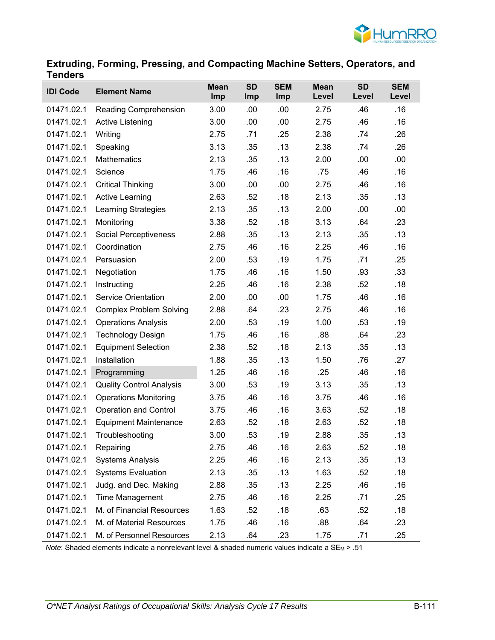

## **Extruding, Forming, Pressing, and Compacting Machine Setters, Operators, and Tenders**

| <b>IDI Code</b> | <b>Element Name</b>             | <b>Mean</b><br>Imp | <b>SD</b><br>Imp | <b>SEM</b><br>Imp | <b>Mean</b><br>Level | <b>SD</b><br>Level | <b>SEM</b><br>Level |
|-----------------|---------------------------------|--------------------|------------------|-------------------|----------------------|--------------------|---------------------|
| 01471.02.1      | Reading Comprehension           | 3.00               | .00              | .00               | 2.75                 | .46                | .16                 |
| 01471.02.1      | Active Listening                | 3.00               | .00              | .00               | 2.75                 | .46                | .16                 |
| 01471.02.1      | Writing                         | 2.75               | .71              | .25               | 2.38                 | .74                | .26                 |
| 01471.02.1      | Speaking                        | 3.13               | .35              | .13               | 2.38                 | .74                | .26                 |
| 01471.02.1      | <b>Mathematics</b>              | 2.13               | .35              | .13               | 2.00                 | .00                | .00                 |
| 01471.02.1      | Science                         | 1.75               | .46              | .16               | .75                  | .46                | .16                 |
| 01471.02.1      | <b>Critical Thinking</b>        | 3.00               | .00              | .00               | 2.75                 | .46                | .16                 |
| 01471.02.1      | <b>Active Learning</b>          | 2.63               | .52              | .18               | 2.13                 | .35                | .13                 |
| 01471.02.1      | <b>Learning Strategies</b>      | 2.13               | .35              | .13               | 2.00                 | .00                | .00                 |
| 01471.02.1      | Monitoring                      | 3.38               | .52              | .18               | 3.13                 | .64                | .23                 |
| 01471.02.1      | Social Perceptiveness           | 2.88               | .35              | .13               | 2.13                 | .35                | .13                 |
| 01471.02.1      | Coordination                    | 2.75               | .46              | .16               | 2.25                 | .46                | .16                 |
| 01471.02.1      | Persuasion                      | 2.00               | .53              | .19               | 1.75                 | .71                | .25                 |
| 01471.02.1      | Negotiation                     | 1.75               | .46              | .16               | 1.50                 | .93                | .33                 |
| 01471.02.1      | Instructing                     | 2.25               | .46              | .16               | 2.38                 | .52                | .18                 |
| 01471.02.1      | <b>Service Orientation</b>      | 2.00               | .00              | .00               | 1.75                 | .46                | .16                 |
| 01471.02.1      | <b>Complex Problem Solving</b>  | 2.88               | .64              | .23               | 2.75                 | .46                | .16                 |
| 01471.02.1      | <b>Operations Analysis</b>      | 2.00               | .53              | .19               | 1.00                 | .53                | .19                 |
| 01471.02.1      | <b>Technology Design</b>        | 1.75               | .46              | .16               | .88                  | .64                | .23                 |
| 01471.02.1      | <b>Equipment Selection</b>      | 2.38               | .52              | .18               | 2.13                 | .35                | .13                 |
| 01471.02.1      | Installation                    | 1.88               | .35              | .13               | 1.50                 | .76                | .27                 |
| 01471.02.1      | Programming                     | 1.25               | .46              | .16               | .25                  | .46                | .16                 |
| 01471.02.1      | <b>Quality Control Analysis</b> | 3.00               | .53              | .19               | 3.13                 | .35                | .13                 |
| 01471.02.1      | <b>Operations Monitoring</b>    | 3.75               | .46              | .16               | 3.75                 | .46                | .16                 |
| 01471.02.1      | <b>Operation and Control</b>    | 3.75               | .46              | .16               | 3.63                 | .52                | .18                 |
| 01471.02.1      | <b>Equipment Maintenance</b>    | 2.63               | .52              | .18               | 2.63                 | .52                | .18                 |
| 01471.02.1      | Troubleshooting                 | 3.00               | .53              | .19               | 2.88                 | .35                | .13                 |
| 01471.02.1      | Repairing                       | 2.75               | .46              | .16               | 2.63                 | .52                | .18                 |
| 01471.02.1      | <b>Systems Analysis</b>         | 2.25               | .46              | .16               | 2.13                 | .35                | .13                 |
| 01471.02.1      | <b>Systems Evaluation</b>       | 2.13               | .35              | .13               | 1.63                 | .52                | .18                 |
| 01471.02.1      | Judg. and Dec. Making           | 2.88               | .35              | .13               | 2.25                 | .46                | .16                 |
| 01471.02.1      | <b>Time Management</b>          | 2.75               | .46              | .16               | 2.25                 | .71                | .25                 |
| 01471.02.1      | M. of Financial Resources       | 1.63               | .52              | .18               | .63                  | .52                | .18                 |
| 01471.02.1      | M. of Material Resources        | 1.75               | .46              | .16               | .88                  | .64                | .23                 |
| 01471.02.1      | M. of Personnel Resources       | 2.13               | .64              | .23               | 1.75                 | .71                | .25                 |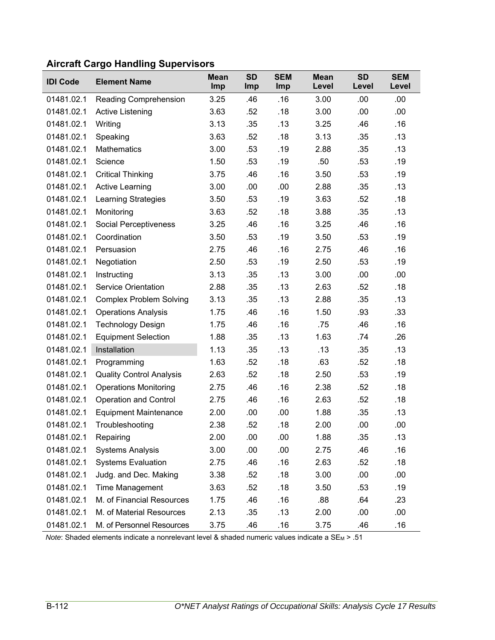| <b>IDI Code</b> | <b>Element Name</b>             | Mean<br>Imp | <b>SD</b><br><b>Imp</b> | <b>SEM</b><br>Imp | <b>Mean</b><br>Level | <b>SD</b><br>Level | <b>SEM</b><br>Level |
|-----------------|---------------------------------|-------------|-------------------------|-------------------|----------------------|--------------------|---------------------|
| 01481.02.1      | Reading Comprehension           | 3.25        | .46                     | .16               | 3.00                 | .00                | .00                 |
| 01481.02.1      | Active Listening                | 3.63        | .52                     | .18               | 3.00                 | .00                | .00                 |
| 01481.02.1      | Writing                         | 3.13        | .35                     | .13               | 3.25                 | .46                | .16                 |
| 01481.02.1      | Speaking                        | 3.63        | .52                     | .18               | 3.13                 | .35                | .13                 |
| 01481.02.1      | <b>Mathematics</b>              | 3.00        | .53                     | .19               | 2.88                 | .35                | .13                 |
| 01481.02.1      | Science                         | 1.50        | .53                     | .19               | .50                  | .53                | .19                 |
| 01481.02.1      | <b>Critical Thinking</b>        | 3.75        | .46                     | .16               | 3.50                 | .53                | .19                 |
| 01481.02.1      | <b>Active Learning</b>          | 3.00        | .00                     | .00               | 2.88                 | .35                | .13                 |
| 01481.02.1      | <b>Learning Strategies</b>      | 3.50        | .53                     | .19               | 3.63                 | .52                | .18                 |
| 01481.02.1      | Monitoring                      | 3.63        | .52                     | .18               | 3.88                 | .35                | .13                 |
| 01481.02.1      | Social Perceptiveness           | 3.25        | .46                     | .16               | 3.25                 | .46                | .16                 |
| 01481.02.1      | Coordination                    | 3.50        | .53                     | .19               | 3.50                 | .53                | .19                 |
| 01481.02.1      | Persuasion                      | 2.75        | .46                     | .16               | 2.75                 | .46                | .16                 |
| 01481.02.1      | Negotiation                     | 2.50        | .53                     | .19               | 2.50                 | .53                | .19                 |
| 01481.02.1      | Instructing                     | 3.13        | .35                     | .13               | 3.00                 | .00                | .00.                |
| 01481.02.1      | <b>Service Orientation</b>      | 2.88        | .35                     | .13               | 2.63                 | .52                | .18                 |
| 01481.02.1      | <b>Complex Problem Solving</b>  | 3.13        | .35                     | .13               | 2.88                 | .35                | .13                 |
| 01481.02.1      | <b>Operations Analysis</b>      | 1.75        | .46                     | .16               | 1.50                 | .93                | .33                 |
| 01481.02.1      | <b>Technology Design</b>        | 1.75        | .46                     | .16               | .75                  | .46                | .16                 |
| 01481.02.1      | <b>Equipment Selection</b>      | 1.88        | .35                     | .13               | 1.63                 | .74                | .26                 |
| 01481.02.1      | Installation                    | 1.13        | .35                     | .13               | .13                  | .35                | .13                 |
| 01481.02.1      | Programming                     | 1.63        | .52                     | .18               | .63                  | .52                | .18                 |
| 01481.02.1      | <b>Quality Control Analysis</b> | 2.63        | .52                     | .18               | 2.50                 | .53                | .19                 |
| 01481.02.1      | <b>Operations Monitoring</b>    | 2.75        | .46                     | .16               | 2.38                 | .52                | .18                 |
| 01481.02.1      | <b>Operation and Control</b>    | 2.75        | .46                     | .16               | 2.63                 | .52                | .18                 |
| 01481.02.1      | <b>Equipment Maintenance</b>    | 2.00        | .00                     | .00               | 1.88                 | .35                | .13                 |
| 01481.02.1      | Troubleshooting                 | 2.38        | .52                     | .18               | 2.00                 | .00                | .00                 |
| 01481.02.1      | Repairing                       | 2.00        | .00                     | .00               | 1.88                 | .35                | .13                 |
| 01481.02.1      | <b>Systems Analysis</b>         | 3.00        | .00                     | .00               | 2.75                 | .46                | .16                 |
| 01481.02.1      | <b>Systems Evaluation</b>       | 2.75        | .46                     | .16               | 2.63                 | .52                | .18                 |
| 01481.02.1      | Judg. and Dec. Making           | 3.38        | .52                     | .18               | 3.00                 | .00                | .00                 |
| 01481.02.1      | Time Management                 | 3.63        | .52                     | .18               | 3.50                 | .53                | .19                 |
| 01481.02.1      | M. of Financial Resources       | 1.75        | .46                     | .16               | .88                  | .64                | .23                 |
| 01481.02.1      | M. of Material Resources        | 2.13        | .35                     | .13               | 2.00                 | .00                | .00                 |
| 01481.02.1      | M. of Personnel Resources       | 3.75        | .46                     | .16               | 3.75                 | .46                | .16                 |

# **Aircraft Cargo Handling Supervisors**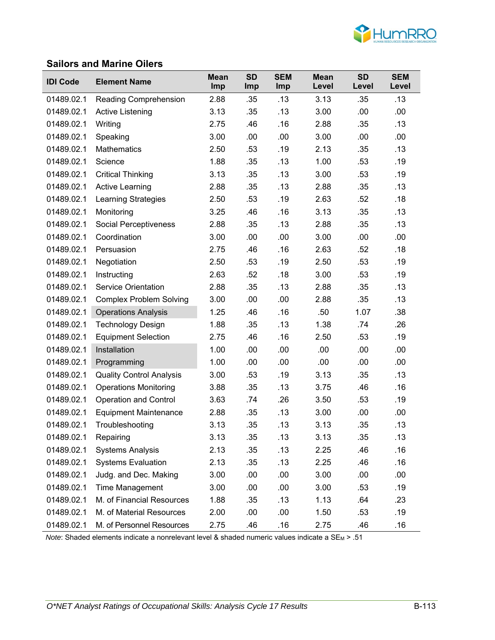

#### **Sailors and Marine Oilers**

| <b>IDI Code</b> | <b>Element Name</b>             | <b>Mean</b><br><b>Imp</b> | <b>SD</b><br><b>Imp</b> | <b>SEM</b><br>Imp | <b>Mean</b><br>Level | <b>SD</b><br>Level | <b>SEM</b><br>Level |
|-----------------|---------------------------------|---------------------------|-------------------------|-------------------|----------------------|--------------------|---------------------|
| 01489.02.1      | <b>Reading Comprehension</b>    | 2.88                      | .35                     | .13               | 3.13                 | .35                | .13                 |
| 01489.02.1      | Active Listening                | 3.13                      | .35                     | .13               | 3.00                 | .00                | .00                 |
| 01489.02.1      | Writing                         | 2.75                      | .46                     | .16               | 2.88                 | .35                | .13                 |
| 01489.02.1      | Speaking                        | 3.00                      | .00                     | .00               | 3.00                 | .00                | .00                 |
| 01489.02.1      | <b>Mathematics</b>              | 2.50                      | .53                     | .19               | 2.13                 | .35                | .13                 |
| 01489.02.1      | Science                         | 1.88                      | .35                     | .13               | 1.00                 | .53                | .19                 |
| 01489.02.1      | <b>Critical Thinking</b>        | 3.13                      | .35                     | .13               | 3.00                 | .53                | .19                 |
| 01489.02.1      | <b>Active Learning</b>          | 2.88                      | .35                     | .13               | 2.88                 | .35                | .13                 |
| 01489.02.1      | <b>Learning Strategies</b>      | 2.50                      | .53                     | .19               | 2.63                 | .52                | .18                 |
| 01489.02.1      | Monitoring                      | 3.25                      | .46                     | .16               | 3.13                 | .35                | .13                 |
| 01489.02.1      | Social Perceptiveness           | 2.88                      | .35                     | .13               | 2.88                 | .35                | .13                 |
| 01489.02.1      | Coordination                    | 3.00                      | .00                     | .00               | 3.00                 | .00                | .00                 |
| 01489.02.1      | Persuasion                      | 2.75                      | .46                     | .16               | 2.63                 | .52                | .18                 |
| 01489.02.1      | Negotiation                     | 2.50                      | .53                     | .19               | 2.50                 | .53                | .19                 |
| 01489.02.1      | Instructing                     | 2.63                      | .52                     | .18               | 3.00                 | .53                | .19                 |
| 01489.02.1      | <b>Service Orientation</b>      | 2.88                      | .35                     | .13               | 2.88                 | .35                | .13                 |
| 01489.02.1      | <b>Complex Problem Solving</b>  | 3.00                      | .00                     | .00               | 2.88                 | .35                | .13                 |
| 01489.02.1      | <b>Operations Analysis</b>      | 1.25                      | .46                     | .16               | .50                  | 1.07               | .38                 |
| 01489.02.1      | <b>Technology Design</b>        | 1.88                      | .35                     | .13               | 1.38                 | .74                | .26                 |
| 01489.02.1      | <b>Equipment Selection</b>      | 2.75                      | .46                     | .16               | 2.50                 | .53                | .19                 |
| 01489.02.1      | Installation                    | 1.00                      | .00                     | .00               | .00                  | .00                | .00                 |
| 01489.02.1      | Programming                     | 1.00                      | .00                     | .00               | .00                  | .00                | .00                 |
| 01489.02.1      | <b>Quality Control Analysis</b> | 3.00                      | .53                     | .19               | 3.13                 | .35                | .13                 |
| 01489.02.1      | <b>Operations Monitoring</b>    | 3.88                      | .35                     | .13               | 3.75                 | .46                | .16                 |
| 01489.02.1      | <b>Operation and Control</b>    | 3.63                      | .74                     | .26               | 3.50                 | .53                | .19                 |
| 01489.02.1      | <b>Equipment Maintenance</b>    | 2.88                      | .35                     | .13               | 3.00                 | .00                | .00                 |
| 01489.02.1      | Troubleshooting                 | 3.13                      | .35                     | .13               | 3.13                 | .35                | .13                 |
| 01489.02.1      | Repairing                       | 3.13                      | .35                     | .13               | 3.13                 | .35                | .13                 |
| 01489.02.1      | <b>Systems Analysis</b>         | 2.13                      | .35                     | .13               | 2.25                 | .46                | .16                 |
| 01489.02.1      | <b>Systems Evaluation</b>       | 2.13                      | .35                     | .13               | 2.25                 | .46                | .16                 |
| 01489.02.1      | Judg. and Dec. Making           | 3.00                      | .00                     | .00               | 3.00                 | .00                | .00                 |
| 01489.02.1      | <b>Time Management</b>          | 3.00                      | .00                     | .00               | 3.00                 | .53                | .19                 |
| 01489.02.1      | M. of Financial Resources       | 1.88                      | .35                     | .13               | 1.13                 | .64                | .23                 |
| 01489.02.1      | M. of Material Resources        | 2.00                      | .00                     | .00               | 1.50                 | .53                | .19                 |
| 01489.02.1      | M. of Personnel Resources       | 2.75                      | .46                     | .16               | 2.75                 | .46                | .16                 |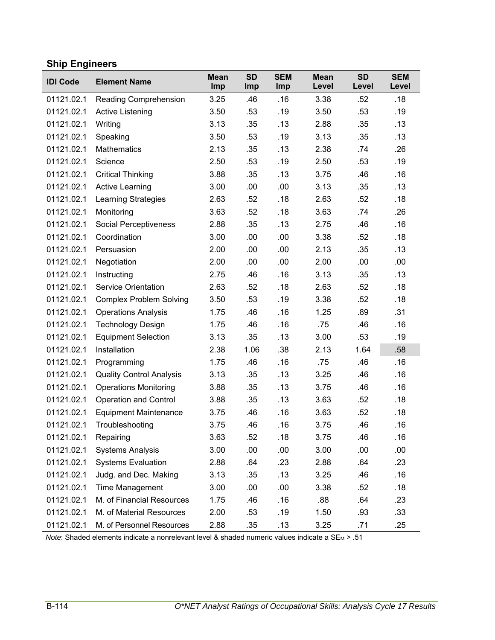# **Ship Engineers**

| <b>IDI Code</b> | <b>Element Name</b>             | <b>Mean</b><br>Imp | <b>SD</b><br>Imp | <b>SEM</b><br>Imp | <b>Mean</b><br>Level | <b>SD</b><br>Level | <b>SEM</b><br>Level |
|-----------------|---------------------------------|--------------------|------------------|-------------------|----------------------|--------------------|---------------------|
| 01121.02.1      | <b>Reading Comprehension</b>    | 3.25               | .46              | .16               | 3.38                 | .52                | .18                 |
| 01121.02.1      | Active Listening                | 3.50               | .53              | .19               | 3.50                 | .53                | .19                 |
| 01121.02.1      | Writing                         | 3.13               | .35              | .13               | 2.88                 | .35                | .13                 |
| 01121.02.1      | Speaking                        | 3.50               | .53              | .19               | 3.13                 | .35                | .13                 |
| 01121.02.1      | <b>Mathematics</b>              | 2.13               | .35              | .13               | 2.38                 | .74                | .26                 |
| 01121.02.1      | Science                         | 2.50               | .53              | .19               | 2.50                 | .53                | .19                 |
| 01121.02.1      | <b>Critical Thinking</b>        | 3.88               | .35              | .13               | 3.75                 | .46                | .16                 |
| 01121.02.1      | <b>Active Learning</b>          | 3.00               | .00              | .00               | 3.13                 | .35                | .13                 |
| 01121.02.1      | <b>Learning Strategies</b>      | 2.63               | .52              | .18               | 2.63                 | .52                | .18                 |
| 01121.02.1      | Monitoring                      | 3.63               | .52              | .18               | 3.63                 | .74                | .26                 |
| 01121.02.1      | Social Perceptiveness           | 2.88               | .35              | .13               | 2.75                 | .46                | .16                 |
| 01121.02.1      | Coordination                    | 3.00               | .00              | .00               | 3.38                 | .52                | .18                 |
| 01121.02.1      | Persuasion                      | 2.00               | .00              | .00               | 2.13                 | .35                | .13                 |
| 01121.02.1      | Negotiation                     | 2.00               | .00              | .00               | 2.00                 | .00                | .00                 |
| 01121.02.1      | Instructing                     | 2.75               | .46              | .16               | 3.13                 | .35                | .13                 |
| 01121.02.1      | <b>Service Orientation</b>      | 2.63               | .52              | .18               | 2.63                 | .52                | .18                 |
| 01121.02.1      | <b>Complex Problem Solving</b>  | 3.50               | .53              | .19               | 3.38                 | .52                | .18                 |
| 01121.02.1      | <b>Operations Analysis</b>      | 1.75               | .46              | .16               | 1.25                 | .89                | .31                 |
| 01121.02.1      | <b>Technology Design</b>        | 1.75               | .46              | .16               | .75                  | .46                | .16                 |
| 01121.02.1      | <b>Equipment Selection</b>      | 3.13               | .35              | .13               | 3.00                 | .53                | .19                 |
| 01121.02.1      | Installation                    | 2.38               | 1.06             | .38               | 2.13                 | 1.64               | .58                 |
| 01121.02.1      | Programming                     | 1.75               | .46              | .16               | .75                  | .46                | .16                 |
| 01121.02.1      | <b>Quality Control Analysis</b> | 3.13               | .35              | .13               | 3.25                 | .46                | .16                 |
| 01121.02.1      | <b>Operations Monitoring</b>    | 3.88               | .35              | .13               | 3.75                 | .46                | .16                 |
| 01121.02.1      | <b>Operation and Control</b>    | 3.88               | .35              | .13               | 3.63                 | .52                | .18                 |
| 01121.02.1      | <b>Equipment Maintenance</b>    | 3.75               | .46              | .16               | 3.63                 | .52                | .18                 |
| 01121.02.1      | Troubleshooting                 | 3.75               | .46              | .16               | 3.75                 | .46                | .16                 |
| 01121.02.1      | Repairing                       | 3.63               | .52              | .18               | 3.75                 | .46                | .16                 |
| 01121.02.1      | <b>Systems Analysis</b>         | 3.00               | .00              | .00               | 3.00                 | .00                | .00                 |
| 01121.02.1      | <b>Systems Evaluation</b>       | 2.88               | .64              | .23               | 2.88                 | .64                | .23                 |
| 01121.02.1      | Judg. and Dec. Making           | 3.13               | .35              | .13               | 3.25                 | .46                | .16                 |
| 01121.02.1      | Time Management                 | 3.00               | .00              | .00               | 3.38                 | .52                | .18                 |
| 01121.02.1      | M. of Financial Resources       | 1.75               | .46              | .16               | .88                  | .64                | .23                 |
| 01121.02.1      | M. of Material Resources        | 2.00               | .53              | .19               | 1.50                 | .93                | .33                 |
| 01121.02.1      | M. of Personnel Resources       | 2.88               | .35              | .13               | 3.25                 | .71                | .25                 |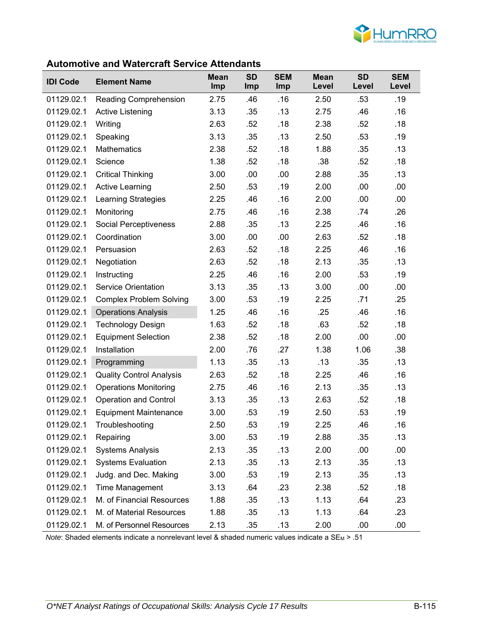

#### **Automotive and Watercraft Service Attendants**

| <b>IDI Code</b> | <b>Element Name</b>             | <b>Mean</b><br><b>Imp</b> | <b>SD</b><br>Imp | <b>SEM</b><br>Imp | <b>Mean</b><br>Level | <b>SD</b><br>Level | <b>SEM</b><br>Level |
|-----------------|---------------------------------|---------------------------|------------------|-------------------|----------------------|--------------------|---------------------|
| 01129.02.1      | Reading Comprehension           | 2.75                      | .46              | .16               | 2.50                 | .53                | .19                 |
| 01129.02.1      | <b>Active Listening</b>         | 3.13                      | .35              | .13               | 2.75                 | .46                | .16                 |
| 01129.02.1      | Writing                         | 2.63                      | .52              | .18               | 2.38                 | .52                | .18                 |
| 01129.02.1      | Speaking                        | 3.13                      | .35              | .13               | 2.50                 | .53                | .19                 |
| 01129.02.1      | Mathematics                     | 2.38                      | .52              | .18               | 1.88                 | .35                | .13                 |
| 01129.02.1      | Science                         | 1.38                      | .52              | .18               | .38                  | .52                | .18                 |
| 01129.02.1      | <b>Critical Thinking</b>        | 3.00                      | .00              | .00               | 2.88                 | .35                | .13                 |
| 01129.02.1      | <b>Active Learning</b>          | 2.50                      | .53              | .19               | 2.00                 | .00                | .00                 |
| 01129.02.1      | <b>Learning Strategies</b>      | 2.25                      | .46              | .16               | 2.00                 | .00                | .00                 |
| 01129.02.1      | Monitoring                      | 2.75                      | .46              | .16               | 2.38                 | .74                | .26                 |
| 01129.02.1      | <b>Social Perceptiveness</b>    | 2.88                      | .35              | .13               | 2.25                 | .46                | .16                 |
| 01129.02.1      | Coordination                    | 3.00                      | .00              | .00               | 2.63                 | .52                | .18                 |
| 01129.02.1      | Persuasion                      | 2.63                      | .52              | .18               | 2.25                 | .46                | .16                 |
| 01129.02.1      | Negotiation                     | 2.63                      | .52              | .18               | 2.13                 | .35                | .13                 |
| 01129.02.1      | Instructing                     | 2.25                      | .46              | .16               | 2.00                 | .53                | .19                 |
| 01129.02.1      | <b>Service Orientation</b>      | 3.13                      | .35              | .13               | 3.00                 | .00                | .00                 |
| 01129.02.1      | <b>Complex Problem Solving</b>  | 3.00                      | .53              | .19               | 2.25                 | .71                | .25                 |
| 01129.02.1      | <b>Operations Analysis</b>      | 1.25                      | .46              | .16               | .25                  | .46                | .16                 |
| 01129.02.1      | <b>Technology Design</b>        | 1.63                      | .52              | .18               | .63                  | .52                | .18                 |
| 01129.02.1      | <b>Equipment Selection</b>      | 2.38                      | .52              | .18               | 2.00                 | .00                | .00                 |
| 01129.02.1      | Installation                    | 2.00                      | .76              | .27               | 1.38                 | 1.06               | .38                 |
| 01129.02.1      | Programming                     | 1.13                      | .35              | .13               | .13                  | .35                | .13                 |
| 01129.02.1      | <b>Quality Control Analysis</b> | 2.63                      | .52              | .18               | 2.25                 | .46                | .16                 |
| 01129.02.1      | <b>Operations Monitoring</b>    | 2.75                      | .46              | .16               | 2.13                 | .35                | .13                 |
| 01129.02.1      | <b>Operation and Control</b>    | 3.13                      | .35              | .13               | 2.63                 | .52                | .18                 |
| 01129.02.1      | <b>Equipment Maintenance</b>    | 3.00                      | .53              | .19               | 2.50                 | .53                | .19                 |
| 01129.02.1      | Troubleshooting                 | 2.50                      | .53              | .19               | 2.25                 | .46                | .16                 |
| 01129.02.1      | Repairing                       | 3.00                      | .53              | .19               | 2.88                 | .35                | .13                 |
| 01129.02.1      | <b>Systems Analysis</b>         | 2.13                      | .35              | .13               | 2.00                 | .00                | .00                 |
| 01129.02.1      | <b>Systems Evaluation</b>       | 2.13                      | .35              | .13               | 2.13                 | .35                | .13                 |
| 01129.02.1      | Judg. and Dec. Making           | 3.00                      | .53              | .19               | 2.13                 | .35                | .13                 |
| 01129.02.1      | <b>Time Management</b>          | 3.13                      | .64              | .23               | 2.38                 | .52                | .18                 |
| 01129.02.1      | M. of Financial Resources       | 1.88                      | .35              | .13               | 1.13                 | .64                | .23                 |
| 01129.02.1      | M. of Material Resources        | 1.88                      | .35              | .13               | 1.13                 | .64                | .23                 |
| 01129.02.1      | M. of Personnel Resources       | 2.13                      | .35              | .13               | 2.00                 | .00                | .00                 |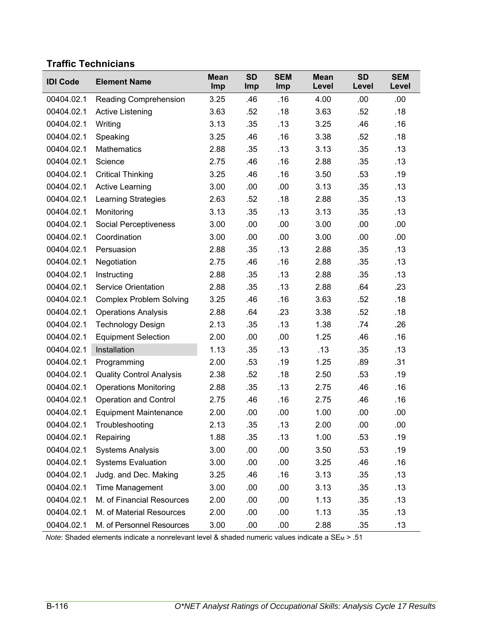## **Traffic Technicians**

| <b>IDI Code</b> | <b>Element Name</b>             | <b>Mean</b><br>Imp | <b>SD</b><br>Imp | <b>SEM</b><br>Imp | <b>Mean</b><br>Level | <b>SD</b><br>Level | <b>SEM</b><br>Level |
|-----------------|---------------------------------|--------------------|------------------|-------------------|----------------------|--------------------|---------------------|
| 00404.02.1      | Reading Comprehension           | 3.25               | .46              | .16               | 4.00                 | .00                | .00.                |
| 00404.02.1      | <b>Active Listening</b>         | 3.63               | .52              | .18               | 3.63                 | .52                | .18                 |
| 00404.02.1      | Writing                         | 3.13               | .35              | .13               | 3.25                 | .46                | .16                 |
| 00404.02.1      | Speaking                        | 3.25               | .46              | .16               | 3.38                 | .52                | .18                 |
| 00404.02.1      | <b>Mathematics</b>              | 2.88               | .35              | .13               | 3.13                 | .35                | .13                 |
| 00404.02.1      | Science                         | 2.75               | .46              | .16               | 2.88                 | .35                | .13                 |
| 00404.02.1      | <b>Critical Thinking</b>        | 3.25               | .46              | .16               | 3.50                 | .53                | .19                 |
| 00404.02.1      | <b>Active Learning</b>          | 3.00               | .00              | .00               | 3.13                 | .35                | .13                 |
| 00404.02.1      | <b>Learning Strategies</b>      | 2.63               | .52              | .18               | 2.88                 | .35                | .13                 |
| 00404.02.1      | Monitoring                      | 3.13               | .35              | .13               | 3.13                 | .35                | .13                 |
| 00404.02.1      | Social Perceptiveness           | 3.00               | .00              | .00               | 3.00                 | .00                | .00                 |
| 00404.02.1      | Coordination                    | 3.00               | .00              | .00               | 3.00                 | .00                | .00                 |
| 00404.02.1      | Persuasion                      | 2.88               | .35              | .13               | 2.88                 | .35                | .13                 |
| 00404.02.1      | Negotiation                     | 2.75               | .46              | .16               | 2.88                 | .35                | .13                 |
| 00404.02.1      | Instructing                     | 2.88               | .35              | .13               | 2.88                 | .35                | .13                 |
| 00404.02.1      | <b>Service Orientation</b>      | 2.88               | .35              | .13               | 2.88                 | .64                | .23                 |
| 00404.02.1      | <b>Complex Problem Solving</b>  | 3.25               | .46              | .16               | 3.63                 | .52                | .18                 |
| 00404.02.1      | <b>Operations Analysis</b>      | 2.88               | .64              | .23               | 3.38                 | .52                | .18                 |
| 00404.02.1      | <b>Technology Design</b>        | 2.13               | .35              | .13               | 1.38                 | .74                | .26                 |
| 00404.02.1      | <b>Equipment Selection</b>      | 2.00               | .00              | .00               | 1.25                 | .46                | .16                 |
| 00404.02.1      | Installation                    | 1.13               | .35              | .13               | .13                  | .35                | .13                 |
| 00404.02.1      | Programming                     | 2.00               | .53              | .19               | 1.25                 | .89                | .31                 |
| 00404.02.1      | <b>Quality Control Analysis</b> | 2.38               | .52              | .18               | 2.50                 | .53                | .19                 |
| 00404.02.1      | <b>Operations Monitoring</b>    | 2.88               | .35              | .13               | 2.75                 | .46                | .16                 |
| 00404.02.1      | <b>Operation and Control</b>    | 2.75               | .46              | .16               | 2.75                 | .46                | .16                 |
| 00404.02.1      | <b>Equipment Maintenance</b>    | 2.00               | .00              | .00               | 1.00                 | .00                | .00                 |
| 00404.02.1      | Troubleshooting                 | 2.13               | .35              | .13               | 2.00                 | .00                | .00                 |
| 00404.02.1      | Repairing                       | 1.88               | .35              | .13               | 1.00                 | .53                | .19                 |
| 00404.02.1      | <b>Systems Analysis</b>         | 3.00               | .00              | .00               | 3.50                 | .53                | .19                 |
| 00404.02.1      | <b>Systems Evaluation</b>       | 3.00               | .00              | .00               | 3.25                 | .46                | .16                 |
| 00404.02.1      | Judg. and Dec. Making           | 3.25               | .46              | .16               | 3.13                 | .35                | .13                 |
| 00404.02.1      | <b>Time Management</b>          | 3.00               | .00              | .00               | 3.13                 | .35                | .13                 |
| 00404.02.1      | M. of Financial Resources       | 2.00               | .00              | .00               | 1.13                 | .35                | .13                 |
| 00404.02.1      | M. of Material Resources        | 2.00               | .00              | .00               | 1.13                 | .35                | .13                 |
| 00404.02.1      | M. of Personnel Resources       | 3.00               | .00              | .00               | 2.88                 | .35                | .13                 |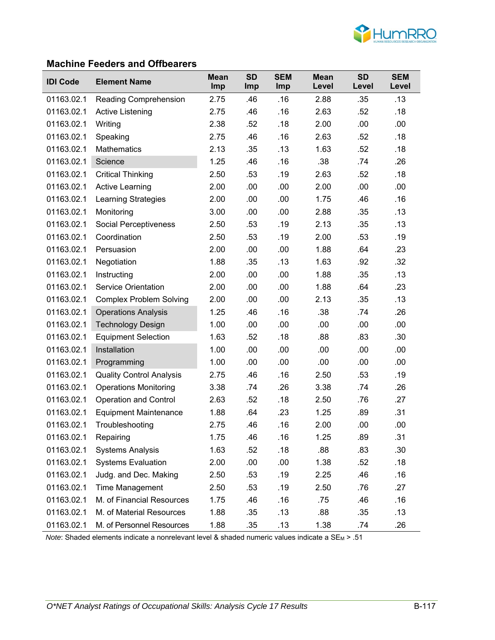

### **Machine Feeders and Offbearers**

| <b>IDI Code</b> | <b>Element Name</b>             | <b>Mean</b><br>Imp | <b>SD</b><br><b>Imp</b> | <b>SEM</b><br><b>Imp</b> | <b>Mean</b><br>Level | <b>SD</b><br>Level | <b>SEM</b><br>Level |
|-----------------|---------------------------------|--------------------|-------------------------|--------------------------|----------------------|--------------------|---------------------|
| 01163.02.1      | <b>Reading Comprehension</b>    | 2.75               | .46                     | .16                      | 2.88                 | .35                | .13                 |
| 01163.02.1      | <b>Active Listening</b>         | 2.75               | .46                     | .16                      | 2.63                 | .52                | .18                 |
| 01163.02.1      | Writing                         | 2.38               | .52                     | .18                      | 2.00                 | .00                | .00                 |
| 01163.02.1      | Speaking                        | 2.75               | .46                     | .16                      | 2.63                 | .52                | .18                 |
| 01163.02.1      | <b>Mathematics</b>              | 2.13               | .35                     | .13                      | 1.63                 | .52                | .18                 |
| 01163.02.1      | Science                         | 1.25               | .46                     | .16                      | .38                  | .74                | .26                 |
| 01163.02.1      | <b>Critical Thinking</b>        | 2.50               | .53                     | .19                      | 2.63                 | .52                | .18                 |
| 01163.02.1      | Active Learning                 | 2.00               | .00                     | .00                      | 2.00                 | .00                | .00                 |
| 01163.02.1      | Learning Strategies             | 2.00               | .00                     | .00                      | 1.75                 | .46                | .16                 |
| 01163.02.1      | Monitoring                      | 3.00               | .00                     | .00                      | 2.88                 | .35                | .13                 |
| 01163.02.1      | <b>Social Perceptiveness</b>    | 2.50               | .53                     | .19                      | 2.13                 | .35                | .13                 |
| 01163.02.1      | Coordination                    | 2.50               | .53                     | .19                      | 2.00                 | .53                | .19                 |
| 01163.02.1      | Persuasion                      | 2.00               | .00                     | .00                      | 1.88                 | .64                | .23                 |
| 01163.02.1      | Negotiation                     | 1.88               | .35                     | .13                      | 1.63                 | .92                | .32                 |
| 01163.02.1      | Instructing                     | 2.00               | .00                     | .00                      | 1.88                 | .35                | .13                 |
| 01163.02.1      | <b>Service Orientation</b>      | 2.00               | .00                     | .00                      | 1.88                 | .64                | .23                 |
| 01163.02.1      | <b>Complex Problem Solving</b>  | 2.00               | .00                     | .00                      | 2.13                 | .35                | .13                 |
| 01163.02.1      | <b>Operations Analysis</b>      | 1.25               | .46                     | .16                      | .38                  | .74                | .26                 |
| 01163.02.1      | <b>Technology Design</b>        | 1.00               | .00                     | .00                      | .00                  | .00                | .00                 |
| 01163.02.1      | <b>Equipment Selection</b>      | 1.63               | .52                     | .18                      | .88                  | .83                | .30                 |
| 01163.02.1      | Installation                    | 1.00               | .00                     | .00                      | .00                  | .00                | .00                 |
| 01163.02.1      | Programming                     | 1.00               | .00                     | .00                      | .00                  | .00                | .00                 |
| 01163.02.1      | <b>Quality Control Analysis</b> | 2.75               | .46                     | .16                      | 2.50                 | .53                | .19                 |
| 01163.02.1      | <b>Operations Monitoring</b>    | 3.38               | .74                     | .26                      | 3.38                 | .74                | .26                 |
| 01163.02.1      | <b>Operation and Control</b>    | 2.63               | .52                     | .18                      | 2.50                 | .76                | .27                 |
| 01163.02.1      | <b>Equipment Maintenance</b>    | 1.88               | .64                     | .23                      | 1.25                 | .89                | .31                 |
| 01163.02.1      | Troubleshooting                 | 2.75               | .46                     | .16                      | 2.00                 | .00                | .00                 |
| 01163.02.1      | Repairing                       | 1.75               | .46                     | .16                      | 1.25                 | .89                | .31                 |
| 01163.02.1      | <b>Systems Analysis</b>         | 1.63               | .52                     | .18                      | .88                  | .83                | .30                 |
| 01163.02.1      | <b>Systems Evaluation</b>       | 2.00               | .00                     | .00                      | 1.38                 | .52                | .18                 |
| 01163.02.1      | Judg. and Dec. Making           | 2.50               | .53                     | .19                      | 2.25                 | .46                | .16                 |
| 01163.02.1      | Time Management                 | 2.50               | .53                     | .19                      | 2.50                 | .76                | .27                 |
| 01163.02.1      | M. of Financial Resources       | 1.75               | .46                     | .16                      | .75                  | .46                | .16                 |
| 01163.02.1      | M. of Material Resources        | 1.88               | .35                     | .13                      | .88                  | .35                | .13                 |
| 01163.02.1      | M. of Personnel Resources       | 1.88               | .35                     | .13                      | 1.38                 | .74                | .26                 |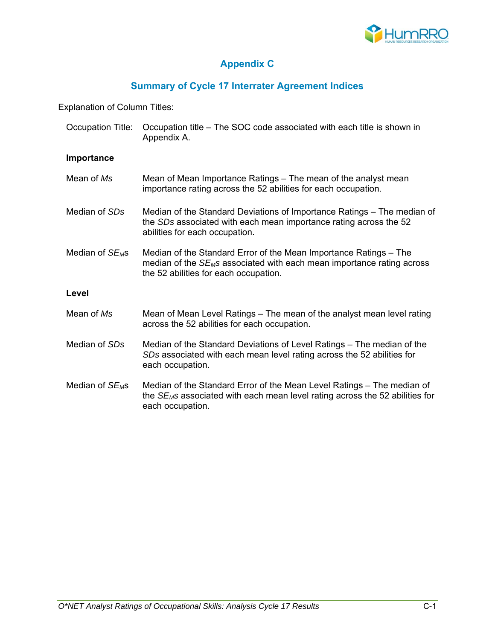

# **Appendix C**

# **Summary of Cycle 17 Interrater Agreement Indices**

Explanation of Column Titles:

| Occupation Title:           | Occupation title – The SOC code associated with each title is shown in<br>Appendix A.                                                                                                            |
|-----------------------------|--------------------------------------------------------------------------------------------------------------------------------------------------------------------------------------------------|
| Importance                  |                                                                                                                                                                                                  |
| Mean of Ms                  | Mean of Mean Importance Ratings – The mean of the analyst mean<br>importance rating across the 52 abilities for each occupation.                                                                 |
| Median of SDs               | Median of the Standard Deviations of Importance Ratings – The median of<br>the SDs associated with each mean importance rating across the 52<br>abilities for each occupation.                   |
| Median of SE <sub>M</sub> s | Median of the Standard Error of the Mean Importance Ratings – The<br>median of the SE <sub>M</sub> s associated with each mean importance rating across<br>the 52 abilities for each occupation. |
| Level                       |                                                                                                                                                                                                  |
| Mean of Ms                  | Mean of Mean Level Ratings – The mean of the analyst mean level rating<br>across the 52 abilities for each occupation.                                                                           |
| Median of SDs               | Median of the Standard Deviations of Level Ratings – The median of the<br>SDs associated with each mean level rating across the 52 abilities for<br>each occupation.                             |
| Median of $SE_{M}$ s        | Median of the Standard Error of the Mean Level Ratings – The median of<br>the $SE_{M}$ s associated with each mean level rating across the 52 abilities for<br>each occupation.                  |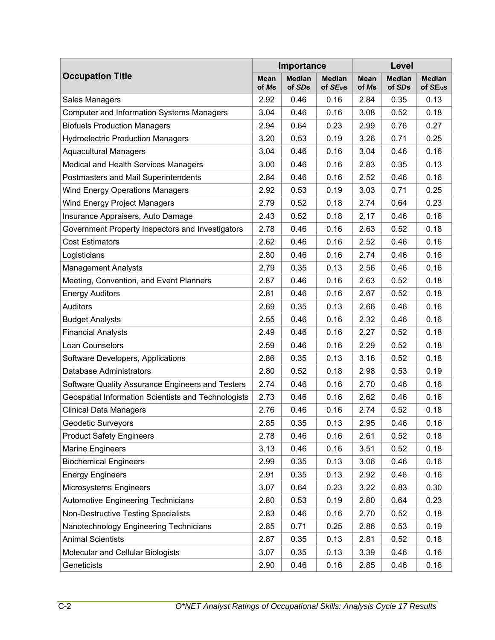|                                                     |                      | Importance              |                               | Level                |                         |                            |  |
|-----------------------------------------------------|----------------------|-------------------------|-------------------------------|----------------------|-------------------------|----------------------------|--|
| <b>Occupation Title</b>                             | <b>Mean</b><br>of Ms | <b>Median</b><br>of SDs | <b>Median</b><br>of $SE_{MS}$ | <b>Mean</b><br>of Ms | <b>Median</b><br>of SDs | <b>Median</b><br>of $SEMS$ |  |
| Sales Managers                                      | 2.92                 | 0.46                    | 0.16                          | 2.84                 | 0.35                    | 0.13                       |  |
| <b>Computer and Information Systems Managers</b>    | 3.04                 | 0.46                    | 0.16                          | 3.08                 | 0.52                    | 0.18                       |  |
| <b>Biofuels Production Managers</b>                 | 2.94                 | 0.64                    | 0.23                          | 2.99                 | 0.76                    | 0.27                       |  |
| <b>Hydroelectric Production Managers</b>            | 3.20                 | 0.53                    | 0.19                          | 3.26                 | 0.71                    | 0.25                       |  |
| <b>Aquacultural Managers</b>                        | 3.04                 | 0.46                    | 0.16                          | 3.04                 | 0.46                    | 0.16                       |  |
| Medical and Health Services Managers                | 3.00                 | 0.46                    | 0.16                          | 2.83                 | 0.35                    | 0.13                       |  |
| Postmasters and Mail Superintendents                | 2.84                 | 0.46                    | 0.16                          | 2.52                 | 0.46                    | 0.16                       |  |
| <b>Wind Energy Operations Managers</b>              | 2.92                 | 0.53                    | 0.19                          | 3.03                 | 0.71                    | 0.25                       |  |
| Wind Energy Project Managers                        | 2.79                 | 0.52                    | 0.18                          | 2.74                 | 0.64                    | 0.23                       |  |
| Insurance Appraisers, Auto Damage                   | 2.43                 | 0.52                    | 0.18                          | 2.17                 | 0.46                    | 0.16                       |  |
| Government Property Inspectors and Investigators    | 2.78                 | 0.46                    | 0.16                          | 2.63                 | 0.52                    | 0.18                       |  |
| <b>Cost Estimators</b>                              | 2.62                 | 0.46                    | 0.16                          | 2.52                 | 0.46                    | 0.16                       |  |
| Logisticians                                        | 2.80                 | 0.46                    | 0.16                          | 2.74                 | 0.46                    | 0.16                       |  |
| <b>Management Analysts</b>                          | 2.79                 | 0.35                    | 0.13                          | 2.56                 | 0.46                    | 0.16                       |  |
| Meeting, Convention, and Event Planners             | 2.87                 | 0.46                    | 0.16                          | 2.63                 | 0.52                    | 0.18                       |  |
| <b>Energy Auditors</b>                              | 2.81                 | 0.46                    | 0.16                          | 2.67                 | 0.52                    | 0.18                       |  |
| <b>Auditors</b>                                     | 2.69                 | 0.35                    | 0.13                          | 2.66                 | 0.46                    | 0.16                       |  |
| <b>Budget Analysts</b>                              | 2.55                 | 0.46                    | 0.16                          | 2.32                 | 0.46                    | 0.16                       |  |
| <b>Financial Analysts</b>                           | 2.49                 | 0.46                    | 0.16                          | 2.27                 | 0.52                    | 0.18                       |  |
| Loan Counselors                                     | 2.59                 | 0.46                    | 0.16                          | 2.29                 | 0.52                    | 0.18                       |  |
| Software Developers, Applications                   | 2.86                 | 0.35                    | 0.13                          | 3.16                 | 0.52                    | 0.18                       |  |
| Database Administrators                             | 2.80                 | 0.52                    | 0.18                          | 2.98                 | 0.53                    | 0.19                       |  |
| Software Quality Assurance Engineers and Testers    | 2.74                 | 0.46                    | 0.16                          | 2.70                 | 0.46                    | 0.16                       |  |
| Geospatial Information Scientists and Technologists | 2.73                 | 0.46                    | 0.16                          | 2.62                 | 0.46                    | 0.16                       |  |
| <b>Clinical Data Managers</b>                       | 2.76                 | 0.46                    | 0.16                          | 2.74                 | 0.52                    | 0.18                       |  |
| Geodetic Surveyors                                  | 2.85                 | 0.35                    | 0.13                          | 2.95                 | 0.46                    | 0.16                       |  |
| <b>Product Safety Engineers</b>                     | 2.78                 | 0.46                    | 0.16                          | 2.61                 | 0.52                    | 0.18                       |  |
| <b>Marine Engineers</b>                             | 3.13                 | 0.46                    | 0.16                          | 3.51                 | 0.52                    | 0.18                       |  |
| <b>Biochemical Engineers</b>                        | 2.99                 | 0.35                    | 0.13                          | 3.06                 | 0.46                    | 0.16                       |  |
| <b>Energy Engineers</b>                             | 2.91                 | 0.35                    | 0.13                          | 2.92                 | 0.46                    | 0.16                       |  |
| Microsystems Engineers                              | 3.07                 | 0.64                    | 0.23                          | 3.22                 | 0.83                    | 0.30                       |  |
| <b>Automotive Engineering Technicians</b>           | 2.80                 | 0.53                    | 0.19                          | 2.80                 | 0.64                    | 0.23                       |  |
| Non-Destructive Testing Specialists                 | 2.83                 | 0.46                    | 0.16                          | 2.70                 | 0.52                    | 0.18                       |  |
| Nanotechnology Engineering Technicians              | 2.85                 | 0.71                    | 0.25                          | 2.86                 | 0.53                    | 0.19                       |  |
| <b>Animal Scientists</b>                            | 2.87                 | 0.35                    | 0.13                          | 2.81                 | 0.52                    | 0.18                       |  |
| Molecular and Cellular Biologists                   | 3.07                 | 0.35                    | 0.13                          | 3.39                 | 0.46                    | 0.16                       |  |
| Geneticists                                         | 2.90                 | 0.46                    | 0.16                          | 2.85                 | 0.46                    | 0.16                       |  |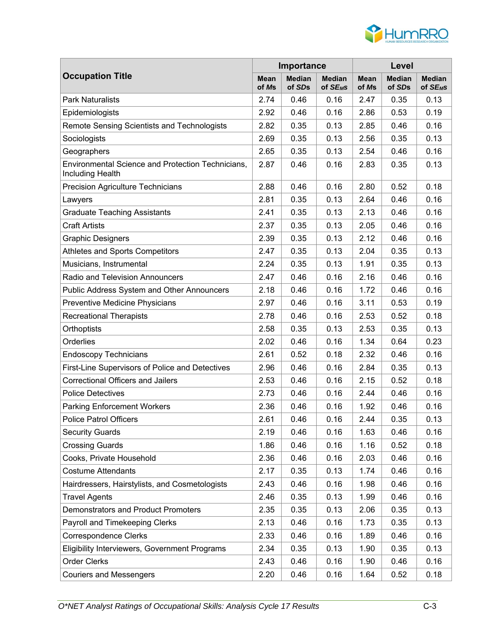

|                                                                              |                      | Importance              |                                       | Level                |                         |                                       |  |
|------------------------------------------------------------------------------|----------------------|-------------------------|---------------------------------------|----------------------|-------------------------|---------------------------------------|--|
| <b>Occupation Title</b>                                                      | <b>Mean</b><br>of Ms | <b>Median</b><br>of SDs | <b>Median</b><br>of SE <sub>M</sub> S | <b>Mean</b><br>of Ms | <b>Median</b><br>of SDs | <b>Median</b><br>of SE <sub>M</sub> S |  |
| <b>Park Naturalists</b>                                                      | 2.74                 | 0.46                    | 0.16                                  | 2.47                 | 0.35                    | 0.13                                  |  |
| Epidemiologists                                                              | 2.92                 | 0.46                    | 0.16                                  | 2.86                 | 0.53                    | 0.19                                  |  |
| Remote Sensing Scientists and Technologists                                  | 2.82                 | 0.35                    | 0.13                                  | 2.85                 | 0.46                    | 0.16                                  |  |
| Sociologists                                                                 | 2.69                 | 0.35                    | 0.13                                  | 2.56                 | 0.35                    | 0.13                                  |  |
| Geographers                                                                  | 2.65                 | 0.35                    | 0.13                                  | 2.54                 | 0.46                    | 0.16                                  |  |
| <b>Environmental Science and Protection Technicians,</b><br>Including Health | 2.87                 | 0.46                    | 0.16                                  | 2.83                 | 0.35                    | 0.13                                  |  |
| Precision Agriculture Technicians                                            | 2.88                 | 0.46                    | 0.16                                  | 2.80                 | 0.52                    | 0.18                                  |  |
| Lawyers                                                                      | 2.81                 | 0.35                    | 0.13                                  | 2.64                 | 0.46                    | 0.16                                  |  |
| <b>Graduate Teaching Assistants</b>                                          | 2.41                 | 0.35                    | 0.13                                  | 2.13                 | 0.46                    | 0.16                                  |  |
| <b>Craft Artists</b>                                                         | 2.37                 | 0.35                    | 0.13                                  | 2.05                 | 0.46                    | 0.16                                  |  |
| <b>Graphic Designers</b>                                                     | 2.39                 | 0.35                    | 0.13                                  | 2.12                 | 0.46                    | 0.16                                  |  |
| Athletes and Sports Competitors                                              | 2.47                 | 0.35                    | 0.13                                  | 2.04                 | 0.35                    | 0.13                                  |  |
| Musicians, Instrumental                                                      | 2.24                 | 0.35                    | 0.13                                  | 1.91                 | 0.35                    | 0.13                                  |  |
| <b>Radio and Television Announcers</b>                                       | 2.47                 | 0.46                    | 0.16                                  | 2.16                 | 0.46                    | 0.16                                  |  |
| Public Address System and Other Announcers                                   | 2.18                 | 0.46                    | 0.16                                  | 1.72                 | 0.46                    | 0.16                                  |  |
| Preventive Medicine Physicians                                               | 2.97                 | 0.46                    | 0.16                                  | 3.11                 | 0.53                    | 0.19                                  |  |
| <b>Recreational Therapists</b>                                               | 2.78                 | 0.46                    | 0.16                                  | 2.53                 | 0.52                    | 0.18                                  |  |
| Orthoptists                                                                  | 2.58                 | 0.35                    | 0.13                                  | 2.53                 | 0.35                    | 0.13                                  |  |
| Orderlies                                                                    | 2.02                 | 0.46                    | 0.16                                  | 1.34                 | 0.64                    | 0.23                                  |  |
| <b>Endoscopy Technicians</b>                                                 | 2.61                 | 0.52                    | 0.18                                  | 2.32                 | 0.46                    | 0.16                                  |  |
| First-Line Supervisors of Police and Detectives                              | 2.96                 | 0.46                    | 0.16                                  | 2.84                 | 0.35                    | 0.13                                  |  |
| <b>Correctional Officers and Jailers</b>                                     | 2.53                 | 0.46                    | 0.16                                  | 2.15                 | 0.52                    | 0.18                                  |  |
| <b>Police Detectives</b>                                                     | 2.73                 | 0.46                    | 0.16                                  | 2.44                 | 0.46                    | 0.16                                  |  |
| <b>Parking Enforcement Workers</b>                                           | 2.36                 | 0.46                    | 0.16                                  | 1.92                 | 0.46                    | 0.16                                  |  |
| <b>Police Patrol Officers</b>                                                | 2.61                 | 0.46                    | 0.16                                  | 2.44                 | 0.35                    | 0.13                                  |  |
| <b>Security Guards</b>                                                       | 2.19                 | 0.46                    | 0.16                                  | 1.63                 | 0.46                    | 0.16                                  |  |
| <b>Crossing Guards</b>                                                       | 1.86                 | 0.46                    | 0.16                                  | 1.16                 | 0.52                    | 0.18                                  |  |
| Cooks, Private Household                                                     | 2.36                 | 0.46                    | 0.16                                  | 2.03                 | 0.46                    | 0.16                                  |  |
| <b>Costume Attendants</b>                                                    | 2.17                 | 0.35                    | 0.13                                  | 1.74                 | 0.46                    | 0.16                                  |  |
| Hairdressers, Hairstylists, and Cosmetologists                               | 2.43                 | 0.46                    | 0.16                                  | 1.98                 | 0.46                    | 0.16                                  |  |
| <b>Travel Agents</b>                                                         | 2.46                 | 0.35                    | 0.13                                  | 1.99                 | 0.46                    | 0.16                                  |  |
| Demonstrators and Product Promoters                                          | 2.35                 | 0.35                    | 0.13                                  | 2.06                 | 0.35                    | 0.13                                  |  |
| Payroll and Timekeeping Clerks                                               | 2.13                 | 0.46                    | 0.16                                  | 1.73                 | 0.35                    | 0.13                                  |  |
| <b>Correspondence Clerks</b>                                                 | 2.33                 | 0.46                    | 0.16                                  | 1.89                 | 0.46                    | 0.16                                  |  |
| Eligibility Interviewers, Government Programs                                | 2.34                 | 0.35                    | 0.13                                  | 1.90                 | 0.35                    | 0.13                                  |  |
| <b>Order Clerks</b>                                                          | 2.43                 | 0.46                    | 0.16                                  | 1.90                 | 0.46                    | 0.16                                  |  |
| <b>Couriers and Messengers</b>                                               | 2.20                 | 0.46                    | 0.16                                  | 1.64                 | 0.52                    | 0.18                                  |  |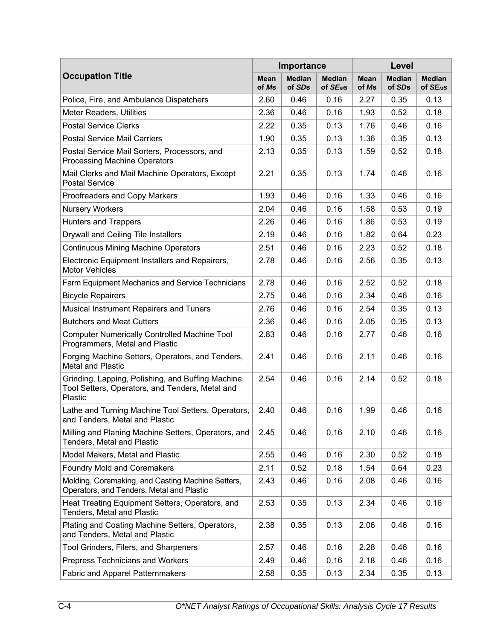|                                                                                                                 |               | Importance              |                               | Level                |                         |                                       |  |
|-----------------------------------------------------------------------------------------------------------------|---------------|-------------------------|-------------------------------|----------------------|-------------------------|---------------------------------------|--|
| <b>Occupation Title</b>                                                                                         | Mean<br>of Ms | <b>Median</b><br>of SDs | <b>Median</b><br>of $SE_{MS}$ | <b>Mean</b><br>of Ms | <b>Median</b><br>of SDs | <b>Median</b><br>of SE <sub>M</sub> S |  |
| Police, Fire, and Ambulance Dispatchers                                                                         | 2.60          | 0.46                    | 0.16                          | 2.27                 | 0.35                    | 0.13                                  |  |
| <b>Meter Readers, Utilities</b>                                                                                 | 2.36          | 0.46                    | 0.16                          | 1.93                 | 0.52                    | 0.18                                  |  |
| <b>Postal Service Clerks</b>                                                                                    | 2.22          | 0.35                    | 0.13                          | 1.76                 | 0.46                    | 0.16                                  |  |
| <b>Postal Service Mail Carriers</b>                                                                             | 1.90          | 0.35                    | 0.13                          | 1.36                 | 0.35                    | 0.13                                  |  |
| Postal Service Mail Sorters, Processors, and<br>Processing Machine Operators                                    | 2.13          | 0.35                    | 0.13                          | 1.59                 | 0.52                    | 0.18                                  |  |
| Mail Clerks and Mail Machine Operators, Except<br><b>Postal Service</b>                                         | 2.21          | 0.35                    | 0.13                          | 1.74                 | 0.46                    | 0.16                                  |  |
| Proofreaders and Copy Markers                                                                                   | 1.93          | 0.46                    | 0.16                          | 1.33                 | 0.46                    | 0.16                                  |  |
| <b>Nursery Workers</b>                                                                                          | 2.04          | 0.46                    | 0.16                          | 1.58                 | 0.53                    | 0.19                                  |  |
| <b>Hunters and Trappers</b>                                                                                     | 2.26          | 0.46                    | 0.16                          | 1.86                 | 0.53                    | 0.19                                  |  |
| Drywall and Ceiling Tile Installers                                                                             | 2.19          | 0.46                    | 0.16                          | 1.82                 | 0.64                    | 0.23                                  |  |
| <b>Continuous Mining Machine Operators</b>                                                                      | 2.51          | 0.46                    | 0.16                          | 2.23                 | 0.52                    | 0.18                                  |  |
| Electronic Equipment Installers and Repairers,<br><b>Motor Vehicles</b>                                         | 2.78          | 0.46                    | 0.16                          | 2.56                 | 0.35                    | 0.13                                  |  |
| Farm Equipment Mechanics and Service Technicians                                                                | 2.78          | 0.46                    | 0.16                          | 2.52                 | 0.52                    | 0.18                                  |  |
| <b>Bicycle Repairers</b>                                                                                        | 2.75          | 0.46                    | 0.16                          | 2.34                 | 0.46                    | 0.16                                  |  |
| Musical Instrument Repairers and Tuners                                                                         | 2.76          | 0.46                    | 0.16                          | 2.54                 | 0.35                    | 0.13                                  |  |
| <b>Butchers and Meat Cutters</b>                                                                                | 2.36          | 0.46                    | 0.16                          | 2.05                 | 0.35                    | 0.13                                  |  |
| <b>Computer Numerically Controlled Machine Tool</b><br>Programmers, Metal and Plastic                           | 2.83          | 0.46                    | 0.16                          | 2.77                 | 0.46                    | 0.16                                  |  |
| Forging Machine Setters, Operators, and Tenders,<br><b>Metal and Plastic</b>                                    | 2.41          | 0.46                    | 0.16                          | 2.11                 | 0.46                    | 0.16                                  |  |
| Grinding, Lapping, Polishing, and Buffing Machine<br>Tool Setters, Operators, and Tenders, Metal and<br>Plastic | 2.54          | 0.46                    | 0.16                          | 2.14                 | 0.52                    | 0.18                                  |  |
| Lathe and Turning Machine Tool Setters, Operators,<br>and Tenders, Metal and Plastic                            | 2.40          | 0.46                    | 0.16                          | 1.99                 | 0.46                    | 0.16                                  |  |
| Milling and Planing Machine Setters, Operators, and<br>Tenders, Metal and Plastic                               | 2.45          | 0.46                    | 0.16                          | 2.10                 | 0.46                    | 0.16                                  |  |
| Model Makers, Metal and Plastic                                                                                 | 2.55          | 0.46                    | 0.16                          | 2.30                 | 0.52                    | 0.18                                  |  |
| <b>Foundry Mold and Coremakers</b>                                                                              | 2.11          | 0.52                    | 0.18                          | 1.54                 | 0.64                    | 0.23                                  |  |
| Molding, Coremaking, and Casting Machine Setters,<br>Operators, and Tenders, Metal and Plastic                  | 2.43          | 0.46                    | 0.16                          | 2.08                 | 0.46                    | 0.16                                  |  |
| Heat Treating Equipment Setters, Operators, and<br>Tenders, Metal and Plastic                                   | 2.53          | 0.35                    | 0.13                          | 2.34                 | 0.46                    | 0.16                                  |  |
| Plating and Coating Machine Setters, Operators,<br>and Tenders, Metal and Plastic                               | 2.38          | 0.35                    | 0.13                          | 2.06                 | 0.46                    | 0.16                                  |  |
| Tool Grinders, Filers, and Sharpeners                                                                           | 2.57          | 0.46                    | 0.16                          | 2.28                 | 0.46                    | 0.16                                  |  |
| Prepress Technicians and Workers                                                                                | 2.49          | 0.46                    | 0.16                          | 2.18                 | 0.46                    | 0.16                                  |  |
| Fabric and Apparel Patternmakers                                                                                | 2.58          | 0.35                    | 0.13                          | 2.34                 | 0.35                    | 0.13                                  |  |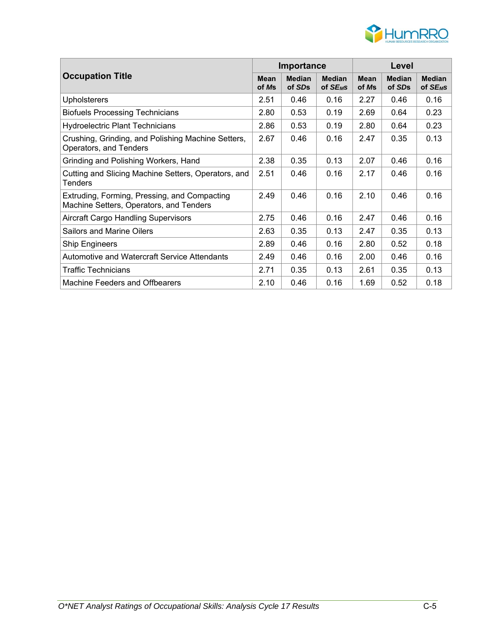

| <b>Occupation Title</b>                                                                 |      | Importance              |                               | Level                |                         |                                       |  |
|-----------------------------------------------------------------------------------------|------|-------------------------|-------------------------------|----------------------|-------------------------|---------------------------------------|--|
|                                                                                         |      | <b>Median</b><br>of SDs | <b>Median</b><br>of $SE_{MS}$ | <b>Mean</b><br>of Ms | <b>Median</b><br>of SDs | <b>Median</b><br>of SE <sub>M</sub> S |  |
| <b>Upholsterers</b>                                                                     | 2.51 | 0.46                    | 0.16                          | 2.27                 | 0.46                    | 0.16                                  |  |
| <b>Biofuels Processing Technicians</b>                                                  | 2.80 | 0.53                    | 0.19                          | 2.69                 | 0.64                    | 0.23                                  |  |
| <b>Hydroelectric Plant Technicians</b>                                                  | 2.86 | 0.53                    | 0.19                          | 2.80                 | 0.64                    | 0.23                                  |  |
| Crushing, Grinding, and Polishing Machine Setters,<br>Operators, and Tenders            | 2.67 | 0.46                    | 0.16                          | 2.47                 | 0.35                    | 0.13                                  |  |
| Grinding and Polishing Workers, Hand                                                    | 2.38 | 0.35                    | 0.13                          | 2.07                 | 0.46                    | 0.16                                  |  |
| Cutting and Slicing Machine Setters, Operators, and<br>Tenders                          | 2.51 | 0.46                    | 0.16                          | 2.17                 | 0.46                    | 0.16                                  |  |
| Extruding, Forming, Pressing, and Compacting<br>Machine Setters, Operators, and Tenders | 2.49 | 0.46                    | 0.16                          | 2.10                 | 0.46                    | 0.16                                  |  |
| Aircraft Cargo Handling Supervisors                                                     | 2.75 | 0.46                    | 0.16                          | 2.47                 | 0.46                    | 0.16                                  |  |
| <b>Sailors and Marine Oilers</b>                                                        | 2.63 | 0.35                    | 0.13                          | 2.47                 | 0.35                    | 0.13                                  |  |
| <b>Ship Engineers</b>                                                                   | 2.89 | 0.46                    | 0.16                          | 2.80                 | 0.52                    | 0.18                                  |  |
| Automotive and Watercraft Service Attendants                                            | 2.49 | 0.46                    | 0.16                          | 2.00                 | 0.46                    | 0.16                                  |  |
| <b>Traffic Technicians</b>                                                              | 2.71 | 0.35                    | 0.13                          | 2.61                 | 0.35                    | 0.13                                  |  |
| Machine Feeders and Offbearers                                                          | 2.10 | 0.46                    | 0.16                          | 1.69                 | 0.52                    | 0.18                                  |  |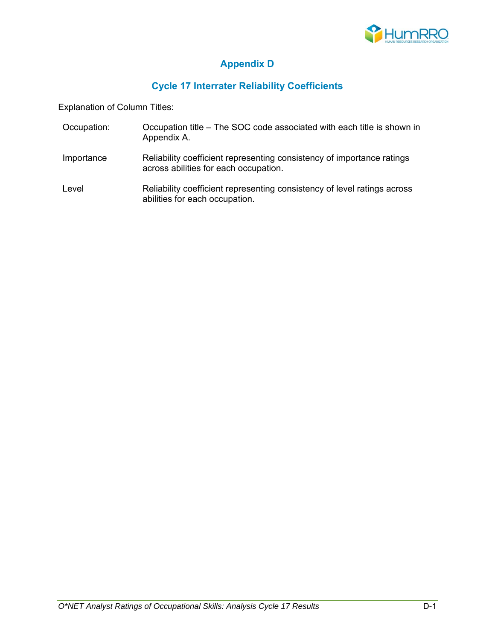

## **Appendix D**

## **Cycle 17 Interrater Reliability Coefficients**

Explanation of Column Titles:

- Occupation: Occupation title The SOC code associated with each title is shown in Appendix A.
- Importance Reliability coefficient representing consistency of importance ratings across abilities for each occupation.
- Level **Reliability coefficient representing consistency of level ratings across** abilities for each occupation.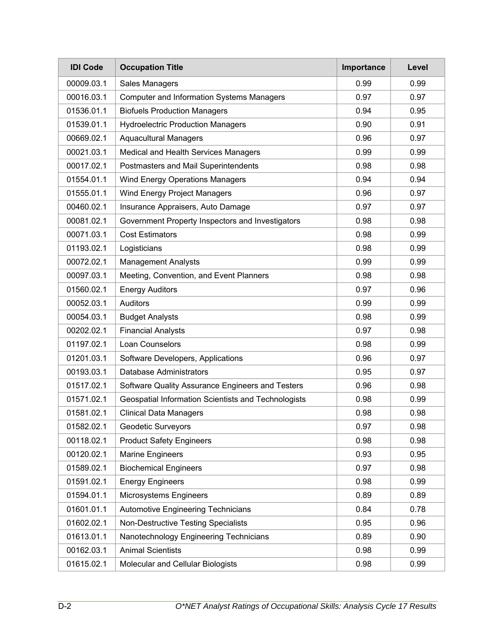| <b>IDI Code</b> | <b>Occupation Title</b>                             | Importance | Level |
|-----------------|-----------------------------------------------------|------------|-------|
| 00009.03.1      | Sales Managers                                      | 0.99       | 0.99  |
| 00016.03.1      | <b>Computer and Information Systems Managers</b>    | 0.97       | 0.97  |
| 01536.01.1      | <b>Biofuels Production Managers</b>                 | 0.94       | 0.95  |
| 01539.01.1      | <b>Hydroelectric Production Managers</b>            | 0.90       | 0.91  |
| 00669.02.1      | <b>Aquacultural Managers</b>                        | 0.96       | 0.97  |
| 00021.03.1      | Medical and Health Services Managers                | 0.99       | 0.99  |
| 00017.02.1      | Postmasters and Mail Superintendents                | 0.98       | 0.98  |
| 01554.01.1      | <b>Wind Energy Operations Managers</b>              | 0.94       | 0.94  |
| 01555.01.1      | Wind Energy Project Managers                        | 0.96       | 0.97  |
| 00460.02.1      | Insurance Appraisers, Auto Damage                   | 0.97       | 0.97  |
| 00081.02.1      | Government Property Inspectors and Investigators    | 0.98       | 0.98  |
| 00071.03.1      | <b>Cost Estimators</b>                              | 0.98       | 0.99  |
| 01193.02.1      | Logisticians                                        | 0.98       | 0.99  |
| 00072.02.1      | <b>Management Analysts</b>                          | 0.99       | 0.99  |
| 00097.03.1      | Meeting, Convention, and Event Planners             | 0.98       | 0.98  |
| 01560.02.1      | <b>Energy Auditors</b>                              | 0.97       | 0.96  |
| 00052.03.1      | Auditors                                            | 0.99       | 0.99  |
| 00054.03.1      | <b>Budget Analysts</b>                              | 0.98       | 0.99  |
| 00202.02.1      | <b>Financial Analysts</b>                           | 0.97       | 0.98  |
| 01197.02.1      | Loan Counselors                                     | 0.98       | 0.99  |
| 01201.03.1      | Software Developers, Applications                   | 0.96       | 0.97  |
| 00193.03.1      | <b>Database Administrators</b>                      | 0.95       | 0.97  |
| 01517.02.1      | Software Quality Assurance Engineers and Testers    | 0.96       | 0.98  |
| 01571.02.1      | Geospatial Information Scientists and Technologists | 0.98       | 0.99  |
| 01581.02.1      | <b>Clinical Data Managers</b>                       | 0.98       | 0.98  |
| 01582.02.1      | Geodetic Surveyors                                  | 0.97       | 0.98  |
| 00118.02.1      | <b>Product Safety Engineers</b>                     | 0.98       | 0.98  |
| 00120.02.1      | <b>Marine Engineers</b>                             | 0.93       | 0.95  |
| 01589.02.1      | <b>Biochemical Engineers</b>                        | 0.97       | 0.98  |
| 01591.02.1      | <b>Energy Engineers</b>                             | 0.98       | 0.99  |
| 01594.01.1      | Microsystems Engineers                              | 0.89       | 0.89  |
| 01601.01.1      | <b>Automotive Engineering Technicians</b>           | 0.84       | 0.78  |
| 01602.02.1      | <b>Non-Destructive Testing Specialists</b>          | 0.95       | 0.96  |
| 01613.01.1      | Nanotechnology Engineering Technicians              | 0.89       | 0.90  |
| 00162.03.1      | <b>Animal Scientists</b>                            | 0.98       | 0.99  |
| 01615.02.1      | Molecular and Cellular Biologists                   | 0.98       | 0.99  |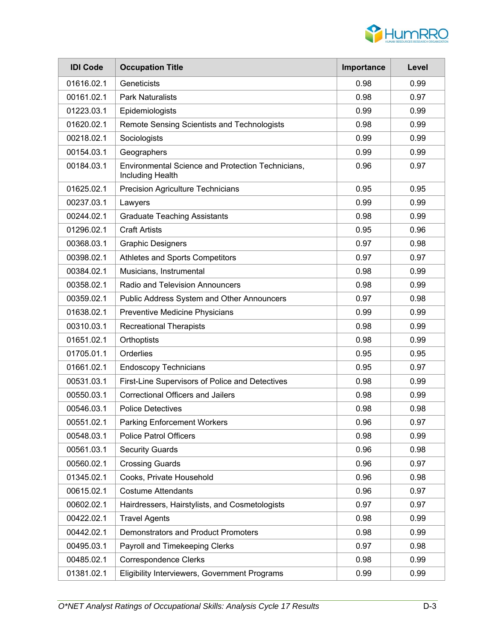

| <b>IDI Code</b> | <b>Occupation Title</b>                                               | Importance | Level |
|-----------------|-----------------------------------------------------------------------|------------|-------|
| 01616.02.1      | Geneticists                                                           | 0.98       | 0.99  |
| 00161.02.1      | <b>Park Naturalists</b>                                               | 0.98       | 0.97  |
| 01223.03.1      | Epidemiologists                                                       | 0.99       | 0.99  |
| 01620.02.1      | Remote Sensing Scientists and Technologists                           | 0.98       | 0.99  |
| 00218.02.1      | Sociologists                                                          | 0.99       | 0.99  |
| 00154.03.1      | Geographers                                                           | 0.99       | 0.99  |
| 00184.03.1      | Environmental Science and Protection Technicians,<br>Including Health | 0.96       | 0.97  |
| 01625.02.1      | <b>Precision Agriculture Technicians</b>                              | 0.95       | 0.95  |
| 00237.03.1      | Lawyers                                                               | 0.99       | 0.99  |
| 00244.02.1      | <b>Graduate Teaching Assistants</b>                                   | 0.98       | 0.99  |
| 01296.02.1      | <b>Craft Artists</b>                                                  | 0.95       | 0.96  |
| 00368.03.1      | <b>Graphic Designers</b>                                              | 0.97       | 0.98  |
| 00398.02.1      | Athletes and Sports Competitors                                       | 0.97       | 0.97  |
| 00384.02.1      | Musicians, Instrumental                                               | 0.98       | 0.99  |
| 00358.02.1      | Radio and Television Announcers                                       | 0.98       | 0.99  |
| 00359.02.1      | Public Address System and Other Announcers                            | 0.97       | 0.98  |
| 01638.02.1      | Preventive Medicine Physicians                                        | 0.99       | 0.99  |
| 00310.03.1      | <b>Recreational Therapists</b>                                        | 0.98       | 0.99  |
| 01651.02.1      | Orthoptists                                                           | 0.98       | 0.99  |
| 01705.01.1      | Orderlies                                                             | 0.95       | 0.95  |
| 01661.02.1      | <b>Endoscopy Technicians</b>                                          | 0.95       | 0.97  |
| 00531.03.1      | First-Line Supervisors of Police and Detectives                       | 0.98       | 0.99  |
| 00550.03.1      | <b>Correctional Officers and Jailers</b>                              | 0.98       | 0.99  |
| 00546.03.1      | <b>Police Detectives</b>                                              | 0.98       | 0.98  |
| 00551.02.1      | <b>Parking Enforcement Workers</b>                                    | 0.96       | 0.97  |
| 00548.03.1      | <b>Police Patrol Officers</b>                                         | 0.98       | 0.99  |
| 00561.03.1      | <b>Security Guards</b>                                                | 0.96       | 0.98  |
| 00560.02.1      | <b>Crossing Guards</b>                                                | 0.96       | 0.97  |
| 01345.02.1      | Cooks, Private Household                                              | 0.96       | 0.98  |
| 00615.02.1      | <b>Costume Attendants</b>                                             | 0.96       | 0.97  |
| 00602.02.1      | Hairdressers, Hairstylists, and Cosmetologists                        | 0.97       | 0.97  |
| 00422.02.1      | <b>Travel Agents</b>                                                  | 0.98       | 0.99  |
| 00442.02.1      | <b>Demonstrators and Product Promoters</b>                            | 0.98       | 0.99  |
| 00495.03.1      | Payroll and Timekeeping Clerks                                        | 0.97       | 0.98  |
| 00485.02.1      | <b>Correspondence Clerks</b>                                          | 0.98       | 0.99  |
| 01381.02.1      | Eligibility Interviewers, Government Programs                         | 0.99       | 0.99  |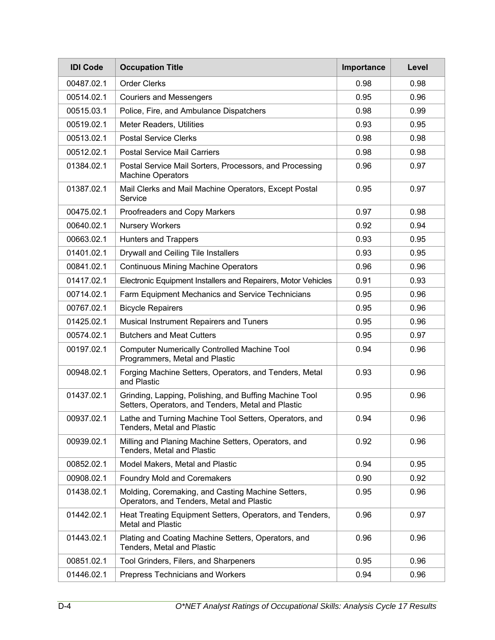| <b>IDI Code</b> | <b>Occupation Title</b>                                                                                      | Importance | Level |
|-----------------|--------------------------------------------------------------------------------------------------------------|------------|-------|
| 00487.02.1      | <b>Order Clerks</b>                                                                                          | 0.98       | 0.98  |
| 00514.02.1      | <b>Couriers and Messengers</b>                                                                               | 0.95       | 0.96  |
| 00515.03.1      | Police, Fire, and Ambulance Dispatchers                                                                      | 0.98       | 0.99  |
| 00519.02.1      | Meter Readers, Utilities                                                                                     | 0.93       | 0.95  |
| 00513.02.1      | <b>Postal Service Clerks</b>                                                                                 | 0.98       | 0.98  |
| 00512.02.1      | <b>Postal Service Mail Carriers</b>                                                                          | 0.98       | 0.98  |
| 01384.02.1      | Postal Service Mail Sorters, Processors, and Processing<br><b>Machine Operators</b>                          | 0.96       | 0.97  |
| 01387.02.1      | Mail Clerks and Mail Machine Operators, Except Postal<br>Service                                             | 0.95       | 0.97  |
| 00475.02.1      | Proofreaders and Copy Markers                                                                                | 0.97       | 0.98  |
| 00640.02.1      | <b>Nursery Workers</b>                                                                                       | 0.92       | 0.94  |
| 00663.02.1      | <b>Hunters and Trappers</b>                                                                                  | 0.93       | 0.95  |
| 01401.02.1      | Drywall and Ceiling Tile Installers                                                                          | 0.93       | 0.95  |
| 00841.02.1      | <b>Continuous Mining Machine Operators</b>                                                                   | 0.96       | 0.96  |
| 01417.02.1      | Electronic Equipment Installers and Repairers, Motor Vehicles                                                | 0.91       | 0.93  |
| 00714.02.1      | Farm Equipment Mechanics and Service Technicians                                                             | 0.95       | 0.96  |
| 00767.02.1      | <b>Bicycle Repairers</b>                                                                                     | 0.95       | 0.96  |
| 01425.02.1      | Musical Instrument Repairers and Tuners                                                                      | 0.95       | 0.96  |
| 00574.02.1      | <b>Butchers and Meat Cutters</b>                                                                             | 0.95       | 0.97  |
| 00197.02.1      | <b>Computer Numerically Controlled Machine Tool</b><br>Programmers, Metal and Plastic                        | 0.94       | 0.96  |
| 00948.02.1      | Forging Machine Setters, Operators, and Tenders, Metal<br>and Plastic                                        | 0.93       | 0.96  |
| 01437.02.1      | Grinding, Lapping, Polishing, and Buffing Machine Tool<br>Setters, Operators, and Tenders, Metal and Plastic | 0.95       | 0.96  |
| 00937.02.1      | Lathe and Turning Machine Tool Setters, Operators, and<br>Tenders, Metal and Plastic                         | 0.94       | 0.96  |
| 00939.02.1      | Milling and Planing Machine Setters, Operators, and<br>Tenders, Metal and Plastic                            | 0.92       | 0.96  |
| 00852.02.1      | Model Makers, Metal and Plastic                                                                              | 0.94       | 0.95  |
| 00908.02.1      | <b>Foundry Mold and Coremakers</b>                                                                           | 0.90       | 0.92  |
| 01438.02.1      | Molding, Coremaking, and Casting Machine Setters,<br>Operators, and Tenders, Metal and Plastic               | 0.95       | 0.96  |
| 01442.02.1      | Heat Treating Equipment Setters, Operators, and Tenders,<br><b>Metal and Plastic</b>                         | 0.96       | 0.97  |
| 01443.02.1      | Plating and Coating Machine Setters, Operators, and<br>Tenders, Metal and Plastic                            | 0.96       | 0.96  |
| 00851.02.1      | Tool Grinders, Filers, and Sharpeners                                                                        | 0.95       | 0.96  |
| 01446.02.1      | Prepress Technicians and Workers                                                                             | 0.94       | 0.96  |